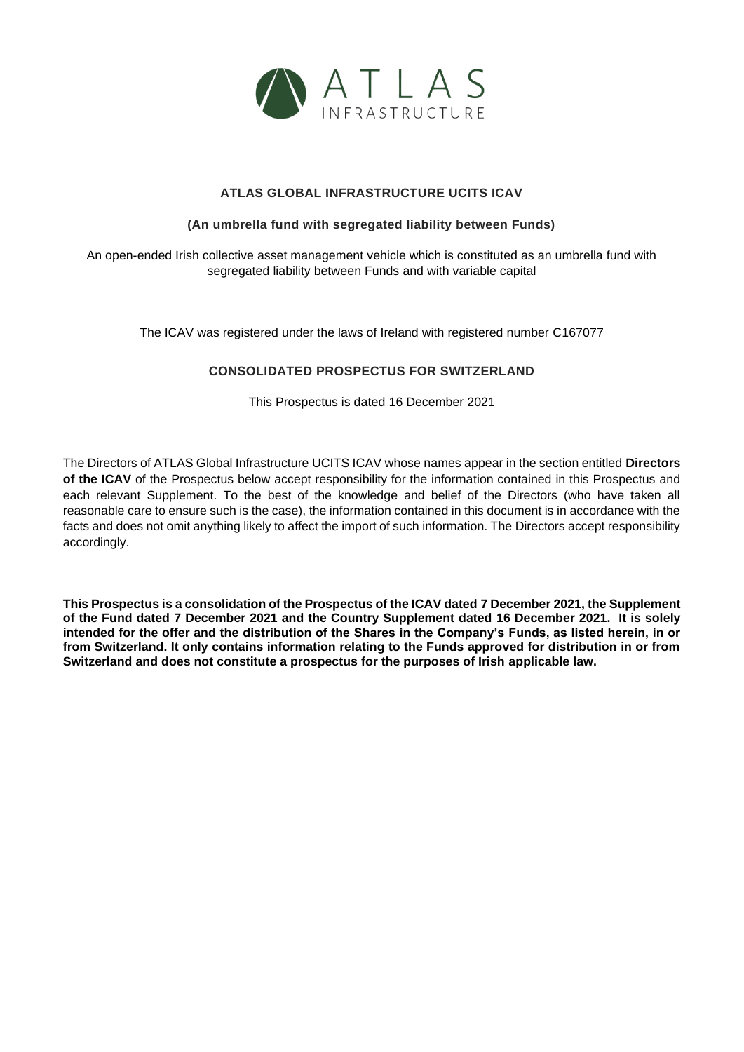

# **ATLAS GLOBAL INFRASTRUCTURE UCITS ICAV**

## **(An umbrella fund with segregated liability between Funds)**

An open-ended Irish collective asset management vehicle which is constituted as an umbrella fund with segregated liability between Funds and with variable capital

The ICAV was registered under the laws of Ireland with registered number C167077

## **CONSOLIDATED PROSPECTUS FOR SWITZERLAND**

This Prospectus is dated 16 December 2021

The Directors of ATLAS Global Infrastructure UCITS ICAV whose names appear in the section entitled **Directors of the ICAV** of the Prospectus below accept responsibility for the information contained in this Prospectus and each relevant Supplement. To the best of the knowledge and belief of the Directors (who have taken all reasonable care to ensure such is the case), the information contained in this document is in accordance with the facts and does not omit anything likely to affect the import of such information. The Directors accept responsibility accordingly.

**This Prospectus is a consolidation of the Prospectus of the ICAV dated 7 December 2021, the Supplement of the Fund dated 7 December 2021 and the Country Supplement dated 16 December 2021. It is solely intended for the offer and the distribution of the Shares in the Company's Funds, as listed herein, in or from Switzerland. It only contains information relating to the Funds approved for distribution in or from Switzerland and does not constitute a prospectus for the purposes of Irish applicable law.**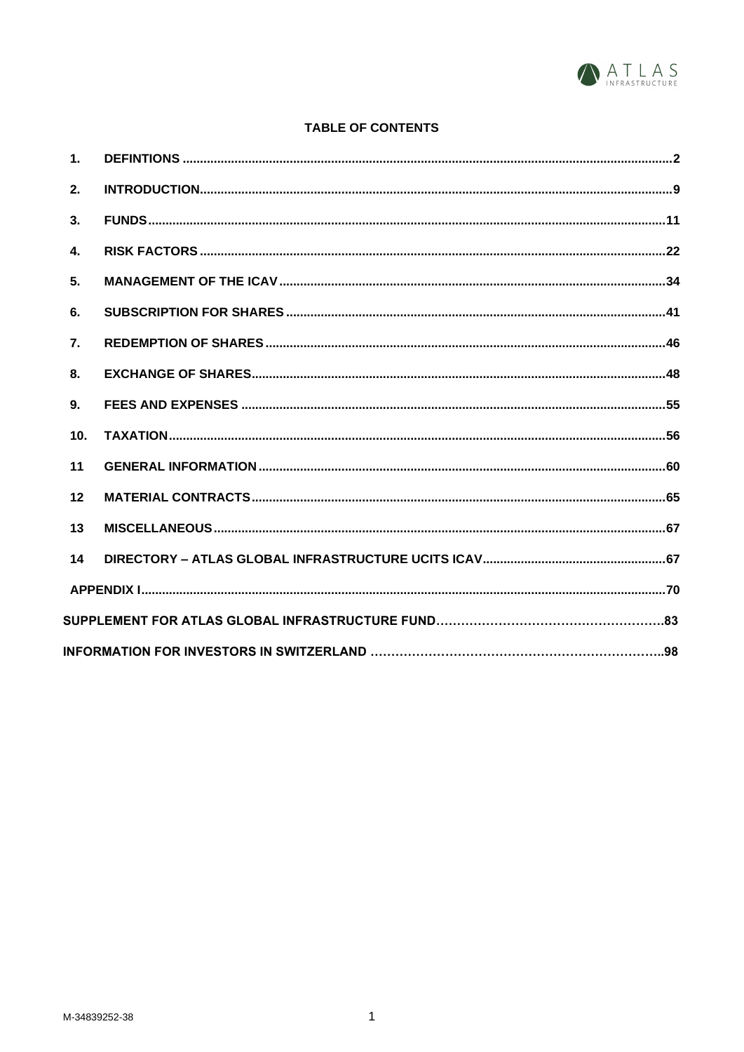

# **TABLE OF CONTENTS**

|  | 1.               |  |  |  |
|--|------------------|--|--|--|
|  | 2.               |  |  |  |
|  | 3.               |  |  |  |
|  | $\overline{4}$ . |  |  |  |
|  | 5.               |  |  |  |
|  | 6.               |  |  |  |
|  | $\overline{7}$ . |  |  |  |
|  | 8.               |  |  |  |
|  | 9 <sub>1</sub>   |  |  |  |
|  | 10 <sub>1</sub>  |  |  |  |
|  | 11               |  |  |  |
|  | 12               |  |  |  |
|  | 13               |  |  |  |
|  | 14               |  |  |  |
|  |                  |  |  |  |
|  |                  |  |  |  |
|  |                  |  |  |  |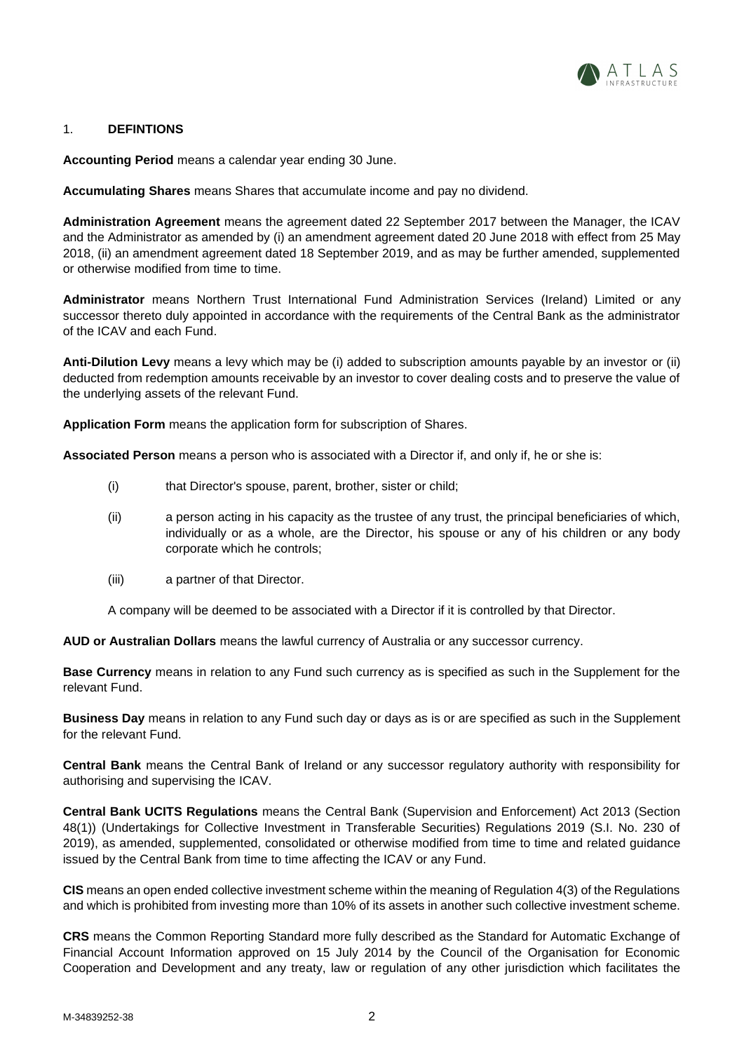

#### <span id="page-2-0"></span>1. **DEFINTIONS**

**Accounting Period** means a calendar year ending 30 June.

**Accumulating Shares** means Shares that accumulate income and pay no dividend.

**Administration Agreement** means the agreement dated 22 September 2017 between the Manager, the ICAV and the Administrator as amended by (i) an amendment agreement dated 20 June 2018 with effect from 25 May 2018, (ii) an amendment agreement dated 18 September 2019, and as may be further amended, supplemented or otherwise modified from time to time.

**Administrator** means Northern Trust International Fund Administration Services (Ireland) Limited or any successor thereto duly appointed in accordance with the requirements of the Central Bank as the administrator of the ICAV and each Fund.

**Anti-Dilution Levy** means a levy which may be (i) added to subscription amounts payable by an investor or (ii) deducted from redemption amounts receivable by an investor to cover dealing costs and to preserve the value of the underlying assets of the relevant Fund.

**Application Form** means the application form for subscription of Shares.

**Associated Person** means a person who is associated with a Director if, and only if, he or she is:

- (i) that Director's spouse, parent, brother, sister or child;
- (ii) a person acting in his capacity as the trustee of any trust, the principal beneficiaries of which, individually or as a whole, are the Director, his spouse or any of his children or any body corporate which he controls;
- (iii) a partner of that Director.

A company will be deemed to be associated with a Director if it is controlled by that Director.

**AUD or Australian Dollars** means the lawful currency of Australia or any successor currency.

**Base Currency** means in relation to any Fund such currency as is specified as such in the Supplement for the relevant Fund.

**Business Day** means in relation to any Fund such day or days as is or are specified as such in the Supplement for the relevant Fund.

**Central Bank** means the Central Bank of Ireland or any successor regulatory authority with responsibility for authorising and supervising the ICAV.

**Central Bank UCITS Regulations** means the Central Bank (Supervision and Enforcement) Act 2013 (Section 48(1)) (Undertakings for Collective Investment in Transferable Securities) Regulations 2019 (S.I. No. 230 of 2019), as amended, supplemented, consolidated or otherwise modified from time to time and related guidance issued by the Central Bank from time to time affecting the ICAV or any Fund.

**CIS** means an open ended collective investment scheme within the meaning of Regulation 4(3) of the Regulations and which is prohibited from investing more than 10% of its assets in another such collective investment scheme.

**CRS** means the Common Reporting Standard more fully described as the Standard for Automatic Exchange of Financial Account Information approved on 15 July 2014 by the Council of the Organisation for Economic Cooperation and Development and any treaty, law or regulation of any other jurisdiction which facilitates the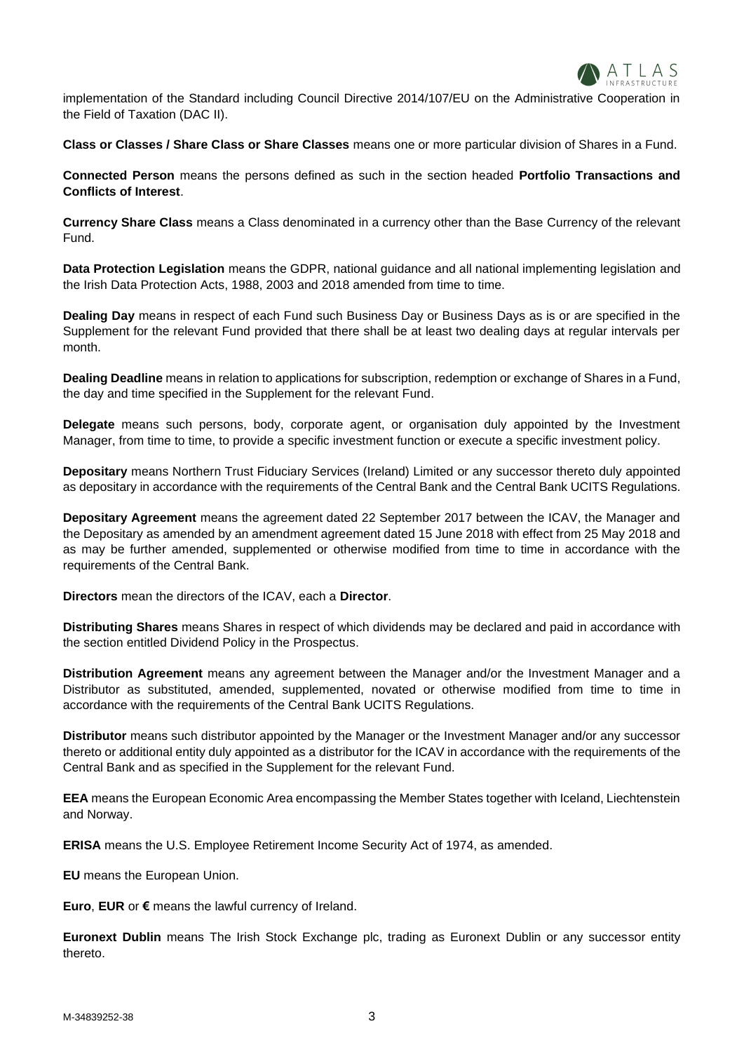

implementation of the Standard including Council Directive 2014/107/EU on the Administrative Cooperation in the Field of Taxation (DAC II).

**Class or Classes / Share Class or Share Classes** means one or more particular division of Shares in a Fund.

**Connected Person** means the persons defined as such in the section headed **Portfolio Transactions and Conflicts of Interest**.

**Currency Share Class** means a Class denominated in a currency other than the Base Currency of the relevant Fund.

**Data Protection Legislation** means the GDPR, national guidance and all national implementing legislation and the Irish Data Protection Acts, 1988, 2003 and 2018 amended from time to time.

**Dealing Day** means in respect of each Fund such Business Day or Business Days as is or are specified in the Supplement for the relevant Fund provided that there shall be at least two dealing days at regular intervals per month.

**Dealing Deadline** means in relation to applications for subscription, redemption or exchange of Shares in a Fund, the day and time specified in the Supplement for the relevant Fund.

**Delegate** means such persons, body, corporate agent, or organisation duly appointed by the Investment Manager, from time to time, to provide a specific investment function or execute a specific investment policy.

**Depositary** means Northern Trust Fiduciary Services (Ireland) Limited or any successor thereto duly appointed as depositary in accordance with the requirements of the Central Bank and the Central Bank UCITS Regulations.

**Depositary Agreement** means the agreement dated 22 September 2017 between the ICAV, the Manager and the Depositary as amended by an amendment agreement dated 15 June 2018 with effect from 25 May 2018 and as may be further amended, supplemented or otherwise modified from time to time in accordance with the requirements of the Central Bank.

**Directors** mean the directors of the ICAV, each a **Director**.

**Distributing Shares** means Shares in respect of which dividends may be declared and paid in accordance with the section entitled Dividend Policy in the Prospectus.

**Distribution Agreement** means any agreement between the Manager and/or the Investment Manager and a Distributor as substituted, amended, supplemented, novated or otherwise modified from time to time in accordance with the requirements of the Central Bank UCITS Regulations.

**Distributor** means such distributor appointed by the Manager or the Investment Manager and/or any successor thereto or additional entity duly appointed as a distributor for the ICAV in accordance with the requirements of the Central Bank and as specified in the Supplement for the relevant Fund.

**EEA** means the European Economic Area encompassing the Member States together with Iceland, Liechtenstein and Norway.

**ERISA** means the U.S. Employee Retirement Income Security Act of 1974, as amended.

**EU** means the European Union.

**Euro**, **EUR** or **€** means the lawful currency of Ireland.

**Euronext Dublin** means The Irish Stock Exchange plc, trading as Euronext Dublin or any successor entity thereto.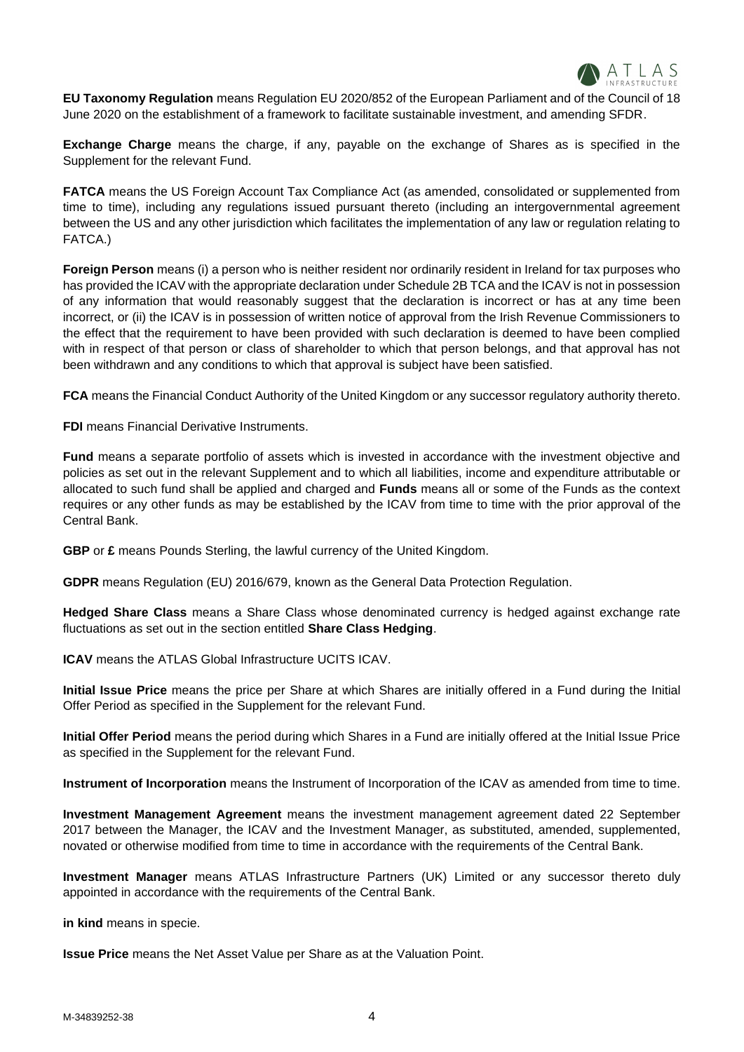

**EU Taxonomy Regulation** means Regulation EU 2020/852 of the European Parliament and of the Council of 18 June 2020 on the establishment of a framework to facilitate sustainable investment, and amending SFDR.

**Exchange Charge** means the charge, if any, payable on the exchange of Shares as is specified in the Supplement for the relevant Fund.

**FATCA** means the US Foreign Account Tax Compliance Act (as amended, consolidated or supplemented from time to time), including any regulations issued pursuant thereto (including an intergovernmental agreement between the US and any other jurisdiction which facilitates the implementation of any law or regulation relating to FATCA.)

**Foreign Person** means (i) a person who is neither resident nor ordinarily resident in Ireland for tax purposes who has provided the ICAV with the appropriate declaration under Schedule 2B TCA and the ICAV is not in possession of any information that would reasonably suggest that the declaration is incorrect or has at any time been incorrect, or (ii) the ICAV is in possession of written notice of approval from the Irish Revenue Commissioners to the effect that the requirement to have been provided with such declaration is deemed to have been complied with in respect of that person or class of shareholder to which that person belongs, and that approval has not been withdrawn and any conditions to which that approval is subject have been satisfied.

**FCA** means the Financial Conduct Authority of the United Kingdom or any successor regulatory authority thereto.

**FDI** means Financial Derivative Instruments.

**Fund** means a separate portfolio of assets which is invested in accordance with the investment objective and policies as set out in the relevant Supplement and to which all liabilities, income and expenditure attributable or allocated to such fund shall be applied and charged and **Funds** means all or some of the Funds as the context requires or any other funds as may be established by the ICAV from time to time with the prior approval of the Central Bank.

**GBP** or **£** means Pounds Sterling, the lawful currency of the United Kingdom.

**GDPR** means Regulation (EU) 2016/679, known as the General Data Protection Regulation.

**Hedged Share Class** means a Share Class whose denominated currency is hedged against exchange rate fluctuations as set out in the section entitled **Share Class Hedging**.

**ICAV** means the ATLAS Global Infrastructure UCITS ICAV.

**Initial Issue Price** means the price per Share at which Shares are initially offered in a Fund during the Initial Offer Period as specified in the Supplement for the relevant Fund.

**Initial Offer Period** means the period during which Shares in a Fund are initially offered at the Initial Issue Price as specified in the Supplement for the relevant Fund.

**Instrument of Incorporation** means the Instrument of Incorporation of the ICAV as amended from time to time.

**Investment Management Agreement** means the investment management agreement dated 22 September 2017 between the Manager, the ICAV and the Investment Manager, as substituted, amended, supplemented, novated or otherwise modified from time to time in accordance with the requirements of the Central Bank.

**Investment Manager** means ATLAS Infrastructure Partners (UK) Limited or any successor thereto duly appointed in accordance with the requirements of the Central Bank.

**in kind** means in specie.

**Issue Price** means the Net Asset Value per Share as at the Valuation Point.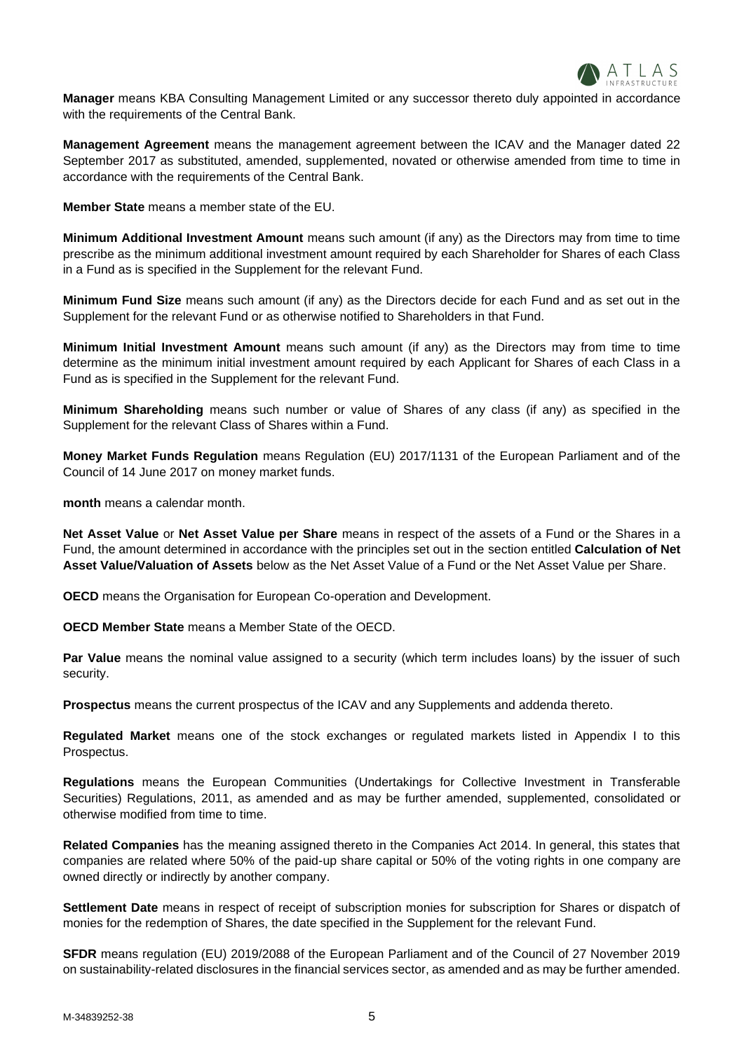

**Manager** means KBA Consulting Management Limited or any successor thereto duly appointed in accordance with the requirements of the Central Bank.

**Management Agreement** means the management agreement between the ICAV and the Manager dated 22 September 2017 as substituted, amended, supplemented, novated or otherwise amended from time to time in accordance with the requirements of the Central Bank.

**Member State** means a member state of the EU.

**Minimum Additional Investment Amount** means such amount (if any) as the Directors may from time to time prescribe as the minimum additional investment amount required by each Shareholder for Shares of each Class in a Fund as is specified in the Supplement for the relevant Fund.

**Minimum Fund Size** means such amount (if any) as the Directors decide for each Fund and as set out in the Supplement for the relevant Fund or as otherwise notified to Shareholders in that Fund.

**Minimum Initial Investment Amount** means such amount (if any) as the Directors may from time to time determine as the minimum initial investment amount required by each Applicant for Shares of each Class in a Fund as is specified in the Supplement for the relevant Fund.

**Minimum Shareholding** means such number or value of Shares of any class (if any) as specified in the Supplement for the relevant Class of Shares within a Fund.

**Money Market Funds Regulation** means Regulation (EU) 2017/1131 of the European Parliament and of the Council of 14 June 2017 on money market funds.

**month** means a calendar month.

**Net Asset Value** or **Net Asset Value per Share** means in respect of the assets of a Fund or the Shares in a Fund, the amount determined in accordance with the principles set out in the section entitled **Calculation of Net Asset Value/Valuation of Assets** below as the Net Asset Value of a Fund or the Net Asset Value per Share.

**OECD** means the Organisation for European Co-operation and Development.

**OECD Member State** means a Member State of the OECD.

Par Value means the nominal value assigned to a security (which term includes loans) by the issuer of such security.

**Prospectus** means the current prospectus of the ICAV and any Supplements and addenda thereto.

**Regulated Market** means one of the stock exchanges or regulated markets listed in Appendix I to this Prospectus.

**Regulations** means the European Communities (Undertakings for Collective Investment in Transferable Securities) Regulations, 2011, as amended and as may be further amended, supplemented, consolidated or otherwise modified from time to time.

**Related Companies** has the meaning assigned thereto in the Companies Act 2014. In general, this states that companies are related where 50% of the paid-up share capital or 50% of the voting rights in one company are owned directly or indirectly by another company.

**Settlement Date** means in respect of receipt of subscription monies for subscription for Shares or dispatch of monies for the redemption of Shares, the date specified in the Supplement for the relevant Fund.

**SFDR** means regulation (EU) 2019/2088 of the European Parliament and of the Council of 27 November 2019 on sustainability-related disclosures in the financial services sector, as amended and as may be further amended.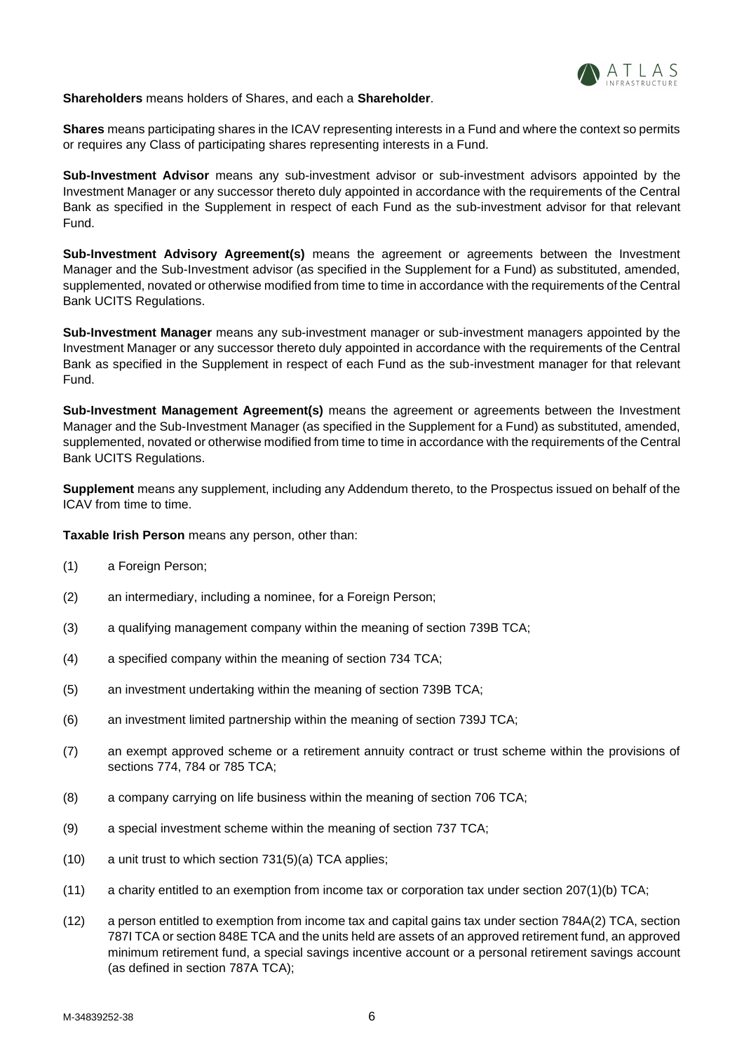

**Shareholders** means holders of Shares, and each a **Shareholder**.

**Shares** means participating shares in the ICAV representing interests in a Fund and where the context so permits or requires any Class of participating shares representing interests in a Fund.

**Sub-Investment Advisor** means any sub-investment advisor or sub-investment advisors appointed by the Investment Manager or any successor thereto duly appointed in accordance with the requirements of the Central Bank as specified in the Supplement in respect of each Fund as the sub-investment advisor for that relevant Fund.

**Sub-Investment Advisory Agreement(s)** means the agreement or agreements between the Investment Manager and the Sub-Investment advisor (as specified in the Supplement for a Fund) as substituted, amended, supplemented, novated or otherwise modified from time to time in accordance with the requirements of the Central Bank UCITS Regulations.

**Sub-Investment Manager** means any sub-investment manager or sub-investment managers appointed by the Investment Manager or any successor thereto duly appointed in accordance with the requirements of the Central Bank as specified in the Supplement in respect of each Fund as the sub-investment manager for that relevant Fund.

**Sub-Investment Management Agreement(s)** means the agreement or agreements between the Investment Manager and the Sub-Investment Manager (as specified in the Supplement for a Fund) as substituted, amended, supplemented, novated or otherwise modified from time to time in accordance with the requirements of the Central Bank UCITS Regulations.

**Supplement** means any supplement, including any Addendum thereto, to the Prospectus issued on behalf of the ICAV from time to time.

**Taxable Irish Person** means any person, other than:

- (1) a Foreign Person;
- (2) an intermediary, including a nominee, for a Foreign Person;
- (3) a qualifying management company within the meaning of section 739B TCA;
- (4) a specified company within the meaning of section 734 TCA;
- (5) an investment undertaking within the meaning of section 739B TCA;
- (6) an investment limited partnership within the meaning of section 739J TCA;
- (7) an exempt approved scheme or a retirement annuity contract or trust scheme within the provisions of sections 774, 784 or 785 TCA;
- (8) a company carrying on life business within the meaning of section 706 TCA;
- (9) a special investment scheme within the meaning of section 737 TCA;
- (10) a unit trust to which section 731(5)(a) TCA applies;
- (11) a charity entitled to an exemption from income tax or corporation tax under section 207(1)(b) TCA;
- (12) a person entitled to exemption from income tax and capital gains tax under section 784A(2) TCA, section 787I TCA or section 848E TCA and the units held are assets of an approved retirement fund, an approved minimum retirement fund, a special savings incentive account or a personal retirement savings account (as defined in section 787A TCA);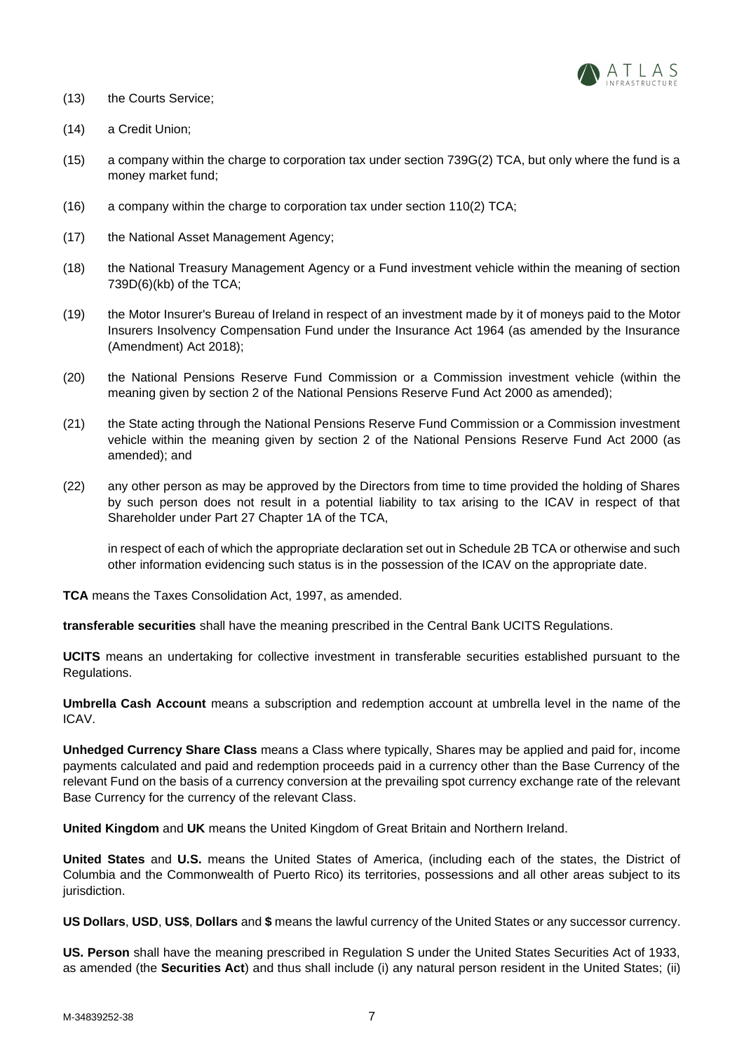

- (13) the Courts Service;
- (14) a Credit Union;
- (15) a company within the charge to corporation tax under section 739G(2) TCA, but only where the fund is a money market fund;
- (16) a company within the charge to corporation tax under section 110(2) TCA;
- (17) the National Asset Management Agency;
- (18) the National Treasury Management Agency or a Fund investment vehicle within the meaning of section 739D(6)(kb) of the TCA;
- (19) the Motor Insurer's Bureau of Ireland in respect of an investment made by it of moneys paid to the Motor Insurers Insolvency Compensation Fund under the Insurance Act 1964 (as amended by the Insurance (Amendment) Act 2018);
- (20) the National Pensions Reserve Fund Commission or a Commission investment vehicle (within the meaning given by section 2 of the National Pensions Reserve Fund Act 2000 as amended);
- (21) the State acting through the National Pensions Reserve Fund Commission or a Commission investment vehicle within the meaning given by section 2 of the National Pensions Reserve Fund Act 2000 (as amended); and
- (22) any other person as may be approved by the Directors from time to time provided the holding of Shares by such person does not result in a potential liability to tax arising to the ICAV in respect of that Shareholder under Part 27 Chapter 1A of the TCA,

in respect of each of which the appropriate declaration set out in Schedule 2B TCA or otherwise and such other information evidencing such status is in the possession of the ICAV on the appropriate date.

**TCA** means the Taxes Consolidation Act, 1997, as amended.

**transferable securities** shall have the meaning prescribed in the Central Bank UCITS Regulations.

**UCITS** means an undertaking for collective investment in transferable securities established pursuant to the Regulations.

**Umbrella Cash Account** means a subscription and redemption account at umbrella level in the name of the ICAV.

**Unhedged Currency Share Class** means a Class where typically, Shares may be applied and paid for, income payments calculated and paid and redemption proceeds paid in a currency other than the Base Currency of the relevant Fund on the basis of a currency conversion at the prevailing spot currency exchange rate of the relevant Base Currency for the currency of the relevant Class.

**United Kingdom** and **UK** means the United Kingdom of Great Britain and Northern Ireland.

**United States** and **U.S.** means the United States of America, (including each of the states, the District of Columbia and the Commonwealth of Puerto Rico) its territories, possessions and all other areas subject to its jurisdiction.

**US Dollars**, **USD**, **US\$**, **Dollars** and **\$** means the lawful currency of the United States or any successor currency.

**US. Person** shall have the meaning prescribed in Regulation S under the United States Securities Act of 1933, as amended (the **Securities Act**) and thus shall include (i) any natural person resident in the United States; (ii)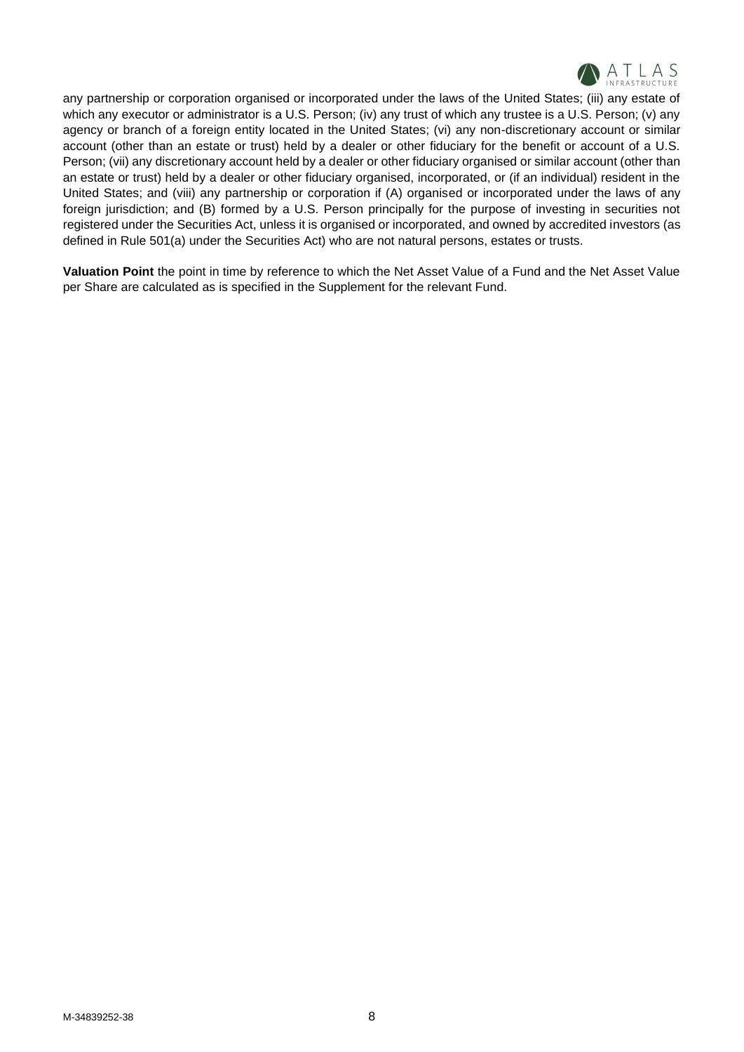

any partnership or corporation organised or incorporated under the laws of the United States; (iii) any estate of which any executor or administrator is a U.S. Person; (iv) any trust of which any trustee is a U.S. Person; (v) any agency or branch of a foreign entity located in the United States; (vi) any non-discretionary account or similar account (other than an estate or trust) held by a dealer or other fiduciary for the benefit or account of a U.S. Person; (vii) any discretionary account held by a dealer or other fiduciary organised or similar account (other than an estate or trust) held by a dealer or other fiduciary organised, incorporated, or (if an individual) resident in the United States; and (viii) any partnership or corporation if (A) organised or incorporated under the laws of any foreign jurisdiction; and (B) formed by a U.S. Person principally for the purpose of investing in securities not registered under the Securities Act, unless it is organised or incorporated, and owned by accredited investors (as defined in Rule 501(a) under the Securities Act) who are not natural persons, estates or trusts.

**Valuation Point** the point in time by reference to which the Net Asset Value of a Fund and the Net Asset Value per Share are calculated as is specified in the Supplement for the relevant Fund.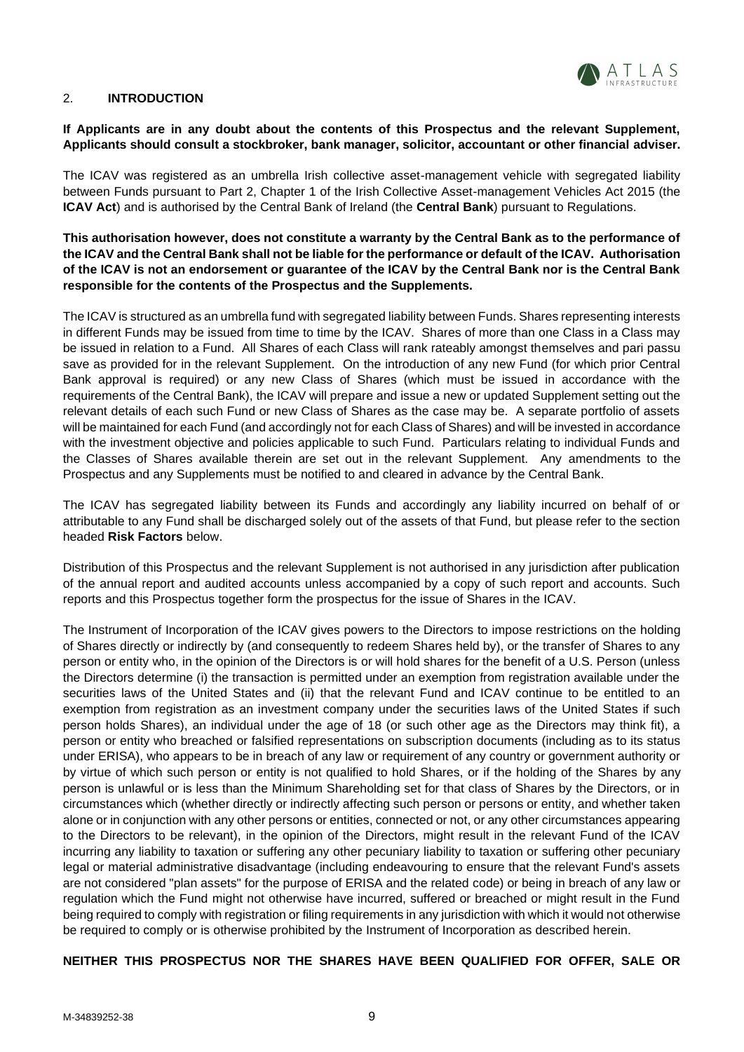

#### <span id="page-9-0"></span>2. **INTRODUCTION**

#### **If Applicants are in any doubt about the contents of this Prospectus and the relevant Supplement, Applicants should consult a stockbroker, bank manager, solicitor, accountant or other financial adviser.**

The ICAV was registered as an umbrella Irish collective asset-management vehicle with segregated liability between Funds pursuant to Part 2, Chapter 1 of the Irish Collective Asset-management Vehicles Act 2015 (the **ICAV Act**) and is authorised by the Central Bank of Ireland (the **Central Bank**) pursuant to Regulations.

**This authorisation however, does not constitute a warranty by the Central Bank as to the performance of the ICAV and the Central Bank shall not be liable for the performance or default of the ICAV. Authorisation of the ICAV is not an endorsement or guarantee of the ICAV by the Central Bank nor is the Central Bank responsible for the contents of the Prospectus and the Supplements.**

The ICAV is structured as an umbrella fund with segregated liability between Funds. Shares representing interests in different Funds may be issued from time to time by the ICAV. Shares of more than one Class in a Class may be issued in relation to a Fund. All Shares of each Class will rank rateably amongst themselves and pari passu save as provided for in the relevant Supplement. On the introduction of any new Fund (for which prior Central Bank approval is required) or any new Class of Shares (which must be issued in accordance with the requirements of the Central Bank), the ICAV will prepare and issue a new or updated Supplement setting out the relevant details of each such Fund or new Class of Shares as the case may be. A separate portfolio of assets will be maintained for each Fund (and accordingly not for each Class of Shares) and will be invested in accordance with the investment objective and policies applicable to such Fund. Particulars relating to individual Funds and the Classes of Shares available therein are set out in the relevant Supplement. Any amendments to the Prospectus and any Supplements must be notified to and cleared in advance by the Central Bank.

The ICAV has segregated liability between its Funds and accordingly any liability incurred on behalf of or attributable to any Fund shall be discharged solely out of the assets of that Fund, but please refer to the section headed **Risk Factors** below.

Distribution of this Prospectus and the relevant Supplement is not authorised in any jurisdiction after publication of the annual report and audited accounts unless accompanied by a copy of such report and accounts. Such reports and this Prospectus together form the prospectus for the issue of Shares in the ICAV.

The Instrument of Incorporation of the ICAV gives powers to the Directors to impose restrictions on the holding of Shares directly or indirectly by (and consequently to redeem Shares held by), or the transfer of Shares to any person or entity who, in the opinion of the Directors is or will hold shares for the benefit of a U.S. Person (unless the Directors determine (i) the transaction is permitted under an exemption from registration available under the securities laws of the United States and (ii) that the relevant Fund and ICAV continue to be entitled to an exemption from registration as an investment company under the securities laws of the United States if such person holds Shares), an individual under the age of 18 (or such other age as the Directors may think fit), a person or entity who breached or falsified representations on subscription documents (including as to its status under ERISA), who appears to be in breach of any law or requirement of any country or government authority or by virtue of which such person or entity is not qualified to hold Shares, or if the holding of the Shares by any person is unlawful or is less than the Minimum Shareholding set for that class of Shares by the Directors, or in circumstances which (whether directly or indirectly affecting such person or persons or entity, and whether taken alone or in conjunction with any other persons or entities, connected or not, or any other circumstances appearing to the Directors to be relevant), in the opinion of the Directors, might result in the relevant Fund of the ICAV incurring any liability to taxation or suffering any other pecuniary liability to taxation or suffering other pecuniary legal or material administrative disadvantage (including endeavouring to ensure that the relevant Fund's assets are not considered "plan assets" for the purpose of ERISA and the related code) or being in breach of any law or regulation which the Fund might not otherwise have incurred, suffered or breached or might result in the Fund being required to comply with registration or filing requirements in any jurisdiction with which it would not otherwise be required to comply or is otherwise prohibited by the Instrument of Incorporation as described herein.

#### **NEITHER THIS PROSPECTUS NOR THE SHARES HAVE BEEN QUALIFIED FOR OFFER, SALE OR**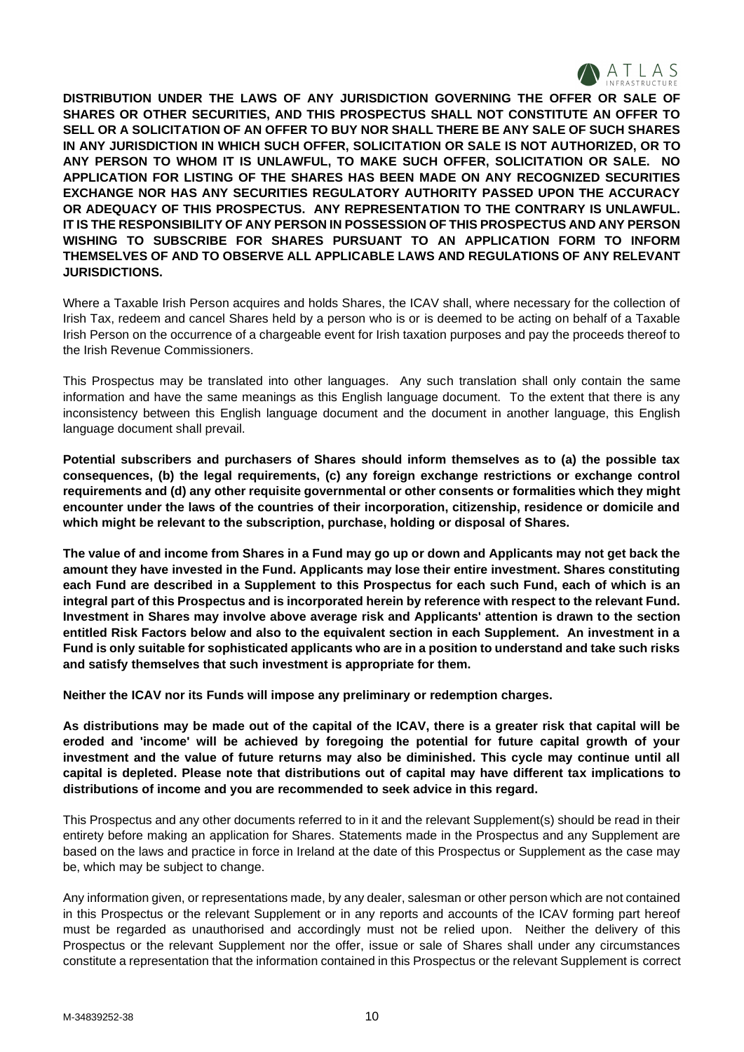

**DISTRIBUTION UNDER THE LAWS OF ANY JURISDICTION GOVERNING THE OFFER OR SALE OF SHARES OR OTHER SECURITIES, AND THIS PROSPECTUS SHALL NOT CONSTITUTE AN OFFER TO SELL OR A SOLICITATION OF AN OFFER TO BUY NOR SHALL THERE BE ANY SALE OF SUCH SHARES IN ANY JURISDICTION IN WHICH SUCH OFFER, SOLICITATION OR SALE IS NOT AUTHORIZED, OR TO ANY PERSON TO WHOM IT IS UNLAWFUL, TO MAKE SUCH OFFER, SOLICITATION OR SALE. NO APPLICATION FOR LISTING OF THE SHARES HAS BEEN MADE ON ANY RECOGNIZED SECURITIES EXCHANGE NOR HAS ANY SECURITIES REGULATORY AUTHORITY PASSED UPON THE ACCURACY OR ADEQUACY OF THIS PROSPECTUS. ANY REPRESENTATION TO THE CONTRARY IS UNLAWFUL. IT IS THE RESPONSIBILITY OF ANY PERSON IN POSSESSION OF THIS PROSPECTUS AND ANY PERSON WISHING TO SUBSCRIBE FOR SHARES PURSUANT TO AN APPLICATION FORM TO INFORM THEMSELVES OF AND TO OBSERVE ALL APPLICABLE LAWS AND REGULATIONS OF ANY RELEVANT JURISDICTIONS.**

Where a Taxable Irish Person acquires and holds Shares, the ICAV shall, where necessary for the collection of Irish Tax, redeem and cancel Shares held by a person who is or is deemed to be acting on behalf of a Taxable Irish Person on the occurrence of a chargeable event for Irish taxation purposes and pay the proceeds thereof to the Irish Revenue Commissioners.

This Prospectus may be translated into other languages. Any such translation shall only contain the same information and have the same meanings as this English language document. To the extent that there is any inconsistency between this English language document and the document in another language, this English language document shall prevail.

**Potential subscribers and purchasers of Shares should inform themselves as to (a) the possible tax consequences, (b) the legal requirements, (c) any foreign exchange restrictions or exchange control requirements and (d) any other requisite governmental or other consents or formalities which they might encounter under the laws of the countries of their incorporation, citizenship, residence or domicile and which might be relevant to the subscription, purchase, holding or disposal of Shares.**

**The value of and income from Shares in a Fund may go up or down and Applicants may not get back the amount they have invested in the Fund. Applicants may lose their entire investment. Shares constituting each Fund are described in a Supplement to this Prospectus for each such Fund, each of which is an integral part of this Prospectus and is incorporated herein by reference with respect to the relevant Fund. Investment in Shares may involve above average risk and Applicants' attention is drawn to the section entitled Risk Factors below and also to the equivalent section in each Supplement. An investment in a Fund is only suitable for sophisticated applicants who are in a position to understand and take such risks and satisfy themselves that such investment is appropriate for them.**

**Neither the ICAV nor its Funds will impose any preliminary or redemption charges.**

**As distributions may be made out of the capital of the ICAV, there is a greater risk that capital will be eroded and 'income' will be achieved by foregoing the potential for future capital growth of your investment and the value of future returns may also be diminished. This cycle may continue until all capital is depleted. Please note that distributions out of capital may have different tax implications to distributions of income and you are recommended to seek advice in this regard.**

This Prospectus and any other documents referred to in it and the relevant Supplement(s) should be read in their entirety before making an application for Shares. Statements made in the Prospectus and any Supplement are based on the laws and practice in force in Ireland at the date of this Prospectus or Supplement as the case may be, which may be subject to change.

Any information given, or representations made, by any dealer, salesman or other person which are not contained in this Prospectus or the relevant Supplement or in any reports and accounts of the ICAV forming part hereof must be regarded as unauthorised and accordingly must not be relied upon. Neither the delivery of this Prospectus or the relevant Supplement nor the offer, issue or sale of Shares shall under any circumstances constitute a representation that the information contained in this Prospectus or the relevant Supplement is correct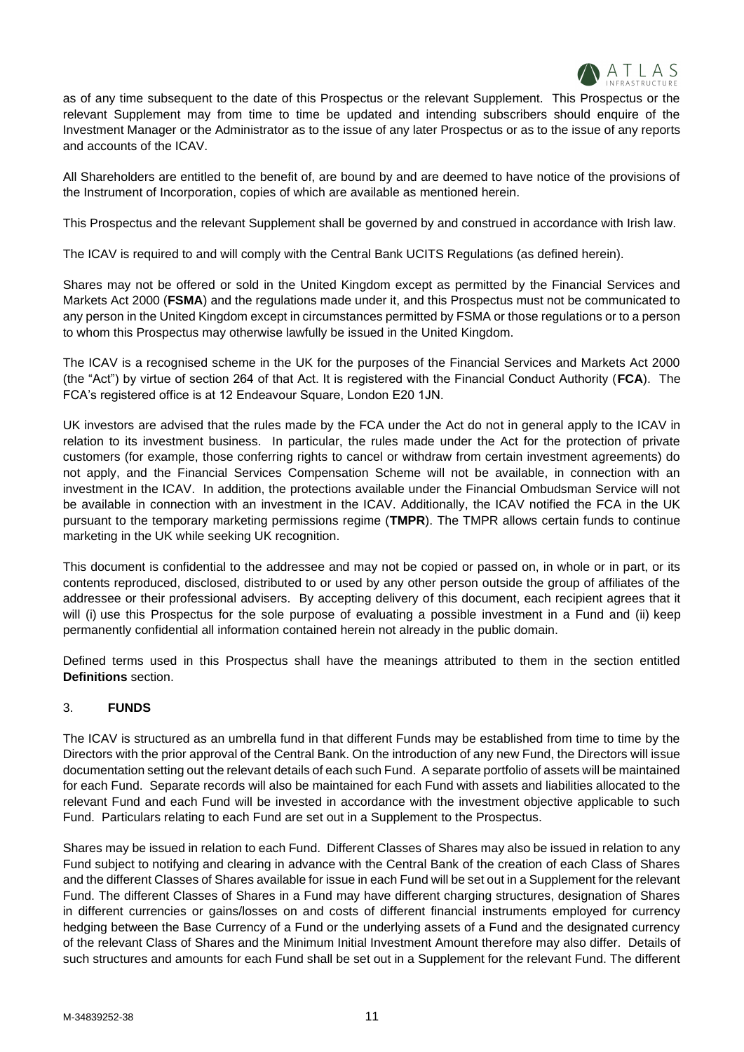

as of any time subsequent to the date of this Prospectus or the relevant Supplement. This Prospectus or the relevant Supplement may from time to time be updated and intending subscribers should enquire of the Investment Manager or the Administrator as to the issue of any later Prospectus or as to the issue of any reports and accounts of the ICAV.

All Shareholders are entitled to the benefit of, are bound by and are deemed to have notice of the provisions of the Instrument of Incorporation, copies of which are available as mentioned herein.

This Prospectus and the relevant Supplement shall be governed by and construed in accordance with Irish law.

The ICAV is required to and will comply with the Central Bank UCITS Regulations (as defined herein).

Shares may not be offered or sold in the United Kingdom except as permitted by the Financial Services and Markets Act 2000 (**FSMA**) and the regulations made under it, and this Prospectus must not be communicated to any person in the United Kingdom except in circumstances permitted by FSMA or those regulations or to a person to whom this Prospectus may otherwise lawfully be issued in the United Kingdom.

The ICAV is a recognised scheme in the UK for the purposes of the Financial Services and Markets Act 2000 (the "Act") by virtue of section 264 of that Act. It is registered with the Financial Conduct Authority (**FCA**). The FCA's registered office is at 12 Endeavour Square, London E20 1JN.

UK investors are advised that the rules made by the FCA under the Act do not in general apply to the ICAV in relation to its investment business. In particular, the rules made under the Act for the protection of private customers (for example, those conferring rights to cancel or withdraw from certain investment agreements) do not apply, and the Financial Services Compensation Scheme will not be available, in connection with an investment in the ICAV. In addition, the protections available under the Financial Ombudsman Service will not be available in connection with an investment in the ICAV. Additionally, the ICAV notified the FCA in the UK pursuant to the temporary marketing permissions regime (**TMPR**). The TMPR allows certain funds to continue marketing in the UK while seeking UK recognition.

This document is confidential to the addressee and may not be copied or passed on, in whole or in part, or its contents reproduced, disclosed, distributed to or used by any other person outside the group of affiliates of the addressee or their professional advisers. By accepting delivery of this document, each recipient agrees that it will (i) use this Prospectus for the sole purpose of evaluating a possible investment in a Fund and (ii) keep permanently confidential all information contained herein not already in the public domain.

Defined terms used in this Prospectus shall have the meanings attributed to them in the section entitled **Definitions** section.

## <span id="page-11-0"></span>3. **FUNDS**

The ICAV is structured as an umbrella fund in that different Funds may be established from time to time by the Directors with the prior approval of the Central Bank. On the introduction of any new Fund, the Directors will issue documentation setting out the relevant details of each such Fund. A separate portfolio of assets will be maintained for each Fund. Separate records will also be maintained for each Fund with assets and liabilities allocated to the relevant Fund and each Fund will be invested in accordance with the investment objective applicable to such Fund. Particulars relating to each Fund are set out in a Supplement to the Prospectus.

Shares may be issued in relation to each Fund. Different Classes of Shares may also be issued in relation to any Fund subject to notifying and clearing in advance with the Central Bank of the creation of each Class of Shares and the different Classes of Shares available for issue in each Fund will be set out in a Supplement for the relevant Fund. The different Classes of Shares in a Fund may have different charging structures, designation of Shares in different currencies or gains/losses on and costs of different financial instruments employed for currency hedging between the Base Currency of a Fund or the underlying assets of a Fund and the designated currency of the relevant Class of Shares and the Minimum Initial Investment Amount therefore may also differ. Details of such structures and amounts for each Fund shall be set out in a Supplement for the relevant Fund. The different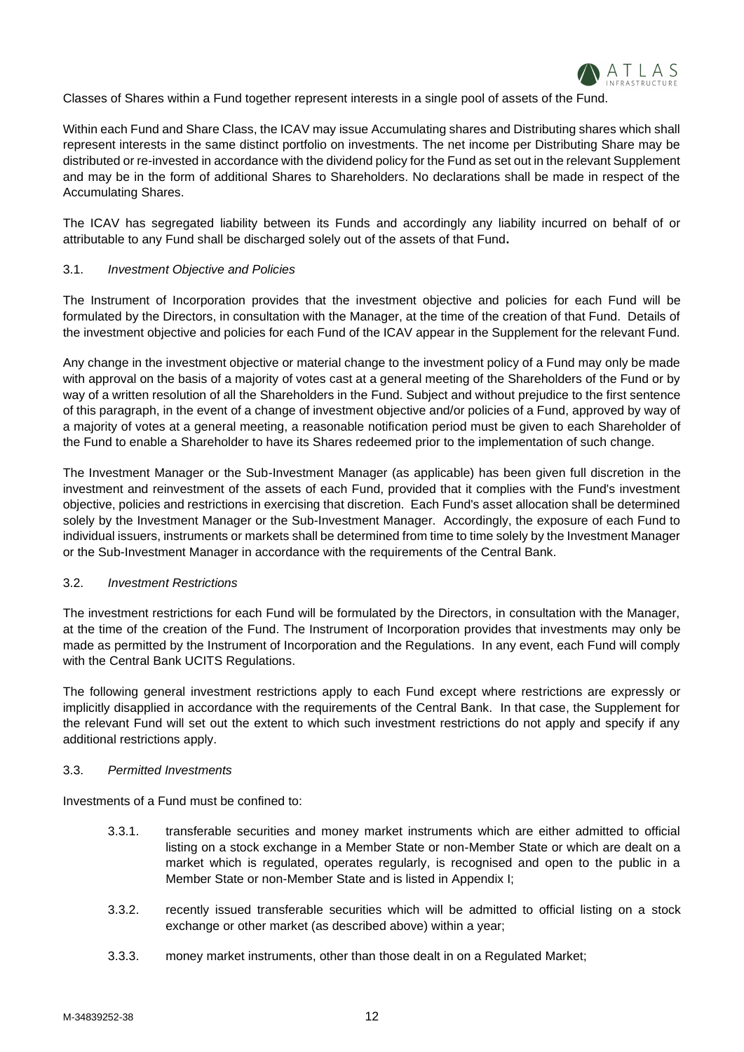

Classes of Shares within a Fund together represent interests in a single pool of assets of the Fund.

Within each Fund and Share Class, the ICAV may issue Accumulating shares and Distributing shares which shall represent interests in the same distinct portfolio on investments. The net income per Distributing Share may be distributed or re-invested in accordance with the dividend policy for the Fund as set out in the relevant Supplement and may be in the form of additional Shares to Shareholders. No declarations shall be made in respect of the Accumulating Shares.

The ICAV has segregated liability between its Funds and accordingly any liability incurred on behalf of or attributable to any Fund shall be discharged solely out of the assets of that Fund**.**

#### 3.1. *Investment Objective and Policies*

The Instrument of Incorporation provides that the investment objective and policies for each Fund will be formulated by the Directors, in consultation with the Manager, at the time of the creation of that Fund. Details of the investment objective and policies for each Fund of the ICAV appear in the Supplement for the relevant Fund.

Any change in the investment objective or material change to the investment policy of a Fund may only be made with approval on the basis of a majority of votes cast at a general meeting of the Shareholders of the Fund or by way of a written resolution of all the Shareholders in the Fund. Subject and without prejudice to the first sentence of this paragraph, in the event of a change of investment objective and/or policies of a Fund, approved by way of a majority of votes at a general meeting, a reasonable notification period must be given to each Shareholder of the Fund to enable a Shareholder to have its Shares redeemed prior to the implementation of such change.

The Investment Manager or the Sub-Investment Manager (as applicable) has been given full discretion in the investment and reinvestment of the assets of each Fund, provided that it complies with the Fund's investment objective, policies and restrictions in exercising that discretion. Each Fund's asset allocation shall be determined solely by the Investment Manager or the Sub-Investment Manager. Accordingly, the exposure of each Fund to individual issuers, instruments or markets shall be determined from time to time solely by the Investment Manager or the Sub-Investment Manager in accordance with the requirements of the Central Bank.

## 3.2. *Investment Restrictions*

The investment restrictions for each Fund will be formulated by the Directors, in consultation with the Manager, at the time of the creation of the Fund. The Instrument of Incorporation provides that investments may only be made as permitted by the Instrument of Incorporation and the Regulations. In any event, each Fund will comply with the Central Bank UCITS Regulations.

The following general investment restrictions apply to each Fund except where restrictions are expressly or implicitly disapplied in accordance with the requirements of the Central Bank. In that case, the Supplement for the relevant Fund will set out the extent to which such investment restrictions do not apply and specify if any additional restrictions apply.

#### 3.3. *Permitted Investments*

Investments of a Fund must be confined to:

- 3.3.1. transferable securities and money market instruments which are either admitted to official listing on a stock exchange in a Member State or non-Member State or which are dealt on a market which is regulated, operates regularly, is recognised and open to the public in a Member State or non-Member State and is listed in Appendix I;
- 3.3.2. recently issued transferable securities which will be admitted to official listing on a stock exchange or other market (as described above) within a year;
- 3.3.3. money market instruments, other than those dealt in on a Regulated Market;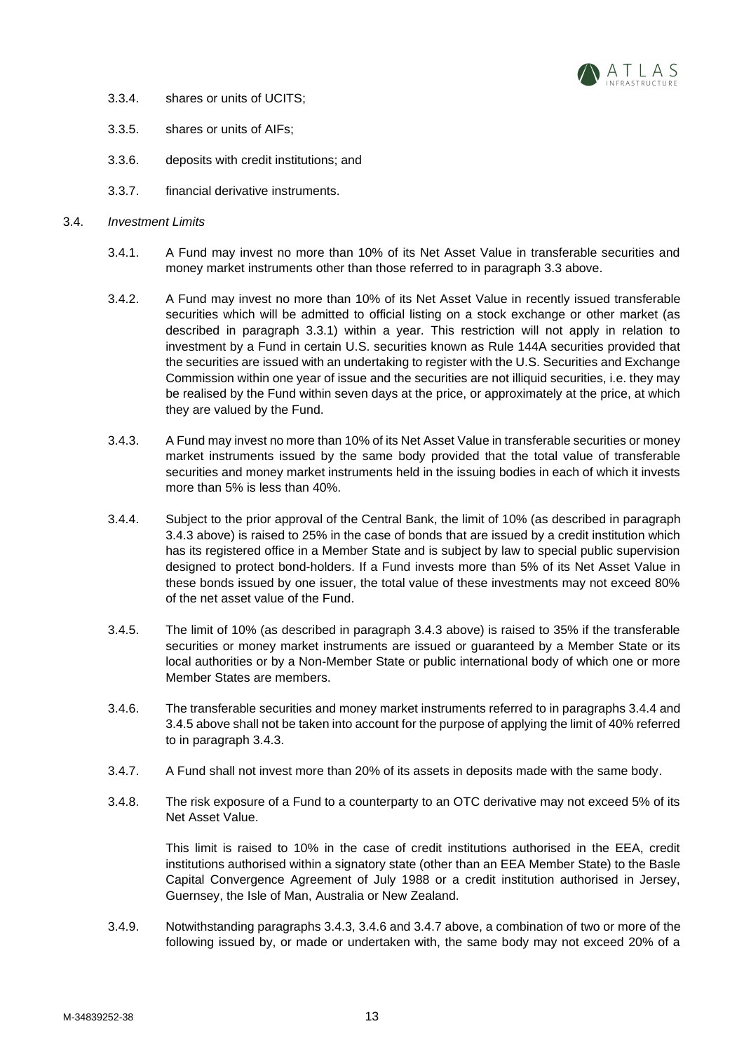

- 3.3.4. shares or units of UCITS;
- 3.3.5. shares or units of AIFs;
- 3.3.6. deposits with credit institutions; and
- 3.3.7. financial derivative instruments.

#### 3.4. *Investment Limits*

- 3.4.1. A Fund may invest no more than 10% of its Net Asset Value in transferable securities and money market instruments other than those referred to in paragraph 3.3 above.
- 3.4.2. A Fund may invest no more than 10% of its Net Asset Value in recently issued transferable securities which will be admitted to official listing on a stock exchange or other market (as described in paragraph 3.3.1) within a year. This restriction will not apply in relation to investment by a Fund in certain U.S. securities known as Rule 144A securities provided that the securities are issued with an undertaking to register with the U.S. Securities and Exchange Commission within one year of issue and the securities are not illiquid securities, i.e. they may be realised by the Fund within seven days at the price, or approximately at the price, at which they are valued by the Fund.
- 3.4.3. A Fund may invest no more than 10% of its Net Asset Value in transferable securities or money market instruments issued by the same body provided that the total value of transferable securities and money market instruments held in the issuing bodies in each of which it invests more than 5% is less than 40%.
- 3.4.4. Subject to the prior approval of the Central Bank, the limit of 10% (as described in paragraph 3.4.3 above) is raised to 25% in the case of bonds that are issued by a credit institution which has its registered office in a Member State and is subject by law to special public supervision designed to protect bond-holders. If a Fund invests more than 5% of its Net Asset Value in these bonds issued by one issuer, the total value of these investments may not exceed 80% of the net asset value of the Fund.
- 3.4.5. The limit of 10% (as described in paragraph 3.4.3 above) is raised to 35% if the transferable securities or money market instruments are issued or guaranteed by a Member State or its local authorities or by a Non-Member State or public international body of which one or more Member States are members.
- 3.4.6. The transferable securities and money market instruments referred to in paragraphs 3.4.4 and 3.4.5 above shall not be taken into account for the purpose of applying the limit of 40% referred to in paragraph 3.4.3.
- 3.4.7. A Fund shall not invest more than 20% of its assets in deposits made with the same body.
- 3.4.8. The risk exposure of a Fund to a counterparty to an OTC derivative may not exceed 5% of its Net Asset Value.

This limit is raised to 10% in the case of credit institutions authorised in the EEA, credit institutions authorised within a signatory state (other than an EEA Member State) to the Basle Capital Convergence Agreement of July 1988 or a credit institution authorised in Jersey, Guernsey, the Isle of Man, Australia or New Zealand.

3.4.9. Notwithstanding paragraphs 3.4.3, 3.4.6 and 3.4.7 above, a combination of two or more of the following issued by, or made or undertaken with, the same body may not exceed 20% of a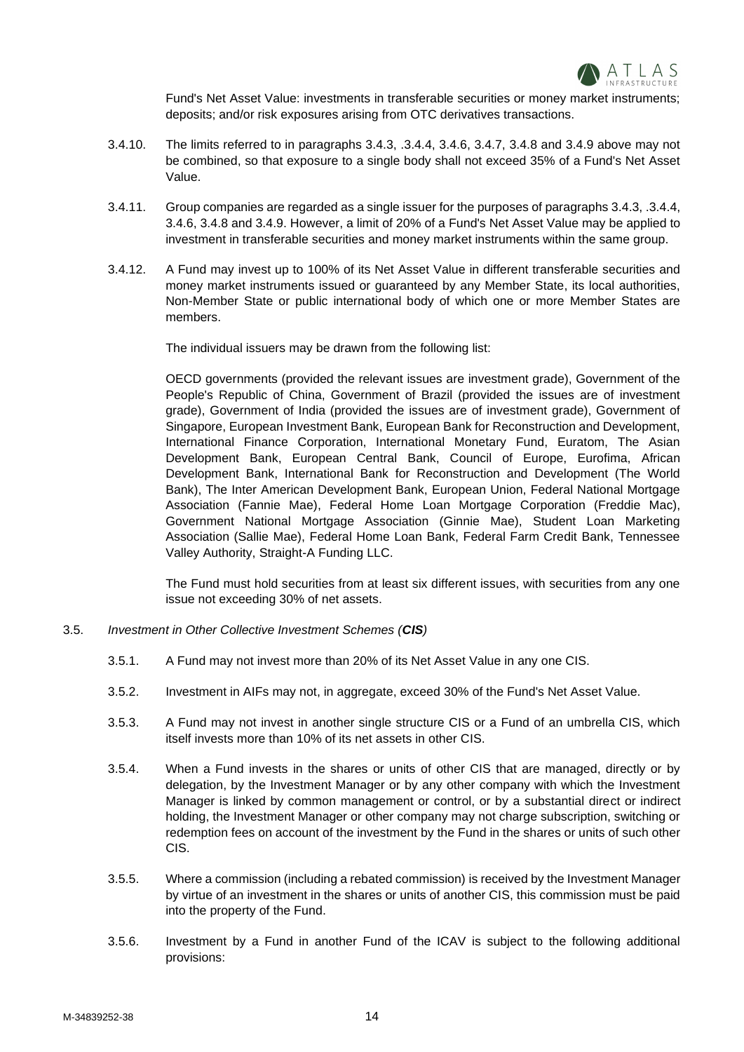

Fund's Net Asset Value: investments in transferable securities or money market instruments; deposits; and/or risk exposures arising from OTC derivatives transactions.

- 3.4.10. The limits referred to in paragraphs 3.4.3, .3.4.4, 3.4.6, 3.4.7, 3.4.8 and 3.4.9 above may not be combined, so that exposure to a single body shall not exceed 35% of a Fund's Net Asset Value.
- 3.4.11. Group companies are regarded as a single issuer for the purposes of paragraphs 3.4.3, .3.4.4, 3.4.6, 3.4.8 and 3.4.9. However, a limit of 20% of a Fund's Net Asset Value may be applied to investment in transferable securities and money market instruments within the same group.
- 3.4.12. A Fund may invest up to 100% of its Net Asset Value in different transferable securities and money market instruments issued or guaranteed by any Member State, its local authorities, Non-Member State or public international body of which one or more Member States are members.

The individual issuers may be drawn from the following list:

OECD governments (provided the relevant issues are investment grade), Government of the People's Republic of China, Government of Brazil (provided the issues are of investment grade), Government of India (provided the issues are of investment grade), Government of Singapore, European Investment Bank, European Bank for Reconstruction and Development, International Finance Corporation, International Monetary Fund, Euratom, The Asian Development Bank, European Central Bank, Council of Europe, Eurofima, African Development Bank, International Bank for Reconstruction and Development (The World Bank), The Inter American Development Bank, European Union, Federal National Mortgage Association (Fannie Mae), Federal Home Loan Mortgage Corporation (Freddie Mac), Government National Mortgage Association (Ginnie Mae), Student Loan Marketing Association (Sallie Mae), Federal Home Loan Bank, Federal Farm Credit Bank, Tennessee Valley Authority, Straight-A Funding LLC.

The Fund must hold securities from at least six different issues, with securities from any one issue not exceeding 30% of net assets.

- 3.5. *Investment in Other Collective Investment Schemes (CIS)*
	- 3.5.1. A Fund may not invest more than 20% of its Net Asset Value in any one CIS.
	- 3.5.2. Investment in AIFs may not, in aggregate, exceed 30% of the Fund's Net Asset Value.
	- 3.5.3. A Fund may not invest in another single structure CIS or a Fund of an umbrella CIS, which itself invests more than 10% of its net assets in other CIS.
	- 3.5.4. When a Fund invests in the shares or units of other CIS that are managed, directly or by delegation, by the Investment Manager or by any other company with which the Investment Manager is linked by common management or control, or by a substantial direct or indirect holding, the Investment Manager or other company may not charge subscription, switching or redemption fees on account of the investment by the Fund in the shares or units of such other CIS.
	- 3.5.5. Where a commission (including a rebated commission) is received by the Investment Manager by virtue of an investment in the shares or units of another CIS, this commission must be paid into the property of the Fund.
	- 3.5.6. Investment by a Fund in another Fund of the ICAV is subject to the following additional provisions: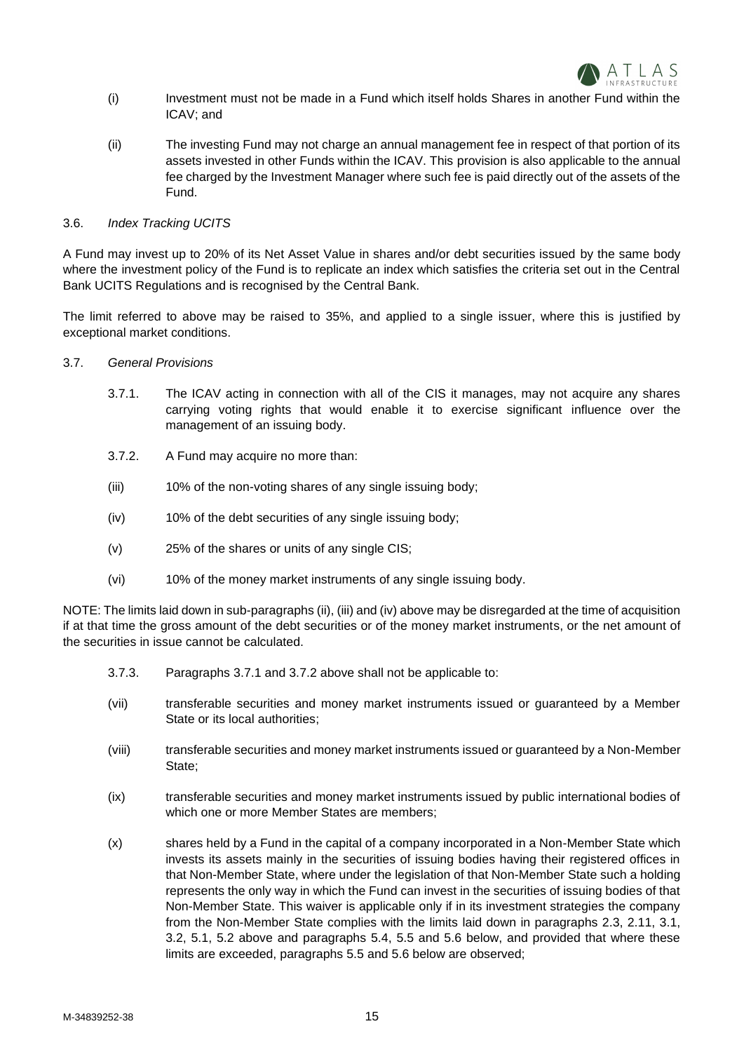

- (i) Investment must not be made in a Fund which itself holds Shares in another Fund within the ICAV; and
- (ii) The investing Fund may not charge an annual management fee in respect of that portion of its assets invested in other Funds within the ICAV. This provision is also applicable to the annual fee charged by the Investment Manager where such fee is paid directly out of the assets of the Fund.

#### 3.6. *Index Tracking UCITS*

A Fund may invest up to 20% of its Net Asset Value in shares and/or debt securities issued by the same body where the investment policy of the Fund is to replicate an index which satisfies the criteria set out in the Central Bank UCITS Regulations and is recognised by the Central Bank.

The limit referred to above may be raised to 35%, and applied to a single issuer, where this is justified by exceptional market conditions.

- 3.7. *General Provisions*
	- 3.7.1. The ICAV acting in connection with all of the CIS it manages, may not acquire any shares carrying voting rights that would enable it to exercise significant influence over the management of an issuing body.
	- 3.7.2. A Fund may acquire no more than:
	- (iii) 10% of the non-voting shares of any single issuing body;
	- (iv) 10% of the debt securities of any single issuing body;
	- (v) 25% of the shares or units of any single CIS;
	- (vi) 10% of the money market instruments of any single issuing body.

NOTE: The limits laid down in sub-paragraphs (ii), (iii) and (iv) above may be disregarded at the time of acquisition if at that time the gross amount of the debt securities or of the money market instruments, or the net amount of the securities in issue cannot be calculated.

- 3.7.3. Paragraphs 3.7.1 and 3.7.2 above shall not be applicable to:
- (vii) transferable securities and money market instruments issued or guaranteed by a Member State or its local authorities;
- (viii) transferable securities and money market instruments issued or guaranteed by a Non-Member State;
- (ix) transferable securities and money market instruments issued by public international bodies of which one or more Member States are members;
- (x) shares held by a Fund in the capital of a company incorporated in a Non-Member State which invests its assets mainly in the securities of issuing bodies having their registered offices in that Non-Member State, where under the legislation of that Non-Member State such a holding represents the only way in which the Fund can invest in the securities of issuing bodies of that Non-Member State. This waiver is applicable only if in its investment strategies the company from the Non-Member State complies with the limits laid down in paragraphs 2.3, 2.11, 3.1, 3.2, 5.1, 5.2 above and paragraphs 5.4, 5.5 and 5.6 below, and provided that where these limits are exceeded, paragraphs 5.5 and 5.6 below are observed;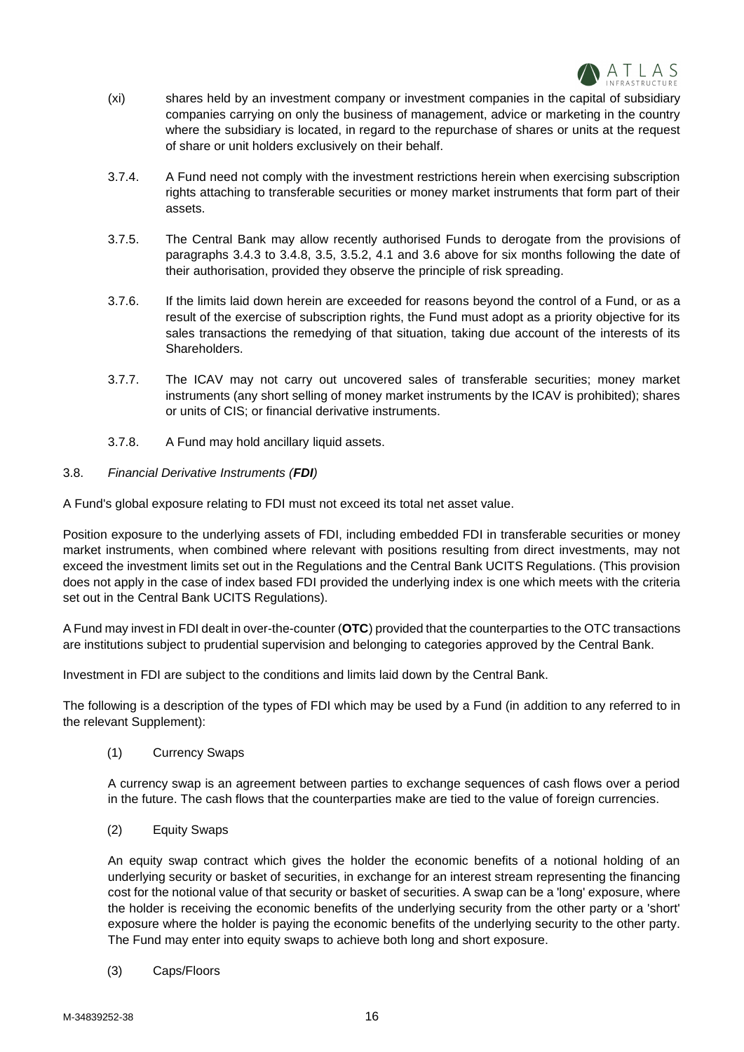

- (xi) shares held by an investment company or investment companies in the capital of subsidiary companies carrying on only the business of management, advice or marketing in the country where the subsidiary is located, in regard to the repurchase of shares or units at the request of share or unit holders exclusively on their behalf.
- 3.7.4. A Fund need not comply with the investment restrictions herein when exercising subscription rights attaching to transferable securities or money market instruments that form part of their assets.
- 3.7.5. The Central Bank may allow recently authorised Funds to derogate from the provisions of paragraphs 3.4.3 to 3.4.8, 3.5, 3.5.2, 4.1 and 3.6 above for six months following the date of their authorisation, provided they observe the principle of risk spreading.
- 3.7.6. If the limits laid down herein are exceeded for reasons beyond the control of a Fund, or as a result of the exercise of subscription rights, the Fund must adopt as a priority objective for its sales transactions the remedying of that situation, taking due account of the interests of its Shareholders.
- 3.7.7. The ICAV may not carry out uncovered sales of transferable securities; money market instruments (any short selling of money market instruments by the ICAV is prohibited); shares or units of CIS; or financial derivative instruments.
- 3.7.8. A Fund may hold ancillary liquid assets.

# 3.8. *Financial Derivative Instruments (FDI)*

A Fund's global exposure relating to FDI must not exceed its total net asset value.

Position exposure to the underlying assets of FDI, including embedded FDI in transferable securities or money market instruments, when combined where relevant with positions resulting from direct investments, may not exceed the investment limits set out in the Regulations and the Central Bank UCITS Regulations. (This provision does not apply in the case of index based FDI provided the underlying index is one which meets with the criteria set out in the Central Bank UCITS Regulations).

A Fund may invest in FDI dealt in over-the-counter (**OTC**) provided that the counterparties to the OTC transactions are institutions subject to prudential supervision and belonging to categories approved by the Central Bank.

Investment in FDI are subject to the conditions and limits laid down by the Central Bank.

The following is a description of the types of FDI which may be used by a Fund (in addition to any referred to in the relevant Supplement):

(1) Currency Swaps

A currency swap is an agreement between parties to exchange sequences of cash flows over a period in the future. The cash flows that the counterparties make are tied to the value of foreign currencies.

(2) Equity Swaps

An equity swap contract which gives the holder the economic benefits of a notional holding of an underlying security or basket of securities, in exchange for an interest stream representing the financing cost for the notional value of that security or basket of securities. A swap can be a 'long' exposure, where the holder is receiving the economic benefits of the underlying security from the other party or a 'short' exposure where the holder is paying the economic benefits of the underlying security to the other party. The Fund may enter into equity swaps to achieve both long and short exposure.

(3) Caps/Floors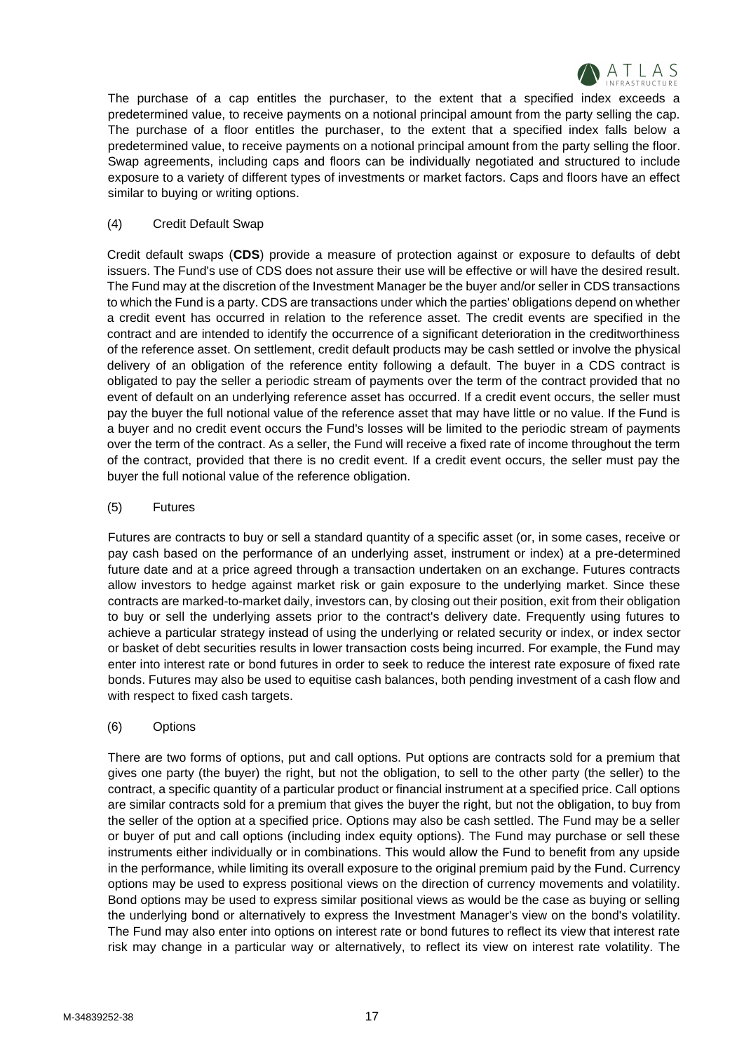

The purchase of a cap entitles the purchaser, to the extent that a specified index exceeds a predetermined value, to receive payments on a notional principal amount from the party selling the cap. The purchase of a floor entitles the purchaser, to the extent that a specified index falls below a predetermined value, to receive payments on a notional principal amount from the party selling the floor. Swap agreements, including caps and floors can be individually negotiated and structured to include exposure to a variety of different types of investments or market factors. Caps and floors have an effect similar to buying or writing options.

#### (4) Credit Default Swap

Credit default swaps (**CDS**) provide a measure of protection against or exposure to defaults of debt issuers. The Fund's use of CDS does not assure their use will be effective or will have the desired result. The Fund may at the discretion of the Investment Manager be the buyer and/or seller in CDS transactions to which the Fund is a party. CDS are transactions under which the parties' obligations depend on whether a credit event has occurred in relation to the reference asset. The credit events are specified in the contract and are intended to identify the occurrence of a significant deterioration in the creditworthiness of the reference asset. On settlement, credit default products may be cash settled or involve the physical delivery of an obligation of the reference entity following a default. The buyer in a CDS contract is obligated to pay the seller a periodic stream of payments over the term of the contract provided that no event of default on an underlying reference asset has occurred. If a credit event occurs, the seller must pay the buyer the full notional value of the reference asset that may have little or no value. If the Fund is a buyer and no credit event occurs the Fund's losses will be limited to the periodic stream of payments over the term of the contract. As a seller, the Fund will receive a fixed rate of income throughout the term of the contract, provided that there is no credit event. If a credit event occurs, the seller must pay the buyer the full notional value of the reference obligation.

## (5) Futures

Futures are contracts to buy or sell a standard quantity of a specific asset (or, in some cases, receive or pay cash based on the performance of an underlying asset, instrument or index) at a pre-determined future date and at a price agreed through a transaction undertaken on an exchange. Futures contracts allow investors to hedge against market risk or gain exposure to the underlying market. Since these contracts are marked-to-market daily, investors can, by closing out their position, exit from their obligation to buy or sell the underlying assets prior to the contract's delivery date. Frequently using futures to achieve a particular strategy instead of using the underlying or related security or index, or index sector or basket of debt securities results in lower transaction costs being incurred. For example, the Fund may enter into interest rate or bond futures in order to seek to reduce the interest rate exposure of fixed rate bonds. Futures may also be used to equitise cash balances, both pending investment of a cash flow and with respect to fixed cash targets.

## (6) Options

There are two forms of options, put and call options. Put options are contracts sold for a premium that gives one party (the buyer) the right, but not the obligation, to sell to the other party (the seller) to the contract, a specific quantity of a particular product or financial instrument at a specified price. Call options are similar contracts sold for a premium that gives the buyer the right, but not the obligation, to buy from the seller of the option at a specified price. Options may also be cash settled. The Fund may be a seller or buyer of put and call options (including index equity options). The Fund may purchase or sell these instruments either individually or in combinations. This would allow the Fund to benefit from any upside in the performance, while limiting its overall exposure to the original premium paid by the Fund. Currency options may be used to express positional views on the direction of currency movements and volatility. Bond options may be used to express similar positional views as would be the case as buying or selling the underlying bond or alternatively to express the Investment Manager's view on the bond's volatility. The Fund may also enter into options on interest rate or bond futures to reflect its view that interest rate risk may change in a particular way or alternatively, to reflect its view on interest rate volatility. The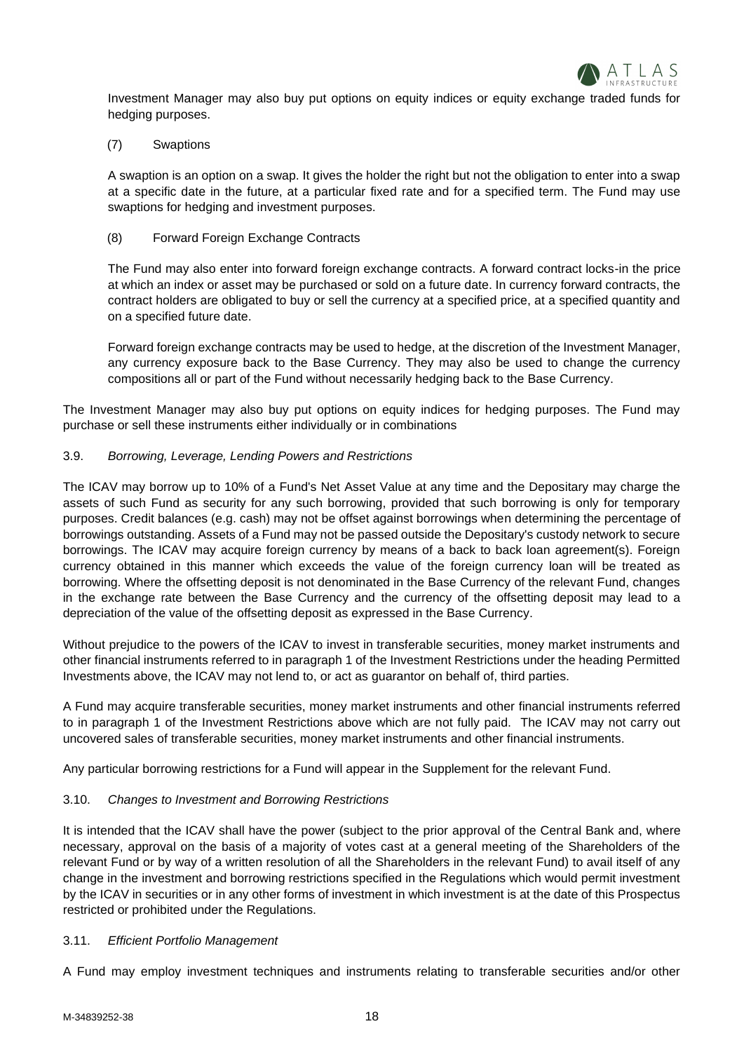

Investment Manager may also buy put options on equity indices or equity exchange traded funds for hedging purposes.

#### (7) Swaptions

A swaption is an option on a swap. It gives the holder the right but not the obligation to enter into a swap at a specific date in the future, at a particular fixed rate and for a specified term. The Fund may use swaptions for hedging and investment purposes.

## (8) Forward Foreign Exchange Contracts

The Fund may also enter into forward foreign exchange contracts. A forward contract locks-in the price at which an index or asset may be purchased or sold on a future date. In currency forward contracts, the contract holders are obligated to buy or sell the currency at a specified price, at a specified quantity and on a specified future date.

Forward foreign exchange contracts may be used to hedge, at the discretion of the Investment Manager, any currency exposure back to the Base Currency. They may also be used to change the currency compositions all or part of the Fund without necessarily hedging back to the Base Currency.

The Investment Manager may also buy put options on equity indices for hedging purposes. The Fund may purchase or sell these instruments either individually or in combinations

## 3.9. *Borrowing, Leverage, Lending Powers and Restrictions*

The ICAV may borrow up to 10% of a Fund's Net Asset Value at any time and the Depositary may charge the assets of such Fund as security for any such borrowing, provided that such borrowing is only for temporary purposes. Credit balances (e.g. cash) may not be offset against borrowings when determining the percentage of borrowings outstanding. Assets of a Fund may not be passed outside the Depositary's custody network to secure borrowings. The ICAV may acquire foreign currency by means of a back to back loan agreement(s). Foreign currency obtained in this manner which exceeds the value of the foreign currency loan will be treated as borrowing. Where the offsetting deposit is not denominated in the Base Currency of the relevant Fund, changes in the exchange rate between the Base Currency and the currency of the offsetting deposit may lead to a depreciation of the value of the offsetting deposit as expressed in the Base Currency.

Without prejudice to the powers of the ICAV to invest in transferable securities, money market instruments and other financial instruments referred to in paragraph 1 of the Investment Restrictions under the heading Permitted Investments above, the ICAV may not lend to, or act as guarantor on behalf of, third parties.

A Fund may acquire transferable securities, money market instruments and other financial instruments referred to in paragraph 1 of the Investment Restrictions above which are not fully paid. The ICAV may not carry out uncovered sales of transferable securities, money market instruments and other financial instruments.

Any particular borrowing restrictions for a Fund will appear in the Supplement for the relevant Fund.

## 3.10. *Changes to Investment and Borrowing Restrictions*

It is intended that the ICAV shall have the power (subject to the prior approval of the Central Bank and, where necessary, approval on the basis of a majority of votes cast at a general meeting of the Shareholders of the relevant Fund or by way of a written resolution of all the Shareholders in the relevant Fund) to avail itself of any change in the investment and borrowing restrictions specified in the Regulations which would permit investment by the ICAV in securities or in any other forms of investment in which investment is at the date of this Prospectus restricted or prohibited under the Regulations.

#### 3.11. *Efficient Portfolio Management*

A Fund may employ investment techniques and instruments relating to transferable securities and/or other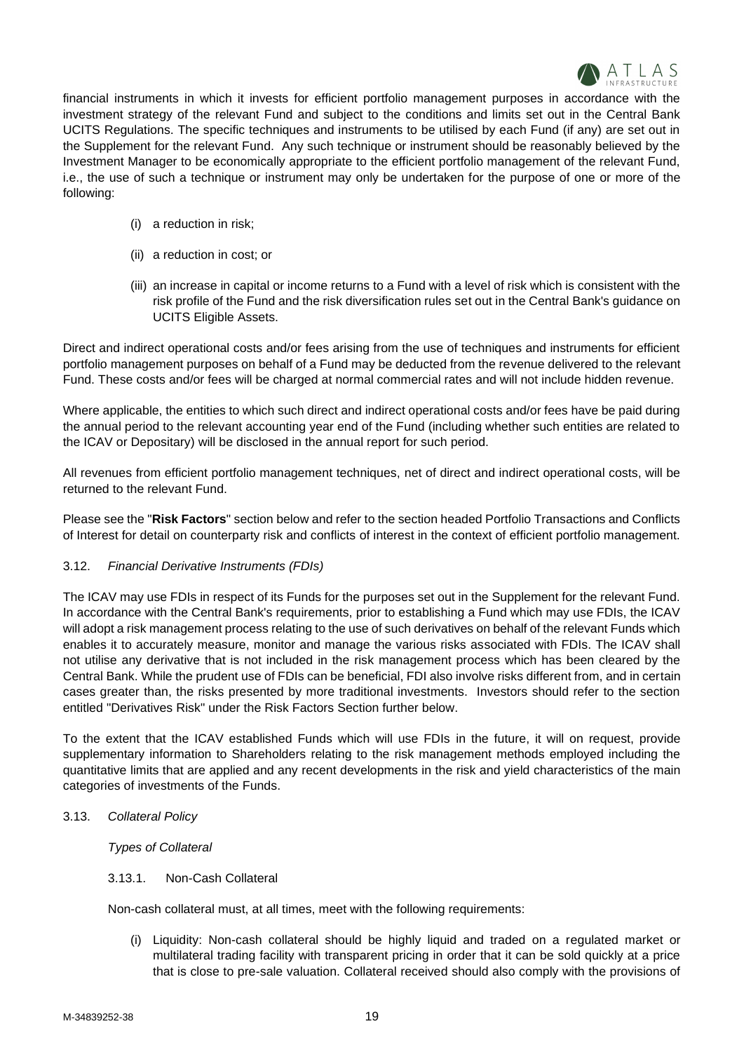

financial instruments in which it invests for efficient portfolio management purposes in accordance with the investment strategy of the relevant Fund and subject to the conditions and limits set out in the Central Bank UCITS Regulations. The specific techniques and instruments to be utilised by each Fund (if any) are set out in the Supplement for the relevant Fund. Any such technique or instrument should be reasonably believed by the Investment Manager to be economically appropriate to the efficient portfolio management of the relevant Fund, i.e., the use of such a technique or instrument may only be undertaken for the purpose of one or more of the following:

- (i) a reduction in risk;
- (ii) a reduction in cost; or
- (iii) an increase in capital or income returns to a Fund with a level of risk which is consistent with the risk profile of the Fund and the risk diversification rules set out in the Central Bank's guidance on UCITS Eligible Assets.

Direct and indirect operational costs and/or fees arising from the use of techniques and instruments for efficient portfolio management purposes on behalf of a Fund may be deducted from the revenue delivered to the relevant Fund. These costs and/or fees will be charged at normal commercial rates and will not include hidden revenue.

Where applicable, the entities to which such direct and indirect operational costs and/or fees have be paid during the annual period to the relevant accounting year end of the Fund (including whether such entities are related to the ICAV or Depositary) will be disclosed in the annual report for such period.

All revenues from efficient portfolio management techniques, net of direct and indirect operational costs, will be returned to the relevant Fund.

Please see the "**Risk Factors**" section below and refer to the section headed Portfolio Transactions and Conflicts of Interest for detail on counterparty risk and conflicts of interest in the context of efficient portfolio management.

## 3.12. *Financial Derivative Instruments (FDIs)*

The ICAV may use FDIs in respect of its Funds for the purposes set out in the Supplement for the relevant Fund. In accordance with the Central Bank's requirements, prior to establishing a Fund which may use FDIs, the ICAV will adopt a risk management process relating to the use of such derivatives on behalf of the relevant Funds which enables it to accurately measure, monitor and manage the various risks associated with FDIs. The ICAV shall not utilise any derivative that is not included in the risk management process which has been cleared by the Central Bank. While the prudent use of FDIs can be beneficial, FDI also involve risks different from, and in certain cases greater than, the risks presented by more traditional investments. Investors should refer to the section entitled "Derivatives Risk" under the Risk Factors Section further below.

To the extent that the ICAV established Funds which will use FDIs in the future, it will on request, provide supplementary information to Shareholders relating to the risk management methods employed including the quantitative limits that are applied and any recent developments in the risk and yield characteristics of the main categories of investments of the Funds.

## 3.13. *Collateral Policy*

#### *Types of Collateral*

#### 3.13.1. Non-Cash Collateral

Non-cash collateral must, at all times, meet with the following requirements:

(i) Liquidity: Non-cash collateral should be highly liquid and traded on a regulated market or multilateral trading facility with transparent pricing in order that it can be sold quickly at a price that is close to pre-sale valuation. Collateral received should also comply with the provisions of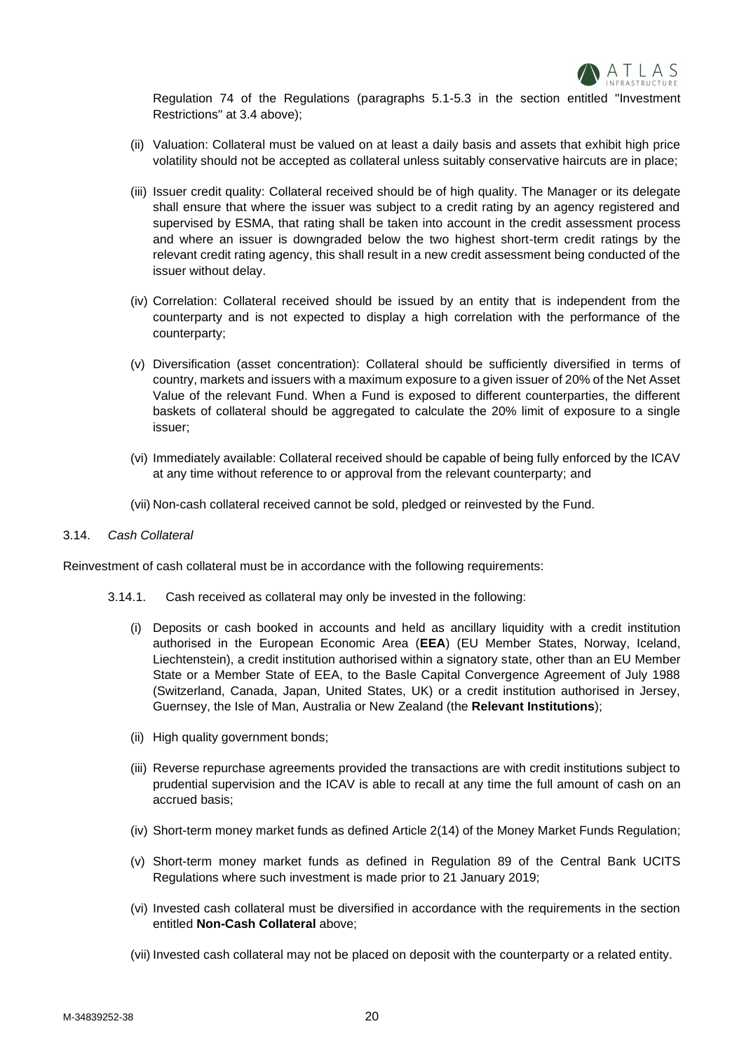

Regulation 74 of the Regulations (paragraphs 5.1-5.3 in the section entitled "Investment Restrictions" at 3.4 above);

- (ii) Valuation: Collateral must be valued on at least a daily basis and assets that exhibit high price volatility should not be accepted as collateral unless suitably conservative haircuts are in place;
- (iii) Issuer credit quality: Collateral received should be of high quality. The Manager or its delegate shall ensure that where the issuer was subject to a credit rating by an agency registered and supervised by ESMA, that rating shall be taken into account in the credit assessment process and where an issuer is downgraded below the two highest short-term credit ratings by the relevant credit rating agency, this shall result in a new credit assessment being conducted of the issuer without delay.
- (iv) Correlation: Collateral received should be issued by an entity that is independent from the counterparty and is not expected to display a high correlation with the performance of the counterparty;
- (v) Diversification (asset concentration): Collateral should be sufficiently diversified in terms of country, markets and issuers with a maximum exposure to a given issuer of 20% of the Net Asset Value of the relevant Fund. When a Fund is exposed to different counterparties, the different baskets of collateral should be aggregated to calculate the 20% limit of exposure to a single issuer;
- (vi) Immediately available: Collateral received should be capable of being fully enforced by the ICAV at any time without reference to or approval from the relevant counterparty; and
- (vii) Non-cash collateral received cannot be sold, pledged or reinvested by the Fund.

#### 3.14. *Cash Collateral*

Reinvestment of cash collateral must be in accordance with the following requirements:

- 3.14.1. Cash received as collateral may only be invested in the following:
	- (i) Deposits or cash booked in accounts and held as ancillary liquidity with a credit institution authorised in the European Economic Area (**EEA**) (EU Member States, Norway, Iceland, Liechtenstein), a credit institution authorised within a signatory state, other than an EU Member State or a Member State of EEA, to the Basle Capital Convergence Agreement of July 1988 (Switzerland, Canada, Japan, United States, UK) or a credit institution authorised in Jersey, Guernsey, the Isle of Man, Australia or New Zealand (the **Relevant Institutions**);
	- (ii) High quality government bonds;
	- (iii) Reverse repurchase agreements provided the transactions are with credit institutions subject to prudential supervision and the ICAV is able to recall at any time the full amount of cash on an accrued basis;
	- (iv) Short-term money market funds as defined Article 2(14) of the Money Market Funds Regulation;
	- (v) Short-term money market funds as defined in Regulation 89 of the Central Bank UCITS Regulations where such investment is made prior to 21 January 2019;
	- (vi) Invested cash collateral must be diversified in accordance with the requirements in the section entitled **Non-Cash Collateral** above;
	- (vii) Invested cash collateral may not be placed on deposit with the counterparty or a related entity.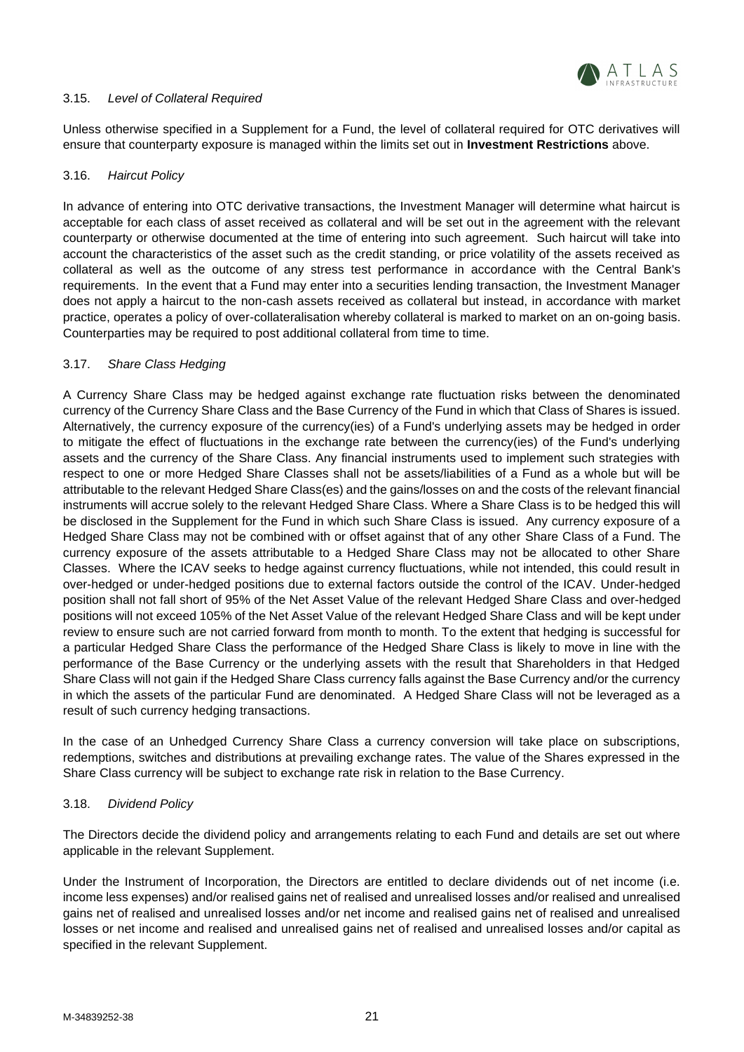

#### 3.15. *Level of Collateral Required*

Unless otherwise specified in a Supplement for a Fund, the level of collateral required for OTC derivatives will ensure that counterparty exposure is managed within the limits set out in **Investment Restrictions** above.

#### 3.16. *Haircut Policy*

In advance of entering into OTC derivative transactions, the Investment Manager will determine what haircut is acceptable for each class of asset received as collateral and will be set out in the agreement with the relevant counterparty or otherwise documented at the time of entering into such agreement. Such haircut will take into account the characteristics of the asset such as the credit standing, or price volatility of the assets received as collateral as well as the outcome of any stress test performance in accordance with the Central Bank's requirements. In the event that a Fund may enter into a securities lending transaction, the Investment Manager does not apply a haircut to the non-cash assets received as collateral but instead, in accordance with market practice, operates a policy of over-collateralisation whereby collateral is marked to market on an on-going basis. Counterparties may be required to post additional collateral from time to time.

## 3.17. *Share Class Hedging*

A Currency Share Class may be hedged against exchange rate fluctuation risks between the denominated currency of the Currency Share Class and the Base Currency of the Fund in which that Class of Shares is issued. Alternatively, the currency exposure of the currency(ies) of a Fund's underlying assets may be hedged in order to mitigate the effect of fluctuations in the exchange rate between the currency(ies) of the Fund's underlying assets and the currency of the Share Class. Any financial instruments used to implement such strategies with respect to one or more Hedged Share Classes shall not be assets/liabilities of a Fund as a whole but will be attributable to the relevant Hedged Share Class(es) and the gains/losses on and the costs of the relevant financial instruments will accrue solely to the relevant Hedged Share Class. Where a Share Class is to be hedged this will be disclosed in the Supplement for the Fund in which such Share Class is issued. Any currency exposure of a Hedged Share Class may not be combined with or offset against that of any other Share Class of a Fund. The currency exposure of the assets attributable to a Hedged Share Class may not be allocated to other Share Classes. Where the ICAV seeks to hedge against currency fluctuations, while not intended, this could result in over-hedged or under-hedged positions due to external factors outside the control of the ICAV. Under-hedged position shall not fall short of 95% of the Net Asset Value of the relevant Hedged Share Class and over-hedged positions will not exceed 105% of the Net Asset Value of the relevant Hedged Share Class and will be kept under review to ensure such are not carried forward from month to month. To the extent that hedging is successful for a particular Hedged Share Class the performance of the Hedged Share Class is likely to move in line with the performance of the Base Currency or the underlying assets with the result that Shareholders in that Hedged Share Class will not gain if the Hedged Share Class currency falls against the Base Currency and/or the currency in which the assets of the particular Fund are denominated. A Hedged Share Class will not be leveraged as a result of such currency hedging transactions.

In the case of an Unhedged Currency Share Class a currency conversion will take place on subscriptions, redemptions, switches and distributions at prevailing exchange rates. The value of the Shares expressed in the Share Class currency will be subject to exchange rate risk in relation to the Base Currency.

## 3.18. *Dividend Policy*

The Directors decide the dividend policy and arrangements relating to each Fund and details are set out where applicable in the relevant Supplement.

Under the Instrument of Incorporation, the Directors are entitled to declare dividends out of net income (i.e. income less expenses) and/or realised gains net of realised and unrealised losses and/or realised and unrealised gains net of realised and unrealised losses and/or net income and realised gains net of realised and unrealised losses or net income and realised and unrealised gains net of realised and unrealised losses and/or capital as specified in the relevant Supplement.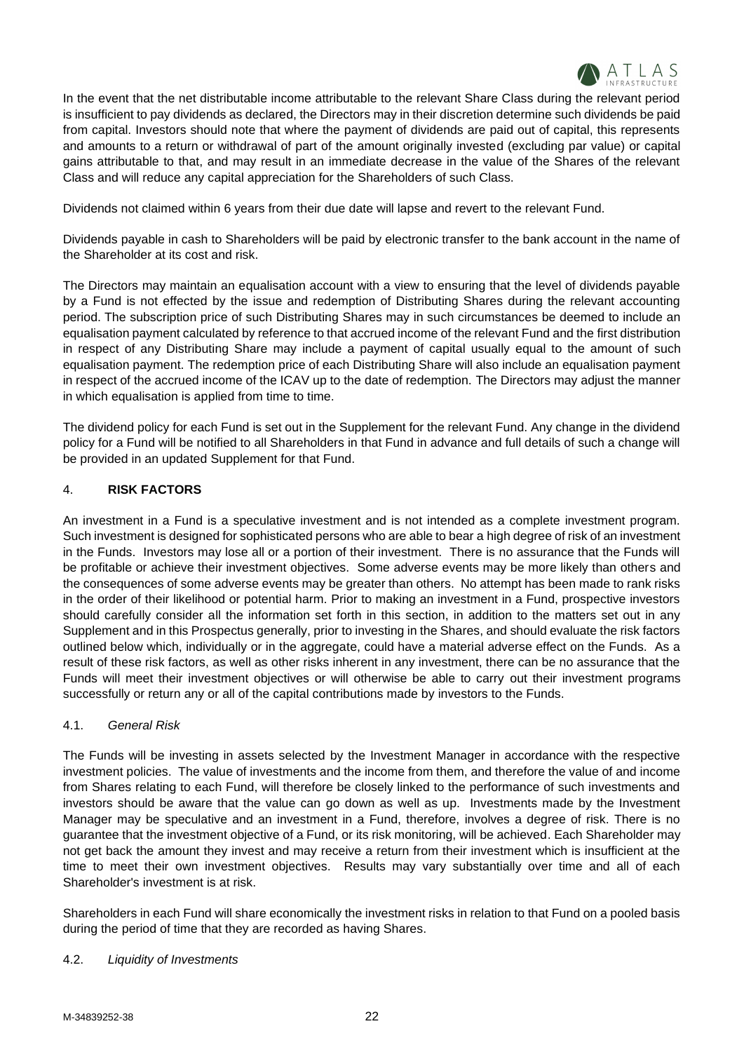

In the event that the net distributable income attributable to the relevant Share Class during the relevant period is insufficient to pay dividends as declared, the Directors may in their discretion determine such dividends be paid from capital. Investors should note that where the payment of dividends are paid out of capital, this represents and amounts to a return or withdrawal of part of the amount originally invested (excluding par value) or capital gains attributable to that, and may result in an immediate decrease in the value of the Shares of the relevant Class and will reduce any capital appreciation for the Shareholders of such Class.

Dividends not claimed within 6 years from their due date will lapse and revert to the relevant Fund.

Dividends payable in cash to Shareholders will be paid by electronic transfer to the bank account in the name of the Shareholder at its cost and risk.

The Directors may maintain an equalisation account with a view to ensuring that the level of dividends payable by a Fund is not effected by the issue and redemption of Distributing Shares during the relevant accounting period. The subscription price of such Distributing Shares may in such circumstances be deemed to include an equalisation payment calculated by reference to that accrued income of the relevant Fund and the first distribution in respect of any Distributing Share may include a payment of capital usually equal to the amount of such equalisation payment. The redemption price of each Distributing Share will also include an equalisation payment in respect of the accrued income of the ICAV up to the date of redemption. The Directors may adjust the manner in which equalisation is applied from time to time.

The dividend policy for each Fund is set out in the Supplement for the relevant Fund. Any change in the dividend policy for a Fund will be notified to all Shareholders in that Fund in advance and full details of such a change will be provided in an updated Supplement for that Fund.

## <span id="page-22-0"></span>4. **RISK FACTORS**

An investment in a Fund is a speculative investment and is not intended as a complete investment program. Such investment is designed for sophisticated persons who are able to bear a high degree of risk of an investment in the Funds. Investors may lose all or a portion of their investment. There is no assurance that the Funds will be profitable or achieve their investment objectives. Some adverse events may be more likely than others and the consequences of some adverse events may be greater than others. No attempt has been made to rank risks in the order of their likelihood or potential harm. Prior to making an investment in a Fund, prospective investors should carefully consider all the information set forth in this section, in addition to the matters set out in any Supplement and in this Prospectus generally, prior to investing in the Shares, and should evaluate the risk factors outlined below which, individually or in the aggregate, could have a material adverse effect on the Funds. As a result of these risk factors, as well as other risks inherent in any investment, there can be no assurance that the Funds will meet their investment objectives or will otherwise be able to carry out their investment programs successfully or return any or all of the capital contributions made by investors to the Funds.

## 4.1. *General Risk*

The Funds will be investing in assets selected by the Investment Manager in accordance with the respective investment policies. The value of investments and the income from them, and therefore the value of and income from Shares relating to each Fund, will therefore be closely linked to the performance of such investments and investors should be aware that the value can go down as well as up. Investments made by the Investment Manager may be speculative and an investment in a Fund, therefore, involves a degree of risk. There is no guarantee that the investment objective of a Fund, or its risk monitoring, will be achieved. Each Shareholder may not get back the amount they invest and may receive a return from their investment which is insufficient at the time to meet their own investment objectives. Results may vary substantially over time and all of each Shareholder's investment is at risk.

Shareholders in each Fund will share economically the investment risks in relation to that Fund on a pooled basis during the period of time that they are recorded as having Shares.

#### 4.2. *Liquidity of Investments*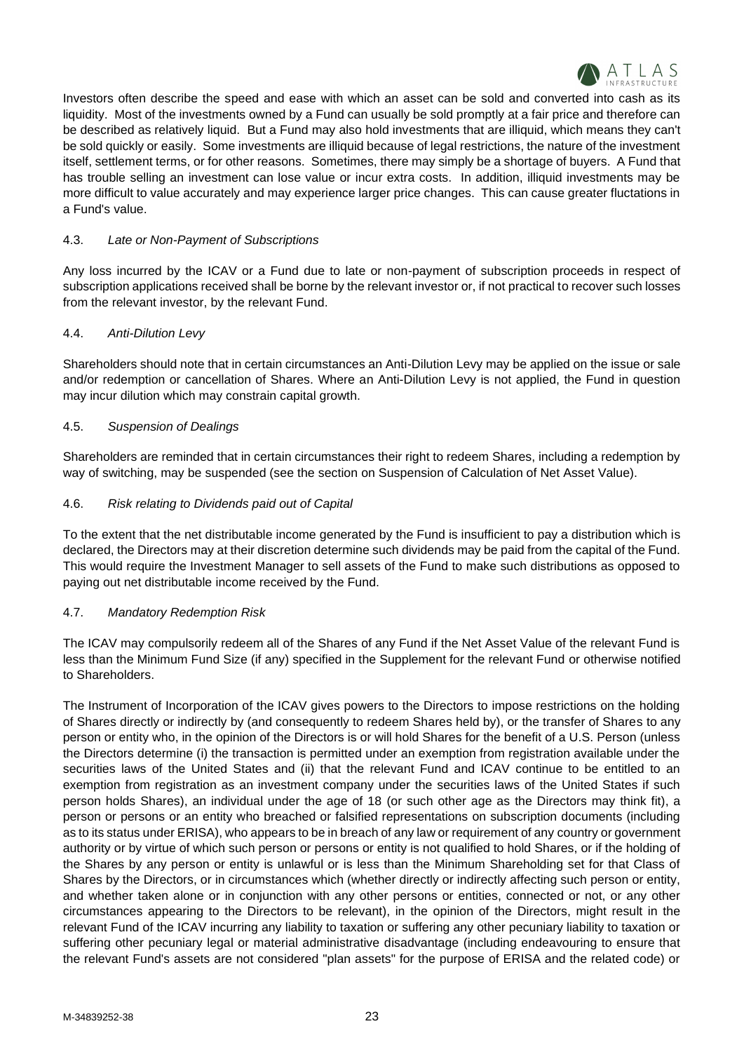

Investors often describe the speed and ease with which an asset can be sold and converted into cash as its liquidity. Most of the investments owned by a Fund can usually be sold promptly at a fair price and therefore can be described as relatively liquid. But a Fund may also hold investments that are illiquid, which means they can't be sold quickly or easily. Some investments are illiquid because of legal restrictions, the nature of the investment itself, settlement terms, or for other reasons. Sometimes, there may simply be a shortage of buyers. A Fund that has trouble selling an investment can lose value or incur extra costs. In addition, illiquid investments may be more difficult to value accurately and may experience larger price changes. This can cause greater fluctations in a Fund's value.

## 4.3. *Late or Non-Payment of Subscriptions*

Any loss incurred by the ICAV or a Fund due to late or non-payment of subscription proceeds in respect of subscription applications received shall be borne by the relevant investor or, if not practical to recover such losses from the relevant investor, by the relevant Fund.

#### 4.4. *Anti-Dilution Levy*

Shareholders should note that in certain circumstances an Anti-Dilution Levy may be applied on the issue or sale and/or redemption or cancellation of Shares. Where an Anti-Dilution Levy is not applied, the Fund in question may incur dilution which may constrain capital growth.

#### 4.5. *Suspension of Dealings*

Shareholders are reminded that in certain circumstances their right to redeem Shares, including a redemption by way of switching, may be suspended (see the section on Suspension of Calculation of Net Asset Value).

#### 4.6. *Risk relating to Dividends paid out of Capital*

To the extent that the net distributable income generated by the Fund is insufficient to pay a distribution which is declared, the Directors may at their discretion determine such dividends may be paid from the capital of the Fund. This would require the Investment Manager to sell assets of the Fund to make such distributions as opposed to paying out net distributable income received by the Fund.

## 4.7. *Mandatory Redemption Risk*

The ICAV may compulsorily redeem all of the Shares of any Fund if the Net Asset Value of the relevant Fund is less than the Minimum Fund Size (if any) specified in the Supplement for the relevant Fund or otherwise notified to Shareholders.

The Instrument of Incorporation of the ICAV gives powers to the Directors to impose restrictions on the holding of Shares directly or indirectly by (and consequently to redeem Shares held by), or the transfer of Shares to any person or entity who, in the opinion of the Directors is or will hold Shares for the benefit of a U.S. Person (unless the Directors determine (i) the transaction is permitted under an exemption from registration available under the securities laws of the United States and (ii) that the relevant Fund and ICAV continue to be entitled to an exemption from registration as an investment company under the securities laws of the United States if such person holds Shares), an individual under the age of 18 (or such other age as the Directors may think fit), a person or persons or an entity who breached or falsified representations on subscription documents (including as to its status under ERISA), who appears to be in breach of any law or requirement of any country or government authority or by virtue of which such person or persons or entity is not qualified to hold Shares, or if the holding of the Shares by any person or entity is unlawful or is less than the Minimum Shareholding set for that Class of Shares by the Directors, or in circumstances which (whether directly or indirectly affecting such person or entity, and whether taken alone or in conjunction with any other persons or entities, connected or not, or any other circumstances appearing to the Directors to be relevant), in the opinion of the Directors, might result in the relevant Fund of the ICAV incurring any liability to taxation or suffering any other pecuniary liability to taxation or suffering other pecuniary legal or material administrative disadvantage (including endeavouring to ensure that the relevant Fund's assets are not considered "plan assets" for the purpose of ERISA and the related code) or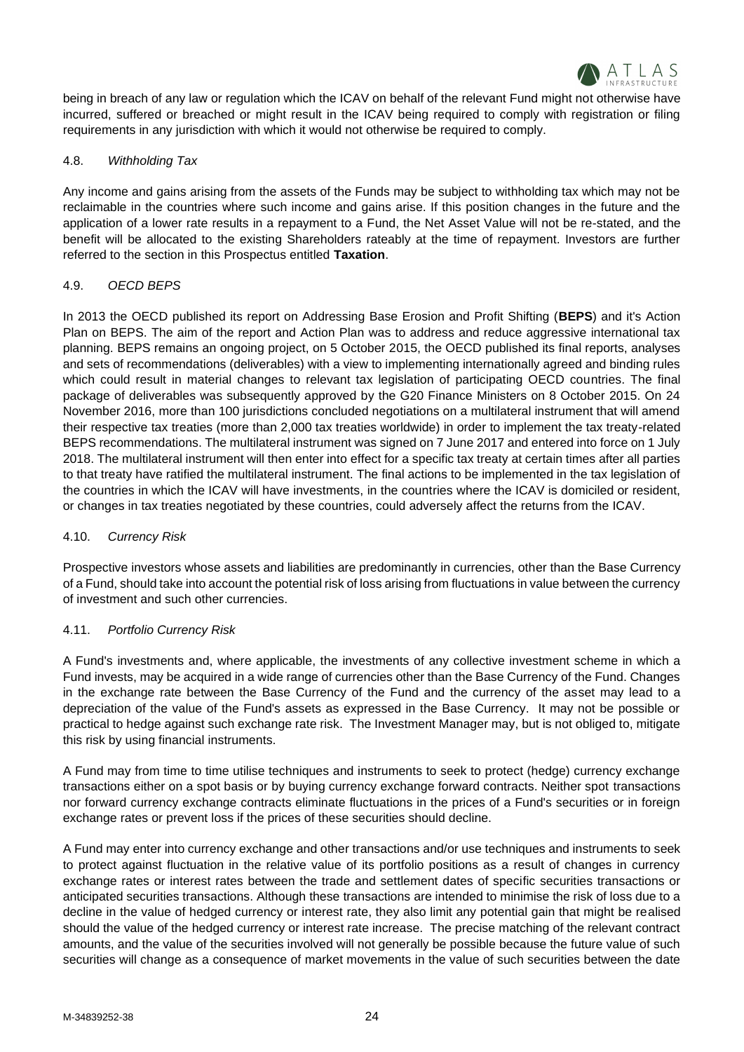

being in breach of any law or regulation which the ICAV on behalf of the relevant Fund might not otherwise have incurred, suffered or breached or might result in the ICAV being required to comply with registration or filing requirements in any jurisdiction with which it would not otherwise be required to comply.

## 4.8. *Withholding Tax*

Any income and gains arising from the assets of the Funds may be subject to withholding tax which may not be reclaimable in the countries where such income and gains arise. If this position changes in the future and the application of a lower rate results in a repayment to a Fund, the Net Asset Value will not be re-stated, and the benefit will be allocated to the existing Shareholders rateably at the time of repayment. Investors are further referred to the section in this Prospectus entitled **Taxation**.

#### 4.9. *OECD BEPS*

In 2013 the OECD published its report on Addressing Base Erosion and Profit Shifting (**BEPS**) and it's Action Plan on BEPS. The aim of the report and Action Plan was to address and reduce aggressive international tax planning. BEPS remains an ongoing project, on 5 October 2015, the OECD published its final reports, analyses and sets of recommendations (deliverables) with a view to implementing internationally agreed and binding rules which could result in material changes to relevant tax legislation of participating OECD countries. The final package of deliverables was subsequently approved by the G20 Finance Ministers on 8 October 2015. On 24 November 2016, more than 100 jurisdictions concluded negotiations on a multilateral instrument that will amend their respective tax treaties (more than 2,000 tax treaties worldwide) in order to implement the tax treaty-related BEPS recommendations. The multilateral instrument was signed on 7 June 2017 and entered into force on 1 July 2018. The multilateral instrument will then enter into effect for a specific tax treaty at certain times after all parties to that treaty have ratified the multilateral instrument. The final actions to be implemented in the tax legislation of the countries in which the ICAV will have investments, in the countries where the ICAV is domiciled or resident, or changes in tax treaties negotiated by these countries, could adversely affect the returns from the ICAV.

## 4.10. *Currency Risk*

Prospective investors whose assets and liabilities are predominantly in currencies, other than the Base Currency of a Fund, should take into account the potential risk of loss arising from fluctuations in value between the currency of investment and such other currencies.

## 4.11. *Portfolio Currency Risk*

A Fund's investments and, where applicable, the investments of any collective investment scheme in which a Fund invests, may be acquired in a wide range of currencies other than the Base Currency of the Fund. Changes in the exchange rate between the Base Currency of the Fund and the currency of the asset may lead to a depreciation of the value of the Fund's assets as expressed in the Base Currency. It may not be possible or practical to hedge against such exchange rate risk. The Investment Manager may, but is not obliged to, mitigate this risk by using financial instruments.

A Fund may from time to time utilise techniques and instruments to seek to protect (hedge) currency exchange transactions either on a spot basis or by buying currency exchange forward contracts. Neither spot transactions nor forward currency exchange contracts eliminate fluctuations in the prices of a Fund's securities or in foreign exchange rates or prevent loss if the prices of these securities should decline.

A Fund may enter into currency exchange and other transactions and/or use techniques and instruments to seek to protect against fluctuation in the relative value of its portfolio positions as a result of changes in currency exchange rates or interest rates between the trade and settlement dates of specific securities transactions or anticipated securities transactions. Although these transactions are intended to minimise the risk of loss due to a decline in the value of hedged currency or interest rate, they also limit any potential gain that might be realised should the value of the hedged currency or interest rate increase. The precise matching of the relevant contract amounts, and the value of the securities involved will not generally be possible because the future value of such securities will change as a consequence of market movements in the value of such securities between the date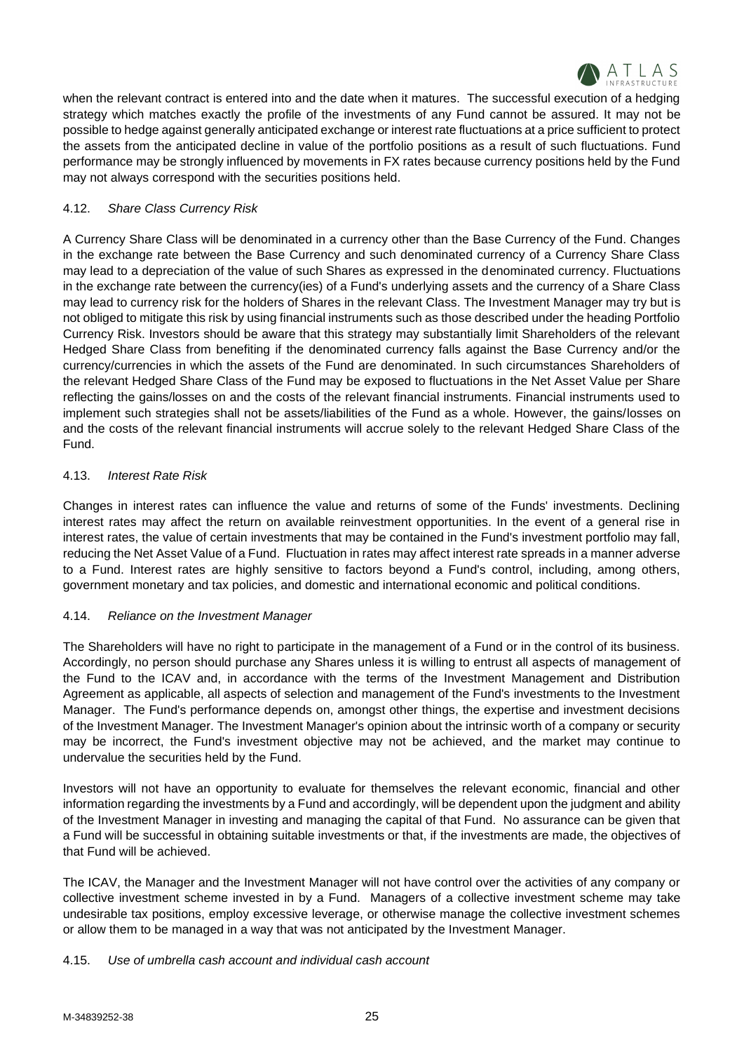

when the relevant contract is entered into and the date when it matures. The successful execution of a hedging strategy which matches exactly the profile of the investments of any Fund cannot be assured. It may not be possible to hedge against generally anticipated exchange or interest rate fluctuations at a price sufficient to protect the assets from the anticipated decline in value of the portfolio positions as a result of such fluctuations. Fund performance may be strongly influenced by movements in FX rates because currency positions held by the Fund may not always correspond with the securities positions held.

## 4.12. *Share Class Currency Risk*

A Currency Share Class will be denominated in a currency other than the Base Currency of the Fund. Changes in the exchange rate between the Base Currency and such denominated currency of a Currency Share Class may lead to a depreciation of the value of such Shares as expressed in the denominated currency. Fluctuations in the exchange rate between the currency(ies) of a Fund's underlying assets and the currency of a Share Class may lead to currency risk for the holders of Shares in the relevant Class. The Investment Manager may try but is not obliged to mitigate this risk by using financial instruments such as those described under the heading Portfolio Currency Risk. Investors should be aware that this strategy may substantially limit Shareholders of the relevant Hedged Share Class from benefiting if the denominated currency falls against the Base Currency and/or the currency/currencies in which the assets of the Fund are denominated. In such circumstances Shareholders of the relevant Hedged Share Class of the Fund may be exposed to fluctuations in the Net Asset Value per Share reflecting the gains/losses on and the costs of the relevant financial instruments. Financial instruments used to implement such strategies shall not be assets/liabilities of the Fund as a whole. However, the gains/losses on and the costs of the relevant financial instruments will accrue solely to the relevant Hedged Share Class of the Fund.

# 4.13. *Interest Rate Risk*

Changes in interest rates can influence the value and returns of some of the Funds' investments. Declining interest rates may affect the return on available reinvestment opportunities. In the event of a general rise in interest rates, the value of certain investments that may be contained in the Fund's investment portfolio may fall, reducing the Net Asset Value of a Fund. Fluctuation in rates may affect interest rate spreads in a manner adverse to a Fund. Interest rates are highly sensitive to factors beyond a Fund's control, including, among others, government monetary and tax policies, and domestic and international economic and political conditions.

## 4.14. *Reliance on the Investment Manager*

The Shareholders will have no right to participate in the management of a Fund or in the control of its business. Accordingly, no person should purchase any Shares unless it is willing to entrust all aspects of management of the Fund to the ICAV and, in accordance with the terms of the Investment Management and Distribution Agreement as applicable, all aspects of selection and management of the Fund's investments to the Investment Manager. The Fund's performance depends on, amongst other things, the expertise and investment decisions of the Investment Manager. The Investment Manager's opinion about the intrinsic worth of a company or security may be incorrect, the Fund's investment objective may not be achieved, and the market may continue to undervalue the securities held by the Fund.

Investors will not have an opportunity to evaluate for themselves the relevant economic, financial and other information regarding the investments by a Fund and accordingly, will be dependent upon the judgment and ability of the Investment Manager in investing and managing the capital of that Fund. No assurance can be given that a Fund will be successful in obtaining suitable investments or that, if the investments are made, the objectives of that Fund will be achieved.

The ICAV, the Manager and the Investment Manager will not have control over the activities of any company or collective investment scheme invested in by a Fund. Managers of a collective investment scheme may take undesirable tax positions, employ excessive leverage, or otherwise manage the collective investment schemes or allow them to be managed in a way that was not anticipated by the Investment Manager.

## 4.15. *Use of umbrella cash account and individual cash account*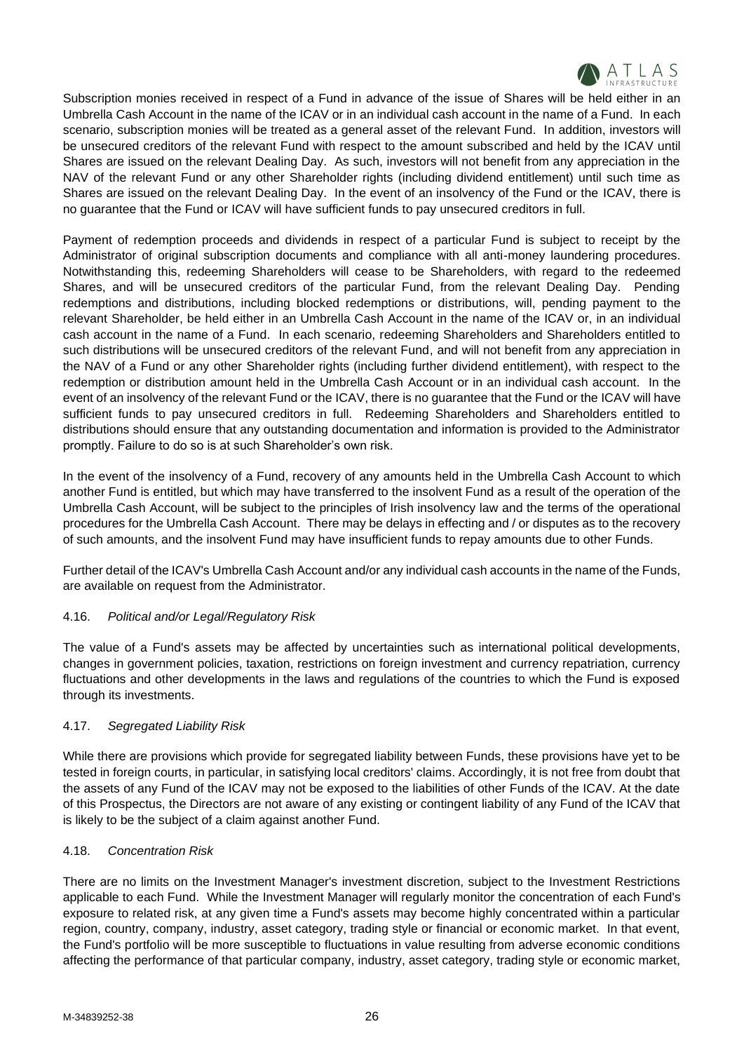

Subscription monies received in respect of a Fund in advance of the issue of Shares will be held either in an Umbrella Cash Account in the name of the ICAV or in an individual cash account in the name of a Fund. In each scenario, subscription monies will be treated as a general asset of the relevant Fund. In addition, investors will be unsecured creditors of the relevant Fund with respect to the amount subscribed and held by the ICAV until Shares are issued on the relevant Dealing Day. As such, investors will not benefit from any appreciation in the NAV of the relevant Fund or any other Shareholder rights (including dividend entitlement) until such time as Shares are issued on the relevant Dealing Day. In the event of an insolvency of the Fund or the ICAV, there is no guarantee that the Fund or ICAV will have sufficient funds to pay unsecured creditors in full.

Payment of redemption proceeds and dividends in respect of a particular Fund is subject to receipt by the Administrator of original subscription documents and compliance with all anti-money laundering procedures. Notwithstanding this, redeeming Shareholders will cease to be Shareholders, with regard to the redeemed Shares, and will be unsecured creditors of the particular Fund, from the relevant Dealing Day. Pending redemptions and distributions, including blocked redemptions or distributions, will, pending payment to the relevant Shareholder, be held either in an Umbrella Cash Account in the name of the ICAV or, in an individual cash account in the name of a Fund. In each scenario, redeeming Shareholders and Shareholders entitled to such distributions will be unsecured creditors of the relevant Fund, and will not benefit from any appreciation in the NAV of a Fund or any other Shareholder rights (including further dividend entitlement), with respect to the redemption or distribution amount held in the Umbrella Cash Account or in an individual cash account. In the event of an insolvency of the relevant Fund or the ICAV, there is no guarantee that the Fund or the ICAV will have sufficient funds to pay unsecured creditors in full. Redeeming Shareholders and Shareholders entitled to distributions should ensure that any outstanding documentation and information is provided to the Administrator promptly. Failure to do so is at such Shareholder's own risk.

In the event of the insolvency of a Fund, recovery of any amounts held in the Umbrella Cash Account to which another Fund is entitled, but which may have transferred to the insolvent Fund as a result of the operation of the Umbrella Cash Account, will be subject to the principles of Irish insolvency law and the terms of the operational procedures for the Umbrella Cash Account. There may be delays in effecting and / or disputes as to the recovery of such amounts, and the insolvent Fund may have insufficient funds to repay amounts due to other Funds.

Further detail of the ICAV's Umbrella Cash Account and/or any individual cash accounts in the name of the Funds, are available on request from the Administrator.

## 4.16. *Political and/or Legal/Regulatory Risk*

The value of a Fund's assets may be affected by uncertainties such as international political developments, changes in government policies, taxation, restrictions on foreign investment and currency repatriation, currency fluctuations and other developments in the laws and regulations of the countries to which the Fund is exposed through its investments.

## 4.17. *Segregated Liability Risk*

While there are provisions which provide for segregated liability between Funds, these provisions have yet to be tested in foreign courts, in particular, in satisfying local creditors' claims. Accordingly, it is not free from doubt that the assets of any Fund of the ICAV may not be exposed to the liabilities of other Funds of the ICAV. At the date of this Prospectus, the Directors are not aware of any existing or contingent liability of any Fund of the ICAV that is likely to be the subject of a claim against another Fund.

## 4.18. *Concentration Risk*

There are no limits on the Investment Manager's investment discretion, subject to the Investment Restrictions applicable to each Fund. While the Investment Manager will regularly monitor the concentration of each Fund's exposure to related risk, at any given time a Fund's assets may become highly concentrated within a particular region, country, company, industry, asset category, trading style or financial or economic market. In that event, the Fund's portfolio will be more susceptible to fluctuations in value resulting from adverse economic conditions affecting the performance of that particular company, industry, asset category, trading style or economic market,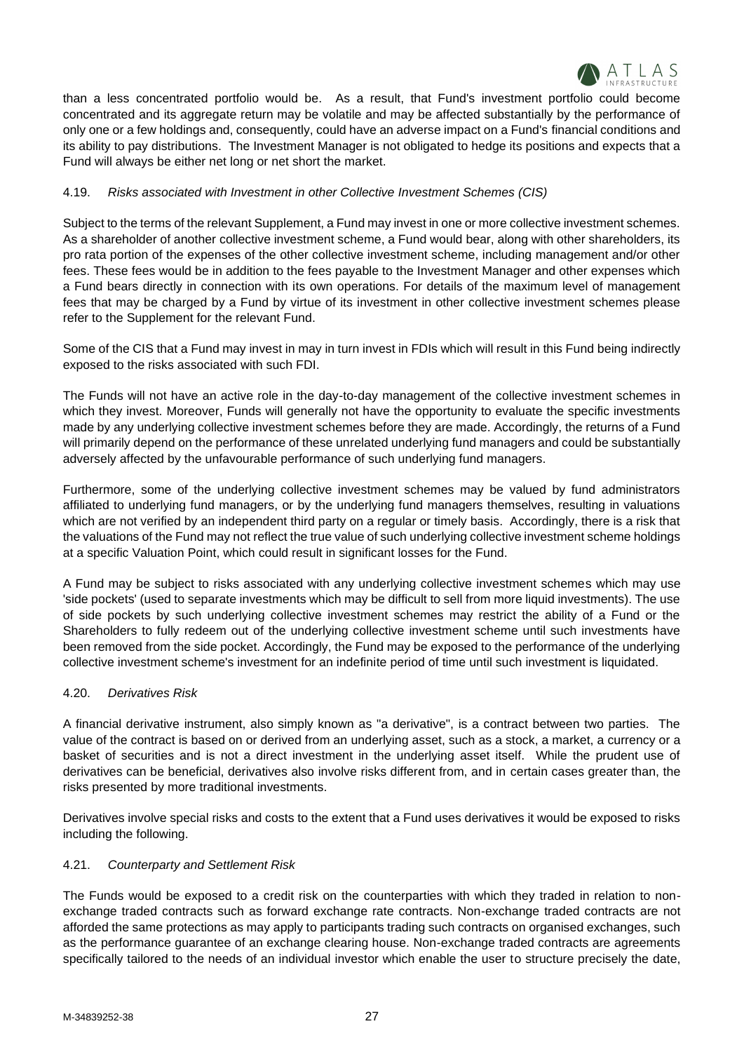

than a less concentrated portfolio would be. As a result, that Fund's investment portfolio could become concentrated and its aggregate return may be volatile and may be affected substantially by the performance of only one or a few holdings and, consequently, could have an adverse impact on a Fund's financial conditions and its ability to pay distributions. The Investment Manager is not obligated to hedge its positions and expects that a Fund will always be either net long or net short the market.

#### 4.19. *Risks associated with Investment in other Collective Investment Schemes (CIS)*

Subject to the terms of the relevant Supplement, a Fund may invest in one or more collective investment schemes. As a shareholder of another collective investment scheme, a Fund would bear, along with other shareholders, its pro rata portion of the expenses of the other collective investment scheme, including management and/or other fees. These fees would be in addition to the fees payable to the Investment Manager and other expenses which a Fund bears directly in connection with its own operations. For details of the maximum level of management fees that may be charged by a Fund by virtue of its investment in other collective investment schemes please refer to the Supplement for the relevant Fund.

Some of the CIS that a Fund may invest in may in turn invest in FDIs which will result in this Fund being indirectly exposed to the risks associated with such FDI.

The Funds will not have an active role in the day-to-day management of the collective investment schemes in which they invest. Moreover, Funds will generally not have the opportunity to evaluate the specific investments made by any underlying collective investment schemes before they are made. Accordingly, the returns of a Fund will primarily depend on the performance of these unrelated underlying fund managers and could be substantially adversely affected by the unfavourable performance of such underlying fund managers.

Furthermore, some of the underlying collective investment schemes may be valued by fund administrators affiliated to underlying fund managers, or by the underlying fund managers themselves, resulting in valuations which are not verified by an independent third party on a regular or timely basis. Accordingly, there is a risk that the valuations of the Fund may not reflect the true value of such underlying collective investment scheme holdings at a specific Valuation Point, which could result in significant losses for the Fund.

A Fund may be subject to risks associated with any underlying collective investment schemes which may use 'side pockets' (used to separate investments which may be difficult to sell from more liquid investments). The use of side pockets by such underlying collective investment schemes may restrict the ability of a Fund or the Shareholders to fully redeem out of the underlying collective investment scheme until such investments have been removed from the side pocket. Accordingly, the Fund may be exposed to the performance of the underlying collective investment scheme's investment for an indefinite period of time until such investment is liquidated.

#### 4.20. *Derivatives Risk*

A financial derivative instrument, also simply known as "a derivative", is a contract between two parties. The value of the contract is based on or derived from an underlying asset, such as a stock, a market, a currency or a basket of securities and is not a direct investment in the underlying asset itself. While the prudent use of derivatives can be beneficial, derivatives also involve risks different from, and in certain cases greater than, the risks presented by more traditional investments.

Derivatives involve special risks and costs to the extent that a Fund uses derivatives it would be exposed to risks including the following.

#### 4.21. *Counterparty and Settlement Risk*

The Funds would be exposed to a credit risk on the counterparties with which they traded in relation to nonexchange traded contracts such as forward exchange rate contracts. Non-exchange traded contracts are not afforded the same protections as may apply to participants trading such contracts on organised exchanges, such as the performance guarantee of an exchange clearing house. Non-exchange traded contracts are agreements specifically tailored to the needs of an individual investor which enable the user to structure precisely the date,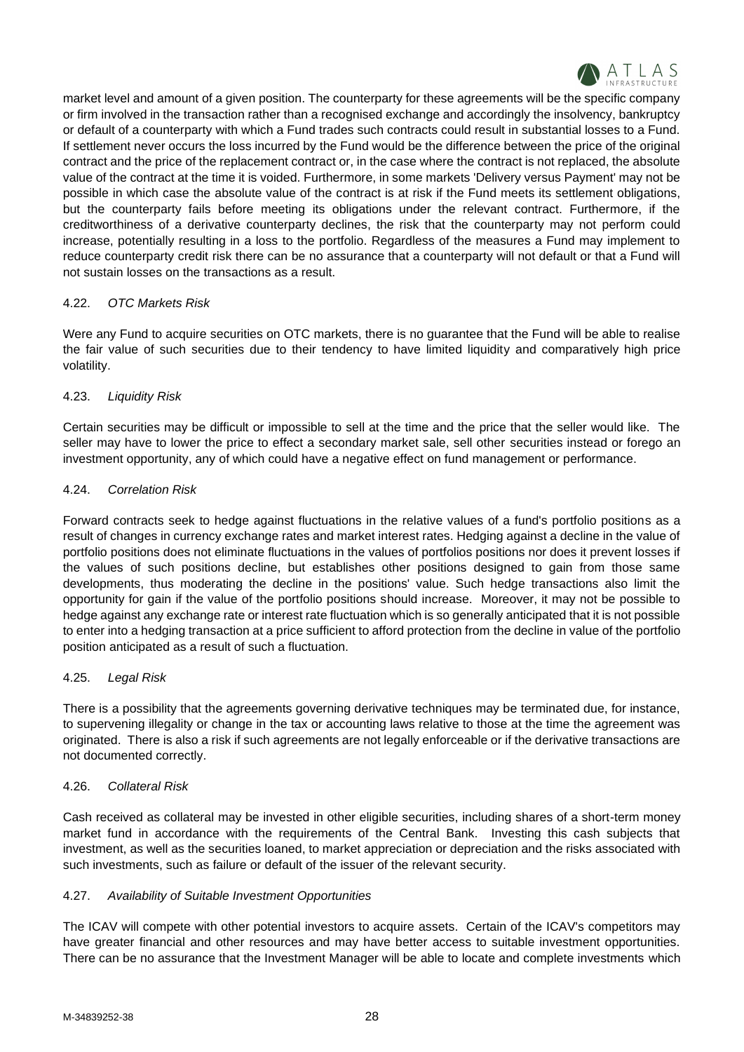

market level and amount of a given position. The counterparty for these agreements will be the specific company or firm involved in the transaction rather than a recognised exchange and accordingly the insolvency, bankruptcy or default of a counterparty with which a Fund trades such contracts could result in substantial losses to a Fund. If settlement never occurs the loss incurred by the Fund would be the difference between the price of the original contract and the price of the replacement contract or, in the case where the contract is not replaced, the absolute value of the contract at the time it is voided. Furthermore, in some markets 'Delivery versus Payment' may not be possible in which case the absolute value of the contract is at risk if the Fund meets its settlement obligations, but the counterparty fails before meeting its obligations under the relevant contract. Furthermore, if the creditworthiness of a derivative counterparty declines, the risk that the counterparty may not perform could increase, potentially resulting in a loss to the portfolio. Regardless of the measures a Fund may implement to reduce counterparty credit risk there can be no assurance that a counterparty will not default or that a Fund will not sustain losses on the transactions as a result.

#### 4.22. *OTC Markets Risk*

Were any Fund to acquire securities on OTC markets, there is no guarantee that the Fund will be able to realise the fair value of such securities due to their tendency to have limited liquidity and comparatively high price volatility.

#### 4.23. *Liquidity Risk*

Certain securities may be difficult or impossible to sell at the time and the price that the seller would like. The seller may have to lower the price to effect a secondary market sale, sell other securities instead or forego an investment opportunity, any of which could have a negative effect on fund management or performance.

#### 4.24. *Correlation Risk*

Forward contracts seek to hedge against fluctuations in the relative values of a fund's portfolio positions as a result of changes in currency exchange rates and market interest rates. Hedging against a decline in the value of portfolio positions does not eliminate fluctuations in the values of portfolios positions nor does it prevent losses if the values of such positions decline, but establishes other positions designed to gain from those same developments, thus moderating the decline in the positions' value. Such hedge transactions also limit the opportunity for gain if the value of the portfolio positions should increase. Moreover, it may not be possible to hedge against any exchange rate or interest rate fluctuation which is so generally anticipated that it is not possible to enter into a hedging transaction at a price sufficient to afford protection from the decline in value of the portfolio position anticipated as a result of such a fluctuation.

## 4.25. *Legal Risk*

There is a possibility that the agreements governing derivative techniques may be terminated due, for instance, to supervening illegality or change in the tax or accounting laws relative to those at the time the agreement was originated. There is also a risk if such agreements are not legally enforceable or if the derivative transactions are not documented correctly.

## 4.26. *Collateral Risk*

Cash received as collateral may be invested in other eligible securities, including shares of a short-term money market fund in accordance with the requirements of the Central Bank. Investing this cash subjects that investment, as well as the securities loaned, to market appreciation or depreciation and the risks associated with such investments, such as failure or default of the issuer of the relevant security.

## 4.27. *Availability of Suitable Investment Opportunities*

The ICAV will compete with other potential investors to acquire assets. Certain of the ICAV's competitors may have greater financial and other resources and may have better access to suitable investment opportunities. There can be no assurance that the Investment Manager will be able to locate and complete investments which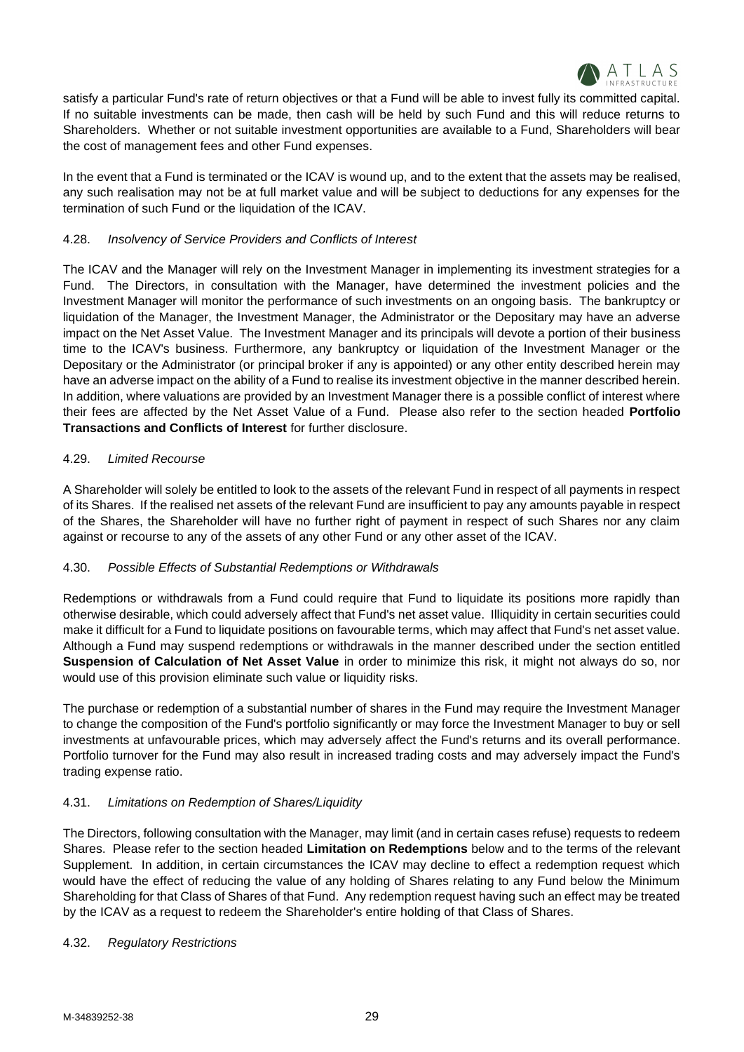

satisfy a particular Fund's rate of return objectives or that a Fund will be able to invest fully its committed capital. If no suitable investments can be made, then cash will be held by such Fund and this will reduce returns to Shareholders. Whether or not suitable investment opportunities are available to a Fund, Shareholders will bear the cost of management fees and other Fund expenses.

In the event that a Fund is terminated or the ICAV is wound up, and to the extent that the assets may be realised, any such realisation may not be at full market value and will be subject to deductions for any expenses for the termination of such Fund or the liquidation of the ICAV.

## 4.28. *Insolvency of Service Providers and Conflicts of Interest*

The ICAV and the Manager will rely on the Investment Manager in implementing its investment strategies for a Fund. The Directors, in consultation with the Manager, have determined the investment policies and the Investment Manager will monitor the performance of such investments on an ongoing basis. The bankruptcy or liquidation of the Manager, the Investment Manager, the Administrator or the Depositary may have an adverse impact on the Net Asset Value. The Investment Manager and its principals will devote a portion of their business time to the ICAV's business. Furthermore, any bankruptcy or liquidation of the Investment Manager or the Depositary or the Administrator (or principal broker if any is appointed) or any other entity described herein may have an adverse impact on the ability of a Fund to realise its investment objective in the manner described herein. In addition, where valuations are provided by an Investment Manager there is a possible conflict of interest where their fees are affected by the Net Asset Value of a Fund. Please also refer to the section headed **Portfolio Transactions and Conflicts of Interest** for further disclosure.

## 4.29. *Limited Recourse*

A Shareholder will solely be entitled to look to the assets of the relevant Fund in respect of all payments in respect of its Shares. If the realised net assets of the relevant Fund are insufficient to pay any amounts payable in respect of the Shares, the Shareholder will have no further right of payment in respect of such Shares nor any claim against or recourse to any of the assets of any other Fund or any other asset of the ICAV.

## 4.30. *Possible Effects of Substantial Redemptions or Withdrawals*

Redemptions or withdrawals from a Fund could require that Fund to liquidate its positions more rapidly than otherwise desirable, which could adversely affect that Fund's net asset value. Illiquidity in certain securities could make it difficult for a Fund to liquidate positions on favourable terms, which may affect that Fund's net asset value. Although a Fund may suspend redemptions or withdrawals in the manner described under the section entitled **Suspension of Calculation of Net Asset Value** in order to minimize this risk, it might not always do so, nor would use of this provision eliminate such value or liquidity risks.

The purchase or redemption of a substantial number of shares in the Fund may require the Investment Manager to change the composition of the Fund's portfolio significantly or may force the Investment Manager to buy or sell investments at unfavourable prices, which may adversely affect the Fund's returns and its overall performance. Portfolio turnover for the Fund may also result in increased trading costs and may adversely impact the Fund's trading expense ratio.

## 4.31. *Limitations on Redemption of Shares/Liquidity*

The Directors, following consultation with the Manager, may limit (and in certain cases refuse) requests to redeem Shares. Please refer to the section headed **Limitation on Redemptions** below and to the terms of the relevant Supplement. In addition, in certain circumstances the ICAV may decline to effect a redemption request which would have the effect of reducing the value of any holding of Shares relating to any Fund below the Minimum Shareholding for that Class of Shares of that Fund. Any redemption request having such an effect may be treated by the ICAV as a request to redeem the Shareholder's entire holding of that Class of Shares.

## 4.32. *Regulatory Restrictions*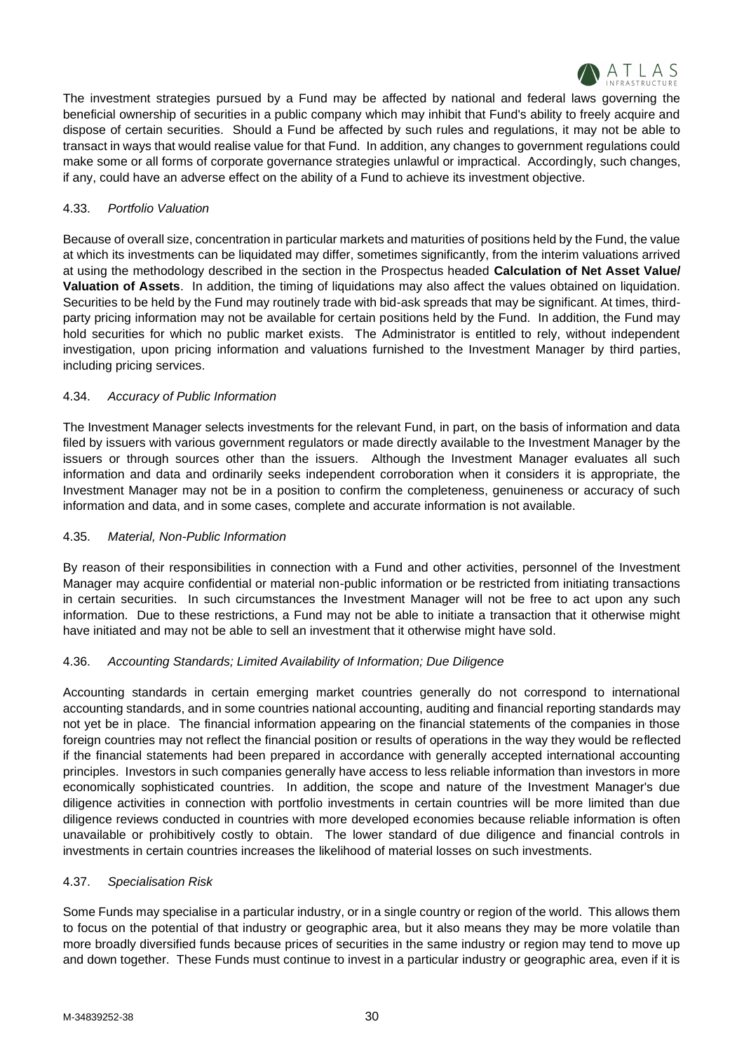

The investment strategies pursued by a Fund may be affected by national and federal laws governing the beneficial ownership of securities in a public company which may inhibit that Fund's ability to freely acquire and dispose of certain securities. Should a Fund be affected by such rules and regulations, it may not be able to transact in ways that would realise value for that Fund. In addition, any changes to government regulations could make some or all forms of corporate governance strategies unlawful or impractical. Accordingly, such changes, if any, could have an adverse effect on the ability of a Fund to achieve its investment objective.

## 4.33. *Portfolio Valuation*

Because of overall size, concentration in particular markets and maturities of positions held by the Fund, the value at which its investments can be liquidated may differ, sometimes significantly, from the interim valuations arrived at using the methodology described in the section in the Prospectus headed **Calculation of Net Asset Value/ Valuation of Assets**. In addition, the timing of liquidations may also affect the values obtained on liquidation. Securities to be held by the Fund may routinely trade with bid-ask spreads that may be significant. At times, thirdparty pricing information may not be available for certain positions held by the Fund. In addition, the Fund may hold securities for which no public market exists. The Administrator is entitled to rely, without independent investigation, upon pricing information and valuations furnished to the Investment Manager by third parties, including pricing services.

#### 4.34. *Accuracy of Public Information*

The Investment Manager selects investments for the relevant Fund, in part, on the basis of information and data filed by issuers with various government regulators or made directly available to the Investment Manager by the issuers or through sources other than the issuers. Although the Investment Manager evaluates all such information and data and ordinarily seeks independent corroboration when it considers it is appropriate, the Investment Manager may not be in a position to confirm the completeness, genuineness or accuracy of such information and data, and in some cases, complete and accurate information is not available.

#### 4.35. *Material, Non-Public Information*

By reason of their responsibilities in connection with a Fund and other activities, personnel of the Investment Manager may acquire confidential or material non-public information or be restricted from initiating transactions in certain securities. In such circumstances the Investment Manager will not be free to act upon any such information. Due to these restrictions, a Fund may not be able to initiate a transaction that it otherwise might have initiated and may not be able to sell an investment that it otherwise might have sold.

## 4.36. *Accounting Standards; Limited Availability of Information; Due Diligence*

Accounting standards in certain emerging market countries generally do not correspond to international accounting standards, and in some countries national accounting, auditing and financial reporting standards may not yet be in place. The financial information appearing on the financial statements of the companies in those foreign countries may not reflect the financial position or results of operations in the way they would be reflected if the financial statements had been prepared in accordance with generally accepted international accounting principles. Investors in such companies generally have access to less reliable information than investors in more economically sophisticated countries. In addition, the scope and nature of the Investment Manager's due diligence activities in connection with portfolio investments in certain countries will be more limited than due diligence reviews conducted in countries with more developed economies because reliable information is often unavailable or prohibitively costly to obtain. The lower standard of due diligence and financial controls in investments in certain countries increases the likelihood of material losses on such investments.

#### 4.37. *Specialisation Risk*

Some Funds may specialise in a particular industry, or in a single country or region of the world. This allows them to focus on the potential of that industry or geographic area, but it also means they may be more volatile than more broadly diversified funds because prices of securities in the same industry or region may tend to move up and down together. These Funds must continue to invest in a particular industry or geographic area, even if it is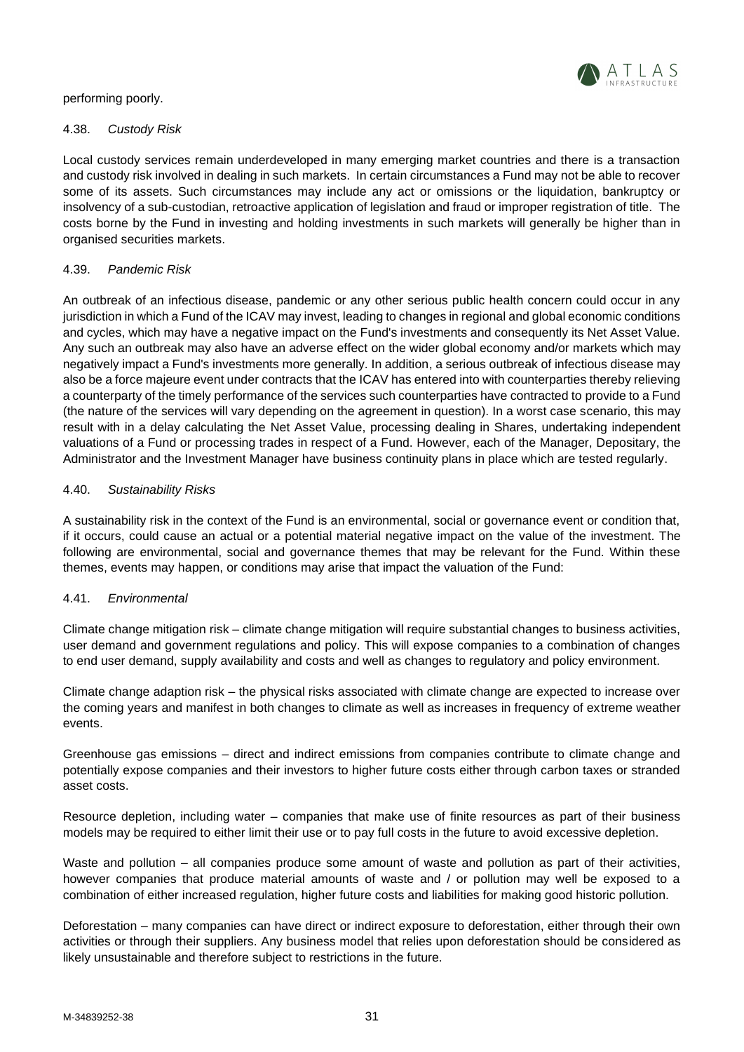

performing poorly.

## 4.38. *Custody Risk*

Local custody services remain underdeveloped in many emerging market countries and there is a transaction and custody risk involved in dealing in such markets. In certain circumstances a Fund may not be able to recover some of its assets. Such circumstances may include any act or omissions or the liquidation, bankruptcy or insolvency of a sub-custodian, retroactive application of legislation and fraud or improper registration of title. The costs borne by the Fund in investing and holding investments in such markets will generally be higher than in organised securities markets.

# 4.39. *Pandemic Risk*

An outbreak of an infectious disease, pandemic or any other serious public health concern could occur in any jurisdiction in which a Fund of the ICAV may invest, leading to changes in regional and global economic conditions and cycles, which may have a negative impact on the Fund's investments and consequently its Net Asset Value. Any such an outbreak may also have an adverse effect on the wider global economy and/or markets which may negatively impact a Fund's investments more generally. In addition, a serious outbreak of infectious disease may also be a force majeure event under contracts that the ICAV has entered into with counterparties thereby relieving a counterparty of the timely performance of the services such counterparties have contracted to provide to a Fund (the nature of the services will vary depending on the agreement in question). In a worst case scenario, this may result with in a delay calculating the Net Asset Value, processing dealing in Shares, undertaking independent valuations of a Fund or processing trades in respect of a Fund. However, each of the Manager, Depositary, the Administrator and the Investment Manager have business continuity plans in place which are tested regularly.

## 4.40. *Sustainability Risks*

A sustainability risk in the context of the Fund is an environmental, social or governance event or condition that, if it occurs, could cause an actual or a potential material negative impact on the value of the investment. The following are environmental, social and governance themes that may be relevant for the Fund. Within these themes, events may happen, or conditions may arise that impact the valuation of the Fund:

## 4.41. *Environmental*

Climate change mitigation risk – climate change mitigation will require substantial changes to business activities, user demand and government regulations and policy. This will expose companies to a combination of changes to end user demand, supply availability and costs and well as changes to regulatory and policy environment.

Climate change adaption risk – the physical risks associated with climate change are expected to increase over the coming years and manifest in both changes to climate as well as increases in frequency of extreme weather events.

Greenhouse gas emissions – direct and indirect emissions from companies contribute to climate change and potentially expose companies and their investors to higher future costs either through carbon taxes or stranded asset costs.

Resource depletion, including water – companies that make use of finite resources as part of their business models may be required to either limit their use or to pay full costs in the future to avoid excessive depletion.

Waste and pollution – all companies produce some amount of waste and pollution as part of their activities, however companies that produce material amounts of waste and / or pollution may well be exposed to a combination of either increased regulation, higher future costs and liabilities for making good historic pollution.

Deforestation – many companies can have direct or indirect exposure to deforestation, either through their own activities or through their suppliers. Any business model that relies upon deforestation should be considered as likely unsustainable and therefore subject to restrictions in the future.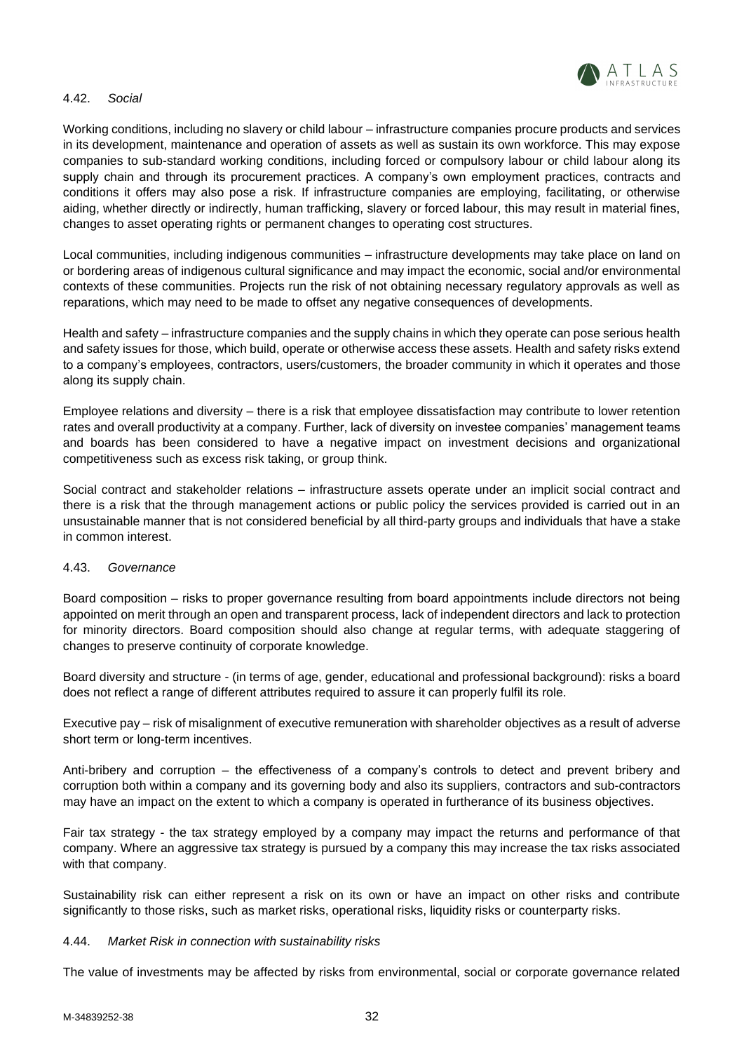

#### 4.42. *Social*

Working conditions, including no slavery or child labour – infrastructure companies procure products and services in its development, maintenance and operation of assets as well as sustain its own workforce. This may expose companies to sub-standard working conditions, including forced or compulsory labour or child labour along its supply chain and through its procurement practices. A company's own employment practices, contracts and conditions it offers may also pose a risk. If infrastructure companies are employing, facilitating, or otherwise aiding, whether directly or indirectly, human trafficking, slavery or forced labour, this may result in material fines, changes to asset operating rights or permanent changes to operating cost structures.

Local communities, including indigenous communities – infrastructure developments may take place on land on or bordering areas of indigenous cultural significance and may impact the economic, social and/or environmental contexts of these communities. Projects run the risk of not obtaining necessary regulatory approvals as well as reparations, which may need to be made to offset any negative consequences of developments.

Health and safety – infrastructure companies and the supply chains in which they operate can pose serious health and safety issues for those, which build, operate or otherwise access these assets. Health and safety risks extend to a company's employees, contractors, users/customers, the broader community in which it operates and those along its supply chain.

Employee relations and diversity – there is a risk that employee dissatisfaction may contribute to lower retention rates and overall productivity at a company. Further, lack of diversity on investee companies' management teams and boards has been considered to have a negative impact on investment decisions and organizational competitiveness such as excess risk taking, or group think.

Social contract and stakeholder relations – infrastructure assets operate under an implicit social contract and there is a risk that the through management actions or public policy the services provided is carried out in an unsustainable manner that is not considered beneficial by all third-party groups and individuals that have a stake in common interest.

#### 4.43. *Governance*

Board composition – risks to proper governance resulting from board appointments include directors not being appointed on merit through an open and transparent process, lack of independent directors and lack to protection for minority directors. Board composition should also change at regular terms, with adequate staggering of changes to preserve continuity of corporate knowledge.

Board diversity and structure - (in terms of age, gender, educational and professional background): risks a board does not reflect a range of different attributes required to assure it can properly fulfil its role.

Executive pay – risk of misalignment of executive remuneration with shareholder objectives as a result of adverse short term or long-term incentives.

Anti-bribery and corruption – the effectiveness of a company's controls to detect and prevent bribery and corruption both within a company and its governing body and also its suppliers, contractors and sub-contractors may have an impact on the extent to which a company is operated in furtherance of its business objectives.

Fair tax strategy - the tax strategy employed by a company may impact the returns and performance of that company. Where an aggressive tax strategy is pursued by a company this may increase the tax risks associated with that company.

Sustainability risk can either represent a risk on its own or have an impact on other risks and contribute significantly to those risks, such as market risks, operational risks, liquidity risks or counterparty risks.

#### 4.44. *Market Risk in connection with sustainability risks*

The value of investments may be affected by risks from environmental, social or corporate governance related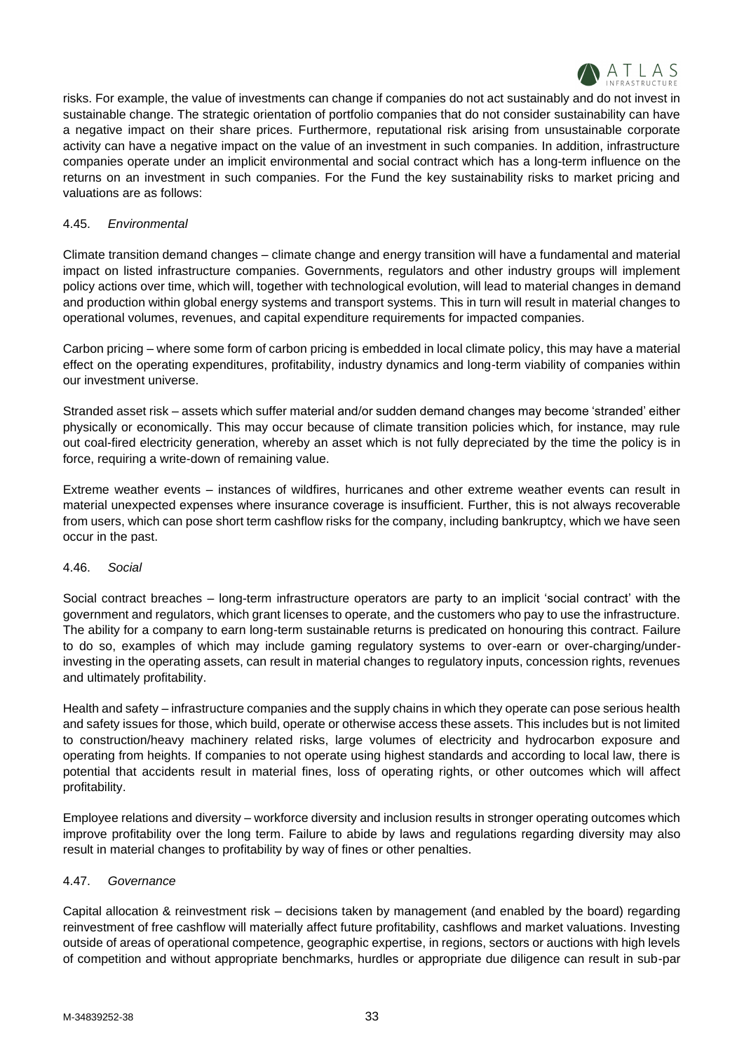

risks. For example, the value of investments can change if companies do not act sustainably and do not invest in sustainable change. The strategic orientation of portfolio companies that do not consider sustainability can have a negative impact on their share prices. Furthermore, reputational risk arising from unsustainable corporate activity can have a negative impact on the value of an investment in such companies. In addition, infrastructure companies operate under an implicit environmental and social contract which has a long-term influence on the returns on an investment in such companies. For the Fund the key sustainability risks to market pricing and valuations are as follows:

#### 4.45. *Environmental*

Climate transition demand changes – climate change and energy transition will have a fundamental and material impact on listed infrastructure companies. Governments, regulators and other industry groups will implement policy actions over time, which will, together with technological evolution, will lead to material changes in demand and production within global energy systems and transport systems. This in turn will result in material changes to operational volumes, revenues, and capital expenditure requirements for impacted companies.

Carbon pricing – where some form of carbon pricing is embedded in local climate policy, this may have a material effect on the operating expenditures, profitability, industry dynamics and long-term viability of companies within our investment universe.

Stranded asset risk – assets which suffer material and/or sudden demand changes may become 'stranded' either physically or economically. This may occur because of climate transition policies which, for instance, may rule out coal-fired electricity generation, whereby an asset which is not fully depreciated by the time the policy is in force, requiring a write-down of remaining value.

Extreme weather events – instances of wildfires, hurricanes and other extreme weather events can result in material unexpected expenses where insurance coverage is insufficient. Further, this is not always recoverable from users, which can pose short term cashflow risks for the company, including bankruptcy, which we have seen occur in the past.

#### 4.46. *Social*

Social contract breaches – long-term infrastructure operators are party to an implicit 'social contract' with the government and regulators, which grant licenses to operate, and the customers who pay to use the infrastructure. The ability for a company to earn long-term sustainable returns is predicated on honouring this contract. Failure to do so, examples of which may include gaming regulatory systems to over-earn or over-charging/underinvesting in the operating assets, can result in material changes to regulatory inputs, concession rights, revenues and ultimately profitability.

Health and safety – infrastructure companies and the supply chains in which they operate can pose serious health and safety issues for those, which build, operate or otherwise access these assets. This includes but is not limited to construction/heavy machinery related risks, large volumes of electricity and hydrocarbon exposure and operating from heights. If companies to not operate using highest standards and according to local law, there is potential that accidents result in material fines, loss of operating rights, or other outcomes which will affect profitability.

Employee relations and diversity – workforce diversity and inclusion results in stronger operating outcomes which improve profitability over the long term. Failure to abide by laws and regulations regarding diversity may also result in material changes to profitability by way of fines or other penalties.

#### 4.47. *Governance*

Capital allocation & reinvestment risk – decisions taken by management (and enabled by the board) regarding reinvestment of free cashflow will materially affect future profitability, cashflows and market valuations. Investing outside of areas of operational competence, geographic expertise, in regions, sectors or auctions with high levels of competition and without appropriate benchmarks, hurdles or appropriate due diligence can result in sub-par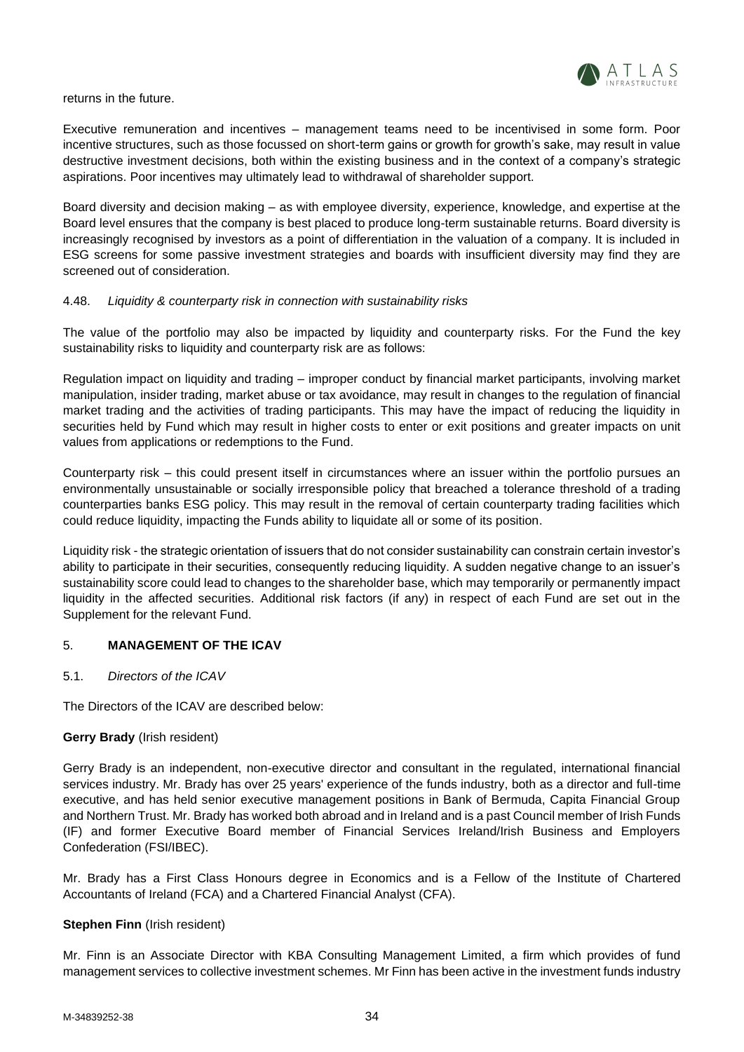

returns in the future.

Executive remuneration and incentives – management teams need to be incentivised in some form. Poor incentive structures, such as those focussed on short-term gains or growth for growth's sake, may result in value destructive investment decisions, both within the existing business and in the context of a company's strategic aspirations. Poor incentives may ultimately lead to withdrawal of shareholder support.

Board diversity and decision making – as with employee diversity, experience, knowledge, and expertise at the Board level ensures that the company is best placed to produce long-term sustainable returns. Board diversity is increasingly recognised by investors as a point of differentiation in the valuation of a company. It is included in ESG screens for some passive investment strategies and boards with insufficient diversity may find they are screened out of consideration.

#### 4.48. *Liquidity & counterparty risk in connection with sustainability risks*

The value of the portfolio may also be impacted by liquidity and counterparty risks. For the Fund the key sustainability risks to liquidity and counterparty risk are as follows:

Regulation impact on liquidity and trading – improper conduct by financial market participants, involving market manipulation, insider trading, market abuse or tax avoidance, may result in changes to the regulation of financial market trading and the activities of trading participants. This may have the impact of reducing the liquidity in securities held by Fund which may result in higher costs to enter or exit positions and greater impacts on unit values from applications or redemptions to the Fund.

Counterparty risk – this could present itself in circumstances where an issuer within the portfolio pursues an environmentally unsustainable or socially irresponsible policy that breached a tolerance threshold of a trading counterparties banks ESG policy. This may result in the removal of certain counterparty trading facilities which could reduce liquidity, impacting the Funds ability to liquidate all or some of its position.

Liquidity risk - the strategic orientation of issuers that do not consider sustainability can constrain certain investor's ability to participate in their securities, consequently reducing liquidity. A sudden negative change to an issuer's sustainability score could lead to changes to the shareholder base, which may temporarily or permanently impact liquidity in the affected securities. Additional risk factors (if any) in respect of each Fund are set out in the Supplement for the relevant Fund.

## <span id="page-34-0"></span>5. **MANAGEMENT OF THE ICAV**

5.1. *Directors of the ICAV*

The Directors of the ICAV are described below:

#### **Gerry Brady** (Irish resident)

Gerry Brady is an independent, non-executive director and consultant in the regulated, international financial services industry. Mr. Brady has over 25 years' experience of the funds industry, both as a director and full-time executive, and has held senior executive management positions in Bank of Bermuda, Capita Financial Group and Northern Trust. Mr. Brady has worked both abroad and in Ireland and is a past Council member of Irish Funds (IF) and former Executive Board member of Financial Services Ireland/Irish Business and Employers Confederation (FSI/IBEC).

Mr. Brady has a First Class Honours degree in Economics and is a Fellow of the Institute of Chartered Accountants of Ireland (FCA) and a Chartered Financial Analyst (CFA).

#### **Stephen Finn (Irish resident)**

Mr. Finn is an Associate Director with KBA Consulting Management Limited, a firm which provides of fund management services to collective investment schemes. Mr Finn has been active in the investment funds industry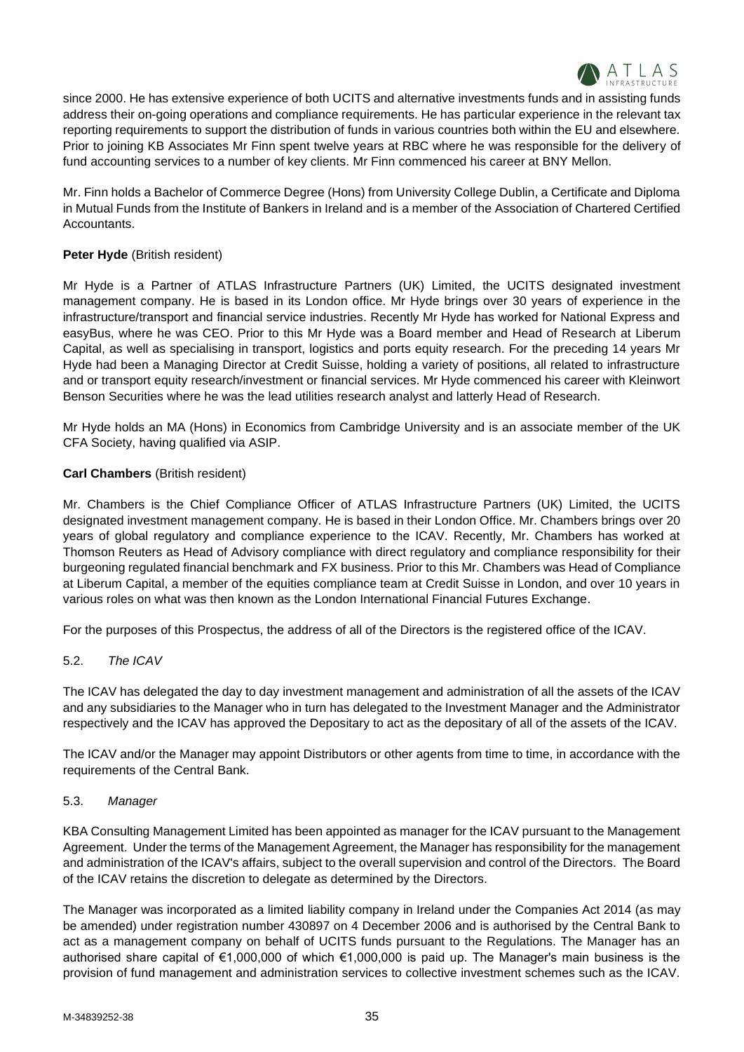

since 2000. He has extensive experience of both UCITS and alternative investments funds and in assisting funds address their on-going operations and compliance requirements. He has particular experience in the relevant tax reporting requirements to support the distribution of funds in various countries both within the EU and elsewhere. Prior to joining KB Associates Mr Finn spent twelve years at RBC where he was responsible for the delivery of fund accounting services to a number of key clients. Mr Finn commenced his career at BNY Mellon.

Mr. Finn holds a Bachelor of Commerce Degree (Hons) from University College Dublin, a Certificate and Diploma in Mutual Funds from the Institute of Bankers in Ireland and is a member of the Association of Chartered Certified Accountants.

#### **Peter Hyde** (British resident)

Mr Hyde is a Partner of ATLAS Infrastructure Partners (UK) Limited, the UCITS designated investment management company. He is based in its London office. Mr Hyde brings over 30 years of experience in the infrastructure/transport and financial service industries. Recently Mr Hyde has worked for National Express and easyBus, where he was CEO. Prior to this Mr Hyde was a Board member and Head of Research at Liberum Capital, as well as specialising in transport, logistics and ports equity research. For the preceding 14 years Mr Hyde had been a Managing Director at Credit Suisse, holding a variety of positions, all related to infrastructure and or transport equity research/investment or financial services. Mr Hyde commenced his career with Kleinwort Benson Securities where he was the lead utilities research analyst and latterly Head of Research.

Mr Hyde holds an MA (Hons) in Economics from Cambridge University and is an associate member of the UK CFA Society, having qualified via ASIP.

#### **Carl Chambers** (British resident)

Mr. Chambers is the Chief Compliance Officer of ATLAS Infrastructure Partners (UK) Limited, the UCITS designated investment management company. He is based in their London Office. Mr. Chambers brings over 20 years of global regulatory and compliance experience to the ICAV. Recently, Mr. Chambers has worked at Thomson Reuters as Head of Advisory compliance with direct regulatory and compliance responsibility for their burgeoning regulated financial benchmark and FX business. Prior to this Mr. Chambers was Head of Compliance at Liberum Capital, a member of the equities compliance team at Credit Suisse in London, and over 10 years in various roles on what was then known as the London International Financial Futures Exchange.

For the purposes of this Prospectus, the address of all of the Directors is the registered office of the ICAV.

#### 5.2. *The ICAV*

The ICAV has delegated the day to day investment management and administration of all the assets of the ICAV and any subsidiaries to the Manager who in turn has delegated to the Investment Manager and the Administrator respectively and the ICAV has approved the Depositary to act as the depositary of all of the assets of the ICAV.

The ICAV and/or the Manager may appoint Distributors or other agents from time to time, in accordance with the requirements of the Central Bank.

#### 5.3. *Manager*

KBA Consulting Management Limited has been appointed as manager for the ICAV pursuant to the Management Agreement. Under the terms of the Management Agreement, the Manager has responsibility for the management and administration of the ICAV's affairs, subject to the overall supervision and control of the Directors. The Board of the ICAV retains the discretion to delegate as determined by the Directors.

The Manager was incorporated as a limited liability company in Ireland under the Companies Act 2014 (as may be amended) under registration number 430897 on 4 December 2006 and is authorised by the Central Bank to act as a management company on behalf of UCITS funds pursuant to the Regulations. The Manager has an authorised share capital of €1,000,000 of which €1,000,000 is paid up. The Manager's main business is the provision of fund management and administration services to collective investment schemes such as the ICAV.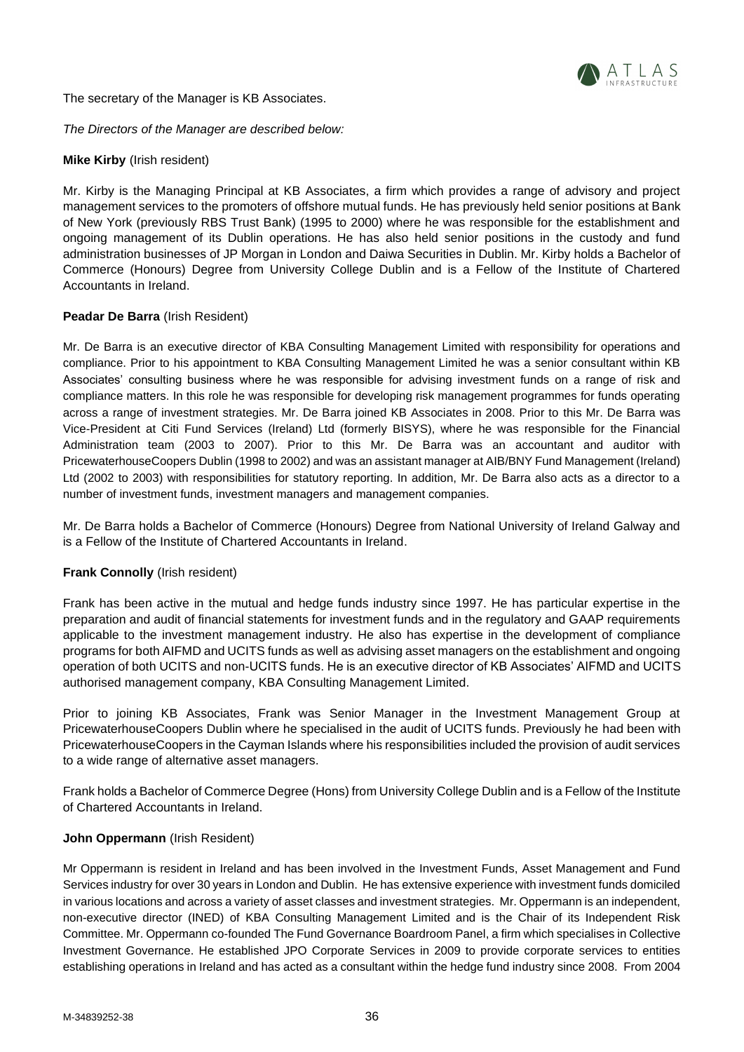

The secretary of the Manager is KB Associates.

*The Directors of the Manager are described below:*

## **Mike Kirby** (Irish resident)

Mr. Kirby is the Managing Principal at KB Associates, a firm which provides a range of advisory and project management services to the promoters of offshore mutual funds. He has previously held senior positions at Bank of New York (previously RBS Trust Bank) (1995 to 2000) where he was responsible for the establishment and ongoing management of its Dublin operations. He has also held senior positions in the custody and fund administration businesses of JP Morgan in London and Daiwa Securities in Dublin. Mr. Kirby holds a Bachelor of Commerce (Honours) Degree from University College Dublin and is a Fellow of the Institute of Chartered Accountants in Ireland.

## **Peadar De Barra** (Irish Resident)

Mr. De Barra is an executive director of KBA Consulting Management Limited with responsibility for operations and compliance. Prior to his appointment to KBA Consulting Management Limited he was a senior consultant within KB Associates' consulting business where he was responsible for advising investment funds on a range of risk and compliance matters. In this role he was responsible for developing risk management programmes for funds operating across a range of investment strategies. Mr. De Barra joined KB Associates in 2008. Prior to this Mr. De Barra was Vice-President at Citi Fund Services (Ireland) Ltd (formerly BISYS), where he was responsible for the Financial Administration team (2003 to 2007). Prior to this Mr. De Barra was an accountant and auditor with PricewaterhouseCoopers Dublin (1998 to 2002) and was an assistant manager at AIB/BNY Fund Management (Ireland) Ltd (2002 to 2003) with responsibilities for statutory reporting. In addition, Mr. De Barra also acts as a director to a number of investment funds, investment managers and management companies.

Mr. De Barra holds a Bachelor of Commerce (Honours) Degree from National University of Ireland Galway and is a Fellow of the Institute of Chartered Accountants in Ireland.

## **Frank Connolly (Irish resident)**

Frank has been active in the mutual and hedge funds industry since 1997. He has particular expertise in the preparation and audit of financial statements for investment funds and in the regulatory and GAAP requirements applicable to the investment management industry. He also has expertise in the development of compliance programs for both AIFMD and UCITS funds as well as advising asset managers on the establishment and ongoing operation of both UCITS and non-UCITS funds. He is an executive director of KB Associates' AIFMD and UCITS authorised management company, KBA Consulting Management Limited.

Prior to joining KB Associates, Frank was Senior Manager in the Investment Management Group at PricewaterhouseCoopers Dublin where he specialised in the audit of UCITS funds. Previously he had been with PricewaterhouseCoopers in the Cayman Islands where his responsibilities included the provision of audit services to a wide range of alternative asset managers.

Frank holds a Bachelor of Commerce Degree (Hons) from University College Dublin and is a Fellow of the Institute of Chartered Accountants in Ireland.

## **John Oppermann** (Irish Resident)

Mr Oppermann is resident in Ireland and has been involved in the Investment Funds, Asset Management and Fund Services industry for over 30 years in London and Dublin. He has extensive experience with investment funds domiciled in various locations and across a variety of asset classes and investment strategies. Mr. Oppermann is an independent, non-executive director (INED) of KBA Consulting Management Limited and is the Chair of its Independent Risk Committee. Mr. Oppermann co-founded The Fund Governance Boardroom Panel, a firm which specialises in Collective Investment Governance. He established JPO Corporate Services in 2009 to provide corporate services to entities establishing operations in Ireland and has acted as a consultant within the hedge fund industry since 2008. From 2004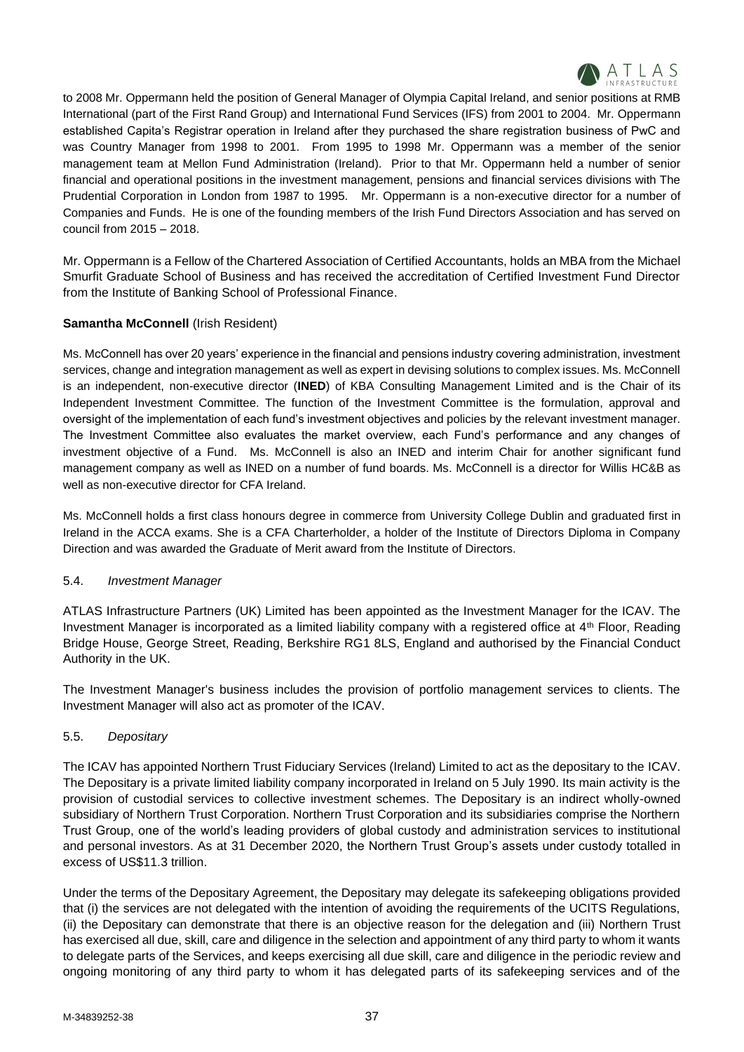

to 2008 Mr. Oppermann held the position of General Manager of Olympia Capital Ireland, and senior positions at RMB International (part of the First Rand Group) and International Fund Services (IFS) from 2001 to 2004. Mr. Oppermann established Capita's Registrar operation in Ireland after they purchased the share registration business of PwC and was Country Manager from 1998 to 2001. From 1995 to 1998 Mr. Oppermann was a member of the senior management team at Mellon Fund Administration (Ireland). Prior to that Mr. Oppermann held a number of senior financial and operational positions in the investment management, pensions and financial services divisions with The Prudential Corporation in London from 1987 to 1995. Mr. Oppermann is a non-executive director for a number of Companies and Funds. He is one of the founding members of the Irish Fund Directors Association and has served on council from 2015 – 2018.

Mr. Oppermann is a Fellow of the Chartered Association of Certified Accountants, holds an MBA from the Michael Smurfit Graduate School of Business and has received the accreditation of Certified Investment Fund Director from the Institute of Banking School of Professional Finance.

## **Samantha McConnell** (Irish Resident)

Ms. McConnell has over 20 years' experience in the financial and pensions industry covering administration, investment services, change and integration management as well as expert in devising solutions to complex issues. Ms. McConnell is an independent, non-executive director (**INED**) of KBA Consulting Management Limited and is the Chair of its Independent Investment Committee. The function of the Investment Committee is the formulation, approval and oversight of the implementation of each fund's investment objectives and policies by the relevant investment manager. The Investment Committee also evaluates the market overview, each Fund's performance and any changes of investment objective of a Fund. Ms. McConnell is also an INED and interim Chair for another significant fund management company as well as INED on a number of fund boards. Ms. McConnell is a director for Willis HC&B as well as non-executive director for CFA Ireland.

Ms. McConnell holds a first class honours degree in commerce from University College Dublin and graduated first in Ireland in the ACCA exams. She is a CFA Charterholder, a holder of the Institute of Directors Diploma in Company Direction and was awarded the Graduate of Merit award from the Institute of Directors.

## 5.4. *Investment Manager*

ATLAS Infrastructure Partners (UK) Limited has been appointed as the Investment Manager for the ICAV. The Investment Manager is incorporated as a limited liability company with a registered office at 4th Floor, Reading Bridge House, George Street, Reading, Berkshire RG1 8LS, England and authorised by the Financial Conduct Authority in the UK.

The Investment Manager's business includes the provision of portfolio management services to clients. The Investment Manager will also act as promoter of the ICAV.

## 5.5. *Depositary*

The ICAV has appointed Northern Trust Fiduciary Services (Ireland) Limited to act as the depositary to the ICAV. The Depositary is a private limited liability company incorporated in Ireland on 5 July 1990. Its main activity is the provision of custodial services to collective investment schemes. The Depositary is an indirect wholly-owned subsidiary of Northern Trust Corporation. Northern Trust Corporation and its subsidiaries comprise the Northern Trust Group, one of the world's leading providers of global custody and administration services to institutional and personal investors. As at 31 December 2020, the Northern Trust Group's assets under custody totalled in excess of US\$11.3 trillion.

Under the terms of the Depositary Agreement, the Depositary may delegate its safekeeping obligations provided that (i) the services are not delegated with the intention of avoiding the requirements of the UCITS Regulations, (ii) the Depositary can demonstrate that there is an objective reason for the delegation and (iii) Northern Trust has exercised all due, skill, care and diligence in the selection and appointment of any third party to whom it wants to delegate parts of the Services, and keeps exercising all due skill, care and diligence in the periodic review and ongoing monitoring of any third party to whom it has delegated parts of its safekeeping services and of the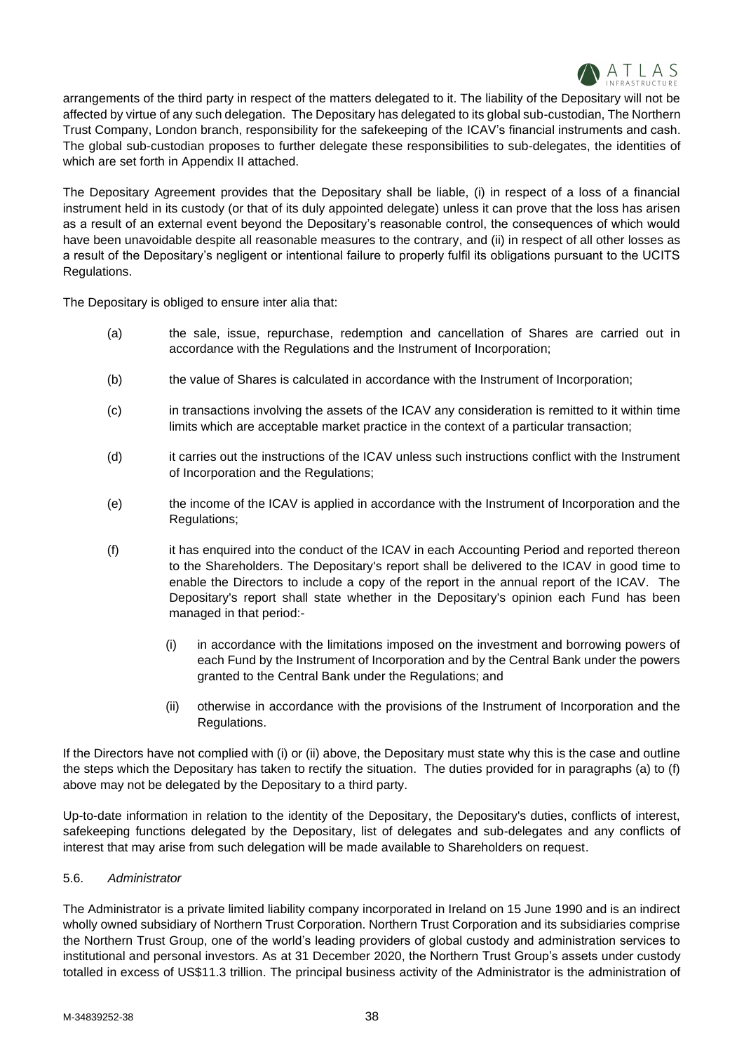

arrangements of the third party in respect of the matters delegated to it. The liability of the Depositary will not be affected by virtue of any such delegation. The Depositary has delegated to its global sub-custodian, The Northern Trust Company, London branch, responsibility for the safekeeping of the ICAV's financial instruments and cash. The global sub-custodian proposes to further delegate these responsibilities to sub-delegates, the identities of which are set forth in Appendix II attached.

The Depositary Agreement provides that the Depositary shall be liable, (i) in respect of a loss of a financial instrument held in its custody (or that of its duly appointed delegate) unless it can prove that the loss has arisen as a result of an external event beyond the Depositary's reasonable control, the consequences of which would have been unavoidable despite all reasonable measures to the contrary, and (ii) in respect of all other losses as a result of the Depositary's negligent or intentional failure to properly fulfil its obligations pursuant to the UCITS Regulations.

The Depositary is obliged to ensure inter alia that:

- (a) the sale, issue, repurchase, redemption and cancellation of Shares are carried out in accordance with the Regulations and the Instrument of Incorporation;
- (b) the value of Shares is calculated in accordance with the Instrument of Incorporation;
- (c) in transactions involving the assets of the ICAV any consideration is remitted to it within time limits which are acceptable market practice in the context of a particular transaction;
- (d) it carries out the instructions of the ICAV unless such instructions conflict with the Instrument of Incorporation and the Regulations;
- (e) the income of the ICAV is applied in accordance with the Instrument of Incorporation and the Regulations;
- (f) it has enquired into the conduct of the ICAV in each Accounting Period and reported thereon to the Shareholders. The Depositary's report shall be delivered to the ICAV in good time to enable the Directors to include a copy of the report in the annual report of the ICAV. The Depositary's report shall state whether in the Depositary's opinion each Fund has been managed in that period:-
	- (i) in accordance with the limitations imposed on the investment and borrowing powers of each Fund by the Instrument of Incorporation and by the Central Bank under the powers granted to the Central Bank under the Regulations; and
	- (ii) otherwise in accordance with the provisions of the Instrument of Incorporation and the Regulations.

If the Directors have not complied with (i) or (ii) above, the Depositary must state why this is the case and outline the steps which the Depositary has taken to rectify the situation. The duties provided for in paragraphs (a) to (f) above may not be delegated by the Depositary to a third party.

Up-to-date information in relation to the identity of the Depositary, the Depositary's duties, conflicts of interest, safekeeping functions delegated by the Depositary, list of delegates and sub-delegates and any conflicts of interest that may arise from such delegation will be made available to Shareholders on request.

#### 5.6. *Administrator*

The Administrator is a private limited liability company incorporated in Ireland on 15 June 1990 and is an indirect wholly owned subsidiary of Northern Trust Corporation. Northern Trust Corporation and its subsidiaries comprise the Northern Trust Group, one of the world's leading providers of global custody and administration services to institutional and personal investors. As at 31 December 2020, the Northern Trust Group's assets under custody totalled in excess of US\$11.3 trillion. The principal business activity of the Administrator is the administration of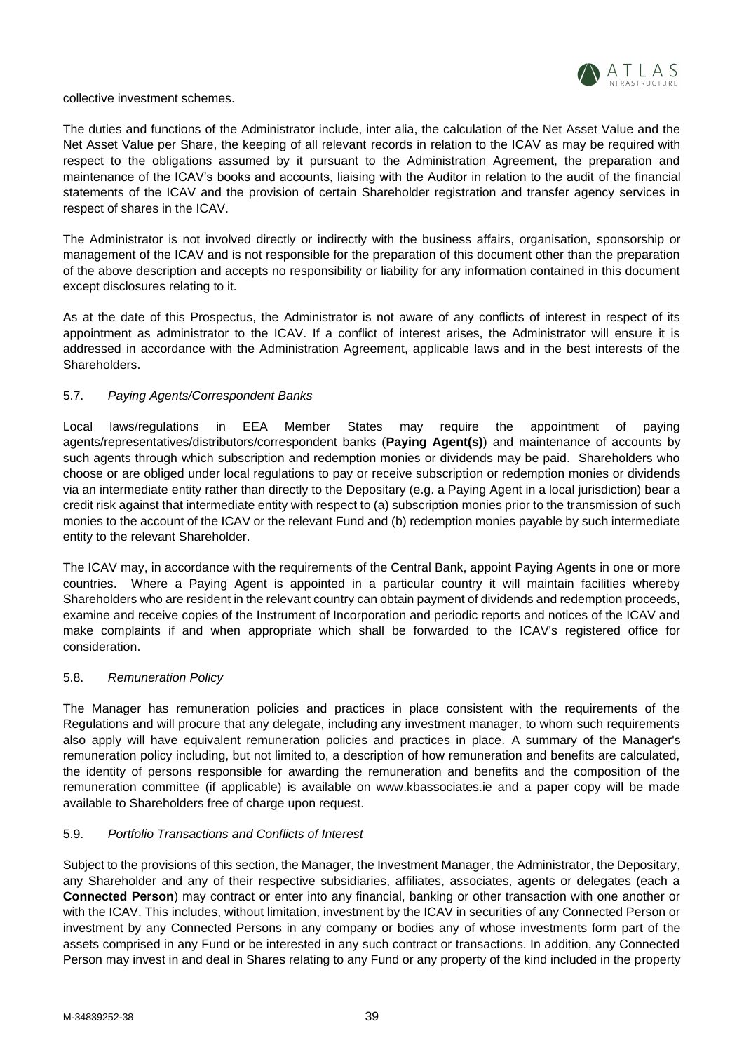

collective investment schemes.

The duties and functions of the Administrator include, inter alia, the calculation of the Net Asset Value and the Net Asset Value per Share, the keeping of all relevant records in relation to the ICAV as may be required with respect to the obligations assumed by it pursuant to the Administration Agreement, the preparation and maintenance of the ICAV's books and accounts, liaising with the Auditor in relation to the audit of the financial statements of the ICAV and the provision of certain Shareholder registration and transfer agency services in respect of shares in the ICAV.

The Administrator is not involved directly or indirectly with the business affairs, organisation, sponsorship or management of the ICAV and is not responsible for the preparation of this document other than the preparation of the above description and accepts no responsibility or liability for any information contained in this document except disclosures relating to it.

As at the date of this Prospectus, the Administrator is not aware of any conflicts of interest in respect of its appointment as administrator to the ICAV. If a conflict of interest arises, the Administrator will ensure it is addressed in accordance with the Administration Agreement, applicable laws and in the best interests of the Shareholders.

### 5.7. *Paying Agents/Correspondent Banks*

Local laws/regulations in EEA Member States may require the appointment of paying agents/representatives/distributors/correspondent banks (**Paying Agent(s)**) and maintenance of accounts by such agents through which subscription and redemption monies or dividends may be paid. Shareholders who choose or are obliged under local regulations to pay or receive subscription or redemption monies or dividends via an intermediate entity rather than directly to the Depositary (e.g. a Paying Agent in a local jurisdiction) bear a credit risk against that intermediate entity with respect to (a) subscription monies prior to the transmission of such monies to the account of the ICAV or the relevant Fund and (b) redemption monies payable by such intermediate entity to the relevant Shareholder.

The ICAV may, in accordance with the requirements of the Central Bank, appoint Paying Agents in one or more countries. Where a Paying Agent is appointed in a particular country it will maintain facilities whereby Shareholders who are resident in the relevant country can obtain payment of dividends and redemption proceeds, examine and receive copies of the Instrument of Incorporation and periodic reports and notices of the ICAV and make complaints if and when appropriate which shall be forwarded to the ICAV's registered office for consideration.

#### 5.8. *Remuneration Policy*

The Manager has remuneration policies and practices in place consistent with the requirements of the Regulations and will procure that any delegate, including any investment manager, to whom such requirements also apply will have equivalent remuneration policies and practices in place. A summary of the Manager's remuneration policy including, but not limited to, a description of how remuneration and benefits are calculated, the identity of persons responsible for awarding the remuneration and benefits and the composition of the remuneration committee (if applicable) is available on www.kbassociates.ie and a paper copy will be made available to Shareholders free of charge upon request.

## 5.9. *Portfolio Transactions and Conflicts of Interest*

Subject to the provisions of this section, the Manager, the Investment Manager, the Administrator, the Depositary, any Shareholder and any of their respective subsidiaries, affiliates, associates, agents or delegates (each a **Connected Person**) may contract or enter into any financial, banking or other transaction with one another or with the ICAV. This includes, without limitation, investment by the ICAV in securities of any Connected Person or investment by any Connected Persons in any company or bodies any of whose investments form part of the assets comprised in any Fund or be interested in any such contract or transactions. In addition, any Connected Person may invest in and deal in Shares relating to any Fund or any property of the kind included in the property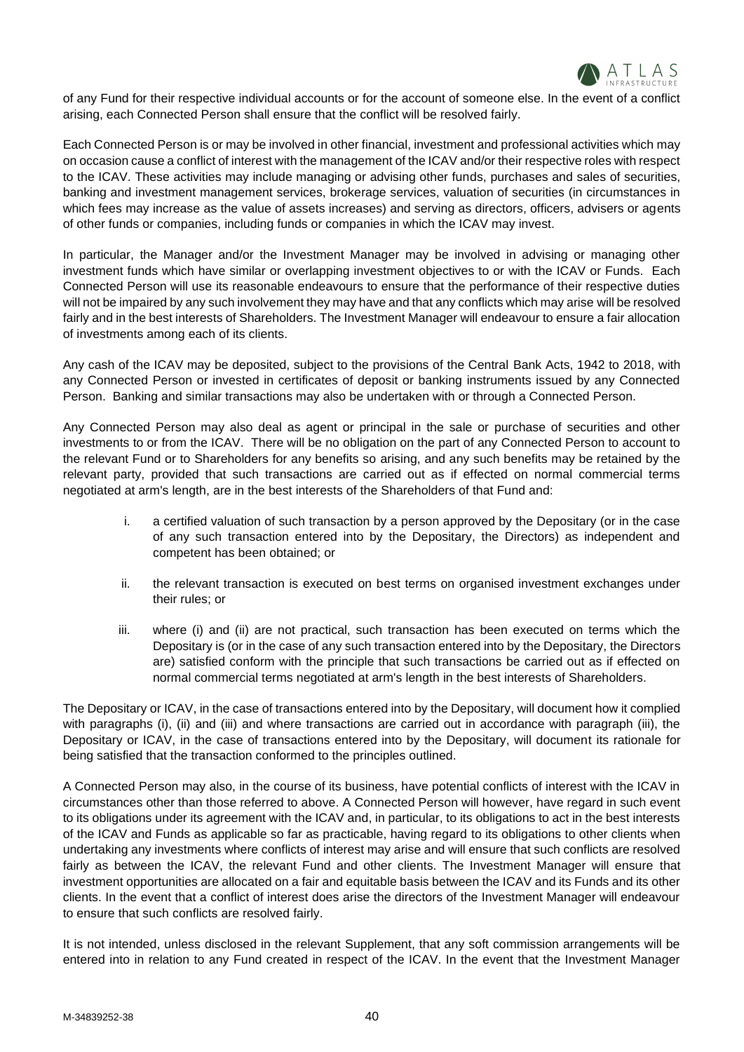

of any Fund for their respective individual accounts or for the account of someone else. In the event of a conflict arising, each Connected Person shall ensure that the conflict will be resolved fairly.

Each Connected Person is or may be involved in other financial, investment and professional activities which may on occasion cause a conflict of interest with the management of the ICAV and/or their respective roles with respect to the ICAV. These activities may include managing or advising other funds, purchases and sales of securities, banking and investment management services, brokerage services, valuation of securities (in circumstances in which fees may increase as the value of assets increases) and serving as directors, officers, advisers or agents of other funds or companies, including funds or companies in which the ICAV may invest.

In particular, the Manager and/or the Investment Manager may be involved in advising or managing other investment funds which have similar or overlapping investment objectives to or with the ICAV or Funds. Each Connected Person will use its reasonable endeavours to ensure that the performance of their respective duties will not be impaired by any such involvement they may have and that any conflicts which may arise will be resolved fairly and in the best interests of Shareholders. The Investment Manager will endeavour to ensure a fair allocation of investments among each of its clients.

Any cash of the ICAV may be deposited, subject to the provisions of the Central Bank Acts, 1942 to 2018, with any Connected Person or invested in certificates of deposit or banking instruments issued by any Connected Person. Banking and similar transactions may also be undertaken with or through a Connected Person.

Any Connected Person may also deal as agent or principal in the sale or purchase of securities and other investments to or from the ICAV. There will be no obligation on the part of any Connected Person to account to the relevant Fund or to Shareholders for any benefits so arising, and any such benefits may be retained by the relevant party, provided that such transactions are carried out as if effected on normal commercial terms negotiated at arm's length, are in the best interests of the Shareholders of that Fund and:

- i. a certified valuation of such transaction by a person approved by the Depositary (or in the case of any such transaction entered into by the Depositary, the Directors) as independent and competent has been obtained; or
- ii. the relevant transaction is executed on best terms on organised investment exchanges under their rules; or
- iii. where (i) and (ii) are not practical, such transaction has been executed on terms which the Depositary is (or in the case of any such transaction entered into by the Depositary, the Directors are) satisfied conform with the principle that such transactions be carried out as if effected on normal commercial terms negotiated at arm's length in the best interests of Shareholders.

The Depositary or ICAV, in the case of transactions entered into by the Depositary, will document how it complied with paragraphs (i), (ii) and (iii) and where transactions are carried out in accordance with paragraph (iii), the Depositary or ICAV, in the case of transactions entered into by the Depositary, will document its rationale for being satisfied that the transaction conformed to the principles outlined.

A Connected Person may also, in the course of its business, have potential conflicts of interest with the ICAV in circumstances other than those referred to above. A Connected Person will however, have regard in such event to its obligations under its agreement with the ICAV and, in particular, to its obligations to act in the best interests of the ICAV and Funds as applicable so far as practicable, having regard to its obligations to other clients when undertaking any investments where conflicts of interest may arise and will ensure that such conflicts are resolved fairly as between the ICAV, the relevant Fund and other clients. The Investment Manager will ensure that investment opportunities are allocated on a fair and equitable basis between the ICAV and its Funds and its other clients. In the event that a conflict of interest does arise the directors of the Investment Manager will endeavour to ensure that such conflicts are resolved fairly.

It is not intended, unless disclosed in the relevant Supplement, that any soft commission arrangements will be entered into in relation to any Fund created in respect of the ICAV. In the event that the Investment Manager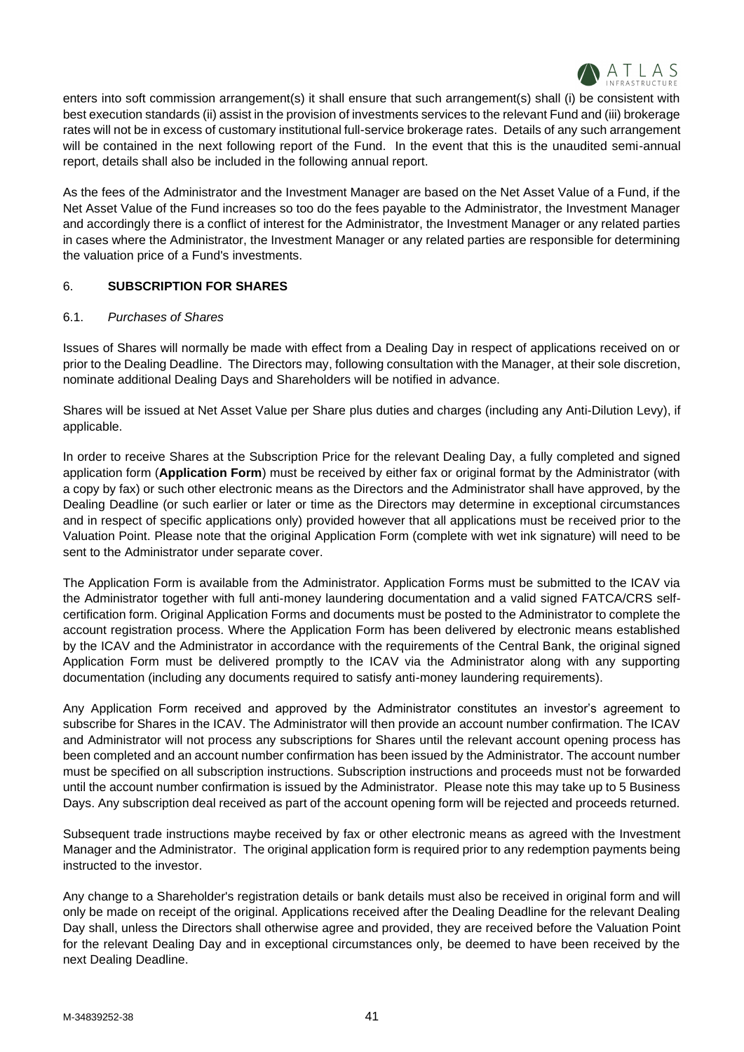

enters into soft commission arrangement(s) it shall ensure that such arrangement(s) shall (i) be consistent with best execution standards (ii) assist in the provision of investments services to the relevant Fund and (iii) brokerage rates will not be in excess of customary institutional full-service brokerage rates. Details of any such arrangement will be contained in the next following report of the Fund. In the event that this is the unaudited semi-annual report, details shall also be included in the following annual report.

As the fees of the Administrator and the Investment Manager are based on the Net Asset Value of a Fund, if the Net Asset Value of the Fund increases so too do the fees payable to the Administrator, the Investment Manager and accordingly there is a conflict of interest for the Administrator, the Investment Manager or any related parties in cases where the Administrator, the Investment Manager or any related parties are responsible for determining the valuation price of a Fund's investments.

## 6. **SUBSCRIPTION FOR SHARES**

### 6.1. *Purchases of Shares*

Issues of Shares will normally be made with effect from a Dealing Day in respect of applications received on or prior to the Dealing Deadline. The Directors may, following consultation with the Manager, at their sole discretion, nominate additional Dealing Days and Shareholders will be notified in advance.

Shares will be issued at Net Asset Value per Share plus duties and charges (including any Anti-Dilution Levy), if applicable.

In order to receive Shares at the Subscription Price for the relevant Dealing Day, a fully completed and signed application form (**Application Form**) must be received by either fax or original format by the Administrator (with a copy by fax) or such other electronic means as the Directors and the Administrator shall have approved, by the Dealing Deadline (or such earlier or later or time as the Directors may determine in exceptional circumstances and in respect of specific applications only) provided however that all applications must be received prior to the Valuation Point. Please note that the original Application Form (complete with wet ink signature) will need to be sent to the Administrator under separate cover.

The Application Form is available from the Administrator. Application Forms must be submitted to the ICAV via the Administrator together with full anti-money laundering documentation and a valid signed FATCA/CRS selfcertification form. Original Application Forms and documents must be posted to the Administrator to complete the account registration process. Where the Application Form has been delivered by electronic means established by the ICAV and the Administrator in accordance with the requirements of the Central Bank, the original signed Application Form must be delivered promptly to the ICAV via the Administrator along with any supporting documentation (including any documents required to satisfy anti-money laundering requirements).

Any Application Form received and approved by the Administrator constitutes an investor's agreement to subscribe for Shares in the ICAV. The Administrator will then provide an account number confirmation. The ICAV and Administrator will not process any subscriptions for Shares until the relevant account opening process has been completed and an account number confirmation has been issued by the Administrator. The account number must be specified on all subscription instructions. Subscription instructions and proceeds must not be forwarded until the account number confirmation is issued by the Administrator. Please note this may take up to 5 Business Days. Any subscription deal received as part of the account opening form will be rejected and proceeds returned.

Subsequent trade instructions maybe received by fax or other electronic means as agreed with the Investment Manager and the Administrator. The original application form is required prior to any redemption payments being instructed to the investor.

Any change to a Shareholder's registration details or bank details must also be received in original form and will only be made on receipt of the original. Applications received after the Dealing Deadline for the relevant Dealing Day shall, unless the Directors shall otherwise agree and provided, they are received before the Valuation Point for the relevant Dealing Day and in exceptional circumstances only, be deemed to have been received by the next Dealing Deadline.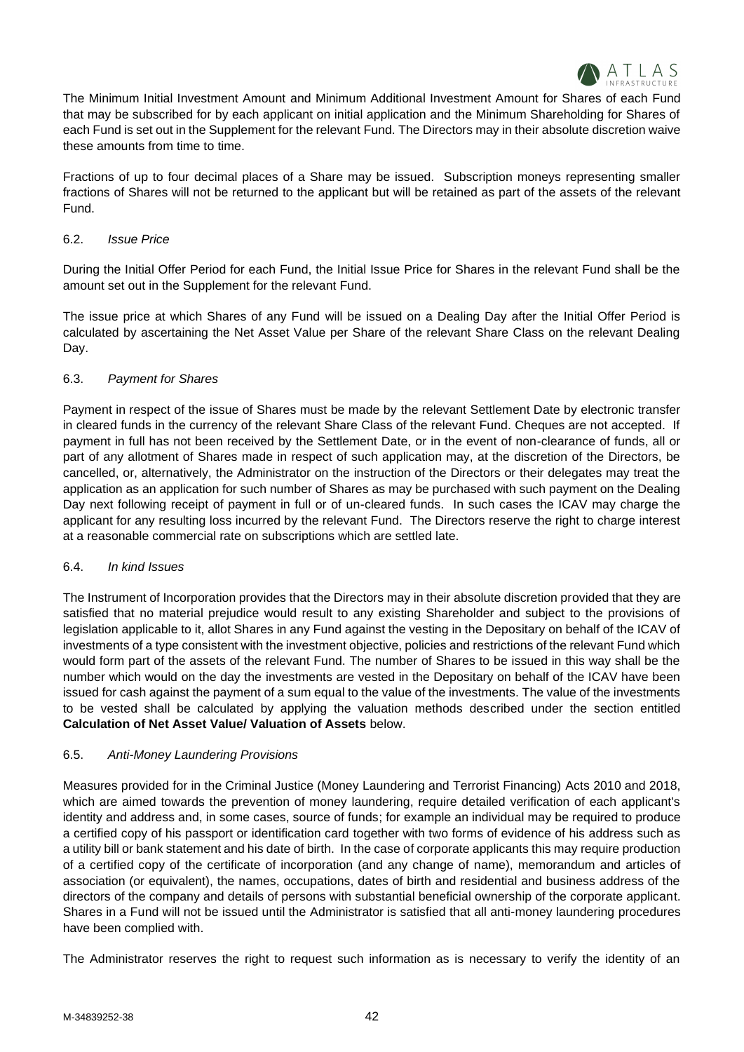

The Minimum Initial Investment Amount and Minimum Additional Investment Amount for Shares of each Fund that may be subscribed for by each applicant on initial application and the Minimum Shareholding for Shares of each Fund is set out in the Supplement for the relevant Fund. The Directors may in their absolute discretion waive these amounts from time to time.

Fractions of up to four decimal places of a Share may be issued. Subscription moneys representing smaller fractions of Shares will not be returned to the applicant but will be retained as part of the assets of the relevant Fund.

## 6.2. *Issue Price*

During the Initial Offer Period for each Fund, the Initial Issue Price for Shares in the relevant Fund shall be the amount set out in the Supplement for the relevant Fund.

The issue price at which Shares of any Fund will be issued on a Dealing Day after the Initial Offer Period is calculated by ascertaining the Net Asset Value per Share of the relevant Share Class on the relevant Dealing Day.

### 6.3. *Payment for Shares*

Payment in respect of the issue of Shares must be made by the relevant Settlement Date by electronic transfer in cleared funds in the currency of the relevant Share Class of the relevant Fund. Cheques are not accepted. If payment in full has not been received by the Settlement Date, or in the event of non-clearance of funds, all or part of any allotment of Shares made in respect of such application may, at the discretion of the Directors, be cancelled, or, alternatively, the Administrator on the instruction of the Directors or their delegates may treat the application as an application for such number of Shares as may be purchased with such payment on the Dealing Day next following receipt of payment in full or of un-cleared funds. In such cases the ICAV may charge the applicant for any resulting loss incurred by the relevant Fund. The Directors reserve the right to charge interest at a reasonable commercial rate on subscriptions which are settled late.

## 6.4. *In kind Issues*

The Instrument of Incorporation provides that the Directors may in their absolute discretion provided that they are satisfied that no material prejudice would result to any existing Shareholder and subject to the provisions of legislation applicable to it, allot Shares in any Fund against the vesting in the Depositary on behalf of the ICAV of investments of a type consistent with the investment objective, policies and restrictions of the relevant Fund which would form part of the assets of the relevant Fund. The number of Shares to be issued in this way shall be the number which would on the day the investments are vested in the Depositary on behalf of the ICAV have been issued for cash against the payment of a sum equal to the value of the investments. The value of the investments to be vested shall be calculated by applying the valuation methods described under the section entitled **Calculation of Net Asset Value/ Valuation of Assets** below.

## 6.5. *Anti-Money Laundering Provisions*

Measures provided for in the Criminal Justice (Money Laundering and Terrorist Financing) Acts 2010 and 2018, which are aimed towards the prevention of money laundering, require detailed verification of each applicant's identity and address and, in some cases, source of funds; for example an individual may be required to produce a certified copy of his passport or identification card together with two forms of evidence of his address such as a utility bill or bank statement and his date of birth. In the case of corporate applicants this may require production of a certified copy of the certificate of incorporation (and any change of name), memorandum and articles of association (or equivalent), the names, occupations, dates of birth and residential and business address of the directors of the company and details of persons with substantial beneficial ownership of the corporate applicant. Shares in a Fund will not be issued until the Administrator is satisfied that all anti-money laundering procedures have been complied with.

The Administrator reserves the right to request such information as is necessary to verify the identity of an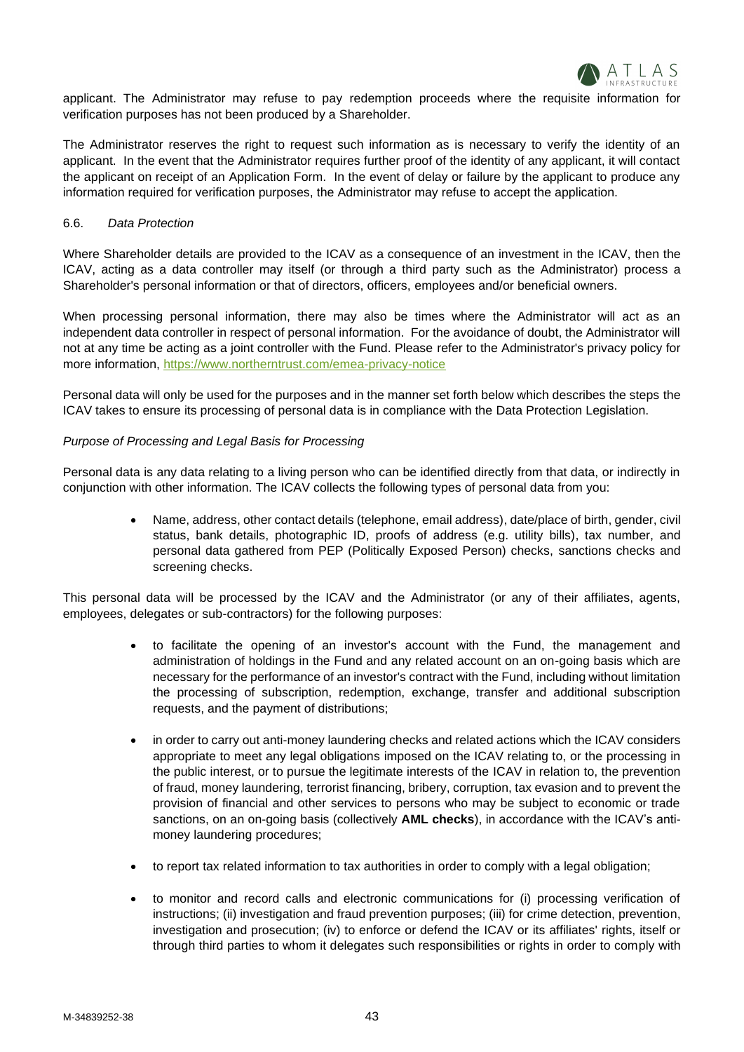

applicant. The Administrator may refuse to pay redemption proceeds where the requisite information for verification purposes has not been produced by a Shareholder.

The Administrator reserves the right to request such information as is necessary to verify the identity of an applicant. In the event that the Administrator requires further proof of the identity of any applicant, it will contact the applicant on receipt of an Application Form. In the event of delay or failure by the applicant to produce any information required for verification purposes, the Administrator may refuse to accept the application.

#### 6.6. *Data Protection*

Where Shareholder details are provided to the ICAV as a consequence of an investment in the ICAV, then the ICAV, acting as a data controller may itself (or through a third party such as the Administrator) process a Shareholder's personal information or that of directors, officers, employees and/or beneficial owners.

When processing personal information, there may also be times where the Administrator will act as an independent data controller in respect of personal information. For the avoidance of doubt, the Administrator will not at any time be acting as a joint controller with the Fund. Please refer to the Administrator's privacy policy for more information, <https://www.northerntrust.com/emea-privacy-notice>

Personal data will only be used for the purposes and in the manner set forth below which describes the steps the ICAV takes to ensure its processing of personal data is in compliance with the Data Protection Legislation.

### *Purpose of Processing and Legal Basis for Processing*

Personal data is any data relating to a living person who can be identified directly from that data, or indirectly in conjunction with other information. The ICAV collects the following types of personal data from you:

> • Name, address, other contact details (telephone, email address), date/place of birth, gender, civil status, bank details, photographic ID, proofs of address (e.g. utility bills), tax number, and personal data gathered from PEP (Politically Exposed Person) checks, sanctions checks and screening checks.

This personal data will be processed by the ICAV and the Administrator (or any of their affiliates, agents, employees, delegates or sub-contractors) for the following purposes:

- to facilitate the opening of an investor's account with the Fund, the management and administration of holdings in the Fund and any related account on an on-going basis which are necessary for the performance of an investor's contract with the Fund, including without limitation the processing of subscription, redemption, exchange, transfer and additional subscription requests, and the payment of distributions;
- in order to carry out anti-money laundering checks and related actions which the ICAV considers appropriate to meet any legal obligations imposed on the ICAV relating to, or the processing in the public interest, or to pursue the legitimate interests of the ICAV in relation to, the prevention of fraud, money laundering, terrorist financing, bribery, corruption, tax evasion and to prevent the provision of financial and other services to persons who may be subject to economic or trade sanctions, on an on-going basis (collectively **AML checks**), in accordance with the ICAV's antimoney laundering procedures;
- to report tax related information to tax authorities in order to comply with a legal obligation;
- to monitor and record calls and electronic communications for (i) processing verification of instructions; (ii) investigation and fraud prevention purposes; (iii) for crime detection, prevention, investigation and prosecution; (iv) to enforce or defend the ICAV or its affiliates' rights, itself or through third parties to whom it delegates such responsibilities or rights in order to comply with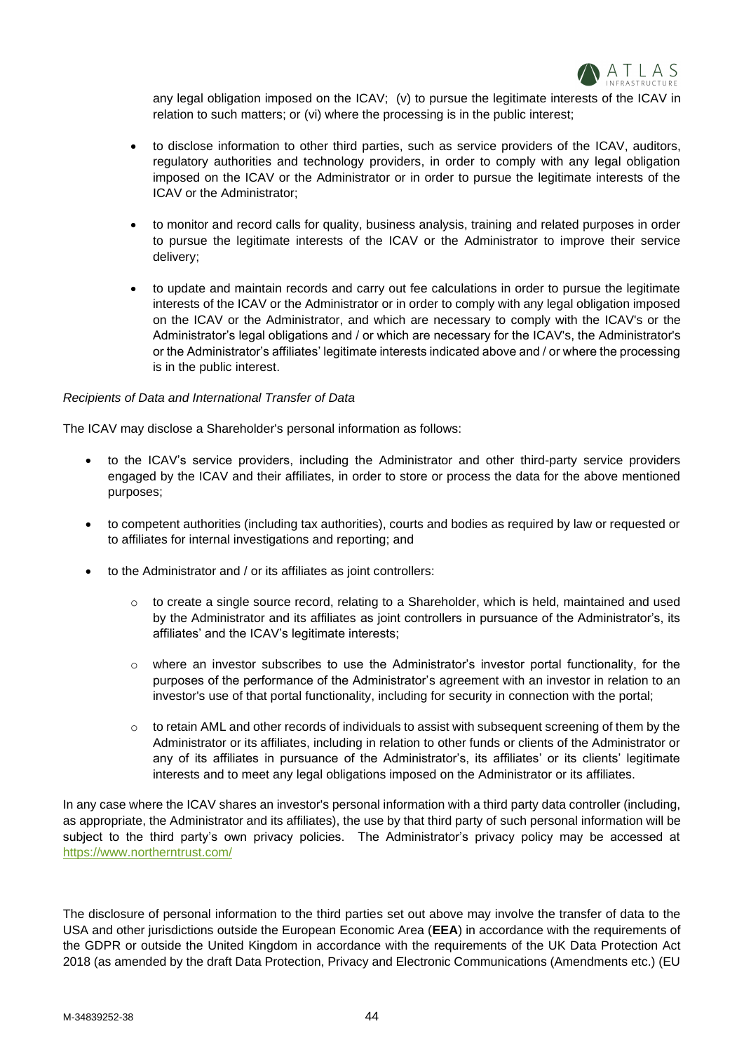

any legal obligation imposed on the ICAV; (v) to pursue the legitimate interests of the ICAV in relation to such matters; or (vi) where the processing is in the public interest;

- to disclose information to other third parties, such as service providers of the ICAV, auditors, regulatory authorities and technology providers, in order to comply with any legal obligation imposed on the ICAV or the Administrator or in order to pursue the legitimate interests of the ICAV or the Administrator;
- to monitor and record calls for quality, business analysis, training and related purposes in order to pursue the legitimate interests of the ICAV or the Administrator to improve their service delivery;
- to update and maintain records and carry out fee calculations in order to pursue the legitimate interests of the ICAV or the Administrator or in order to comply with any legal obligation imposed on the ICAV or the Administrator, and which are necessary to comply with the ICAV's or the Administrator's legal obligations and / or which are necessary for the ICAV's, the Administrator's or the Administrator's affiliates' legitimate interests indicated above and / or where the processing is in the public interest.

### *Recipients of Data and International Transfer of Data*

The ICAV may disclose a Shareholder's personal information as follows:

- to the ICAV's service providers, including the Administrator and other third-party service providers engaged by the ICAV and their affiliates, in order to store or process the data for the above mentioned purposes;
- to competent authorities (including tax authorities), courts and bodies as required by law or requested or to affiliates for internal investigations and reporting; and
- to the Administrator and / or its affiliates as joint controllers:
	- $\circ$  to create a single source record, relating to a Shareholder, which is held, maintained and used by the Administrator and its affiliates as joint controllers in pursuance of the Administrator's, its affiliates' and the ICAV's legitimate interests;
	- $\circ$  where an investor subscribes to use the Administrator's investor portal functionality, for the purposes of the performance of the Administrator's agreement with an investor in relation to an investor's use of that portal functionality, including for security in connection with the portal;
	- $\circ$  to retain AML and other records of individuals to assist with subsequent screening of them by the Administrator or its affiliates, including in relation to other funds or clients of the Administrator or any of its affiliates in pursuance of the Administrator's, its affiliates' or its clients' legitimate interests and to meet any legal obligations imposed on the Administrator or its affiliates.

In any case where the ICAV shares an investor's personal information with a third party data controller (including, as appropriate, the Administrator and its affiliates), the use by that third party of such personal information will be subject to the third party's own privacy policies. The Administrator's privacy policy may be accessed at <https://www.northerntrust.com/>

The disclosure of personal information to the third parties set out above may involve the transfer of data to the USA and other jurisdictions outside the European Economic Area (**EEA**) in accordance with the requirements of the GDPR or outside the United Kingdom in accordance with the requirements of the UK Data Protection Act 2018 (as amended by the draft Data Protection, Privacy and Electronic Communications (Amendments etc.) (EU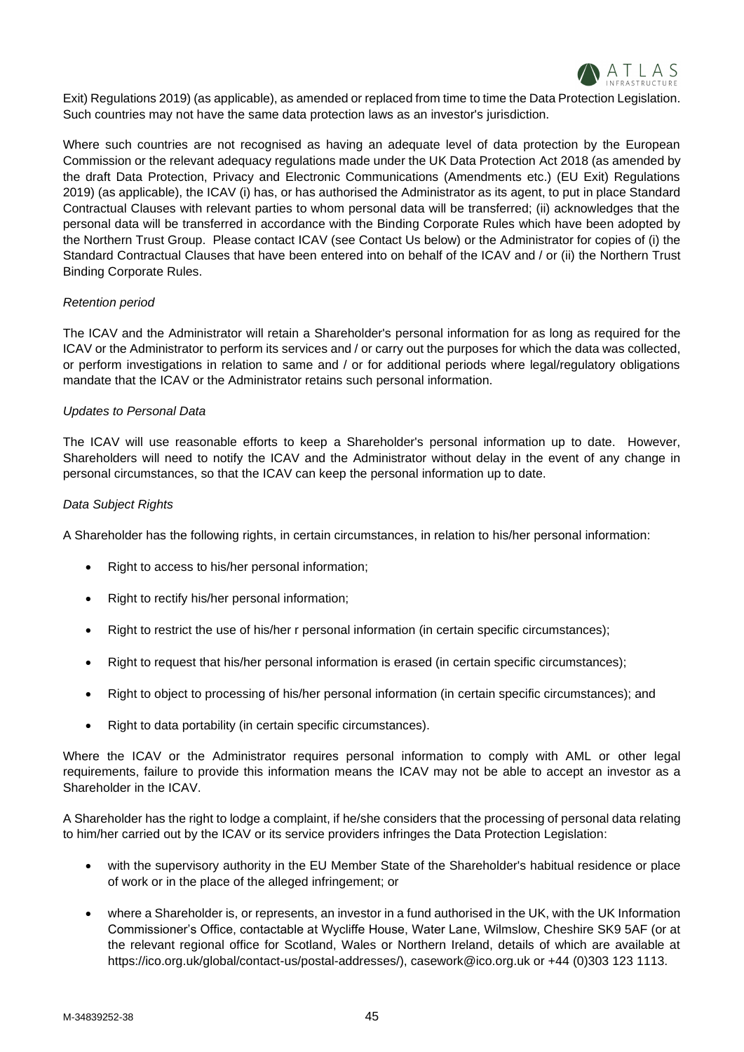

Exit) Regulations 2019) (as applicable), as amended or replaced from time to time the Data Protection Legislation. Such countries may not have the same data protection laws as an investor's jurisdiction.

Where such countries are not recognised as having an adequate level of data protection by the European Commission or the relevant adequacy regulations made under the UK Data Protection Act 2018 (as amended by the draft Data Protection, Privacy and Electronic Communications (Amendments etc.) (EU Exit) Regulations 2019) (as applicable), the ICAV (i) has, or has authorised the Administrator as its agent, to put in place Standard Contractual Clauses with relevant parties to whom personal data will be transferred; (ii) acknowledges that the personal data will be transferred in accordance with the Binding Corporate Rules which have been adopted by the Northern Trust Group. Please contact ICAV (see Contact Us below) or the Administrator for copies of (i) the Standard Contractual Clauses that have been entered into on behalf of the ICAV and / or (ii) the Northern Trust Binding Corporate Rules.

#### *Retention period*

The ICAV and the Administrator will retain a Shareholder's personal information for as long as required for the ICAV or the Administrator to perform its services and / or carry out the purposes for which the data was collected, or perform investigations in relation to same and / or for additional periods where legal/regulatory obligations mandate that the ICAV or the Administrator retains such personal information.

### *Updates to Personal Data*

The ICAV will use reasonable efforts to keep a Shareholder's personal information up to date. However, Shareholders will need to notify the ICAV and the Administrator without delay in the event of any change in personal circumstances, so that the ICAV can keep the personal information up to date.

### *Data Subject Rights*

A Shareholder has the following rights, in certain circumstances, in relation to his/her personal information:

- Right to access to his/her personal information;
- Right to rectify his/her personal information;
- Right to restrict the use of his/her r personal information (in certain specific circumstances);
- Right to request that his/her personal information is erased (in certain specific circumstances);
- Right to object to processing of his/her personal information (in certain specific circumstances); and
- Right to data portability (in certain specific circumstances).

Where the ICAV or the Administrator requires personal information to comply with AML or other legal requirements, failure to provide this information means the ICAV may not be able to accept an investor as a Shareholder in the ICAV.

A Shareholder has the right to lodge a complaint, if he/she considers that the processing of personal data relating to him/her carried out by the ICAV or its service providers infringes the Data Protection Legislation:

- with the supervisory authority in the EU Member State of the Shareholder's habitual residence or place of work or in the place of the alleged infringement; or
- where a Shareholder is, or represents, an investor in a fund authorised in the UK, with the UK Information Commissioner's Office, contactable at Wycliffe House, Water Lane, Wilmslow, Cheshire SK9 5AF (or at the relevant regional office for Scotland, Wales or Northern Ireland, details of which are available at https://ico.org.uk/global/contact-us/postal-addresses/), casework@ico.org.uk or +44 (0)303 123 1113.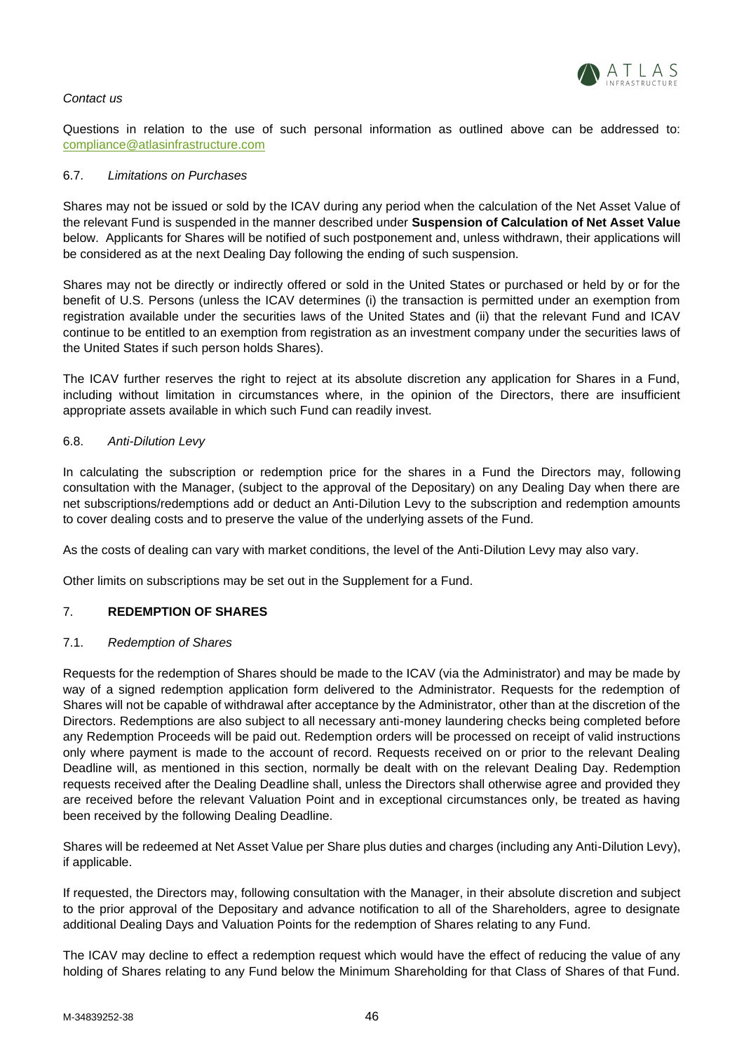

## *Contact us*

Questions in relation to the use of such personal information as outlined above can be addressed to: [compliance@atlasinfrastructure.com](mailto:compliance@atlasinfrastructure.com)

#### 6.7. *Limitations on Purchases*

Shares may not be issued or sold by the ICAV during any period when the calculation of the Net Asset Value of the relevant Fund is suspended in the manner described under **Suspension of Calculation of Net Asset Value** below. Applicants for Shares will be notified of such postponement and, unless withdrawn, their applications will be considered as at the next Dealing Day following the ending of such suspension.

Shares may not be directly or indirectly offered or sold in the United States or purchased or held by or for the benefit of U.S. Persons (unless the ICAV determines (i) the transaction is permitted under an exemption from registration available under the securities laws of the United States and (ii) that the relevant Fund and ICAV continue to be entitled to an exemption from registration as an investment company under the securities laws of the United States if such person holds Shares).

The ICAV further reserves the right to reject at its absolute discretion any application for Shares in a Fund, including without limitation in circumstances where, in the opinion of the Directors, there are insufficient appropriate assets available in which such Fund can readily invest.

### 6.8. *Anti-Dilution Levy*

In calculating the subscription or redemption price for the shares in a Fund the Directors may, following consultation with the Manager, (subject to the approval of the Depositary) on any Dealing Day when there are net subscriptions/redemptions add or deduct an Anti-Dilution Levy to the subscription and redemption amounts to cover dealing costs and to preserve the value of the underlying assets of the Fund.

As the costs of dealing can vary with market conditions, the level of the Anti-Dilution Levy may also vary.

Other limits on subscriptions may be set out in the Supplement for a Fund.

### 7. **REDEMPTION OF SHARES**

#### 7.1. *Redemption of Shares*

Requests for the redemption of Shares should be made to the ICAV (via the Administrator) and may be made by way of a signed redemption application form delivered to the Administrator. Requests for the redemption of Shares will not be capable of withdrawal after acceptance by the Administrator, other than at the discretion of the Directors. Redemptions are also subject to all necessary anti-money laundering checks being completed before any Redemption Proceeds will be paid out. Redemption orders will be processed on receipt of valid instructions only where payment is made to the account of record. Requests received on or prior to the relevant Dealing Deadline will, as mentioned in this section, normally be dealt with on the relevant Dealing Day. Redemption requests received after the Dealing Deadline shall, unless the Directors shall otherwise agree and provided they are received before the relevant Valuation Point and in exceptional circumstances only, be treated as having been received by the following Dealing Deadline.

Shares will be redeemed at Net Asset Value per Share plus duties and charges (including any Anti-Dilution Levy), if applicable.

If requested, the Directors may, following consultation with the Manager, in their absolute discretion and subject to the prior approval of the Depositary and advance notification to all of the Shareholders, agree to designate additional Dealing Days and Valuation Points for the redemption of Shares relating to any Fund.

The ICAV may decline to effect a redemption request which would have the effect of reducing the value of any holding of Shares relating to any Fund below the Minimum Shareholding for that Class of Shares of that Fund.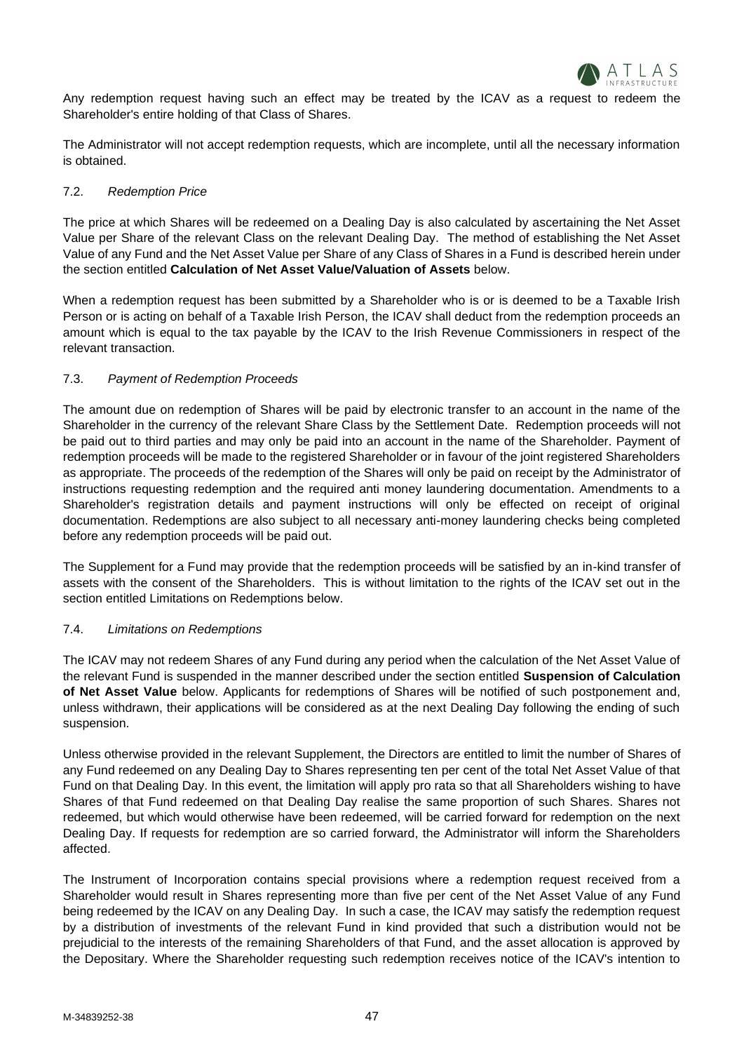

Any redemption request having such an effect may be treated by the ICAV as a request to redeem the Shareholder's entire holding of that Class of Shares.

The Administrator will not accept redemption requests, which are incomplete, until all the necessary information is obtained.

## 7.2. *Redemption Price*

The price at which Shares will be redeemed on a Dealing Day is also calculated by ascertaining the Net Asset Value per Share of the relevant Class on the relevant Dealing Day. The method of establishing the Net Asset Value of any Fund and the Net Asset Value per Share of any Class of Shares in a Fund is described herein under the section entitled **Calculation of Net Asset Value/Valuation of Assets** below.

When a redemption request has been submitted by a Shareholder who is or is deemed to be a Taxable Irish Person or is acting on behalf of a Taxable Irish Person, the ICAV shall deduct from the redemption proceeds an amount which is equal to the tax payable by the ICAV to the Irish Revenue Commissioners in respect of the relevant transaction.

### 7.3. *Payment of Redemption Proceeds*

The amount due on redemption of Shares will be paid by electronic transfer to an account in the name of the Shareholder in the currency of the relevant Share Class by the Settlement Date. Redemption proceeds will not be paid out to third parties and may only be paid into an account in the name of the Shareholder. Payment of redemption proceeds will be made to the registered Shareholder or in favour of the joint registered Shareholders as appropriate. The proceeds of the redemption of the Shares will only be paid on receipt by the Administrator of instructions requesting redemption and the required anti money laundering documentation. Amendments to a Shareholder's registration details and payment instructions will only be effected on receipt of original documentation. Redemptions are also subject to all necessary anti-money laundering checks being completed before any redemption proceeds will be paid out.

The Supplement for a Fund may provide that the redemption proceeds will be satisfied by an in-kind transfer of assets with the consent of the Shareholders. This is without limitation to the rights of the ICAV set out in the section entitled Limitations on Redemptions below.

## 7.4. *Limitations on Redemptions*

The ICAV may not redeem Shares of any Fund during any period when the calculation of the Net Asset Value of the relevant Fund is suspended in the manner described under the section entitled **Suspension of Calculation of Net Asset Value** below. Applicants for redemptions of Shares will be notified of such postponement and, unless withdrawn, their applications will be considered as at the next Dealing Day following the ending of such suspension.

Unless otherwise provided in the relevant Supplement, the Directors are entitled to limit the number of Shares of any Fund redeemed on any Dealing Day to Shares representing ten per cent of the total Net Asset Value of that Fund on that Dealing Day. In this event, the limitation will apply pro rata so that all Shareholders wishing to have Shares of that Fund redeemed on that Dealing Day realise the same proportion of such Shares. Shares not redeemed, but which would otherwise have been redeemed, will be carried forward for redemption on the next Dealing Day. If requests for redemption are so carried forward, the Administrator will inform the Shareholders affected.

The Instrument of Incorporation contains special provisions where a redemption request received from a Shareholder would result in Shares representing more than five per cent of the Net Asset Value of any Fund being redeemed by the ICAV on any Dealing Day. In such a case, the ICAV may satisfy the redemption request by a distribution of investments of the relevant Fund in kind provided that such a distribution would not be prejudicial to the interests of the remaining Shareholders of that Fund, and the asset allocation is approved by the Depositary. Where the Shareholder requesting such redemption receives notice of the ICAV's intention to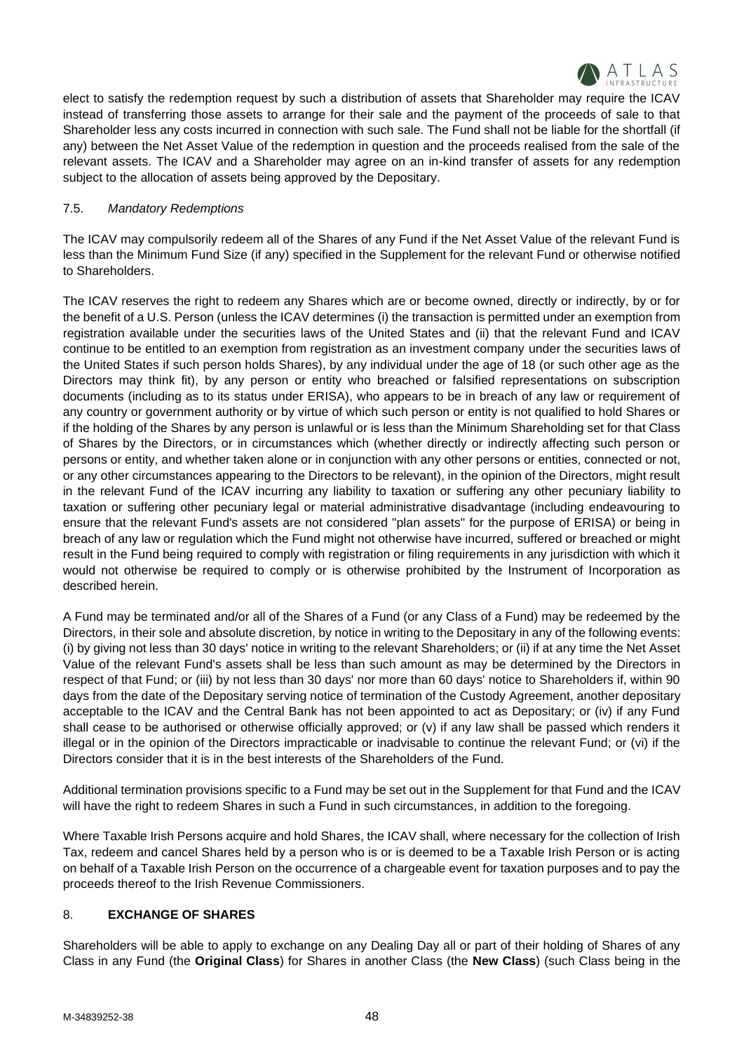

elect to satisfy the redemption request by such a distribution of assets that Shareholder may require the ICAV instead of transferring those assets to arrange for their sale and the payment of the proceeds of sale to that Shareholder less any costs incurred in connection with such sale. The Fund shall not be liable for the shortfall (if any) between the Net Asset Value of the redemption in question and the proceeds realised from the sale of the relevant assets. The ICAV and a Shareholder may agree on an in-kind transfer of assets for any redemption subject to the allocation of assets being approved by the Depositary.

## 7.5. *Mandatory Redemptions*

The ICAV may compulsorily redeem all of the Shares of any Fund if the Net Asset Value of the relevant Fund is less than the Minimum Fund Size (if any) specified in the Supplement for the relevant Fund or otherwise notified to Shareholders.

The ICAV reserves the right to redeem any Shares which are or become owned, directly or indirectly, by or for the benefit of a U.S. Person (unless the ICAV determines (i) the transaction is permitted under an exemption from registration available under the securities laws of the United States and (ii) that the relevant Fund and ICAV continue to be entitled to an exemption from registration as an investment company under the securities laws of the United States if such person holds Shares), by any individual under the age of 18 (or such other age as the Directors may think fit), by any person or entity who breached or falsified representations on subscription documents (including as to its status under ERISA), who appears to be in breach of any law or requirement of any country or government authority or by virtue of which such person or entity is not qualified to hold Shares or if the holding of the Shares by any person is unlawful or is less than the Minimum Shareholding set for that Class of Shares by the Directors, or in circumstances which (whether directly or indirectly affecting such person or persons or entity, and whether taken alone or in conjunction with any other persons or entities, connected or not, or any other circumstances appearing to the Directors to be relevant), in the opinion of the Directors, might result in the relevant Fund of the ICAV incurring any liability to taxation or suffering any other pecuniary liability to taxation or suffering other pecuniary legal or material administrative disadvantage (including endeavouring to ensure that the relevant Fund's assets are not considered "plan assets" for the purpose of ERISA) or being in breach of any law or regulation which the Fund might not otherwise have incurred, suffered or breached or might result in the Fund being required to comply with registration or filing requirements in any jurisdiction with which it would not otherwise be required to comply or is otherwise prohibited by the Instrument of Incorporation as described herein.

A Fund may be terminated and/or all of the Shares of a Fund (or any Class of a Fund) may be redeemed by the Directors, in their sole and absolute discretion, by notice in writing to the Depositary in any of the following events: (i) by giving not less than 30 days' notice in writing to the relevant Shareholders; or (ii) if at any time the Net Asset Value of the relevant Fund's assets shall be less than such amount as may be determined by the Directors in respect of that Fund; or (iii) by not less than 30 days' nor more than 60 days' notice to Shareholders if, within 90 days from the date of the Depositary serving notice of termination of the Custody Agreement, another depositary acceptable to the ICAV and the Central Bank has not been appointed to act as Depositary; or (iv) if any Fund shall cease to be authorised or otherwise officially approved; or (v) if any law shall be passed which renders it illegal or in the opinion of the Directors impracticable or inadvisable to continue the relevant Fund; or (vi) if the Directors consider that it is in the best interests of the Shareholders of the Fund.

Additional termination provisions specific to a Fund may be set out in the Supplement for that Fund and the ICAV will have the right to redeem Shares in such a Fund in such circumstances, in addition to the foregoing.

Where Taxable Irish Persons acquire and hold Shares, the ICAV shall, where necessary for the collection of Irish Tax, redeem and cancel Shares held by a person who is or is deemed to be a Taxable Irish Person or is acting on behalf of a Taxable Irish Person on the occurrence of a chargeable event for taxation purposes and to pay the proceeds thereof to the Irish Revenue Commissioners.

## 8. **EXCHANGE OF SHARES**

Shareholders will be able to apply to exchange on any Dealing Day all or part of their holding of Shares of any Class in any Fund (the **Original Class**) for Shares in another Class (the **New Class**) (such Class being in the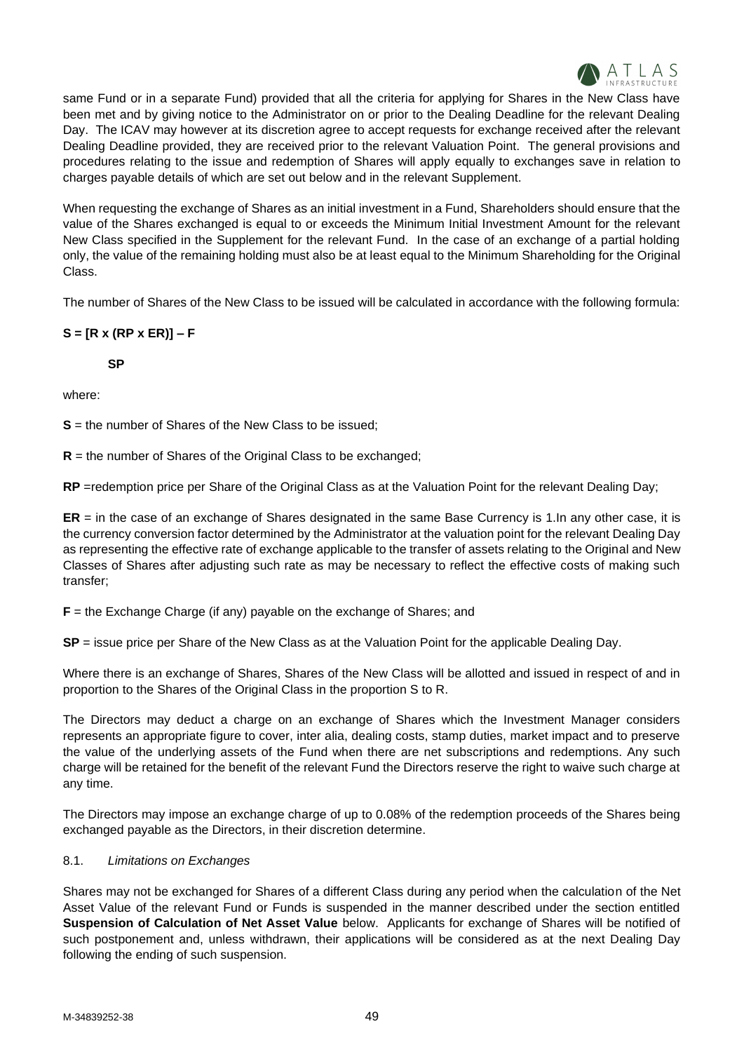

same Fund or in a separate Fund) provided that all the criteria for applying for Shares in the New Class have been met and by giving notice to the Administrator on or prior to the Dealing Deadline for the relevant Dealing Day. The ICAV may however at its discretion agree to accept requests for exchange received after the relevant Dealing Deadline provided, they are received prior to the relevant Valuation Point. The general provisions and procedures relating to the issue and redemption of Shares will apply equally to exchanges save in relation to charges payable details of which are set out below and in the relevant Supplement.

When requesting the exchange of Shares as an initial investment in a Fund, Shareholders should ensure that the value of the Shares exchanged is equal to or exceeds the Minimum Initial Investment Amount for the relevant New Class specified in the Supplement for the relevant Fund. In the case of an exchange of a partial holding only, the value of the remaining holding must also be at least equal to the Minimum Shareholding for the Original Class.

The number of Shares of the New Class to be issued will be calculated in accordance with the following formula:

# **S = [R x (RP x ER)] – F**

### **SP**

where:

**S** = the number of Shares of the New Class to be issued;

**R** = the number of Shares of the Original Class to be exchanged;

**RP** =redemption price per Share of the Original Class as at the Valuation Point for the relevant Dealing Day;

**ER** = in the case of an exchange of Shares designated in the same Base Currency is 1.In any other case, it is the currency conversion factor determined by the Administrator at the valuation point for the relevant Dealing Day as representing the effective rate of exchange applicable to the transfer of assets relating to the Original and New Classes of Shares after adjusting such rate as may be necessary to reflect the effective costs of making such transfer;

**F** = the Exchange Charge (if any) payable on the exchange of Shares; and

**SP** = issue price per Share of the New Class as at the Valuation Point for the applicable Dealing Day.

Where there is an exchange of Shares, Shares of the New Class will be allotted and issued in respect of and in proportion to the Shares of the Original Class in the proportion S to R.

The Directors may deduct a charge on an exchange of Shares which the Investment Manager considers represents an appropriate figure to cover, inter alia, dealing costs, stamp duties, market impact and to preserve the value of the underlying assets of the Fund when there are net subscriptions and redemptions. Any such charge will be retained for the benefit of the relevant Fund the Directors reserve the right to waive such charge at any time.

The Directors may impose an exchange charge of up to 0.08% of the redemption proceeds of the Shares being exchanged payable as the Directors, in their discretion determine.

## 8.1. *Limitations on Exchanges*

Shares may not be exchanged for Shares of a different Class during any period when the calculation of the Net Asset Value of the relevant Fund or Funds is suspended in the manner described under the section entitled **Suspension of Calculation of Net Asset Value** below. Applicants for exchange of Shares will be notified of such postponement and, unless withdrawn, their applications will be considered as at the next Dealing Day following the ending of such suspension.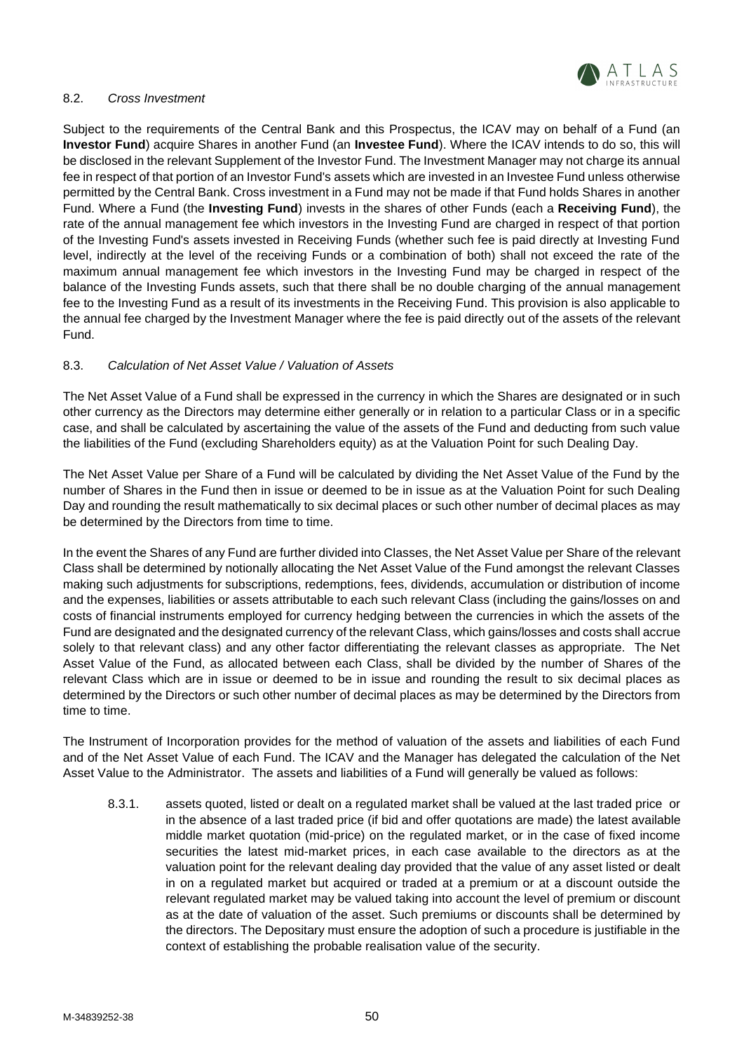

### 8.2. *Cross Investment*

Subject to the requirements of the Central Bank and this Prospectus, the ICAV may on behalf of a Fund (an **Investor Fund**) acquire Shares in another Fund (an **Investee Fund**). Where the ICAV intends to do so, this will be disclosed in the relevant Supplement of the Investor Fund. The Investment Manager may not charge its annual fee in respect of that portion of an Investor Fund's assets which are invested in an Investee Fund unless otherwise permitted by the Central Bank. Cross investment in a Fund may not be made if that Fund holds Shares in another Fund. Where a Fund (the **Investing Fund**) invests in the shares of other Funds (each a **Receiving Fund**), the rate of the annual management fee which investors in the Investing Fund are charged in respect of that portion of the Investing Fund's assets invested in Receiving Funds (whether such fee is paid directly at Investing Fund level, indirectly at the level of the receiving Funds or a combination of both) shall not exceed the rate of the maximum annual management fee which investors in the Investing Fund may be charged in respect of the balance of the Investing Funds assets, such that there shall be no double charging of the annual management fee to the Investing Fund as a result of its investments in the Receiving Fund. This provision is also applicable to the annual fee charged by the Investment Manager where the fee is paid directly out of the assets of the relevant Fund.

## 8.3. *Calculation of Net Asset Value / Valuation of Assets*

The Net Asset Value of a Fund shall be expressed in the currency in which the Shares are designated or in such other currency as the Directors may determine either generally or in relation to a particular Class or in a specific case, and shall be calculated by ascertaining the value of the assets of the Fund and deducting from such value the liabilities of the Fund (excluding Shareholders equity) as at the Valuation Point for such Dealing Day.

The Net Asset Value per Share of a Fund will be calculated by dividing the Net Asset Value of the Fund by the number of Shares in the Fund then in issue or deemed to be in issue as at the Valuation Point for such Dealing Day and rounding the result mathematically to six decimal places or such other number of decimal places as may be determined by the Directors from time to time.

In the event the Shares of any Fund are further divided into Classes, the Net Asset Value per Share of the relevant Class shall be determined by notionally allocating the Net Asset Value of the Fund amongst the relevant Classes making such adjustments for subscriptions, redemptions, fees, dividends, accumulation or distribution of income and the expenses, liabilities or assets attributable to each such relevant Class (including the gains/losses on and costs of financial instruments employed for currency hedging between the currencies in which the assets of the Fund are designated and the designated currency of the relevant Class, which gains/losses and costs shall accrue solely to that relevant class) and any other factor differentiating the relevant classes as appropriate. The Net Asset Value of the Fund, as allocated between each Class, shall be divided by the number of Shares of the relevant Class which are in issue or deemed to be in issue and rounding the result to six decimal places as determined by the Directors or such other number of decimal places as may be determined by the Directors from time to time.

The Instrument of Incorporation provides for the method of valuation of the assets and liabilities of each Fund and of the Net Asset Value of each Fund. The ICAV and the Manager has delegated the calculation of the Net Asset Value to the Administrator. The assets and liabilities of a Fund will generally be valued as follows:

8.3.1. assets quoted, listed or dealt on a regulated market shall be valued at the last traded price or in the absence of a last traded price (if bid and offer quotations are made) the latest available middle market quotation (mid-price) on the regulated market, or in the case of fixed income securities the latest mid-market prices, in each case available to the directors as at the valuation point for the relevant dealing day provided that the value of any asset listed or dealt in on a regulated market but acquired or traded at a premium or at a discount outside the relevant regulated market may be valued taking into account the level of premium or discount as at the date of valuation of the asset. Such premiums or discounts shall be determined by the directors. The Depositary must ensure the adoption of such a procedure is justifiable in the context of establishing the probable realisation value of the security.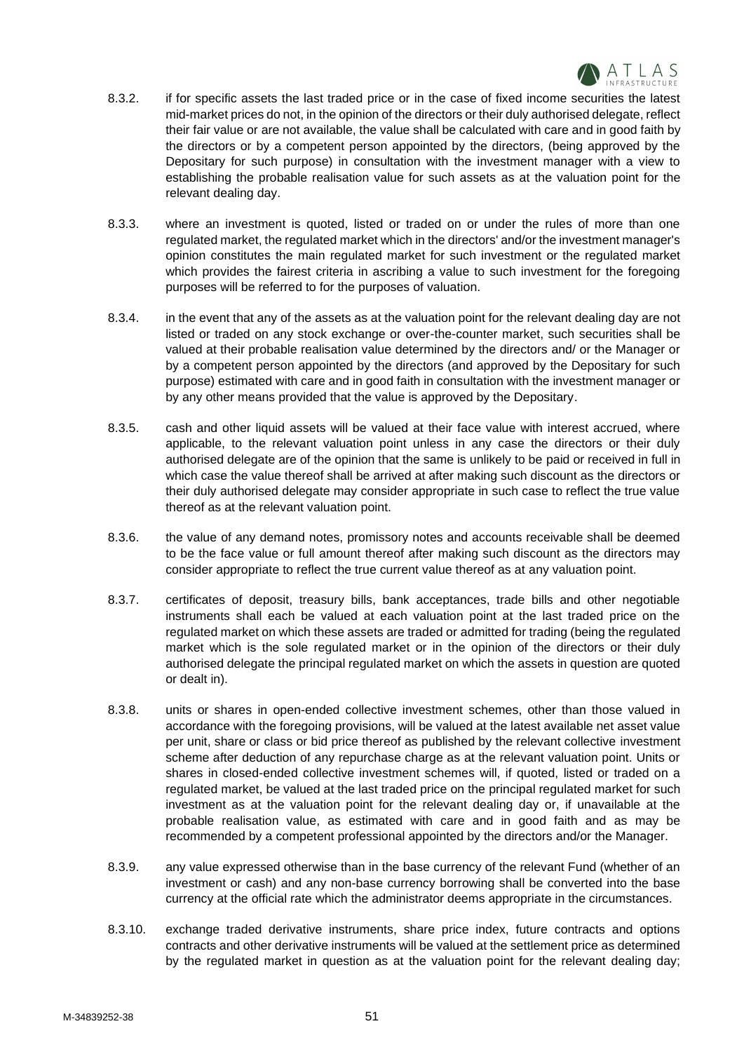

- 8.3.2. if for specific assets the last traded price or in the case of fixed income securities the latest mid-market prices do not, in the opinion of the directors or their duly authorised delegate, reflect their fair value or are not available, the value shall be calculated with care and in good faith by the directors or by a competent person appointed by the directors, (being approved by the Depositary for such purpose) in consultation with the investment manager with a view to establishing the probable realisation value for such assets as at the valuation point for the relevant dealing day.
- 8.3.3. where an investment is quoted, listed or traded on or under the rules of more than one regulated market, the regulated market which in the directors' and/or the investment manager's opinion constitutes the main regulated market for such investment or the regulated market which provides the fairest criteria in ascribing a value to such investment for the foregoing purposes will be referred to for the purposes of valuation.
- 8.3.4. in the event that any of the assets as at the valuation point for the relevant dealing day are not listed or traded on any stock exchange or over-the-counter market, such securities shall be valued at their probable realisation value determined by the directors and/ or the Manager or by a competent person appointed by the directors (and approved by the Depositary for such purpose) estimated with care and in good faith in consultation with the investment manager or by any other means provided that the value is approved by the Depositary.
- 8.3.5. cash and other liquid assets will be valued at their face value with interest accrued, where applicable, to the relevant valuation point unless in any case the directors or their duly authorised delegate are of the opinion that the same is unlikely to be paid or received in full in which case the value thereof shall be arrived at after making such discount as the directors or their duly authorised delegate may consider appropriate in such case to reflect the true value thereof as at the relevant valuation point.
- 8.3.6. the value of any demand notes, promissory notes and accounts receivable shall be deemed to be the face value or full amount thereof after making such discount as the directors may consider appropriate to reflect the true current value thereof as at any valuation point.
- 8.3.7. certificates of deposit, treasury bills, bank acceptances, trade bills and other negotiable instruments shall each be valued at each valuation point at the last traded price on the regulated market on which these assets are traded or admitted for trading (being the regulated market which is the sole regulated market or in the opinion of the directors or their duly authorised delegate the principal regulated market on which the assets in question are quoted or dealt in).
- 8.3.8. units or shares in open-ended collective investment schemes, other than those valued in accordance with the foregoing provisions, will be valued at the latest available net asset value per unit, share or class or bid price thereof as published by the relevant collective investment scheme after deduction of any repurchase charge as at the relevant valuation point. Units or shares in closed-ended collective investment schemes will, if quoted, listed or traded on a regulated market, be valued at the last traded price on the principal regulated market for such investment as at the valuation point for the relevant dealing day or, if unavailable at the probable realisation value, as estimated with care and in good faith and as may be recommended by a competent professional appointed by the directors and/or the Manager.
- 8.3.9. any value expressed otherwise than in the base currency of the relevant Fund (whether of an investment or cash) and any non-base currency borrowing shall be converted into the base currency at the official rate which the administrator deems appropriate in the circumstances.
- 8.3.10. exchange traded derivative instruments, share price index, future contracts and options contracts and other derivative instruments will be valued at the settlement price as determined by the regulated market in question as at the valuation point for the relevant dealing day;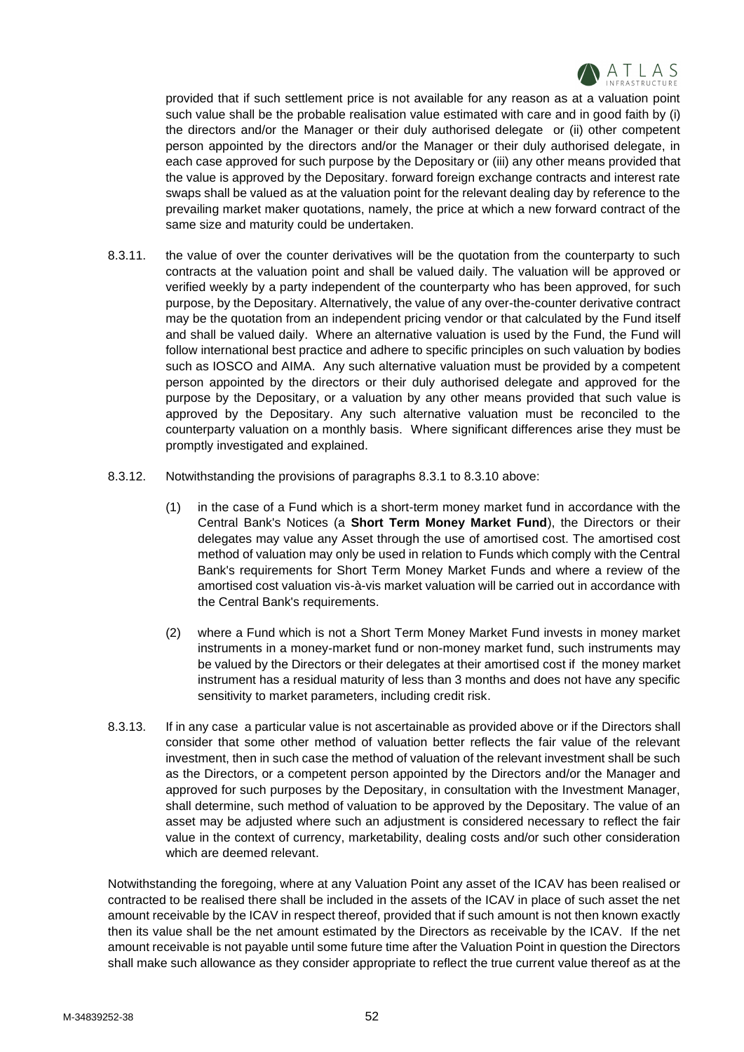

provided that if such settlement price is not available for any reason as at a valuation point such value shall be the probable realisation value estimated with care and in good faith by (i) the directors and/or the Manager or their duly authorised delegate or (ii) other competent person appointed by the directors and/or the Manager or their duly authorised delegate, in each case approved for such purpose by the Depositary or (iii) any other means provided that the value is approved by the Depositary. forward foreign exchange contracts and interest rate swaps shall be valued as at the valuation point for the relevant dealing day by reference to the prevailing market maker quotations, namely, the price at which a new forward contract of the same size and maturity could be undertaken.

- 8.3.11. the value of over the counter derivatives will be the quotation from the counterparty to such contracts at the valuation point and shall be valued daily. The valuation will be approved or verified weekly by a party independent of the counterparty who has been approved, for such purpose, by the Depositary. Alternatively, the value of any over-the-counter derivative contract may be the quotation from an independent pricing vendor or that calculated by the Fund itself and shall be valued daily. Where an alternative valuation is used by the Fund, the Fund will follow international best practice and adhere to specific principles on such valuation by bodies such as IOSCO and AIMA. Any such alternative valuation must be provided by a competent person appointed by the directors or their duly authorised delegate and approved for the purpose by the Depositary, or a valuation by any other means provided that such value is approved by the Depositary. Any such alternative valuation must be reconciled to the counterparty valuation on a monthly basis. Where significant differences arise they must be promptly investigated and explained.
- 8.3.12. Notwithstanding the provisions of paragraphs 8.3.1 to 8.3.10 above:
	- (1) in the case of a Fund which is a short-term money market fund in accordance with the Central Bank's Notices (a **Short Term Money Market Fund**), the Directors or their delegates may value any Asset through the use of amortised cost. The amortised cost method of valuation may only be used in relation to Funds which comply with the Central Bank's requirements for Short Term Money Market Funds and where a review of the amortised cost valuation vis-à-vis market valuation will be carried out in accordance with the Central Bank's requirements.
	- (2) where a Fund which is not a Short Term Money Market Fund invests in money market instruments in a money-market fund or non-money market fund, such instruments may be valued by the Directors or their delegates at their amortised cost if the money market instrument has a residual maturity of less than 3 months and does not have any specific sensitivity to market parameters, including credit risk.
- 8.3.13. If in any case a particular value is not ascertainable as provided above or if the Directors shall consider that some other method of valuation better reflects the fair value of the relevant investment, then in such case the method of valuation of the relevant investment shall be such as the Directors, or a competent person appointed by the Directors and/or the Manager and approved for such purposes by the Depositary, in consultation with the Investment Manager, shall determine, such method of valuation to be approved by the Depositary. The value of an asset may be adjusted where such an adjustment is considered necessary to reflect the fair value in the context of currency, marketability, dealing costs and/or such other consideration which are deemed relevant.

Notwithstanding the foregoing, where at any Valuation Point any asset of the ICAV has been realised or contracted to be realised there shall be included in the assets of the ICAV in place of such asset the net amount receivable by the ICAV in respect thereof, provided that if such amount is not then known exactly then its value shall be the net amount estimated by the Directors as receivable by the ICAV. If the net amount receivable is not payable until some future time after the Valuation Point in question the Directors shall make such allowance as they consider appropriate to reflect the true current value thereof as at the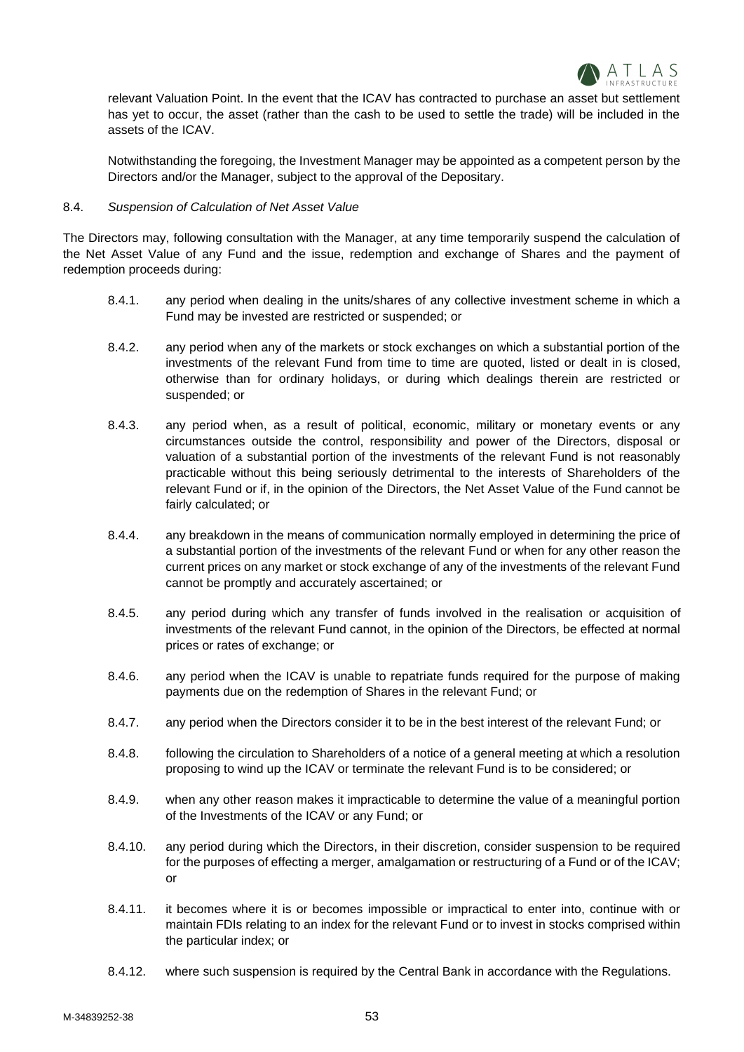

relevant Valuation Point. In the event that the ICAV has contracted to purchase an asset but settlement has yet to occur, the asset (rather than the cash to be used to settle the trade) will be included in the assets of the ICAV.

Notwithstanding the foregoing, the Investment Manager may be appointed as a competent person by the Directors and/or the Manager, subject to the approval of the Depositary.

#### 8.4. *Suspension of Calculation of Net Asset Value*

The Directors may, following consultation with the Manager, at any time temporarily suspend the calculation of the Net Asset Value of any Fund and the issue, redemption and exchange of Shares and the payment of redemption proceeds during:

- 8.4.1. any period when dealing in the units/shares of any collective investment scheme in which a Fund may be invested are restricted or suspended; or
- 8.4.2. any period when any of the markets or stock exchanges on which a substantial portion of the investments of the relevant Fund from time to time are quoted, listed or dealt in is closed, otherwise than for ordinary holidays, or during which dealings therein are restricted or suspended; or
- 8.4.3. any period when, as a result of political, economic, military or monetary events or any circumstances outside the control, responsibility and power of the Directors, disposal or valuation of a substantial portion of the investments of the relevant Fund is not reasonably practicable without this being seriously detrimental to the interests of Shareholders of the relevant Fund or if, in the opinion of the Directors, the Net Asset Value of the Fund cannot be fairly calculated; or
- 8.4.4. any breakdown in the means of communication normally employed in determining the price of a substantial portion of the investments of the relevant Fund or when for any other reason the current prices on any market or stock exchange of any of the investments of the relevant Fund cannot be promptly and accurately ascertained; or
- 8.4.5. any period during which any transfer of funds involved in the realisation or acquisition of investments of the relevant Fund cannot, in the opinion of the Directors, be effected at normal prices or rates of exchange; or
- 8.4.6. any period when the ICAV is unable to repatriate funds required for the purpose of making payments due on the redemption of Shares in the relevant Fund; or
- 8.4.7. any period when the Directors consider it to be in the best interest of the relevant Fund; or
- 8.4.8. following the circulation to Shareholders of a notice of a general meeting at which a resolution proposing to wind up the ICAV or terminate the relevant Fund is to be considered; or
- 8.4.9. when any other reason makes it impracticable to determine the value of a meaningful portion of the Investments of the ICAV or any Fund; or
- 8.4.10. any period during which the Directors, in their discretion, consider suspension to be required for the purposes of effecting a merger, amalgamation or restructuring of a Fund or of the ICAV; or
- 8.4.11. it becomes where it is or becomes impossible or impractical to enter into, continue with or maintain FDIs relating to an index for the relevant Fund or to invest in stocks comprised within the particular index; or
- 8.4.12. where such suspension is required by the Central Bank in accordance with the Regulations.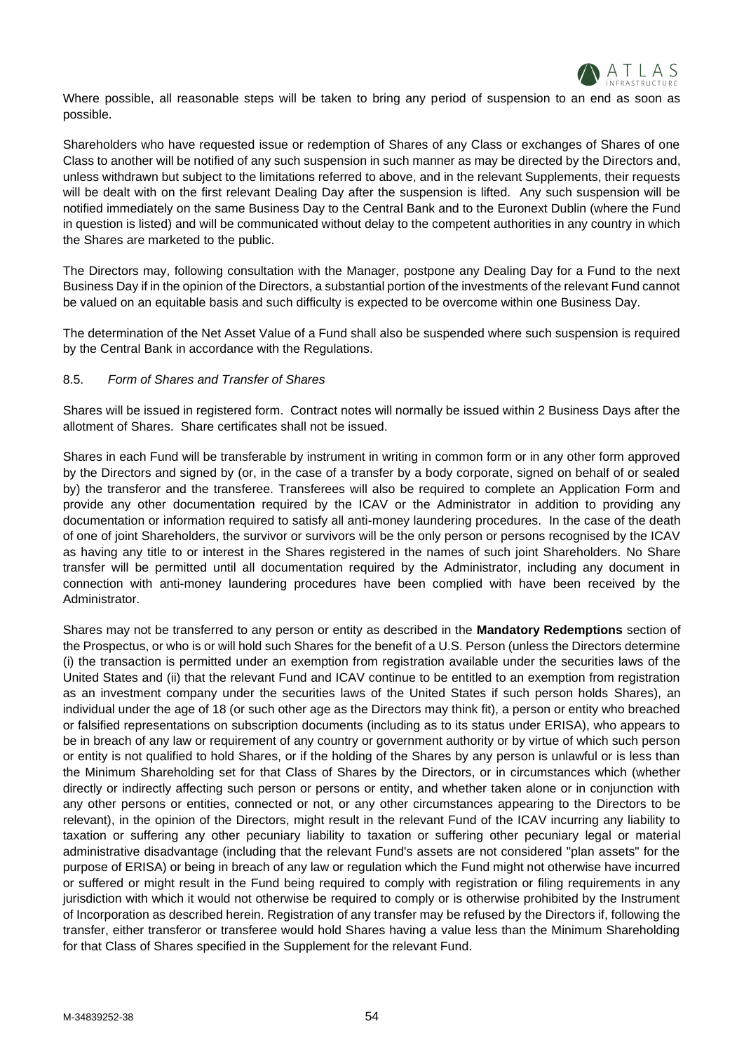

Where possible, all reasonable steps will be taken to bring any period of suspension to an end as soon as possible.

Shareholders who have requested issue or redemption of Shares of any Class or exchanges of Shares of one Class to another will be notified of any such suspension in such manner as may be directed by the Directors and, unless withdrawn but subject to the limitations referred to above, and in the relevant Supplements, their requests will be dealt with on the first relevant Dealing Day after the suspension is lifted. Any such suspension will be notified immediately on the same Business Day to the Central Bank and to the Euronext Dublin (where the Fund in question is listed) and will be communicated without delay to the competent authorities in any country in which the Shares are marketed to the public.

The Directors may, following consultation with the Manager, postpone any Dealing Day for a Fund to the next Business Day if in the opinion of the Directors, a substantial portion of the investments of the relevant Fund cannot be valued on an equitable basis and such difficulty is expected to be overcome within one Business Day.

The determination of the Net Asset Value of a Fund shall also be suspended where such suspension is required by the Central Bank in accordance with the Regulations.

### 8.5. *Form of Shares and Transfer of Shares*

Shares will be issued in registered form. Contract notes will normally be issued within 2 Business Days after the allotment of Shares. Share certificates shall not be issued.

Shares in each Fund will be transferable by instrument in writing in common form or in any other form approved by the Directors and signed by (or, in the case of a transfer by a body corporate, signed on behalf of or sealed by) the transferor and the transferee. Transferees will also be required to complete an Application Form and provide any other documentation required by the ICAV or the Administrator in addition to providing any documentation or information required to satisfy all anti-money laundering procedures. In the case of the death of one of joint Shareholders, the survivor or survivors will be the only person or persons recognised by the ICAV as having any title to or interest in the Shares registered in the names of such joint Shareholders. No Share transfer will be permitted until all documentation required by the Administrator, including any document in connection with anti-money laundering procedures have been complied with have been received by the Administrator.

Shares may not be transferred to any person or entity as described in the **Mandatory Redemptions** section of the Prospectus, or who is or will hold such Shares for the benefit of a U.S. Person (unless the Directors determine (i) the transaction is permitted under an exemption from registration available under the securities laws of the United States and (ii) that the relevant Fund and ICAV continue to be entitled to an exemption from registration as an investment company under the securities laws of the United States if such person holds Shares), an individual under the age of 18 (or such other age as the Directors may think fit), a person or entity who breached or falsified representations on subscription documents (including as to its status under ERISA), who appears to be in breach of any law or requirement of any country or government authority or by virtue of which such person or entity is not qualified to hold Shares, or if the holding of the Shares by any person is unlawful or is less than the Minimum Shareholding set for that Class of Shares by the Directors, or in circumstances which (whether directly or indirectly affecting such person or persons or entity, and whether taken alone or in conjunction with any other persons or entities, connected or not, or any other circumstances appearing to the Directors to be relevant), in the opinion of the Directors, might result in the relevant Fund of the ICAV incurring any liability to taxation or suffering any other pecuniary liability to taxation or suffering other pecuniary legal or material administrative disadvantage (including that the relevant Fund's assets are not considered "plan assets" for the purpose of ERISA) or being in breach of any law or regulation which the Fund might not otherwise have incurred or suffered or might result in the Fund being required to comply with registration or filing requirements in any jurisdiction with which it would not otherwise be required to comply or is otherwise prohibited by the Instrument of Incorporation as described herein. Registration of any transfer may be refused by the Directors if, following the transfer, either transferor or transferee would hold Shares having a value less than the Minimum Shareholding for that Class of Shares specified in the Supplement for the relevant Fund.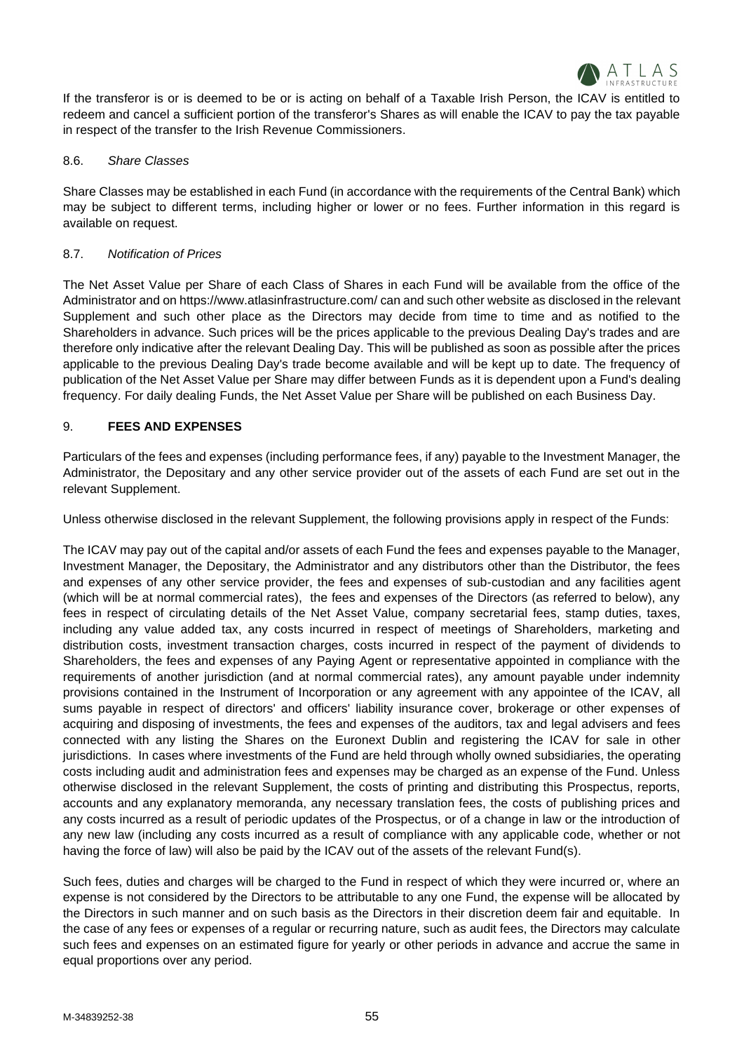

If the transferor is or is deemed to be or is acting on behalf of a Taxable Irish Person, the ICAV is entitled to redeem and cancel a sufficient portion of the transferor's Shares as will enable the ICAV to pay the tax payable in respect of the transfer to the Irish Revenue Commissioners.

## 8.6. *Share Classes*

Share Classes may be established in each Fund (in accordance with the requirements of the Central Bank) which may be subject to different terms, including higher or lower or no fees. Further information in this regard is available on request.

## 8.7. *Notification of Prices*

The Net Asset Value per Share of each Class of Shares in each Fund will be available from the office of the Administrator and on https://www.atlasinfrastructure.com/ can and such other website as disclosed in the relevant Supplement and such other place as the Directors may decide from time to time and as notified to the Shareholders in advance. Such prices will be the prices applicable to the previous Dealing Day's trades and are therefore only indicative after the relevant Dealing Day. This will be published as soon as possible after the prices applicable to the previous Dealing Day's trade become available and will be kept up to date. The frequency of publication of the Net Asset Value per Share may differ between Funds as it is dependent upon a Fund's dealing frequency. For daily dealing Funds, the Net Asset Value per Share will be published on each Business Day.

## 9. **FEES AND EXPENSES**

Particulars of the fees and expenses (including performance fees, if any) payable to the Investment Manager, the Administrator, the Depositary and any other service provider out of the assets of each Fund are set out in the relevant Supplement.

Unless otherwise disclosed in the relevant Supplement, the following provisions apply in respect of the Funds:

The ICAV may pay out of the capital and/or assets of each Fund the fees and expenses payable to the Manager, Investment Manager, the Depositary, the Administrator and any distributors other than the Distributor, the fees and expenses of any other service provider, the fees and expenses of sub-custodian and any facilities agent (which will be at normal commercial rates), the fees and expenses of the Directors (as referred to below), any fees in respect of circulating details of the Net Asset Value, company secretarial fees, stamp duties, taxes, including any value added tax, any costs incurred in respect of meetings of Shareholders, marketing and distribution costs, investment transaction charges, costs incurred in respect of the payment of dividends to Shareholders, the fees and expenses of any Paying Agent or representative appointed in compliance with the requirements of another jurisdiction (and at normal commercial rates), any amount payable under indemnity provisions contained in the Instrument of Incorporation or any agreement with any appointee of the ICAV, all sums payable in respect of directors' and officers' liability insurance cover, brokerage or other expenses of acquiring and disposing of investments, the fees and expenses of the auditors, tax and legal advisers and fees connected with any listing the Shares on the Euronext Dublin and registering the ICAV for sale in other jurisdictions. In cases where investments of the Fund are held through wholly owned subsidiaries, the operating costs including audit and administration fees and expenses may be charged as an expense of the Fund. Unless otherwise disclosed in the relevant Supplement, the costs of printing and distributing this Prospectus, reports, accounts and any explanatory memoranda, any necessary translation fees, the costs of publishing prices and any costs incurred as a result of periodic updates of the Prospectus, or of a change in law or the introduction of any new law (including any costs incurred as a result of compliance with any applicable code, whether or not having the force of law) will also be paid by the ICAV out of the assets of the relevant Fund(s).

Such fees, duties and charges will be charged to the Fund in respect of which they were incurred or, where an expense is not considered by the Directors to be attributable to any one Fund, the expense will be allocated by the Directors in such manner and on such basis as the Directors in their discretion deem fair and equitable. In the case of any fees or expenses of a regular or recurring nature, such as audit fees, the Directors may calculate such fees and expenses on an estimated figure for yearly or other periods in advance and accrue the same in equal proportions over any period.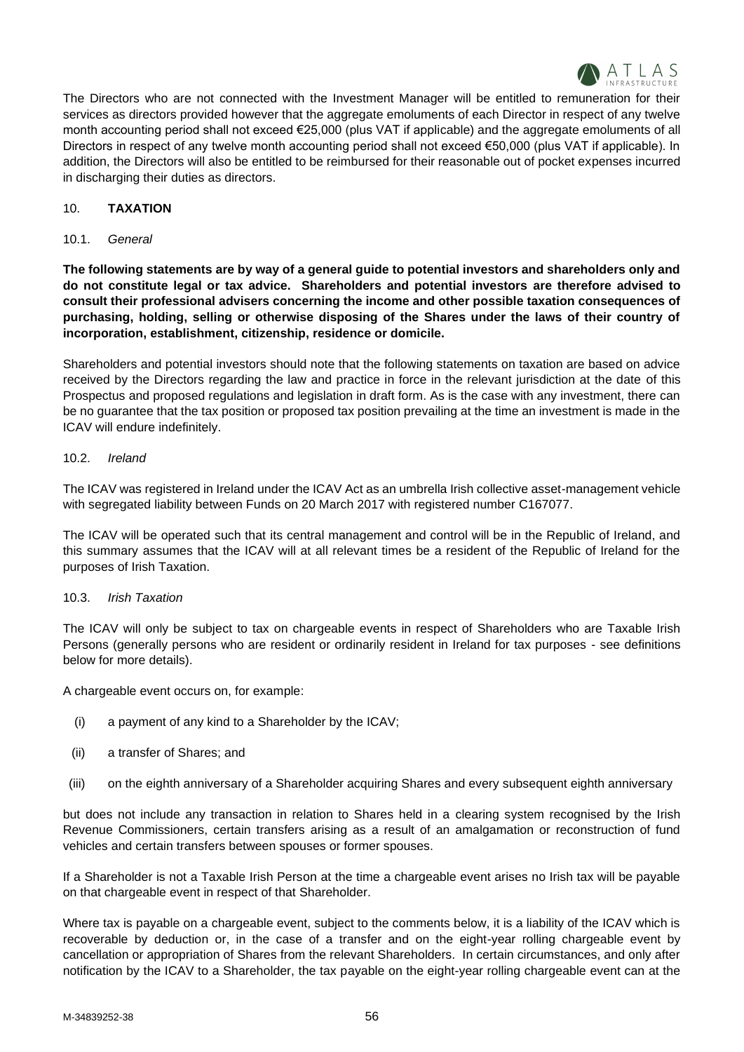

The Directors who are not connected with the Investment Manager will be entitled to remuneration for their services as directors provided however that the aggregate emoluments of each Director in respect of any twelve month accounting period shall not exceed €25,000 (plus VAT if applicable) and the aggregate emoluments of all Directors in respect of any twelve month accounting period shall not exceed €50,000 (plus VAT if applicable). In addition, the Directors will also be entitled to be reimbursed for their reasonable out of pocket expenses incurred in discharging their duties as directors.

## 10. **TAXATION**

#### 10.1. *General*

**The following statements are by way of a general guide to potential investors and shareholders only and do not constitute legal or tax advice. Shareholders and potential investors are therefore advised to consult their professional advisers concerning the income and other possible taxation consequences of purchasing, holding, selling or otherwise disposing of the Shares under the laws of their country of incorporation, establishment, citizenship, residence or domicile.**

Shareholders and potential investors should note that the following statements on taxation are based on advice received by the Directors regarding the law and practice in force in the relevant jurisdiction at the date of this Prospectus and proposed regulations and legislation in draft form. As is the case with any investment, there can be no guarantee that the tax position or proposed tax position prevailing at the time an investment is made in the ICAV will endure indefinitely.

## 10.2. *Ireland*

The ICAV was registered in Ireland under the ICAV Act as an umbrella Irish collective asset-management vehicle with segregated liability between Funds on 20 March 2017 with registered number C167077.

The ICAV will be operated such that its central management and control will be in the Republic of Ireland, and this summary assumes that the ICAV will at all relevant times be a resident of the Republic of Ireland for the purposes of Irish Taxation.

### 10.3. *Irish Taxation*

The ICAV will only be subject to tax on chargeable events in respect of Shareholders who are Taxable Irish Persons (generally persons who are resident or ordinarily resident in Ireland for tax purposes - see definitions below for more details).

A chargeable event occurs on, for example:

- (i) a payment of any kind to a Shareholder by the ICAV;
- (ii) a transfer of Shares; and
- (iii) on the eighth anniversary of a Shareholder acquiring Shares and every subsequent eighth anniversary

but does not include any transaction in relation to Shares held in a clearing system recognised by the Irish Revenue Commissioners, certain transfers arising as a result of an amalgamation or reconstruction of fund vehicles and certain transfers between spouses or former spouses.

If a Shareholder is not a Taxable Irish Person at the time a chargeable event arises no Irish tax will be payable on that chargeable event in respect of that Shareholder.

Where tax is payable on a chargeable event, subject to the comments below, it is a liability of the ICAV which is recoverable by deduction or, in the case of a transfer and on the eight-year rolling chargeable event by cancellation or appropriation of Shares from the relevant Shareholders. In certain circumstances, and only after notification by the ICAV to a Shareholder, the tax payable on the eight-year rolling chargeable event can at the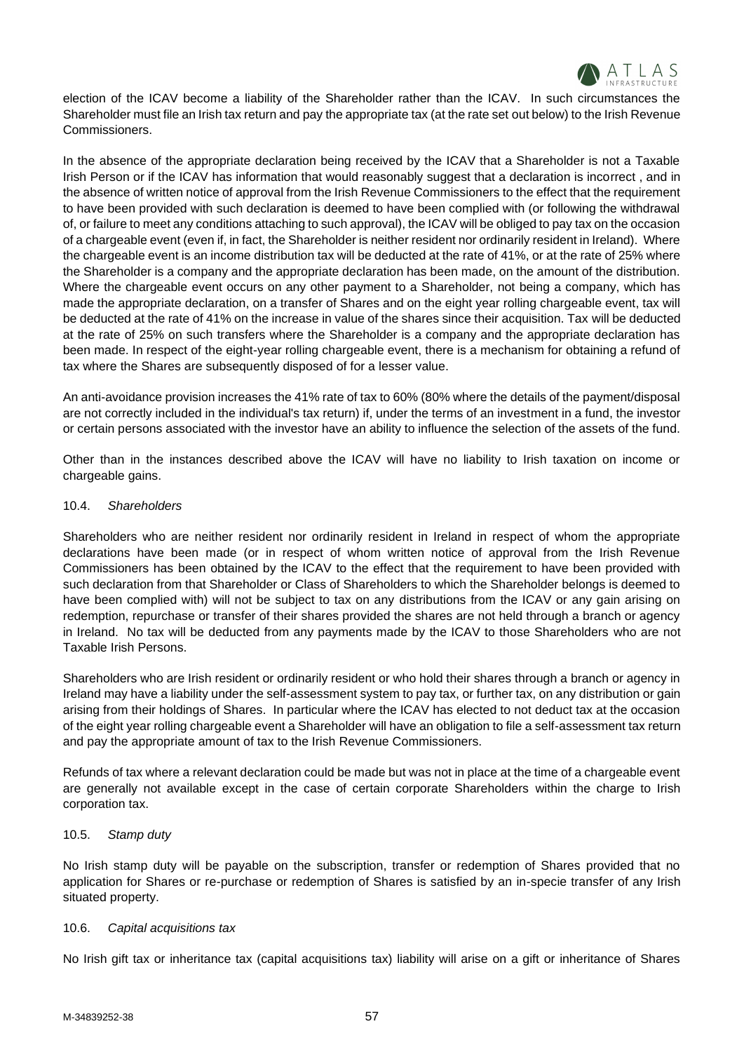

election of the ICAV become a liability of the Shareholder rather than the ICAV. In such circumstances the Shareholder must file an Irish tax return and pay the appropriate tax (at the rate set out below) to the Irish Revenue Commissioners.

In the absence of the appropriate declaration being received by the ICAV that a Shareholder is not a Taxable Irish Person or if the ICAV has information that would reasonably suggest that a declaration is incorrect, and in the absence of written notice of approval from the Irish Revenue Commissioners to the effect that the requirement to have been provided with such declaration is deemed to have been complied with (or following the withdrawal of, or failure to meet any conditions attaching to such approval), the ICAV will be obliged to pay tax on the occasion of a chargeable event (even if, in fact, the Shareholder is neither resident nor ordinarily resident in Ireland). Where the chargeable event is an income distribution tax will be deducted at the rate of 41%, or at the rate of 25% where the Shareholder is a company and the appropriate declaration has been made, on the amount of the distribution. Where the chargeable event occurs on any other payment to a Shareholder, not being a company, which has made the appropriate declaration, on a transfer of Shares and on the eight year rolling chargeable event, tax will be deducted at the rate of 41% on the increase in value of the shares since their acquisition. Tax will be deducted at the rate of 25% on such transfers where the Shareholder is a company and the appropriate declaration has been made. In respect of the eight-year rolling chargeable event, there is a mechanism for obtaining a refund of tax where the Shares are subsequently disposed of for a lesser value.

An anti-avoidance provision increases the 41% rate of tax to 60% (80% where the details of the payment/disposal are not correctly included in the individual's tax return) if, under the terms of an investment in a fund, the investor or certain persons associated with the investor have an ability to influence the selection of the assets of the fund.

Other than in the instances described above the ICAV will have no liability to Irish taxation on income or chargeable gains.

### 10.4. *Shareholders*

Shareholders who are neither resident nor ordinarily resident in Ireland in respect of whom the appropriate declarations have been made (or in respect of whom written notice of approval from the Irish Revenue Commissioners has been obtained by the ICAV to the effect that the requirement to have been provided with such declaration from that Shareholder or Class of Shareholders to which the Shareholder belongs is deemed to have been complied with) will not be subject to tax on any distributions from the ICAV or any gain arising on redemption, repurchase or transfer of their shares provided the shares are not held through a branch or agency in Ireland. No tax will be deducted from any payments made by the ICAV to those Shareholders who are not Taxable Irish Persons.

Shareholders who are Irish resident or ordinarily resident or who hold their shares through a branch or agency in Ireland may have a liability under the self-assessment system to pay tax, or further tax, on any distribution or gain arising from their holdings of Shares. In particular where the ICAV has elected to not deduct tax at the occasion of the eight year rolling chargeable event a Shareholder will have an obligation to file a self-assessment tax return and pay the appropriate amount of tax to the Irish Revenue Commissioners.

Refunds of tax where a relevant declaration could be made but was not in place at the time of a chargeable event are generally not available except in the case of certain corporate Shareholders within the charge to Irish corporation tax.

## 10.5. *Stamp duty*

No Irish stamp duty will be payable on the subscription, transfer or redemption of Shares provided that no application for Shares or re-purchase or redemption of Shares is satisfied by an in-specie transfer of any Irish situated property.

## 10.6. *Capital acquisitions tax*

No Irish gift tax or inheritance tax (capital acquisitions tax) liability will arise on a gift or inheritance of Shares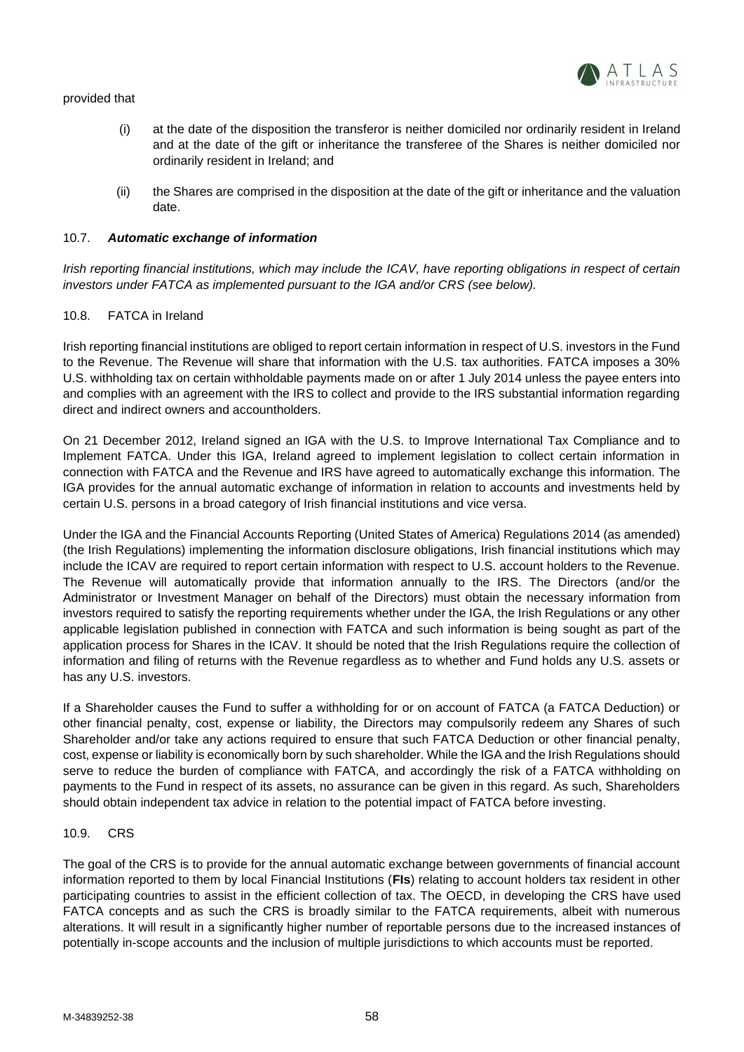

#### provided that

- (i) at the date of the disposition the transferor is neither domiciled nor ordinarily resident in Ireland and at the date of the gift or inheritance the transferee of the Shares is neither domiciled nor ordinarily resident in Ireland; and
- (ii) the Shares are comprised in the disposition at the date of the gift or inheritance and the valuation date.

#### 10.7. *Automatic exchange of information*

*Irish reporting financial institutions, which may include the ICAV, have reporting obligations in respect of certain investors under FATCA as implemented pursuant to the IGA and/or CRS (see below).*

#### 10.8. FATCA in Ireland

Irish reporting financial institutions are obliged to report certain information in respect of U.S. investors in the Fund to the Revenue. The Revenue will share that information with the U.S. tax authorities. FATCA imposes a 30% U.S. withholding tax on certain withholdable payments made on or after 1 July 2014 unless the payee enters into and complies with an agreement with the IRS to collect and provide to the IRS substantial information regarding direct and indirect owners and accountholders.

On 21 December 2012, Ireland signed an IGA with the U.S. to Improve International Tax Compliance and to Implement FATCA. Under this IGA, Ireland agreed to implement legislation to collect certain information in connection with FATCA and the Revenue and IRS have agreed to automatically exchange this information. The IGA provides for the annual automatic exchange of information in relation to accounts and investments held by certain U.S. persons in a broad category of Irish financial institutions and vice versa.

Under the IGA and the Financial Accounts Reporting (United States of America) Regulations 2014 (as amended) (the Irish Regulations) implementing the information disclosure obligations, Irish financial institutions which may include the ICAV are required to report certain information with respect to U.S. account holders to the Revenue. The Revenue will automatically provide that information annually to the IRS. The Directors (and/or the Administrator or Investment Manager on behalf of the Directors) must obtain the necessary information from investors required to satisfy the reporting requirements whether under the IGA, the Irish Regulations or any other applicable legislation published in connection with FATCA and such information is being sought as part of the application process for Shares in the ICAV. It should be noted that the Irish Regulations require the collection of information and filing of returns with the Revenue regardless as to whether and Fund holds any U.S. assets or has any U.S. investors.

If a Shareholder causes the Fund to suffer a withholding for or on account of FATCA (a FATCA Deduction) or other financial penalty, cost, expense or liability, the Directors may compulsorily redeem any Shares of such Shareholder and/or take any actions required to ensure that such FATCA Deduction or other financial penalty, cost, expense or liability is economically born by such shareholder. While the IGA and the Irish Regulations should serve to reduce the burden of compliance with FATCA, and accordingly the risk of a FATCA withholding on payments to the Fund in respect of its assets, no assurance can be given in this regard. As such, Shareholders should obtain independent tax advice in relation to the potential impact of FATCA before investing.

#### 10.9. CRS

The goal of the CRS is to provide for the annual automatic exchange between governments of financial account information reported to them by local Financial Institutions (**FIs**) relating to account holders tax resident in other participating countries to assist in the efficient collection of tax. The OECD, in developing the CRS have used FATCA concepts and as such the CRS is broadly similar to the FATCA requirements, albeit with numerous alterations. It will result in a significantly higher number of reportable persons due to the increased instances of potentially in-scope accounts and the inclusion of multiple jurisdictions to which accounts must be reported.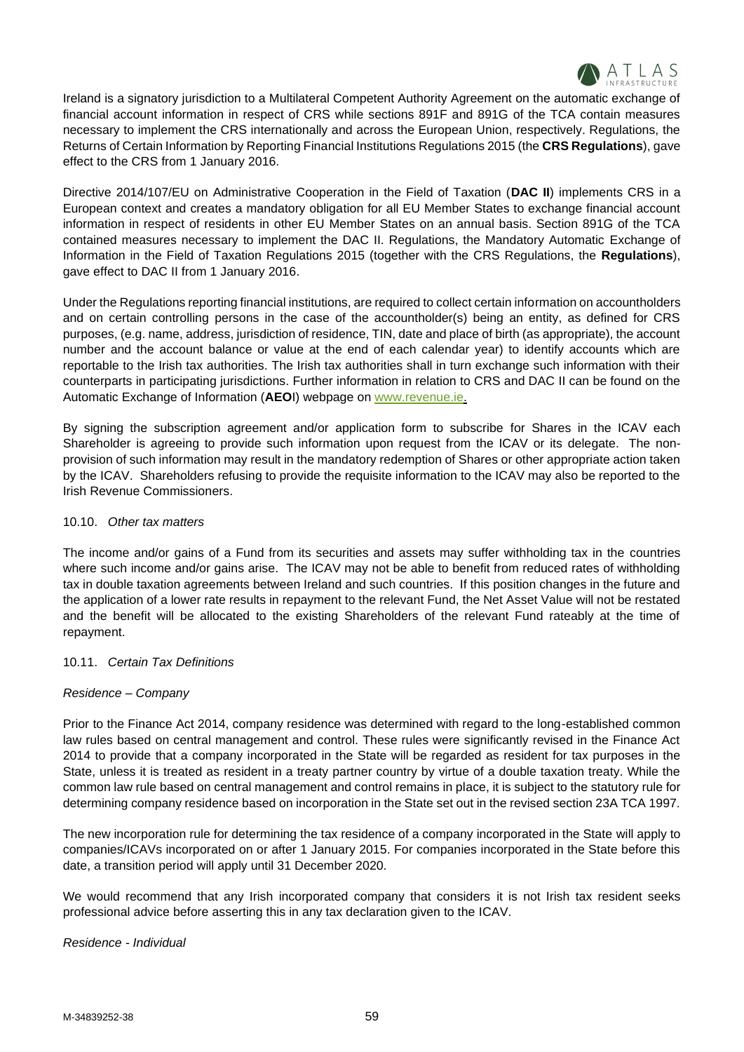

Ireland is a signatory jurisdiction to a Multilateral Competent Authority Agreement on the automatic exchange of financial account information in respect of CRS while sections 891F and 891G of the TCA contain measures necessary to implement the CRS internationally and across the European Union, respectively. Regulations, the Returns of Certain Information by Reporting Financial Institutions Regulations 2015 (the **CRS Regulations**), gave effect to the CRS from 1 January 2016.

Directive 2014/107/EU on Administrative Cooperation in the Field of Taxation (**DAC II**) implements CRS in a European context and creates a mandatory obligation for all EU Member States to exchange financial account information in respect of residents in other EU Member States on an annual basis. Section 891G of the TCA contained measures necessary to implement the DAC II. Regulations, the Mandatory Automatic Exchange of Information in the Field of Taxation Regulations 2015 (together with the CRS Regulations, the **Regulations**), gave effect to DAC II from 1 January 2016.

Under the Regulations reporting financial institutions, are required to collect certain information on accountholders and on certain controlling persons in the case of the accountholder(s) being an entity, as defined for CRS purposes, (e.g. name, address, jurisdiction of residence, TIN, date and place of birth (as appropriate), the account number and the account balance or value at the end of each calendar year) to identify accounts which are reportable to the Irish tax authorities. The Irish tax authorities shall in turn exchange such information with their counterparts in participating jurisdictions. Further information in relation to CRS and DAC II can be found on the Automatic Exchange of Information (**AEO**I) webpage on [www.revenue.ie.](http://www.revenue.ie/)

By signing the subscription agreement and/or application form to subscribe for Shares in the ICAV each Shareholder is agreeing to provide such information upon request from the ICAV or its delegate. The nonprovision of such information may result in the mandatory redemption of Shares or other appropriate action taken by the ICAV. Shareholders refusing to provide the requisite information to the ICAV may also be reported to the Irish Revenue Commissioners.

## 10.10. *Other tax matters*

The income and/or gains of a Fund from its securities and assets may suffer withholding tax in the countries where such income and/or gains arise. The ICAV may not be able to benefit from reduced rates of withholding tax in double taxation agreements between Ireland and such countries. If this position changes in the future and the application of a lower rate results in repayment to the relevant Fund, the Net Asset Value will not be restated and the benefit will be allocated to the existing Shareholders of the relevant Fund rateably at the time of repayment.

#### 10.11. *Certain Tax Definitions*

## *Residence – Company*

Prior to the Finance Act 2014, company residence was determined with regard to the long-established common law rules based on central management and control. These rules were significantly revised in the Finance Act 2014 to provide that a company incorporated in the State will be regarded as resident for tax purposes in the State, unless it is treated as resident in a treaty partner country by virtue of a double taxation treaty. While the common law rule based on central management and control remains in place, it is subject to the statutory rule for determining company residence based on incorporation in the State set out in the revised section 23A TCA 1997.

The new incorporation rule for determining the tax residence of a company incorporated in the State will apply to companies/ICAVs incorporated on or after 1 January 2015. For companies incorporated in the State before this date, a transition period will apply until 31 December 2020.

We would recommend that any Irish incorporated company that considers it is not Irish tax resident seeks professional advice before asserting this in any tax declaration given to the ICAV.

#### *Residence - Individual*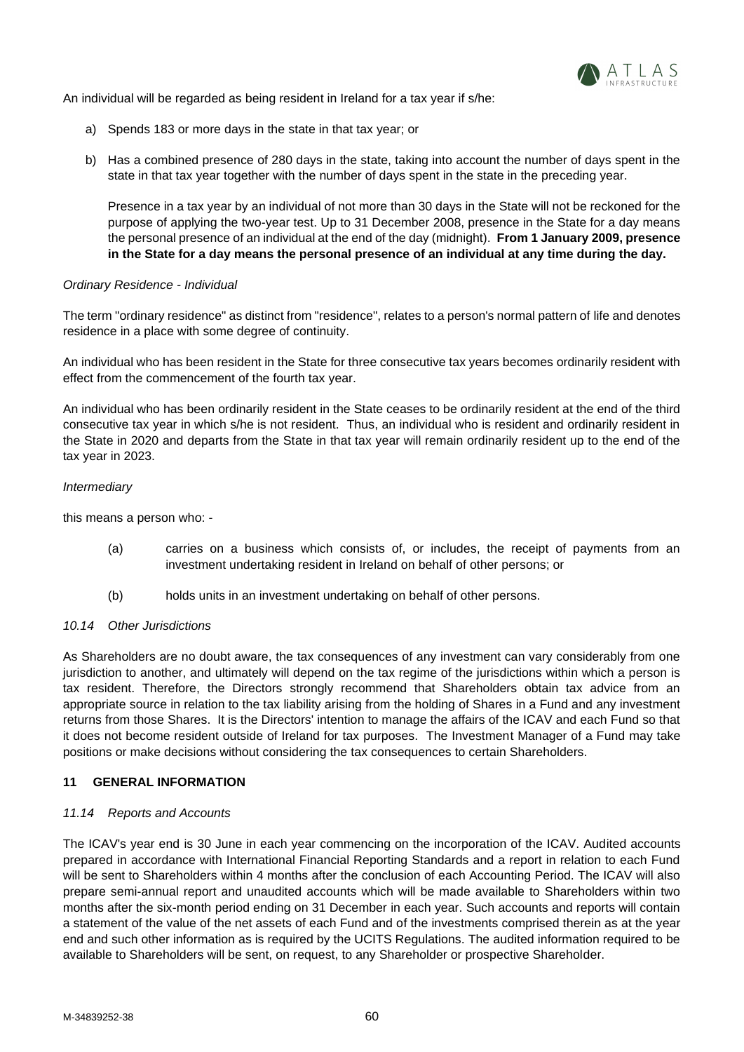

An individual will be regarded as being resident in Ireland for a tax year if s/he:

- a) Spends 183 or more days in the state in that tax year; or
- b) Has a combined presence of 280 days in the state, taking into account the number of days spent in the state in that tax year together with the number of days spent in the state in the preceding year.

Presence in a tax year by an individual of not more than 30 days in the State will not be reckoned for the purpose of applying the two-year test. Up to 31 December 2008, presence in the State for a day means the personal presence of an individual at the end of the day (midnight). **From 1 January 2009, presence in the State for a day means the personal presence of an individual at any time during the day.**

#### *Ordinary Residence - Individual*

The term "ordinary residence" as distinct from "residence", relates to a person's normal pattern of life and denotes residence in a place with some degree of continuity.

An individual who has been resident in the State for three consecutive tax years becomes ordinarily resident with effect from the commencement of the fourth tax year.

An individual who has been ordinarily resident in the State ceases to be ordinarily resident at the end of the third consecutive tax year in which s/he is not resident. Thus, an individual who is resident and ordinarily resident in the State in 2020 and departs from the State in that tax year will remain ordinarily resident up to the end of the tax year in 2023.

#### *Intermediary*

this means a person who: -

- (a) carries on a business which consists of, or includes, the receipt of payments from an investment undertaking resident in Ireland on behalf of other persons; or
- (b) holds units in an investment undertaking on behalf of other persons.

#### *10.14 Other Jurisdictions*

As Shareholders are no doubt aware, the tax consequences of any investment can vary considerably from one jurisdiction to another, and ultimately will depend on the tax regime of the jurisdictions within which a person is tax resident. Therefore, the Directors strongly recommend that Shareholders obtain tax advice from an appropriate source in relation to the tax liability arising from the holding of Shares in a Fund and any investment returns from those Shares. It is the Directors' intention to manage the affairs of the ICAV and each Fund so that it does not become resident outside of Ireland for tax purposes. The Investment Manager of a Fund may take positions or make decisions without considering the tax consequences to certain Shareholders.

#### **11 GENERAL INFORMATION**

#### *11.14 Reports and Accounts*

The ICAV's year end is 30 June in each year commencing on the incorporation of the ICAV. Audited accounts prepared in accordance with International Financial Reporting Standards and a report in relation to each Fund will be sent to Shareholders within 4 months after the conclusion of each Accounting Period. The ICAV will also prepare semi-annual report and unaudited accounts which will be made available to Shareholders within two months after the six-month period ending on 31 December in each year. Such accounts and reports will contain a statement of the value of the net assets of each Fund and of the investments comprised therein as at the year end and such other information as is required by the UCITS Regulations. The audited information required to be available to Shareholders will be sent, on request, to any Shareholder or prospective Shareholder.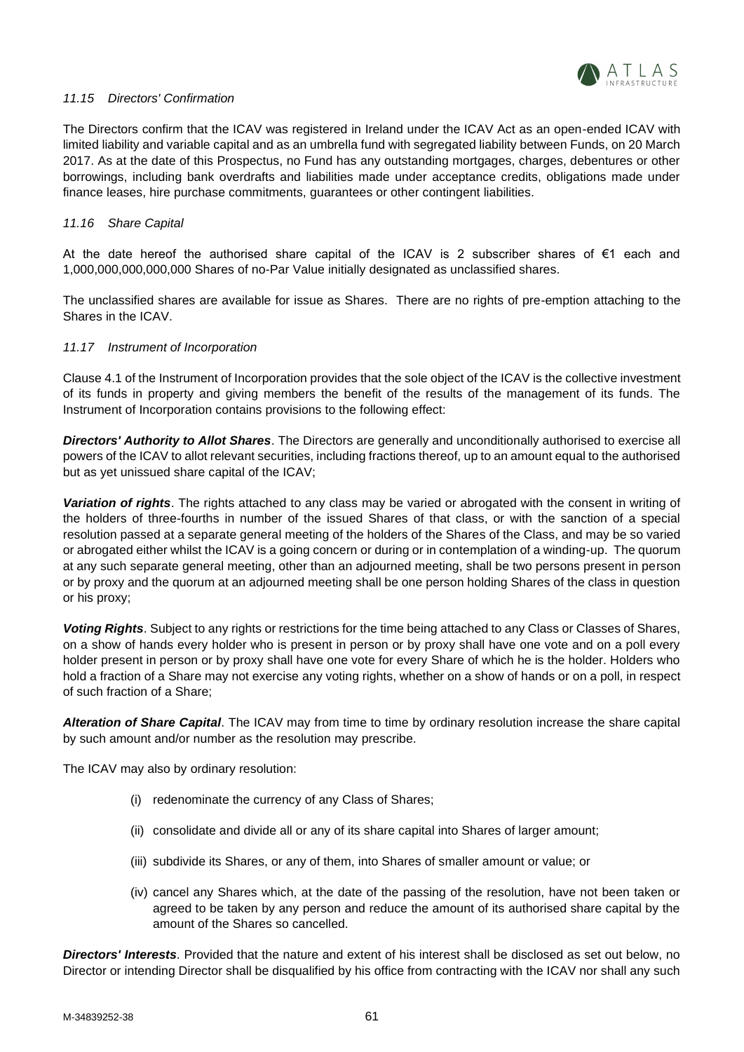

#### *11.15 Directors' Confirmation*

The Directors confirm that the ICAV was registered in Ireland under the ICAV Act as an open-ended ICAV with limited liability and variable capital and as an umbrella fund with segregated liability between Funds, on 20 March 2017. As at the date of this Prospectus, no Fund has any outstanding mortgages, charges, debentures or other borrowings, including bank overdrafts and liabilities made under acceptance credits, obligations made under finance leases, hire purchase commitments, guarantees or other contingent liabilities.

## *11.16 Share Capital*

At the date hereof the authorised share capital of the ICAV is 2 subscriber shares of €1 each and 1,000,000,000,000,000 Shares of no-Par Value initially designated as unclassified shares.

The unclassified shares are available for issue as Shares. There are no rights of pre-emption attaching to the Shares in the ICAV.

### *11.17 Instrument of Incorporation*

Clause 4.1 of the Instrument of Incorporation provides that the sole object of the ICAV is the collective investment of its funds in property and giving members the benefit of the results of the management of its funds. The Instrument of Incorporation contains provisions to the following effect:

*Directors' Authority to Allot Shares*. The Directors are generally and unconditionally authorised to exercise all powers of the ICAV to allot relevant securities, including fractions thereof, up to an amount equal to the authorised but as yet unissued share capital of the ICAV;

*Variation of rights*. The rights attached to any class may be varied or abrogated with the consent in writing of the holders of three-fourths in number of the issued Shares of that class, or with the sanction of a special resolution passed at a separate general meeting of the holders of the Shares of the Class, and may be so varied or abrogated either whilst the ICAV is a going concern or during or in contemplation of a winding-up. The quorum at any such separate general meeting, other than an adjourned meeting, shall be two persons present in person or by proxy and the quorum at an adjourned meeting shall be one person holding Shares of the class in question or his proxy;

*Voting Rights*. Subject to any rights or restrictions for the time being attached to any Class or Classes of Shares, on a show of hands every holder who is present in person or by proxy shall have one vote and on a poll every holder present in person or by proxy shall have one vote for every Share of which he is the holder. Holders who hold a fraction of a Share may not exercise any voting rights, whether on a show of hands or on a poll, in respect of such fraction of a Share;

*Alteration of Share Capital*. The ICAV may from time to time by ordinary resolution increase the share capital by such amount and/or number as the resolution may prescribe.

The ICAV may also by ordinary resolution:

- (i) redenominate the currency of any Class of Shares;
- (ii) consolidate and divide all or any of its share capital into Shares of larger amount;
- (iii) subdivide its Shares, or any of them, into Shares of smaller amount or value; or
- (iv) cancel any Shares which, at the date of the passing of the resolution, have not been taken or agreed to be taken by any person and reduce the amount of its authorised share capital by the amount of the Shares so cancelled.

*Directors' Interests*. Provided that the nature and extent of his interest shall be disclosed as set out below, no Director or intending Director shall be disqualified by his office from contracting with the ICAV nor shall any such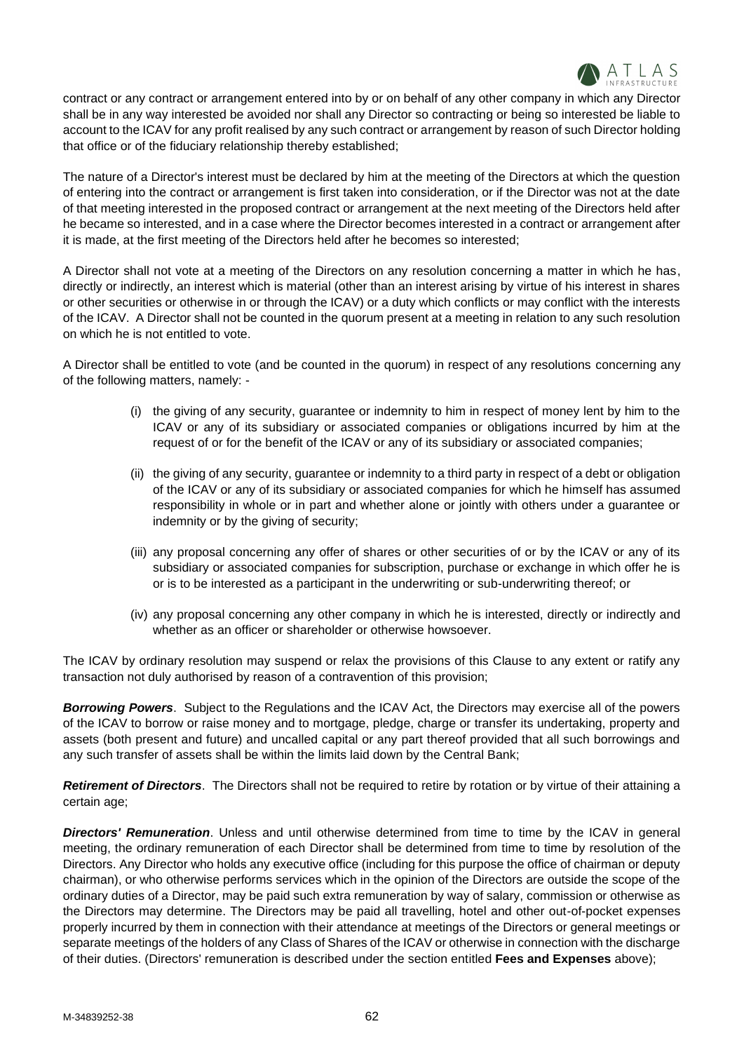

contract or any contract or arrangement entered into by or on behalf of any other company in which any Director shall be in any way interested be avoided nor shall any Director so contracting or being so interested be liable to account to the ICAV for any profit realised by any such contract or arrangement by reason of such Director holding that office or of the fiduciary relationship thereby established;

The nature of a Director's interest must be declared by him at the meeting of the Directors at which the question of entering into the contract or arrangement is first taken into consideration, or if the Director was not at the date of that meeting interested in the proposed contract or arrangement at the next meeting of the Directors held after he became so interested, and in a case where the Director becomes interested in a contract or arrangement after it is made, at the first meeting of the Directors held after he becomes so interested;

A Director shall not vote at a meeting of the Directors on any resolution concerning a matter in which he has, directly or indirectly, an interest which is material (other than an interest arising by virtue of his interest in shares or other securities or otherwise in or through the ICAV) or a duty which conflicts or may conflict with the interests of the ICAV. A Director shall not be counted in the quorum present at a meeting in relation to any such resolution on which he is not entitled to vote.

A Director shall be entitled to vote (and be counted in the quorum) in respect of any resolutions concerning any of the following matters, namely: -

- (i) the giving of any security, guarantee or indemnity to him in respect of money lent by him to the ICAV or any of its subsidiary or associated companies or obligations incurred by him at the request of or for the benefit of the ICAV or any of its subsidiary or associated companies;
- (ii) the giving of any security, guarantee or indemnity to a third party in respect of a debt or obligation of the ICAV or any of its subsidiary or associated companies for which he himself has assumed responsibility in whole or in part and whether alone or jointly with others under a guarantee or indemnity or by the giving of security;
- (iii) any proposal concerning any offer of shares or other securities of or by the ICAV or any of its subsidiary or associated companies for subscription, purchase or exchange in which offer he is or is to be interested as a participant in the underwriting or sub-underwriting thereof; or
- (iv) any proposal concerning any other company in which he is interested, directly or indirectly and whether as an officer or shareholder or otherwise howsoever.

The ICAV by ordinary resolution may suspend or relax the provisions of this Clause to any extent or ratify any transaction not duly authorised by reason of a contravention of this provision;

*Borrowing Powers*. Subject to the Regulations and the ICAV Act, the Directors may exercise all of the powers of the ICAV to borrow or raise money and to mortgage, pledge, charge or transfer its undertaking, property and assets (both present and future) and uncalled capital or any part thereof provided that all such borrowings and any such transfer of assets shall be within the limits laid down by the Central Bank;

*Retirement of Directors*. The Directors shall not be required to retire by rotation or by virtue of their attaining a certain age;

*Directors' Remuneration*. Unless and until otherwise determined from time to time by the ICAV in general meeting, the ordinary remuneration of each Director shall be determined from time to time by resolution of the Directors. Any Director who holds any executive office (including for this purpose the office of chairman or deputy chairman), or who otherwise performs services which in the opinion of the Directors are outside the scope of the ordinary duties of a Director, may be paid such extra remuneration by way of salary, commission or otherwise as the Directors may determine. The Directors may be paid all travelling, hotel and other out-of-pocket expenses properly incurred by them in connection with their attendance at meetings of the Directors or general meetings or separate meetings of the holders of any Class of Shares of the ICAV or otherwise in connection with the discharge of their duties. (Directors' remuneration is described under the section entitled **Fees and Expenses** above);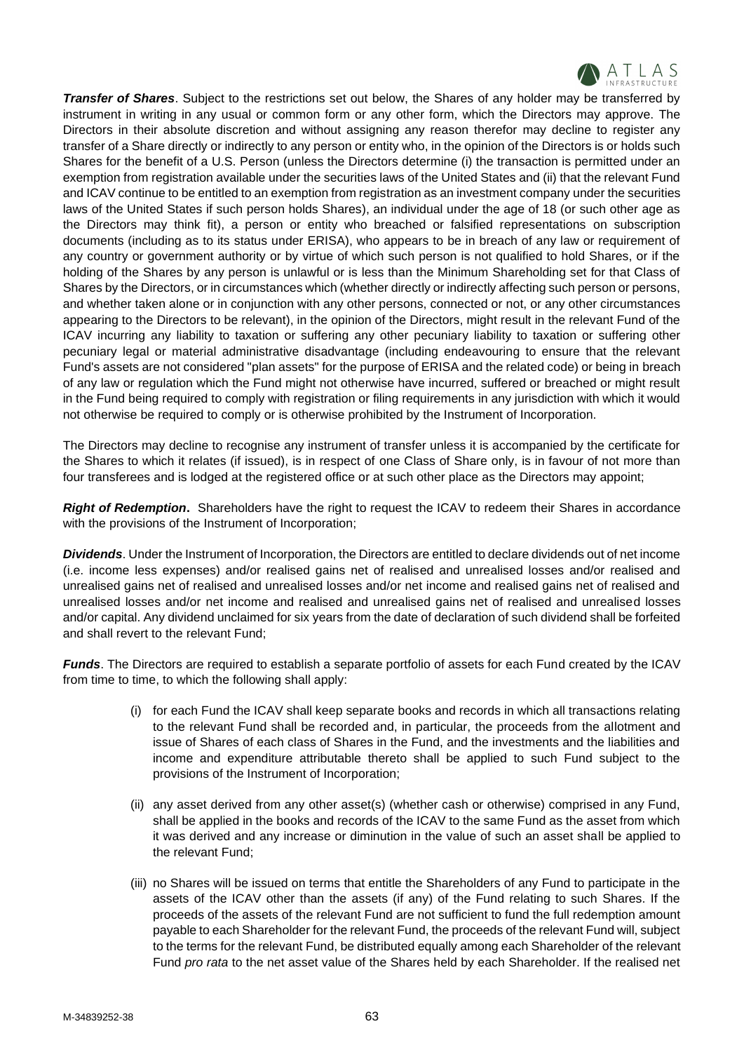

*Transfer of Shares*. Subject to the restrictions set out below, the Shares of any holder may be transferred by instrument in writing in any usual or common form or any other form, which the Directors may approve. The Directors in their absolute discretion and without assigning any reason therefor may decline to register any transfer of a Share directly or indirectly to any person or entity who, in the opinion of the Directors is or holds such Shares for the benefit of a U.S. Person (unless the Directors determine (i) the transaction is permitted under an exemption from registration available under the securities laws of the United States and (ii) that the relevant Fund and ICAV continue to be entitled to an exemption from registration as an investment company under the securities laws of the United States if such person holds Shares), an individual under the age of 18 (or such other age as the Directors may think fit), a person or entity who breached or falsified representations on subscription documents (including as to its status under ERISA), who appears to be in breach of any law or requirement of any country or government authority or by virtue of which such person is not qualified to hold Shares, or if the holding of the Shares by any person is unlawful or is less than the Minimum Shareholding set for that Class of Shares by the Directors, or in circumstances which (whether directly or indirectly affecting such person or persons, and whether taken alone or in conjunction with any other persons, connected or not, or any other circumstances appearing to the Directors to be relevant), in the opinion of the Directors, might result in the relevant Fund of the ICAV incurring any liability to taxation or suffering any other pecuniary liability to taxation or suffering other pecuniary legal or material administrative disadvantage (including endeavouring to ensure that the relevant Fund's assets are not considered "plan assets" for the purpose of ERISA and the related code) or being in breach of any law or regulation which the Fund might not otherwise have incurred, suffered or breached or might result in the Fund being required to comply with registration or filing requirements in any jurisdiction with which it would not otherwise be required to comply or is otherwise prohibited by the Instrument of Incorporation.

The Directors may decline to recognise any instrument of transfer unless it is accompanied by the certificate for the Shares to which it relates (if issued), is in respect of one Class of Share only, is in favour of not more than four transferees and is lodged at the registered office or at such other place as the Directors may appoint;

*Right of Redemption***.** Shareholders have the right to request the ICAV to redeem their Shares in accordance with the provisions of the Instrument of Incorporation;

*Dividends*. Under the Instrument of Incorporation, the Directors are entitled to declare dividends out of net income (i.e. income less expenses) and/or realised gains net of realised and unrealised losses and/or realised and unrealised gains net of realised and unrealised losses and/or net income and realised gains net of realised and unrealised losses and/or net income and realised and unrealised gains net of realised and unrealised losses and/or capital. Any dividend unclaimed for six years from the date of declaration of such dividend shall be forfeited and shall revert to the relevant Fund;

*Funds*. The Directors are required to establish a separate portfolio of assets for each Fund created by the ICAV from time to time, to which the following shall apply:

- (i) for each Fund the ICAV shall keep separate books and records in which all transactions relating to the relevant Fund shall be recorded and, in particular, the proceeds from the allotment and issue of Shares of each class of Shares in the Fund, and the investments and the liabilities and income and expenditure attributable thereto shall be applied to such Fund subject to the provisions of the Instrument of Incorporation;
- (ii) any asset derived from any other asset(s) (whether cash or otherwise) comprised in any Fund, shall be applied in the books and records of the ICAV to the same Fund as the asset from which it was derived and any increase or diminution in the value of such an asset shall be applied to the relevant Fund;
- (iii) no Shares will be issued on terms that entitle the Shareholders of any Fund to participate in the assets of the ICAV other than the assets (if any) of the Fund relating to such Shares. If the proceeds of the assets of the relevant Fund are not sufficient to fund the full redemption amount payable to each Shareholder for the relevant Fund, the proceeds of the relevant Fund will, subject to the terms for the relevant Fund, be distributed equally among each Shareholder of the relevant Fund *pro rata* to the net asset value of the Shares held by each Shareholder. If the realised net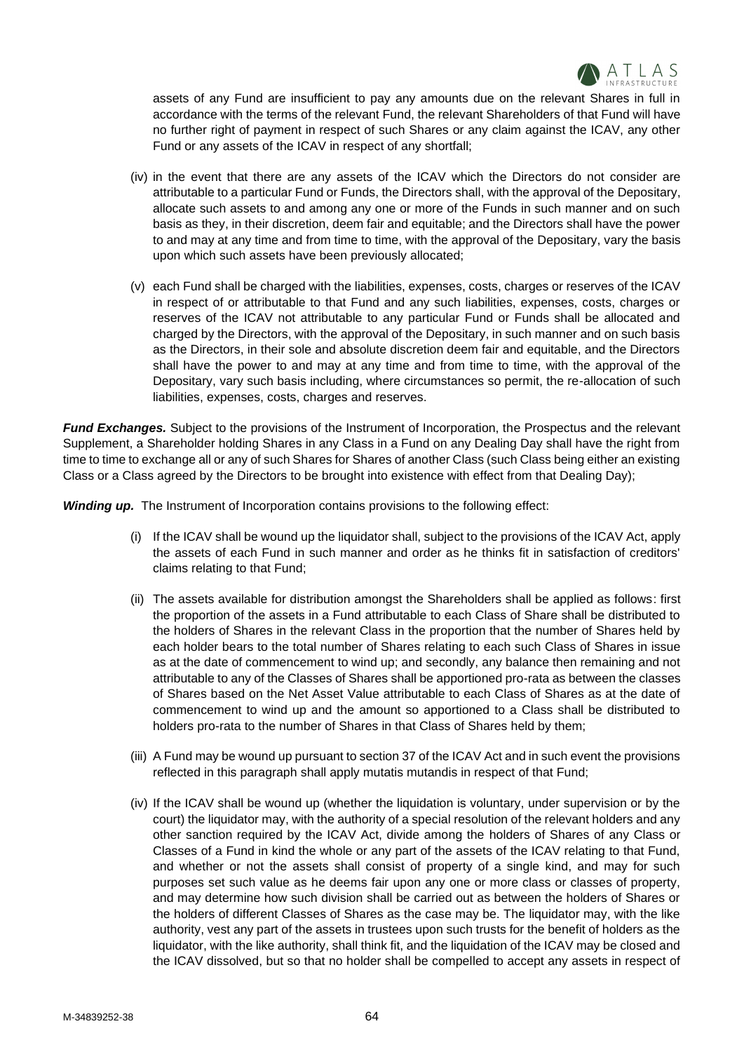

assets of any Fund are insufficient to pay any amounts due on the relevant Shares in full in accordance with the terms of the relevant Fund, the relevant Shareholders of that Fund will have no further right of payment in respect of such Shares or any claim against the ICAV, any other Fund or any assets of the ICAV in respect of any shortfall;

- (iv) in the event that there are any assets of the ICAV which the Directors do not consider are attributable to a particular Fund or Funds, the Directors shall, with the approval of the Depositary, allocate such assets to and among any one or more of the Funds in such manner and on such basis as they, in their discretion, deem fair and equitable; and the Directors shall have the power to and may at any time and from time to time, with the approval of the Depositary, vary the basis upon which such assets have been previously allocated;
- (v) each Fund shall be charged with the liabilities, expenses, costs, charges or reserves of the ICAV in respect of or attributable to that Fund and any such liabilities, expenses, costs, charges or reserves of the ICAV not attributable to any particular Fund or Funds shall be allocated and charged by the Directors, with the approval of the Depositary, in such manner and on such basis as the Directors, in their sole and absolute discretion deem fair and equitable, and the Directors shall have the power to and may at any time and from time to time, with the approval of the Depositary, vary such basis including, where circumstances so permit, the re-allocation of such liabilities, expenses, costs, charges and reserves.

*Fund Exchanges.* Subject to the provisions of the Instrument of Incorporation, the Prospectus and the relevant Supplement, a Shareholder holding Shares in any Class in a Fund on any Dealing Day shall have the right from time to time to exchange all or any of such Shares for Shares of another Class (such Class being either an existing Class or a Class agreed by the Directors to be brought into existence with effect from that Dealing Day);

*Winding up.* The Instrument of Incorporation contains provisions to the following effect:

- (i) If the ICAV shall be wound up the liquidator shall, subject to the provisions of the ICAV Act, apply the assets of each Fund in such manner and order as he thinks fit in satisfaction of creditors' claims relating to that Fund;
- (ii) The assets available for distribution amongst the Shareholders shall be applied as follows: first the proportion of the assets in a Fund attributable to each Class of Share shall be distributed to the holders of Shares in the relevant Class in the proportion that the number of Shares held by each holder bears to the total number of Shares relating to each such Class of Shares in issue as at the date of commencement to wind up; and secondly, any balance then remaining and not attributable to any of the Classes of Shares shall be apportioned pro-rata as between the classes of Shares based on the Net Asset Value attributable to each Class of Shares as at the date of commencement to wind up and the amount so apportioned to a Class shall be distributed to holders pro-rata to the number of Shares in that Class of Shares held by them;
- (iii) A Fund may be wound up pursuant to section 37 of the ICAV Act and in such event the provisions reflected in this paragraph shall apply mutatis mutandis in respect of that Fund;
- (iv) If the ICAV shall be wound up (whether the liquidation is voluntary, under supervision or by the court) the liquidator may, with the authority of a special resolution of the relevant holders and any other sanction required by the ICAV Act, divide among the holders of Shares of any Class or Classes of a Fund in kind the whole or any part of the assets of the ICAV relating to that Fund, and whether or not the assets shall consist of property of a single kind, and may for such purposes set such value as he deems fair upon any one or more class or classes of property, and may determine how such division shall be carried out as between the holders of Shares or the holders of different Classes of Shares as the case may be. The liquidator may, with the like authority, vest any part of the assets in trustees upon such trusts for the benefit of holders as the liquidator, with the like authority, shall think fit, and the liquidation of the ICAV may be closed and the ICAV dissolved, but so that no holder shall be compelled to accept any assets in respect of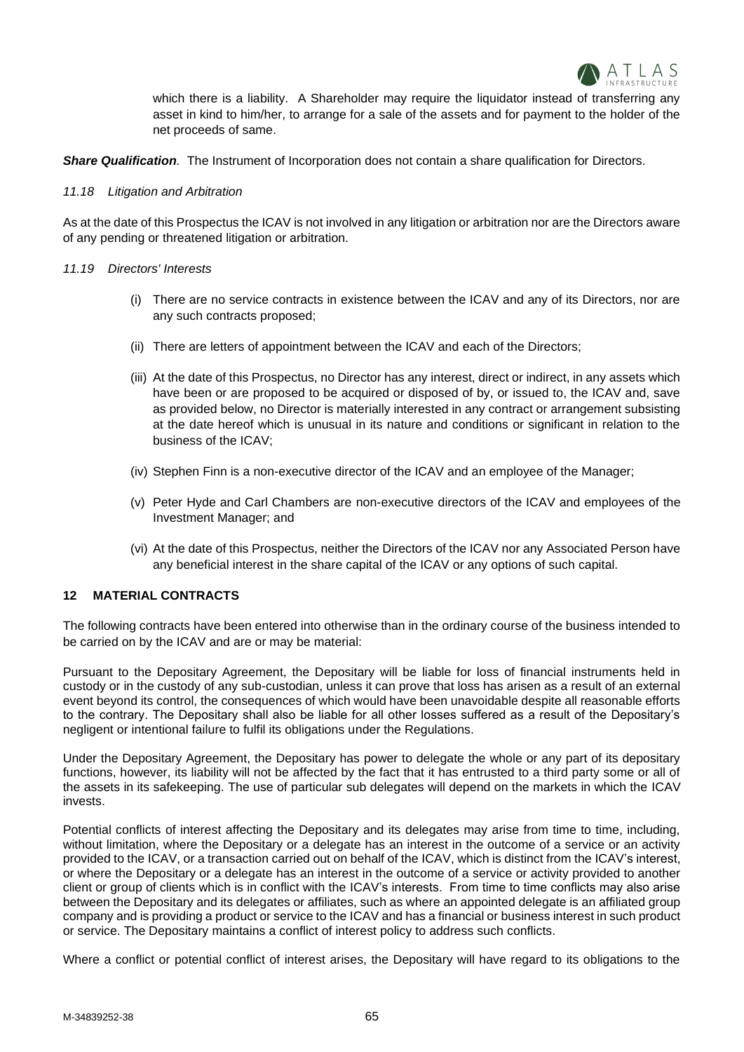

which there is a liability. A Shareholder may require the liquidator instead of transferring any asset in kind to him/her, to arrange for a sale of the assets and for payment to the holder of the net proceeds of same.

*Share Qualification.* The Instrument of Incorporation does not contain a share qualification for Directors.

#### *11.18 Litigation and Arbitration*

As at the date of this Prospectus the ICAV is not involved in any litigation or arbitration nor are the Directors aware of any pending or threatened litigation or arbitration.

#### *11.19 Directors' Interests*

- (i) There are no service contracts in existence between the ICAV and any of its Directors, nor are any such contracts proposed;
- (ii) There are letters of appointment between the ICAV and each of the Directors;
- (iii) At the date of this Prospectus, no Director has any interest, direct or indirect, in any assets which have been or are proposed to be acquired or disposed of by, or issued to, the ICAV and, save as provided below, no Director is materially interested in any contract or arrangement subsisting at the date hereof which is unusual in its nature and conditions or significant in relation to the business of the ICAV;
- (iv) Stephen Finn is a non-executive director of the ICAV and an employee of the Manager;
- (v) Peter Hyde and Carl Chambers are non-executive directors of the ICAV and employees of the Investment Manager; and
- (vi) At the date of this Prospectus, neither the Directors of the ICAV nor any Associated Person have any beneficial interest in the share capital of the ICAV or any options of such capital.

## **12 MATERIAL CONTRACTS**

The following contracts have been entered into otherwise than in the ordinary course of the business intended to be carried on by the ICAV and are or may be material:

Pursuant to the Depositary Agreement, the Depositary will be liable for loss of financial instruments held in custody or in the custody of any sub-custodian, unless it can prove that loss has arisen as a result of an external event beyond its control, the consequences of which would have been unavoidable despite all reasonable efforts to the contrary. The Depositary shall also be liable for all other losses suffered as a result of the Depositary's negligent or intentional failure to fulfil its obligations under the Regulations.

Under the Depositary Agreement, the Depositary has power to delegate the whole or any part of its depositary functions, however, its liability will not be affected by the fact that it has entrusted to a third party some or all of the assets in its safekeeping. The use of particular sub delegates will depend on the markets in which the ICAV invests.

Potential conflicts of interest affecting the Depositary and its delegates may arise from time to time, including, without limitation, where the Depositary or a delegate has an interest in the outcome of a service or an activity provided to the ICAV, or a transaction carried out on behalf of the ICAV, which is distinct from the ICAV's interest, or where the Depositary or a delegate has an interest in the outcome of a service or activity provided to another client or group of clients which is in conflict with the ICAV's interests. From time to time conflicts may also arise between the Depositary and its delegates or affiliates, such as where an appointed delegate is an affiliated group company and is providing a product or service to the ICAV and has a financial or business interest in such product or service. The Depositary maintains a conflict of interest policy to address such conflicts.

Where a conflict or potential conflict of interest arises, the Depositary will have regard to its obligations to the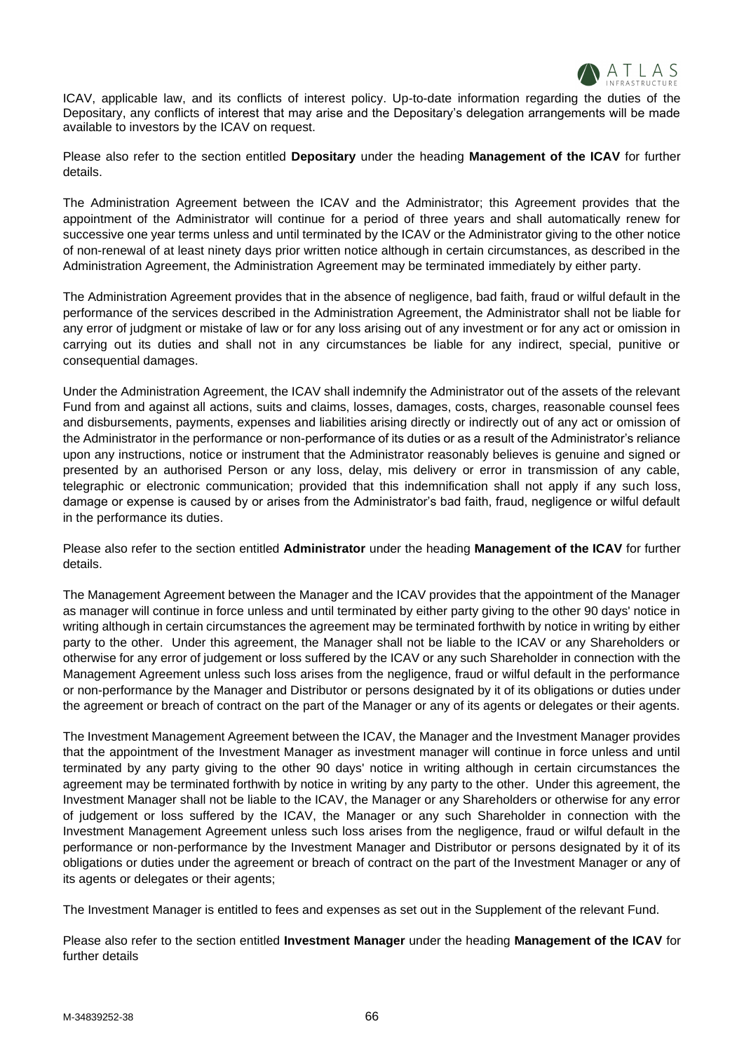

ICAV, applicable law, and its conflicts of interest policy. Up-to-date information regarding the duties of the Depositary, any conflicts of interest that may arise and the Depositary's delegation arrangements will be made available to investors by the ICAV on request.

Please also refer to the section entitled **Depositary** under the heading **Management of the ICAV** for further details.

The Administration Agreement between the ICAV and the Administrator; this Agreement provides that the appointment of the Administrator will continue for a period of three years and shall automatically renew for successive one year terms unless and until terminated by the ICAV or the Administrator giving to the other notice of non-renewal of at least ninety days prior written notice although in certain circumstances, as described in the Administration Agreement, the Administration Agreement may be terminated immediately by either party.

The Administration Agreement provides that in the absence of negligence, bad faith, fraud or wilful default in the performance of the services described in the Administration Agreement, the Administrator shall not be liable for any error of judgment or mistake of law or for any loss arising out of any investment or for any act or omission in carrying out its duties and shall not in any circumstances be liable for any indirect, special, punitive or consequential damages.

Under the Administration Agreement, the ICAV shall indemnify the Administrator out of the assets of the relevant Fund from and against all actions, suits and claims, losses, damages, costs, charges, reasonable counsel fees and disbursements, payments, expenses and liabilities arising directly or indirectly out of any act or omission of the Administrator in the performance or non-performance of its duties or as a result of the Administrator's reliance upon any instructions, notice or instrument that the Administrator reasonably believes is genuine and signed or presented by an authorised Person or any loss, delay, mis delivery or error in transmission of any cable, telegraphic or electronic communication; provided that this indemnification shall not apply if any such loss, damage or expense is caused by or arises from the Administrator's bad faith, fraud, negligence or wilful default in the performance its duties.

Please also refer to the section entitled **Administrator** under the heading **Management of the ICAV** for further details.

The Management Agreement between the Manager and the ICAV provides that the appointment of the Manager as manager will continue in force unless and until terminated by either party giving to the other 90 days' notice in writing although in certain circumstances the agreement may be terminated forthwith by notice in writing by either party to the other. Under this agreement, the Manager shall not be liable to the ICAV or any Shareholders or otherwise for any error of judgement or loss suffered by the ICAV or any such Shareholder in connection with the Management Agreement unless such loss arises from the negligence, fraud or wilful default in the performance or non-performance by the Manager and Distributor or persons designated by it of its obligations or duties under the agreement or breach of contract on the part of the Manager or any of its agents or delegates or their agents.

The Investment Management Agreement between the ICAV, the Manager and the Investment Manager provides that the appointment of the Investment Manager as investment manager will continue in force unless and until terminated by any party giving to the other 90 days' notice in writing although in certain circumstances the agreement may be terminated forthwith by notice in writing by any party to the other. Under this agreement, the Investment Manager shall not be liable to the ICAV, the Manager or any Shareholders or otherwise for any error of judgement or loss suffered by the ICAV, the Manager or any such Shareholder in connection with the Investment Management Agreement unless such loss arises from the negligence, fraud or wilful default in the performance or non-performance by the Investment Manager and Distributor or persons designated by it of its obligations or duties under the agreement or breach of contract on the part of the Investment Manager or any of its agents or delegates or their agents;

The Investment Manager is entitled to fees and expenses as set out in the Supplement of the relevant Fund.

Please also refer to the section entitled **Investment Manager** under the heading **Management of the ICAV** for further details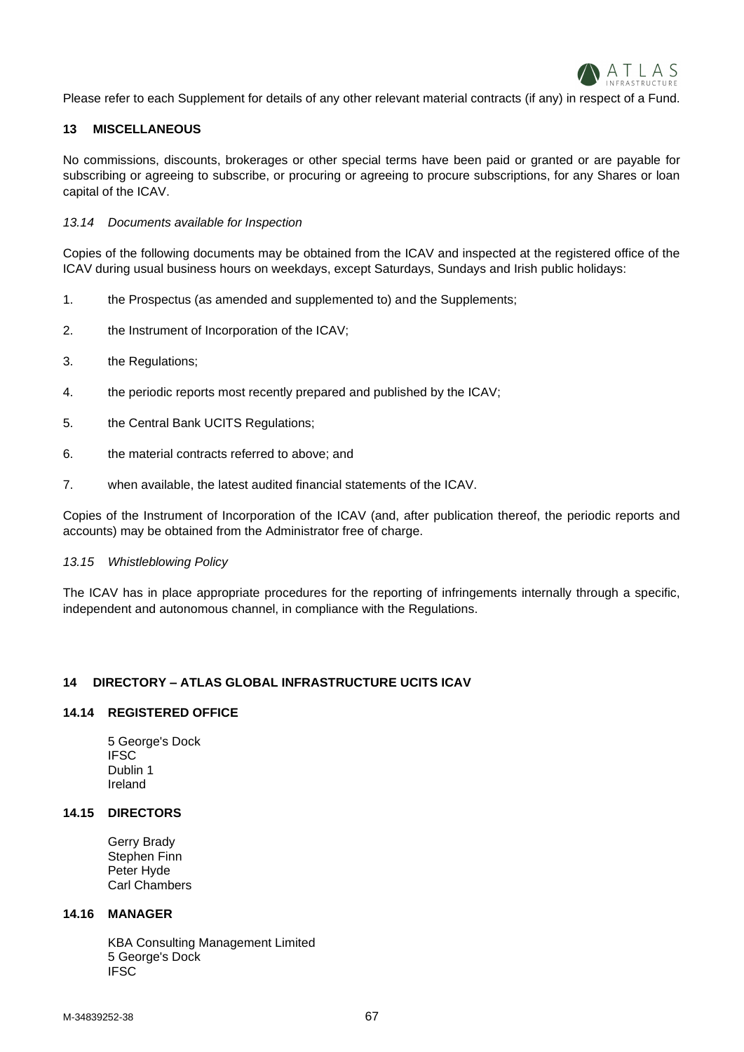

Please refer to each Supplement for details of any other relevant material contracts (if any) in respect of a Fund.

### **13 MISCELLANEOUS**

No commissions, discounts, brokerages or other special terms have been paid or granted or are payable for subscribing or agreeing to subscribe, or procuring or agreeing to procure subscriptions, for any Shares or loan capital of the ICAV.

#### *13.14 Documents available for Inspection*

Copies of the following documents may be obtained from the ICAV and inspected at the registered office of the ICAV during usual business hours on weekdays, except Saturdays, Sundays and Irish public holidays:

- 1. the Prospectus (as amended and supplemented to) and the Supplements;
- 2. the Instrument of Incorporation of the ICAV;
- 3. the Regulations;
- 4. the periodic reports most recently prepared and published by the ICAV;
- 5. the Central Bank UCITS Regulations;
- 6. the material contracts referred to above; and
- 7. when available, the latest audited financial statements of the ICAV.

Copies of the Instrument of Incorporation of the ICAV (and, after publication thereof, the periodic reports and accounts) may be obtained from the Administrator free of charge.

#### *13.15 Whistleblowing Policy*

The ICAV has in place appropriate procedures for the reporting of infringements internally through a specific, independent and autonomous channel, in compliance with the Regulations.

#### **14 DIRECTORY – ATLAS GLOBAL INFRASTRUCTURE UCITS ICAV**

## **14.14 REGISTERED OFFICE**

5 George's Dock IFSC Dublin 1 Ireland

## **14.15 DIRECTORS**

Gerry Brady Stephen Finn Peter Hyde Carl Chambers

## **14.16 MANAGER**

KBA Consulting Management Limited 5 George's Dock **IFSC**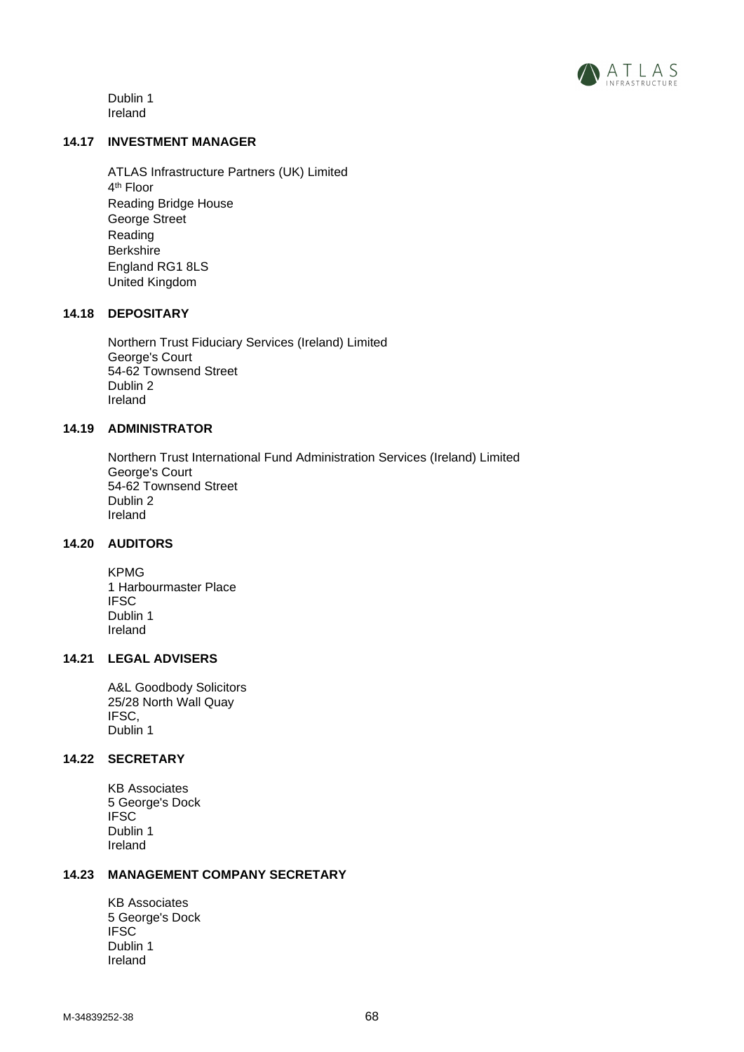

Dublin 1 Ireland

### **14.17 INVESTMENT MANAGER**

ATLAS Infrastructure Partners (UK) Limited 4<sup>th</sup> Floor Reading Bridge House George Street Reading Berkshire England RG1 8LS United Kingdom

### **14.18 DEPOSITARY**

Northern Trust Fiduciary Services (Ireland) Limited George's Court 54-62 Townsend Street Dublin 2 Ireland

#### **14.19 ADMINISTRATOR**

Northern Trust International Fund Administration Services (Ireland) Limited George's Court 54-62 Townsend Street Dublin 2 Ireland

### **14.20 AUDITORS**

KPMG 1 Harbourmaster Place **IFSC** Dublin 1 Ireland

#### **14.21 LEGAL ADVISERS**

A&L Goodbody Solicitors 25/28 North Wall Quay IFSC, Dublin 1

## **14.22 SECRETARY**

KB Associates 5 George's Dock **IFSC** Dublin 1 Ireland

# **14.23 MANAGEMENT COMPANY SECRETARY**

KB Associates 5 George's Dock **IFSC** Dublin 1 Ireland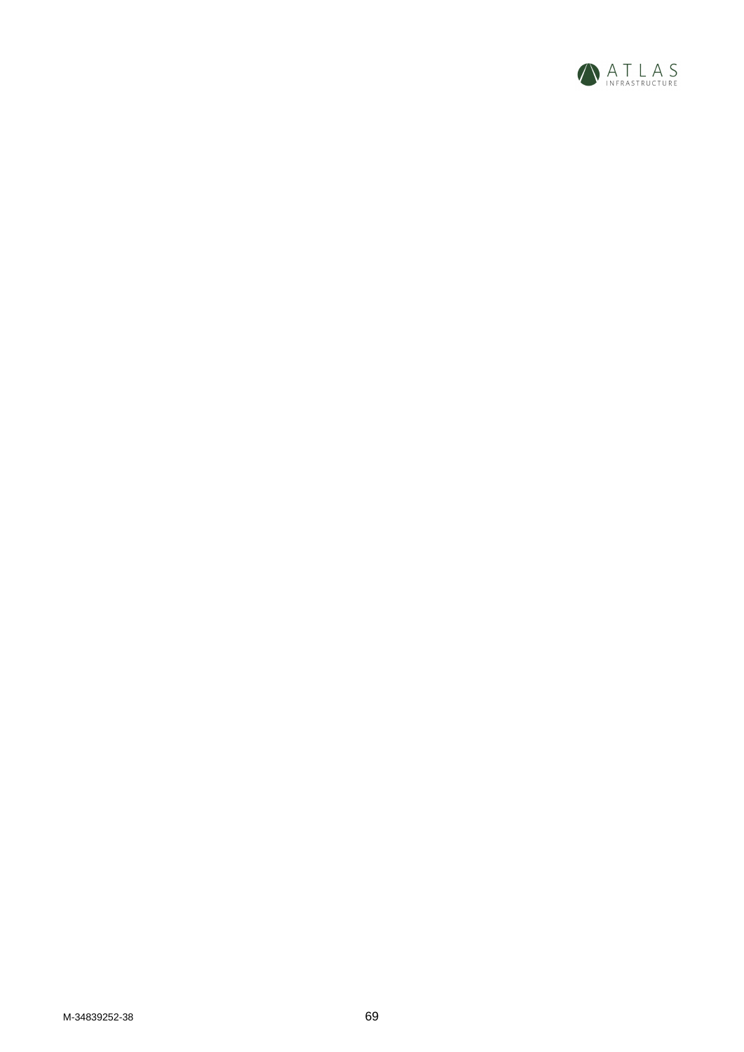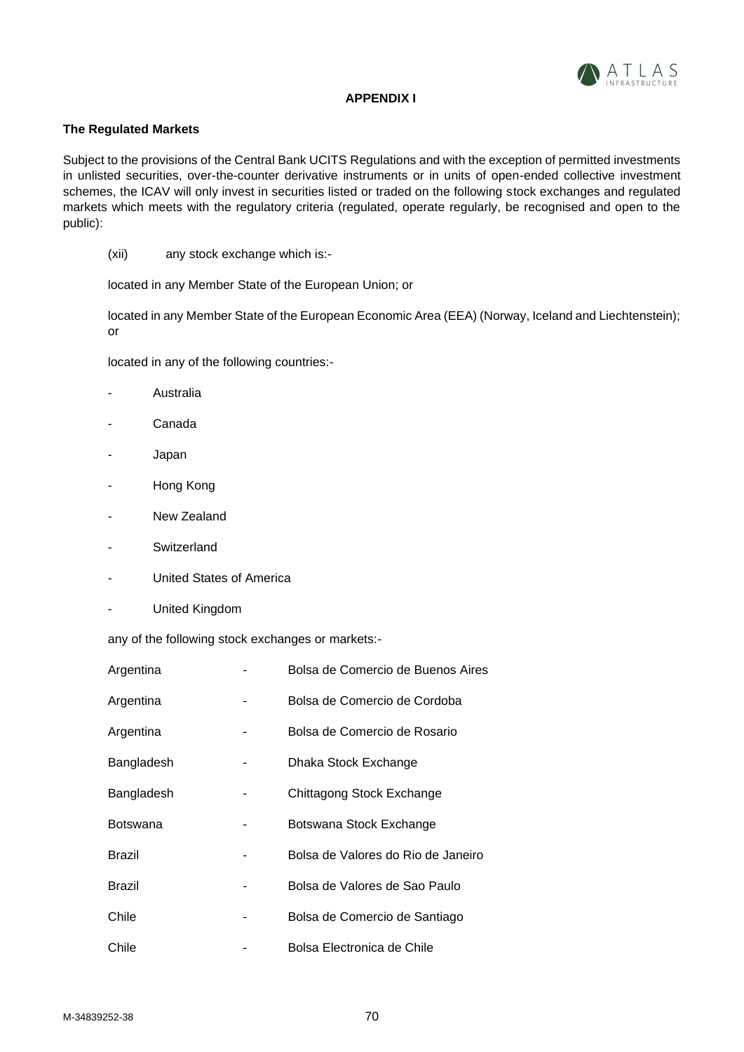

## **APPENDIX I**

## **The Regulated Markets**

Subject to the provisions of the Central Bank UCITS Regulations and with the exception of permitted investments in unlisted securities, over-the-counter derivative instruments or in units of open-ended collective investment schemes, the ICAV will only invest in securities listed or traded on the following stock exchanges and regulated markets which meets with the regulatory criteria (regulated, operate regularly, be recognised and open to the public):

(xii) any stock exchange which is:-

located in any Member State of the European Union; or

located in any Member State of the European Economic Area (EEA) (Norway, Iceland and Liechtenstein); or

located in any of the following countries:-

- **Australia**
- Canada
- Japan
- Hong Kong
- New Zealand
- **Switzerland**
- **United States of America**
- United Kingdom

any of the following stock exchanges or markets:-

| Argentina  | Bolsa de Comercio de Buenos Aires  |
|------------|------------------------------------|
| Argentina  | Bolsa de Comercio de Cordoba       |
| Argentina  | Bolsa de Comercio de Rosario       |
| Bangladesh | Dhaka Stock Exchange               |
| Bangladesh | Chittagong Stock Exchange          |
| Botswana   | Botswana Stock Exchange            |
| Brazil     | Bolsa de Valores do Rio de Janeiro |
| Brazil     | Bolsa de Valores de Sao Paulo      |
| Chile      | Bolsa de Comercio de Santiago      |
| Chile      | Bolsa Electronica de Chile         |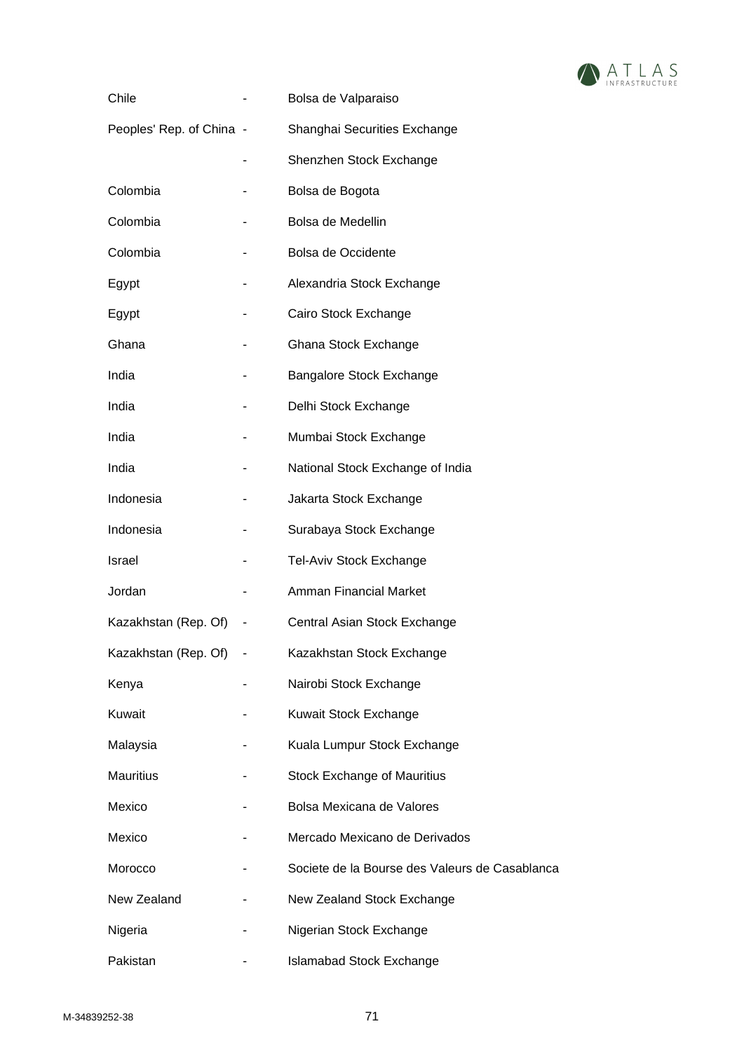

| Chile                    |                              | Bolsa de Valparaiso                            |
|--------------------------|------------------------------|------------------------------------------------|
| Peoples' Rep. of China - |                              | Shanghai Securities Exchange                   |
|                          | ۰                            | Shenzhen Stock Exchange                        |
| Colombia                 |                              | Bolsa de Bogota                                |
| Colombia                 |                              | Bolsa de Medellin                              |
| Colombia                 |                              | Bolsa de Occidente                             |
| Egypt                    | -                            | Alexandria Stock Exchange                      |
| Egypt                    | ۰                            | Cairo Stock Exchange                           |
| Ghana                    | ۰                            | Ghana Stock Exchange                           |
| India                    |                              | Bangalore Stock Exchange                       |
| India                    |                              | Delhi Stock Exchange                           |
| India                    |                              | Mumbai Stock Exchange                          |
| India                    |                              | National Stock Exchange of India               |
| Indonesia                |                              | Jakarta Stock Exchange                         |
| Indonesia                |                              | Surabaya Stock Exchange                        |
| Israel                   |                              | Tel-Aviv Stock Exchange                        |
| Jordan                   | -                            | Amman Financial Market                         |
| Kazakhstan (Rep. Of)     |                              | Central Asian Stock Exchange                   |
| Kazakhstan (Rep. Of)     | $\qquad \qquad \blacksquare$ | Kazakhstan Stock Exchange                      |
| Kenya                    |                              | Nairobi Stock Exchange                         |
| Kuwait                   |                              | Kuwait Stock Exchange                          |
| Malaysia                 |                              | Kuala Lumpur Stock Exchange                    |
| <b>Mauritius</b>         |                              | <b>Stock Exchange of Mauritius</b>             |
| Mexico                   |                              | Bolsa Mexicana de Valores                      |
| Mexico                   |                              | Mercado Mexicano de Derivados                  |
| Morocco                  |                              | Societe de la Bourse des Valeurs de Casablanca |
| New Zealand              |                              | New Zealand Stock Exchange                     |
| Nigeria                  |                              | Nigerian Stock Exchange                        |
| Pakistan                 |                              | <b>Islamabad Stock Exchange</b>                |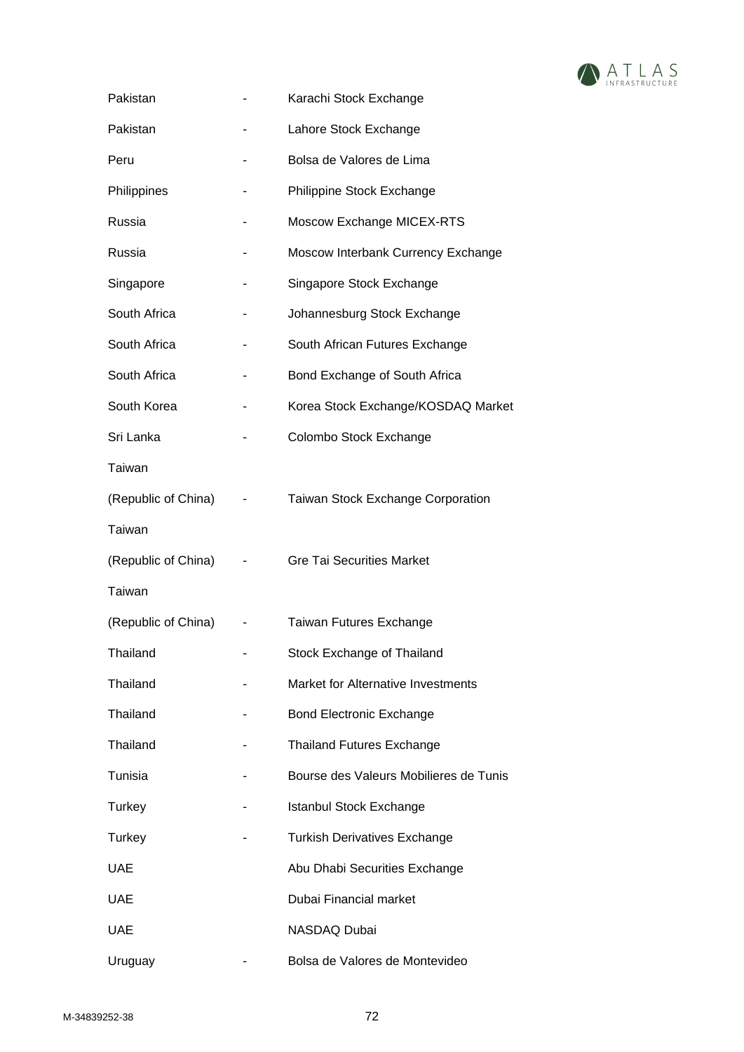

| Pakistan            |   | Karachi Stock Exchange                 |
|---------------------|---|----------------------------------------|
| Pakistan            |   | Lahore Stock Exchange                  |
| Peru                |   | Bolsa de Valores de Lima               |
| Philippines         |   | Philippine Stock Exchange              |
| Russia              |   | Moscow Exchange MICEX-RTS              |
| Russia              | - | Moscow Interbank Currency Exchange     |
| Singapore           | ۰ | Singapore Stock Exchange               |
| South Africa        |   | Johannesburg Stock Exchange            |
| South Africa        |   | South African Futures Exchange         |
| South Africa        |   | Bond Exchange of South Africa          |
| South Korea         |   | Korea Stock Exchange/KOSDAQ Market     |
| Sri Lanka           |   | Colombo Stock Exchange                 |
| Taiwan              |   |                                        |
| (Republic of China) |   | Taiwan Stock Exchange Corporation      |
| Taiwan              |   |                                        |
| (Republic of China) |   | <b>Gre Tai Securities Market</b>       |
| Taiwan              |   |                                        |
| (Republic of China) |   | Taiwan Futures Exchange                |
| Thailand            |   | Stock Exchange of Thailand             |
| Thailand            |   | Market for Alternative Investments     |
| Thailand            |   | <b>Bond Electronic Exchange</b>        |
| Thailand            |   | <b>Thailand Futures Exchange</b>       |
| Tunisia             |   | Bourse des Valeurs Mobilieres de Tunis |
| Turkey              |   | <b>Istanbul Stock Exchange</b>         |
| Turkey              |   | <b>Turkish Derivatives Exchange</b>    |
| <b>UAE</b>          |   | Abu Dhabi Securities Exchange          |
| <b>UAE</b>          |   | Dubai Financial market                 |
| <b>UAE</b>          |   | NASDAQ Dubai                           |
| Uruguay             |   | Bolsa de Valores de Montevideo         |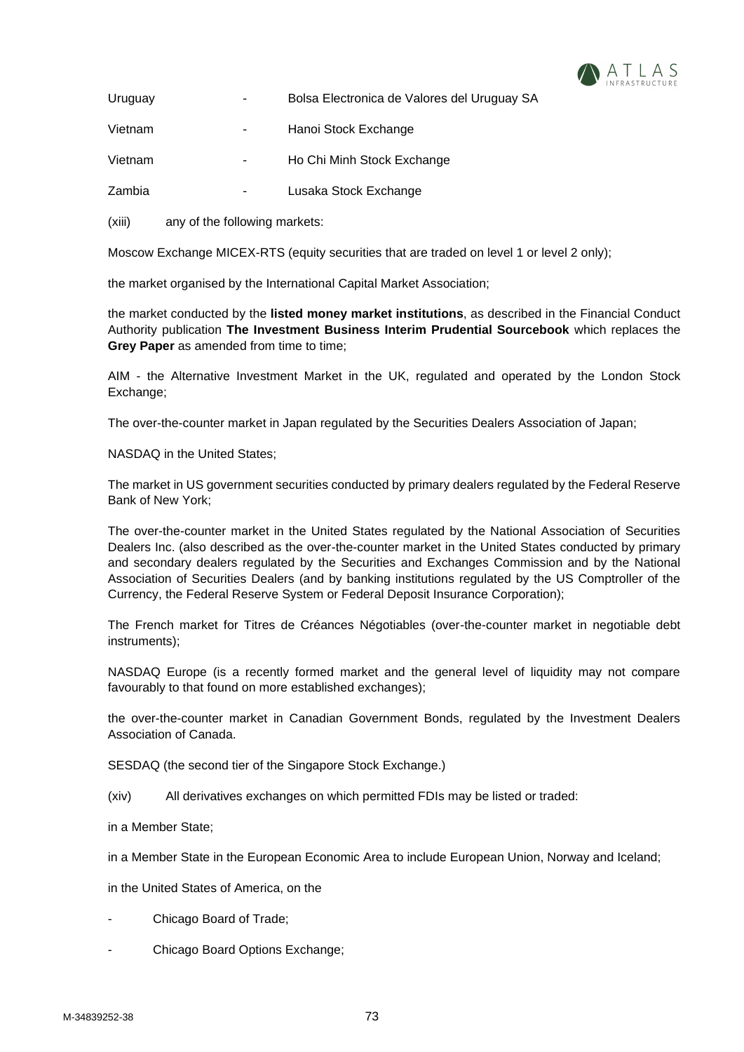

Uruguay - Bolsa Electronica de Valores del Uruguay SA

Vietnam - Hanoi Stock Exchange

Vietnam - Ho Chi Minh Stock Exchange

Zambia  $\qquad \qquad -$  Lusaka Stock Exchange

(xiii) any of the following markets:

Moscow Exchange MICEX-RTS (equity securities that are traded on level 1 or level 2 only);

the market organised by the International Capital Market Association;

the market conducted by the **listed money market institutions**, as described in the Financial Conduct Authority publication **The Investment Business Interim Prudential Sourcebook** which replaces the **Grey Paper** as amended from time to time;

AIM - the Alternative Investment Market in the UK, regulated and operated by the London Stock Exchange:

The over-the-counter market in Japan regulated by the Securities Dealers Association of Japan;

NASDAQ in the United States;

The market in US government securities conducted by primary dealers regulated by the Federal Reserve Bank of New York;

The over-the-counter market in the United States regulated by the National Association of Securities Dealers Inc. (also described as the over-the-counter market in the United States conducted by primary and secondary dealers regulated by the Securities and Exchanges Commission and by the National Association of Securities Dealers (and by banking institutions regulated by the US Comptroller of the Currency, the Federal Reserve System or Federal Deposit Insurance Corporation);

The French market for Titres de Créances Négotiables (over-the-counter market in negotiable debt instruments);

NASDAQ Europe (is a recently formed market and the general level of liquidity may not compare favourably to that found on more established exchanges);

the over-the-counter market in Canadian Government Bonds, regulated by the Investment Dealers Association of Canada.

SESDAQ (the second tier of the Singapore Stock Exchange.)

(xiv) All derivatives exchanges on which permitted FDIs may be listed or traded:

in a Member State;

in a Member State in the European Economic Area to include European Union, Norway and Iceland;

in the United States of America, on the

- Chicago Board of Trade;
- Chicago Board Options Exchange;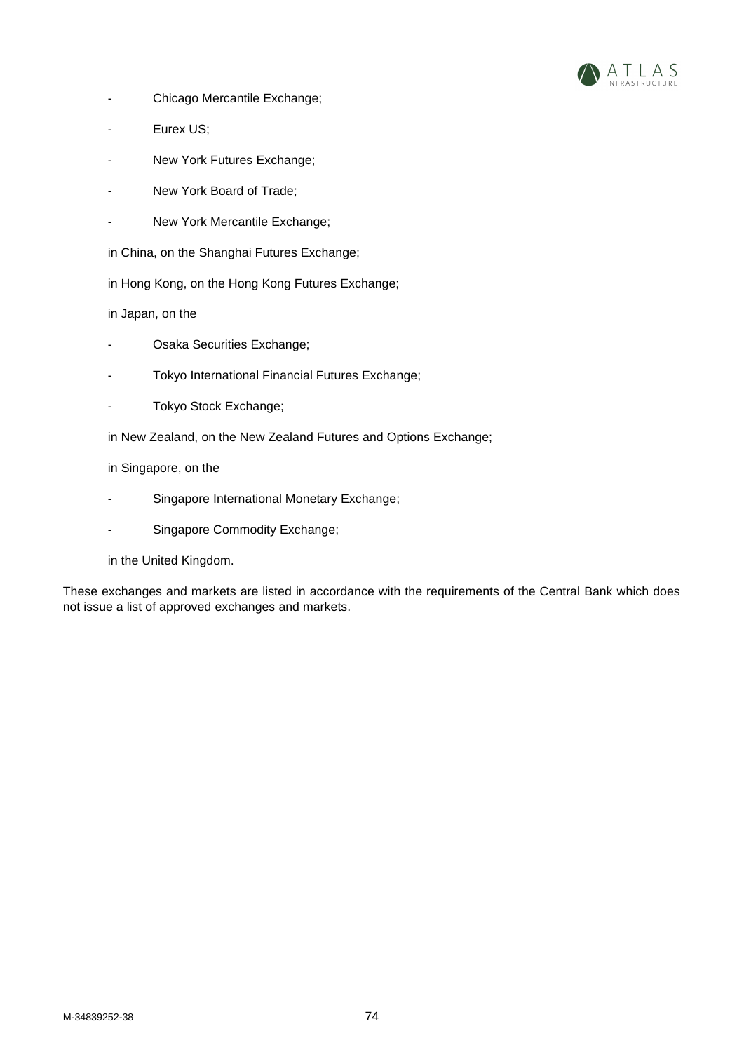

- Chicago Mercantile Exchange;
- Eurex US;
- New York Futures Exchange;
- New York Board of Trade;
- New York Mercantile Exchange;

in China, on the Shanghai Futures Exchange;

in Hong Kong, on the Hong Kong Futures Exchange;

in Japan, on the

- Osaka Securities Exchange;
- Tokyo International Financial Futures Exchange;
- Tokyo Stock Exchange;

in New Zealand, on the New Zealand Futures and Options Exchange;

in Singapore, on the

- Singapore International Monetary Exchange;
- Singapore Commodity Exchange;

in the United Kingdom.

These exchanges and markets are listed in accordance with the requirements of the Central Bank which does not issue a list of approved exchanges and markets.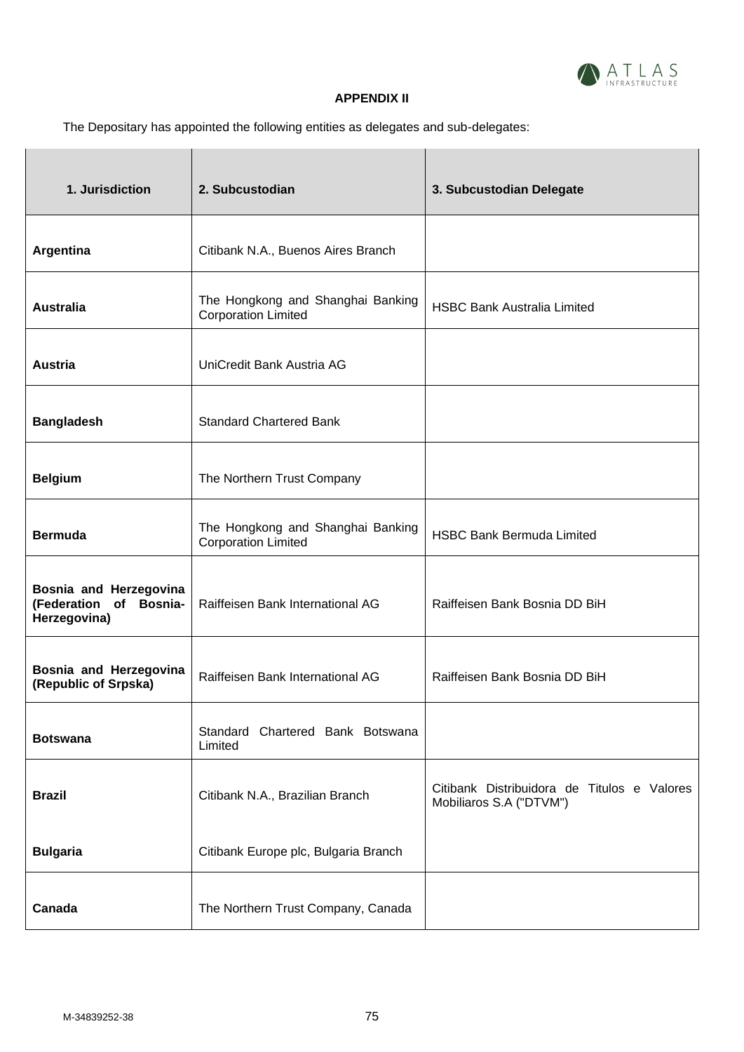

### **APPENDIX II**

The Depositary has appointed the following entities as delegates and sub-delegates:

| 1. Jurisdiction                                                  | 2. Subcustodian                                                 | 3. Subcustodian Delegate                                               |
|------------------------------------------------------------------|-----------------------------------------------------------------|------------------------------------------------------------------------|
| Argentina                                                        | Citibank N.A., Buenos Aires Branch                              |                                                                        |
| <b>Australia</b>                                                 | The Hongkong and Shanghai Banking<br><b>Corporation Limited</b> | <b>HSBC Bank Australia Limited</b>                                     |
| <b>Austria</b>                                                   | UniCredit Bank Austria AG                                       |                                                                        |
| <b>Bangladesh</b>                                                | <b>Standard Chartered Bank</b>                                  |                                                                        |
| <b>Belgium</b>                                                   | The Northern Trust Company                                      |                                                                        |
| <b>Bermuda</b>                                                   | The Hongkong and Shanghai Banking<br><b>Corporation Limited</b> | <b>HSBC Bank Bermuda Limited</b>                                       |
| Bosnia and Herzegovina<br>(Federation of Bosnia-<br>Herzegovina) | Raiffeisen Bank International AG                                | Raiffeisen Bank Bosnia DD BiH                                          |
| Bosnia and Herzegovina<br>(Republic of Srpska)                   | Raiffeisen Bank International AG                                | Raiffeisen Bank Bosnia DD BiH                                          |
| <b>Botswana</b>                                                  | Standard Chartered Bank Botswana<br>Limited                     |                                                                        |
| <b>Brazil</b>                                                    | Citibank N.A., Brazilian Branch                                 | Citibank Distribuidora de Titulos e Valores<br>Mobiliaros S.A ("DTVM") |
| <b>Bulgaria</b>                                                  | Citibank Europe plc, Bulgaria Branch                            |                                                                        |
| Canada                                                           | The Northern Trust Company, Canada                              |                                                                        |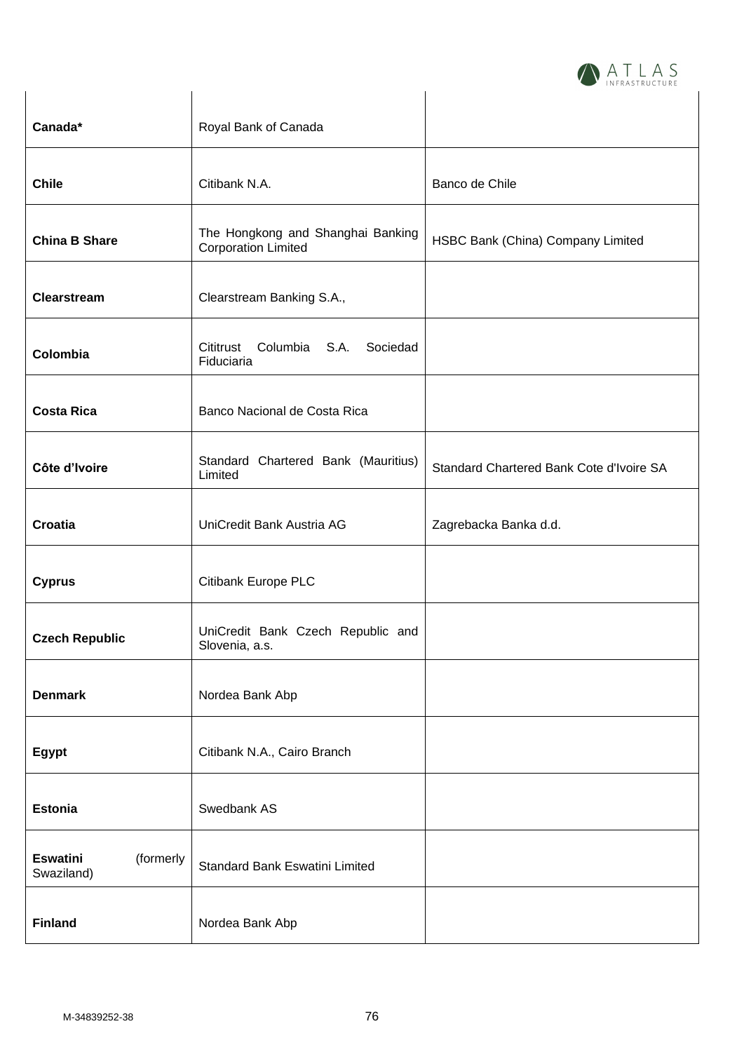

| Canada*                                    | Royal Bank of Canada                                            |                                          |
|--------------------------------------------|-----------------------------------------------------------------|------------------------------------------|
| <b>Chile</b>                               | Citibank N.A.                                                   | Banco de Chile                           |
| <b>China B Share</b>                       | The Hongkong and Shanghai Banking<br><b>Corporation Limited</b> | HSBC Bank (China) Company Limited        |
| <b>Clearstream</b>                         | Clearstream Banking S.A.,                                       |                                          |
| Colombia                                   | Cititrust Columbia S.A.<br>Sociedad<br>Fiduciaria               |                                          |
| <b>Costa Rica</b>                          | Banco Nacional de Costa Rica                                    |                                          |
| Côte d'Ivoire                              | Standard Chartered Bank (Mauritius)<br>Limited                  | Standard Chartered Bank Cote d'Ivoire SA |
| Croatia                                    | UniCredit Bank Austria AG                                       | Zagrebacka Banka d.d.                    |
| <b>Cyprus</b>                              | Citibank Europe PLC                                             |                                          |
| <b>Czech Republic</b>                      | UniCredit Bank Czech Republic and<br>Slovenia, a.s.             |                                          |
| <b>Denmark</b>                             | Nordea Bank Abp                                                 |                                          |
| Egypt                                      | Citibank N.A., Cairo Branch                                     |                                          |
| <b>Estonia</b>                             | Swedbank AS                                                     |                                          |
| <b>Eswatini</b><br>(formerly<br>Swaziland) | Standard Bank Eswatini Limited                                  |                                          |
| <b>Finland</b>                             | Nordea Bank Abp                                                 |                                          |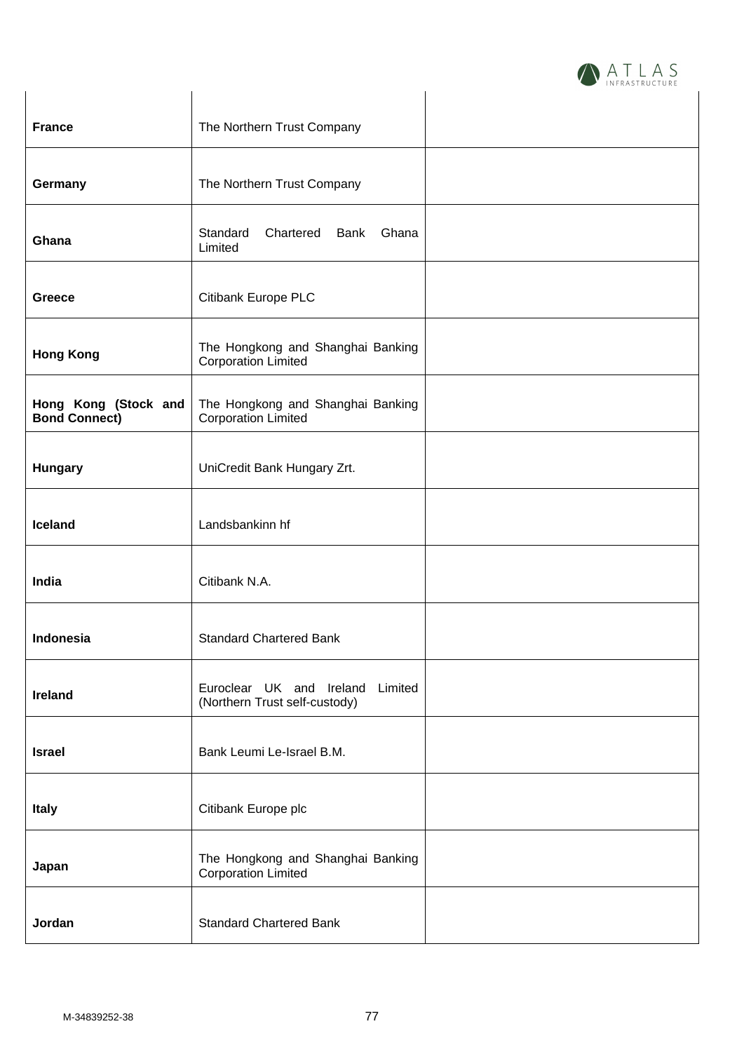

| <b>France</b>                                | The Northern Trust Company                                        |  |
|----------------------------------------------|-------------------------------------------------------------------|--|
| Germany                                      | The Northern Trust Company                                        |  |
| Ghana                                        | Standard<br>Chartered Bank<br>Ghana<br>Limited                    |  |
| Greece                                       | Citibank Europe PLC                                               |  |
| <b>Hong Kong</b>                             | The Hongkong and Shanghai Banking<br><b>Corporation Limited</b>   |  |
| Hong Kong (Stock and<br><b>Bond Connect)</b> | The Hongkong and Shanghai Banking<br><b>Corporation Limited</b>   |  |
| Hungary                                      | UniCredit Bank Hungary Zrt.                                       |  |
| Iceland                                      | Landsbankinn hf                                                   |  |
| India                                        | Citibank N.A.                                                     |  |
| Indonesia                                    | <b>Standard Chartered Bank</b>                                    |  |
| <b>Ireland</b>                               | Euroclear UK and Ireland Limited<br>(Northern Trust self-custody) |  |
| <b>Israel</b>                                | Bank Leumi Le-Israel B.M.                                         |  |
| <b>Italy</b>                                 | Citibank Europe plc                                               |  |
| Japan                                        | The Hongkong and Shanghai Banking<br><b>Corporation Limited</b>   |  |
| Jordan                                       | <b>Standard Chartered Bank</b>                                    |  |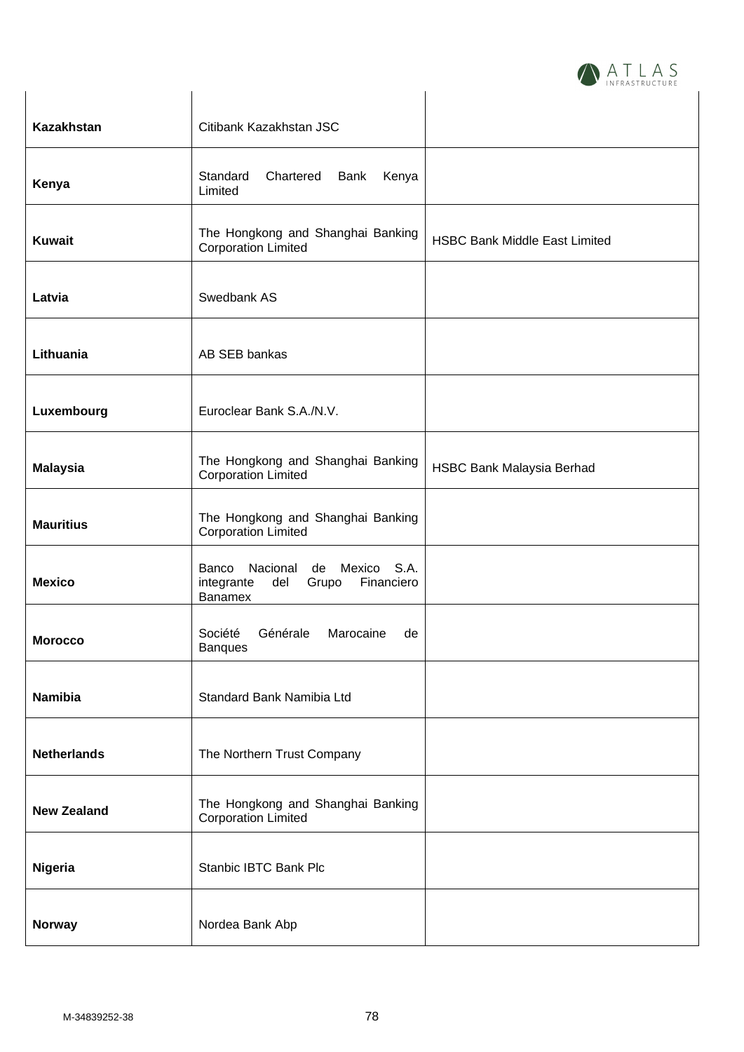

| <b>Kazakhstan</b>  | Citibank Kazakhstan JSC                                                                       |                                      |
|--------------------|-----------------------------------------------------------------------------------------------|--------------------------------------|
| Kenya              | Standard<br>Chartered<br>Bank<br>Kenya<br>Limited                                             |                                      |
| <b>Kuwait</b>      | The Hongkong and Shanghai Banking<br><b>Corporation Limited</b>                               | <b>HSBC Bank Middle East Limited</b> |
| Latvia             | Swedbank AS                                                                                   |                                      |
| Lithuania          | AB SEB bankas                                                                                 |                                      |
| Luxembourg         | Euroclear Bank S.A./N.V.                                                                      |                                      |
| <b>Malaysia</b>    | The Hongkong and Shanghai Banking<br><b>Corporation Limited</b>                               | HSBC Bank Malaysia Berhad            |
| <b>Mauritius</b>   | The Hongkong and Shanghai Banking<br><b>Corporation Limited</b>                               |                                      |
| <b>Mexico</b>      | Nacional<br>de<br>Mexico S.A.<br>Banco<br>integrante<br>del<br>Grupo<br>Financiero<br>Banamex |                                      |
| <b>Morocco</b>     | Générale<br>Société<br>Marocaine<br>de<br><b>Banques</b>                                      |                                      |
| <b>Namibia</b>     | Standard Bank Namibia Ltd                                                                     |                                      |
| <b>Netherlands</b> | The Northern Trust Company                                                                    |                                      |
| <b>New Zealand</b> | The Hongkong and Shanghai Banking<br><b>Corporation Limited</b>                               |                                      |
| Nigeria            | Stanbic IBTC Bank Plc                                                                         |                                      |
| Norway             | Nordea Bank Abp                                                                               |                                      |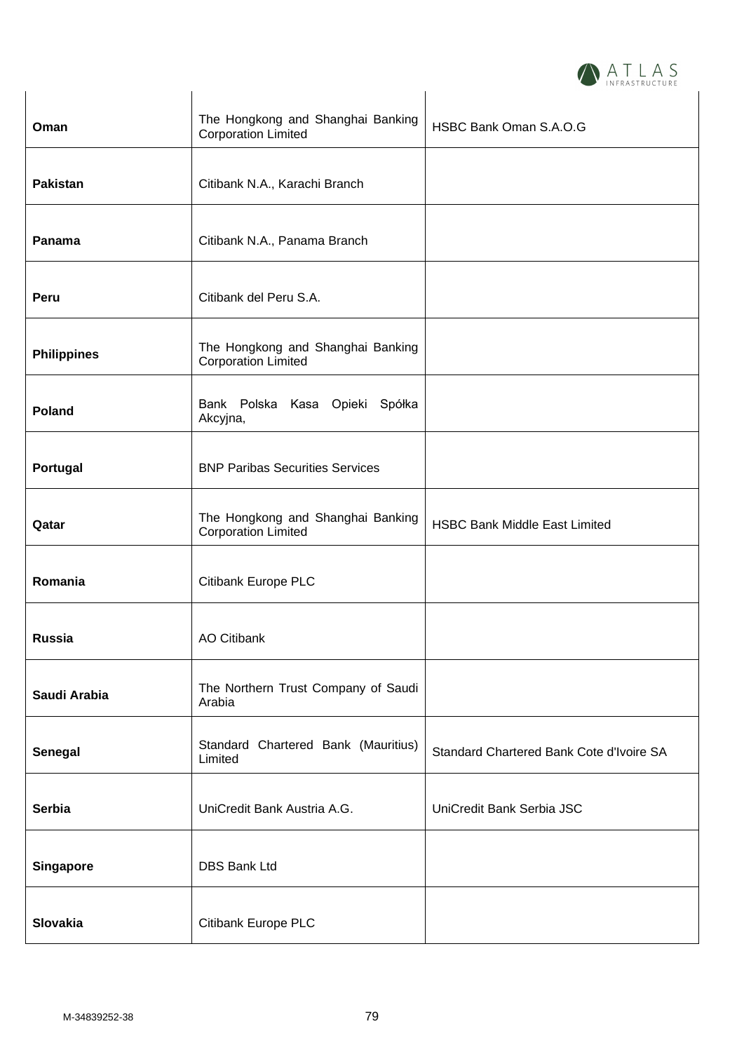

| Oman               | The Hongkong and Shanghai Banking<br><b>Corporation Limited</b> | HSBC Bank Oman S.A.O.G                   |
|--------------------|-----------------------------------------------------------------|------------------------------------------|
| Pakistan           | Citibank N.A., Karachi Branch                                   |                                          |
| Panama             | Citibank N.A., Panama Branch                                    |                                          |
| Peru               | Citibank del Peru S.A.                                          |                                          |
| <b>Philippines</b> | The Hongkong and Shanghai Banking<br><b>Corporation Limited</b> |                                          |
| Poland             | Bank Polska Kasa Opieki Spółka<br>Akcyjna,                      |                                          |
| Portugal           | <b>BNP Paribas Securities Services</b>                          |                                          |
| Qatar              | The Hongkong and Shanghai Banking<br><b>Corporation Limited</b> | <b>HSBC Bank Middle East Limited</b>     |
| Romania            | Citibank Europe PLC                                             |                                          |
| Russia             | <b>AO Citibank</b>                                              |                                          |
| Saudi Arabia       | The Northern Trust Company of Saudi<br>Arabia                   |                                          |
| Senegal            | Standard Chartered Bank (Mauritius)<br>Limited                  | Standard Chartered Bank Cote d'Ivoire SA |
| Serbia             | UniCredit Bank Austria A.G.                                     | UniCredit Bank Serbia JSC                |
| Singapore          | <b>DBS Bank Ltd</b>                                             |                                          |
| Slovakia           | Citibank Europe PLC                                             |                                          |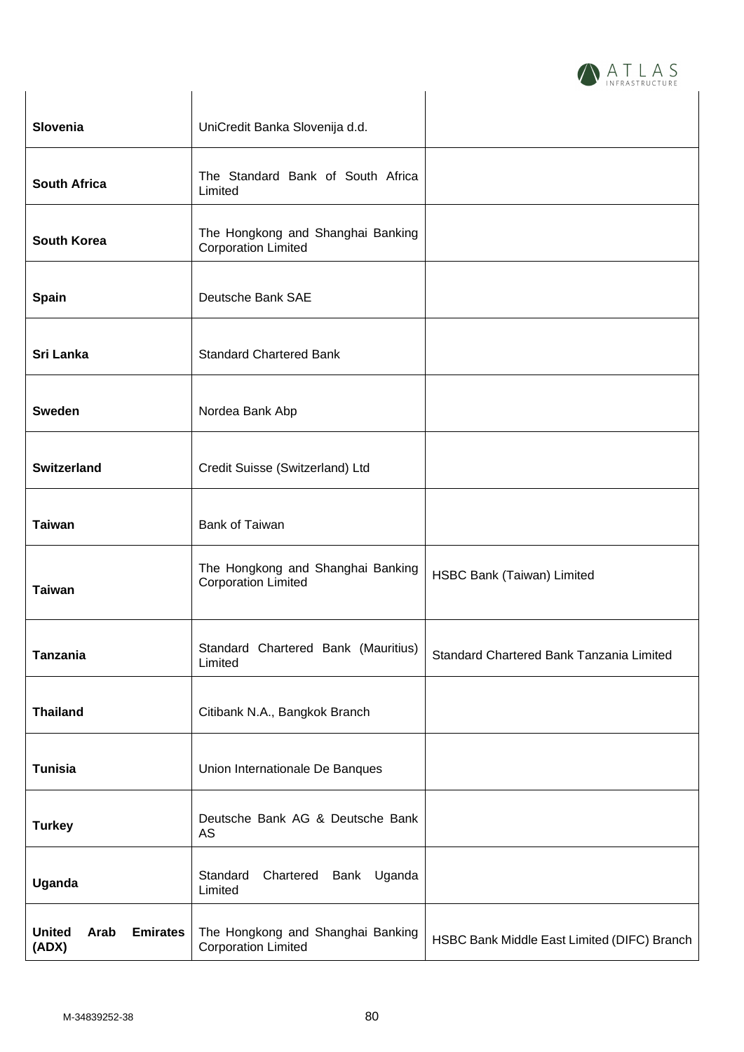

|                                                   |                                                                 | <b>INFRASTRUCTURE</b>                       |
|---------------------------------------------------|-----------------------------------------------------------------|---------------------------------------------|
| <b>Slovenia</b>                                   | UniCredit Banka Slovenija d.d.                                  |                                             |
| <b>South Africa</b>                               | The Standard Bank of South Africa<br>Limited                    |                                             |
| <b>South Korea</b>                                | The Hongkong and Shanghai Banking<br><b>Corporation Limited</b> |                                             |
| <b>Spain</b>                                      | Deutsche Bank SAE                                               |                                             |
| Sri Lanka                                         | <b>Standard Chartered Bank</b>                                  |                                             |
| <b>Sweden</b>                                     | Nordea Bank Abp                                                 |                                             |
| <b>Switzerland</b>                                | Credit Suisse (Switzerland) Ltd                                 |                                             |
| <b>Taiwan</b>                                     | <b>Bank of Taiwan</b>                                           |                                             |
| <b>Taiwan</b>                                     | The Hongkong and Shanghai Banking<br><b>Corporation Limited</b> | HSBC Bank (Taiwan) Limited                  |
| <b>Tanzania</b>                                   | Standard Chartered Bank (Mauritius)<br>Limited                  | Standard Chartered Bank Tanzania Limited    |
| <b>Thailand</b>                                   | Citibank N.A., Bangkok Branch                                   |                                             |
| <b>Tunisia</b>                                    | Union Internationale De Banques                                 |                                             |
| <b>Turkey</b>                                     | Deutsche Bank AG & Deutsche Bank<br><b>AS</b>                   |                                             |
| Uganda                                            | Standard<br>Chartered Bank Uganda<br>Limited                    |                                             |
| <b>Emirates</b><br><b>United</b><br>Arab<br>(ADX) | The Hongkong and Shanghai Banking<br><b>Corporation Limited</b> | HSBC Bank Middle East Limited (DIFC) Branch |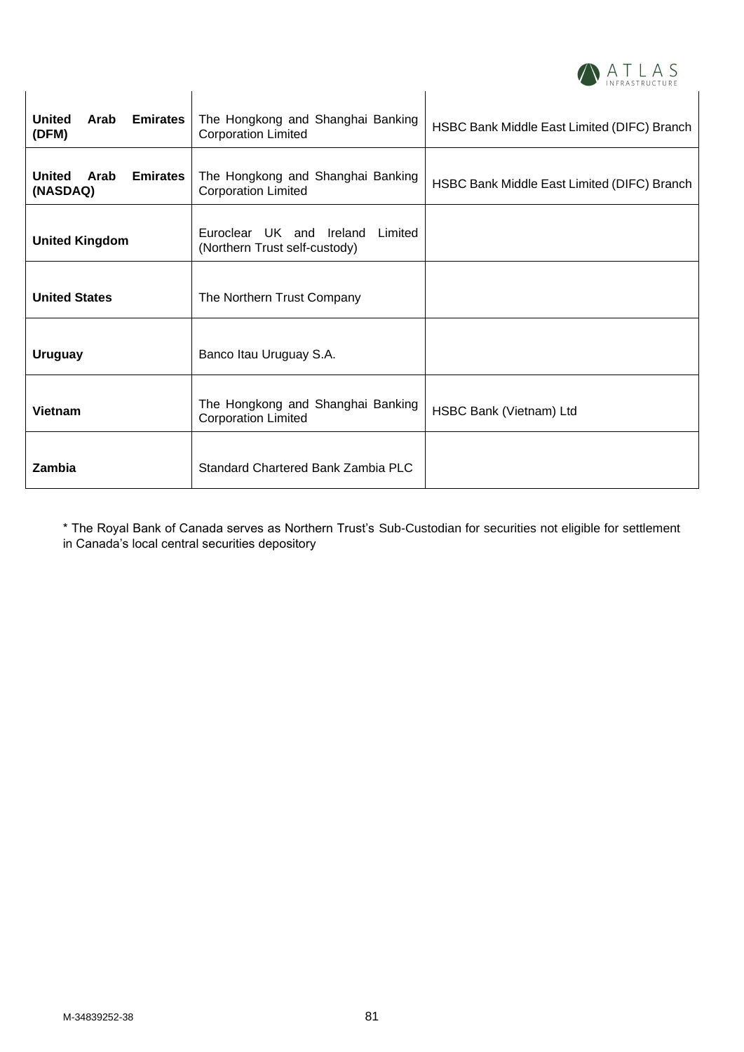

| <b>United</b><br>Arab<br><b>Emirates</b><br>(DFM) | The Hongkong and Shanghai Banking<br><b>Corporation Limited</b>      | HSBC Bank Middle East Limited (DIFC) Branch |
|---------------------------------------------------|----------------------------------------------------------------------|---------------------------------------------|
| <b>Emirates</b><br>United<br>Arab<br>(NASDAQ)     | The Hongkong and Shanghai Banking<br><b>Corporation Limited</b>      | HSBC Bank Middle East Limited (DIFC) Branch |
| <b>United Kingdom</b>                             | Euroclear UK and Ireland<br>Limited<br>(Northern Trust self-custody) |                                             |
| <b>United States</b>                              | The Northern Trust Company                                           |                                             |
| <b>Uruguay</b>                                    | Banco Itau Uruguay S.A.                                              |                                             |
| Vietnam                                           | The Hongkong and Shanghai Banking<br><b>Corporation Limited</b>      | HSBC Bank (Vietnam) Ltd                     |
| Zambia                                            | Standard Chartered Bank Zambia PLC                                   |                                             |

\* The Royal Bank of Canada serves as Northern Trust's Sub-Custodian for securities not eligible for settlement in Canada's local central securities depository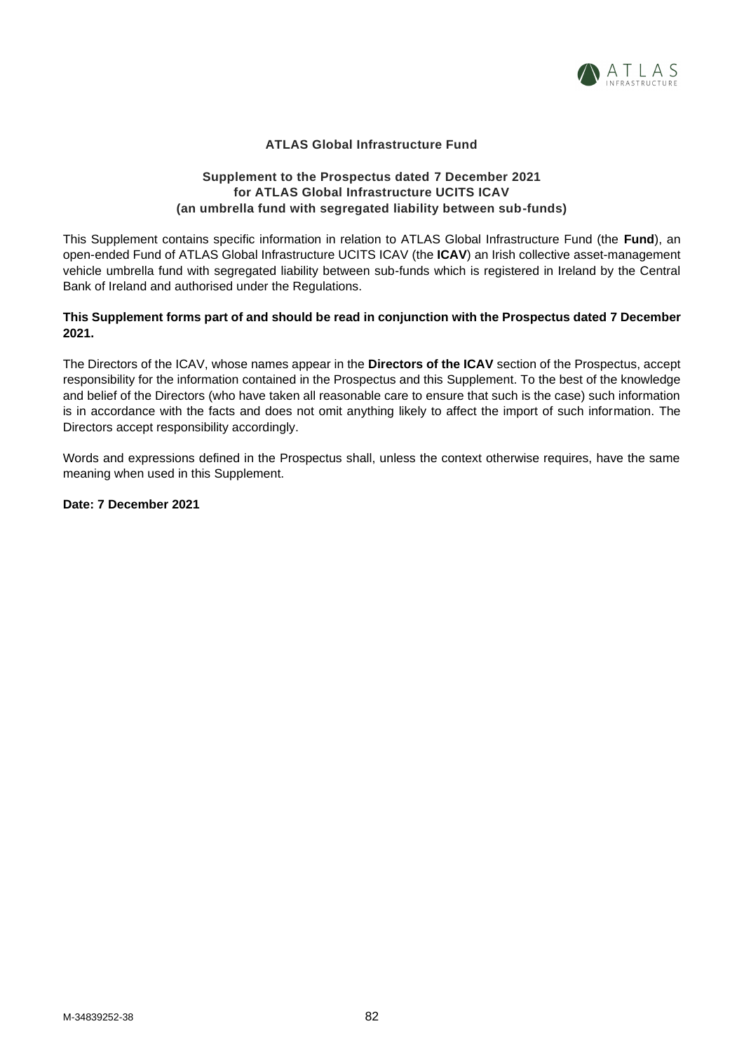

### **ATLAS Global Infrastructure Fund**

## **Supplement to the Prospectus dated 7 December 2021 for ATLAS Global Infrastructure UCITS ICAV (an umbrella fund with segregated liability between sub-funds)**

This Supplement contains specific information in relation to ATLAS Global Infrastructure Fund (the **Fund**), an open-ended Fund of ATLAS Global Infrastructure UCITS ICAV (the **ICAV**) an Irish collective asset-management vehicle umbrella fund with segregated liability between sub-funds which is registered in Ireland by the Central Bank of Ireland and authorised under the Regulations.

### **This Supplement forms part of and should be read in conjunction with the Prospectus dated 7 December 2021.**

The Directors of the ICAV, whose names appear in the **Directors of the ICAV** section of the Prospectus, accept responsibility for the information contained in the Prospectus and this Supplement. To the best of the knowledge and belief of the Directors (who have taken all reasonable care to ensure that such is the case) such information is in accordance with the facts and does not omit anything likely to affect the import of such information. The Directors accept responsibility accordingly.

Words and expressions defined in the Prospectus shall, unless the context otherwise requires, have the same meaning when used in this Supplement.

**Date: 7 December 2021**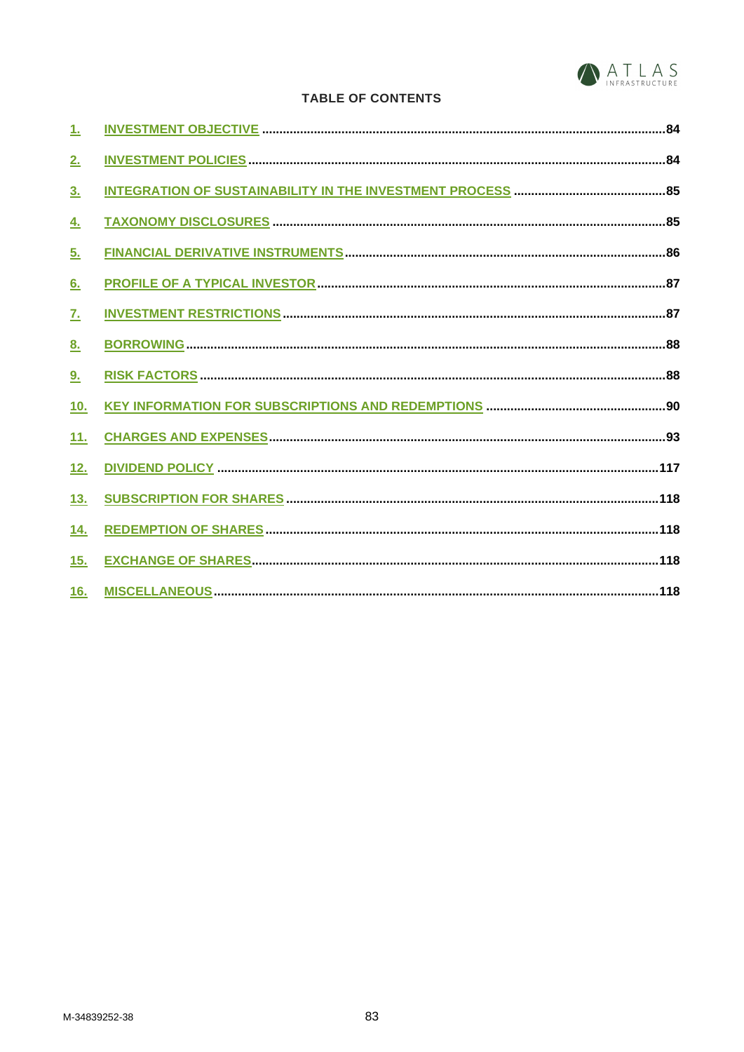

# **TABLE OF CONTENTS**

| 1.             |  |
|----------------|--|
| 2.             |  |
| 3 <sub>1</sub> |  |
| $\frac{4}{2}$  |  |
| 5.             |  |
| 6.             |  |
| <u>7.</u>      |  |
| 8.             |  |
| 9.             |  |
| 10.            |  |
| 11.            |  |
| 12.            |  |
| 13.            |  |
| 14.            |  |
| 15.            |  |
| 16.            |  |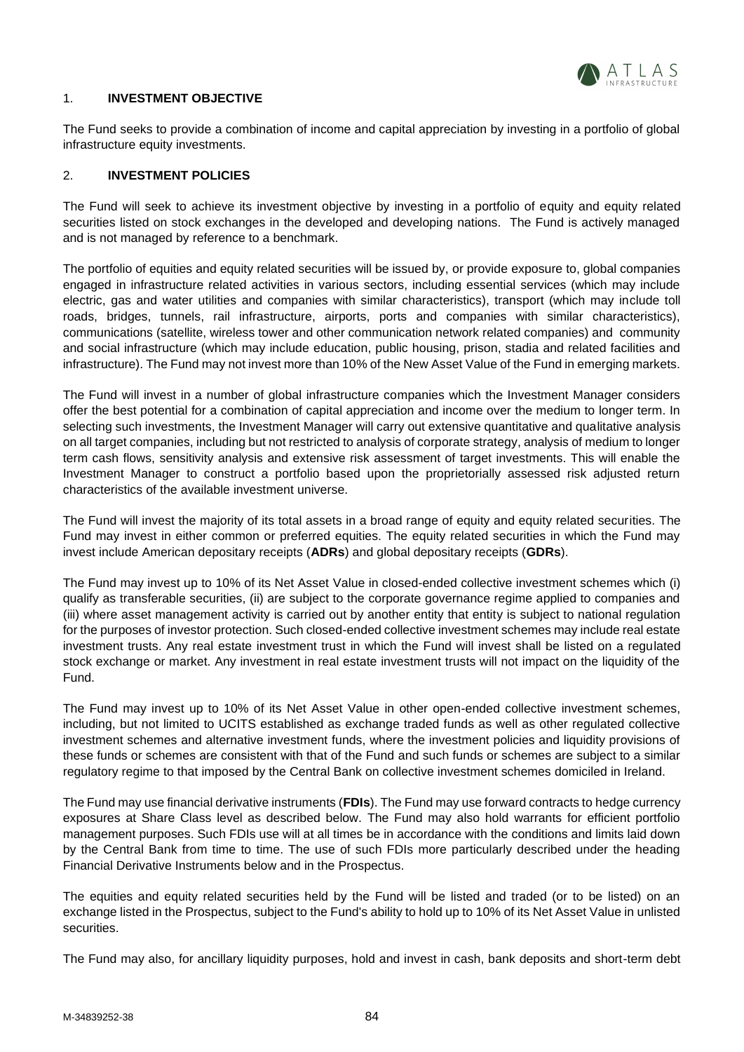

#### <span id="page-84-0"></span>1. **INVESTMENT OBJECTIVE**

The Fund seeks to provide a combination of income and capital appreciation by investing in a portfolio of global infrastructure equity investments.

## <span id="page-84-1"></span>2. **INVESTMENT POLICIES**

The Fund will seek to achieve its investment objective by investing in a portfolio of equity and equity related securities listed on stock exchanges in the developed and developing nations. The Fund is actively managed and is not managed by reference to a benchmark.

The portfolio of equities and equity related securities will be issued by, or provide exposure to, global companies engaged in infrastructure related activities in various sectors, including essential services (which may include electric, gas and water utilities and companies with similar characteristics), transport (which may include toll roads, bridges, tunnels, rail infrastructure, airports, ports and companies with similar characteristics), communications (satellite, wireless tower and other communication network related companies) and community and social infrastructure (which may include education, public housing, prison, stadia and related facilities and infrastructure). The Fund may not invest more than 10% of the New Asset Value of the Fund in emerging markets.

The Fund will invest in a number of global infrastructure companies which the Investment Manager considers offer the best potential for a combination of capital appreciation and income over the medium to longer term. In selecting such investments, the Investment Manager will carry out extensive quantitative and qualitative analysis on all target companies, including but not restricted to analysis of corporate strategy, analysis of medium to longer term cash flows, sensitivity analysis and extensive risk assessment of target investments. This will enable the Investment Manager to construct a portfolio based upon the proprietorially assessed risk adjusted return characteristics of the available investment universe.

The Fund will invest the majority of its total assets in a broad range of equity and equity related securities. The Fund may invest in either common or preferred equities. The equity related securities in which the Fund may invest include American depositary receipts (**ADRs**) and global depositary receipts (**GDRs**).

The Fund may invest up to 10% of its Net Asset Value in closed-ended collective investment schemes which (i) qualify as transferable securities, (ii) are subject to the corporate governance regime applied to companies and (iii) where asset management activity is carried out by another entity that entity is subject to national regulation for the purposes of investor protection. Such closed-ended collective investment schemes may include real estate investment trusts. Any real estate investment trust in which the Fund will invest shall be listed on a regulated stock exchange or market. Any investment in real estate investment trusts will not impact on the liquidity of the Fund.

The Fund may invest up to 10% of its Net Asset Value in other open-ended collective investment schemes, including, but not limited to UCITS established as exchange traded funds as well as other regulated collective investment schemes and alternative investment funds, where the investment policies and liquidity provisions of these funds or schemes are consistent with that of the Fund and such funds or schemes are subject to a similar regulatory regime to that imposed by the Central Bank on collective investment schemes domiciled in Ireland.

The Fund may use financial derivative instruments (**FDIs**). The Fund may use forward contracts to hedge currency exposures at Share Class level as described below. The Fund may also hold warrants for efficient portfolio management purposes. Such FDIs use will at all times be in accordance with the conditions and limits laid down by the Central Bank from time to time. The use of such FDIs more particularly described under the heading Financial Derivative Instruments below and in the Prospectus.

The equities and equity related securities held by the Fund will be listed and traded (or to be listed) on an exchange listed in the Prospectus, subject to the Fund's ability to hold up to 10% of its Net Asset Value in unlisted securities.

The Fund may also, for ancillary liquidity purposes, hold and invest in cash, bank deposits and short-term debt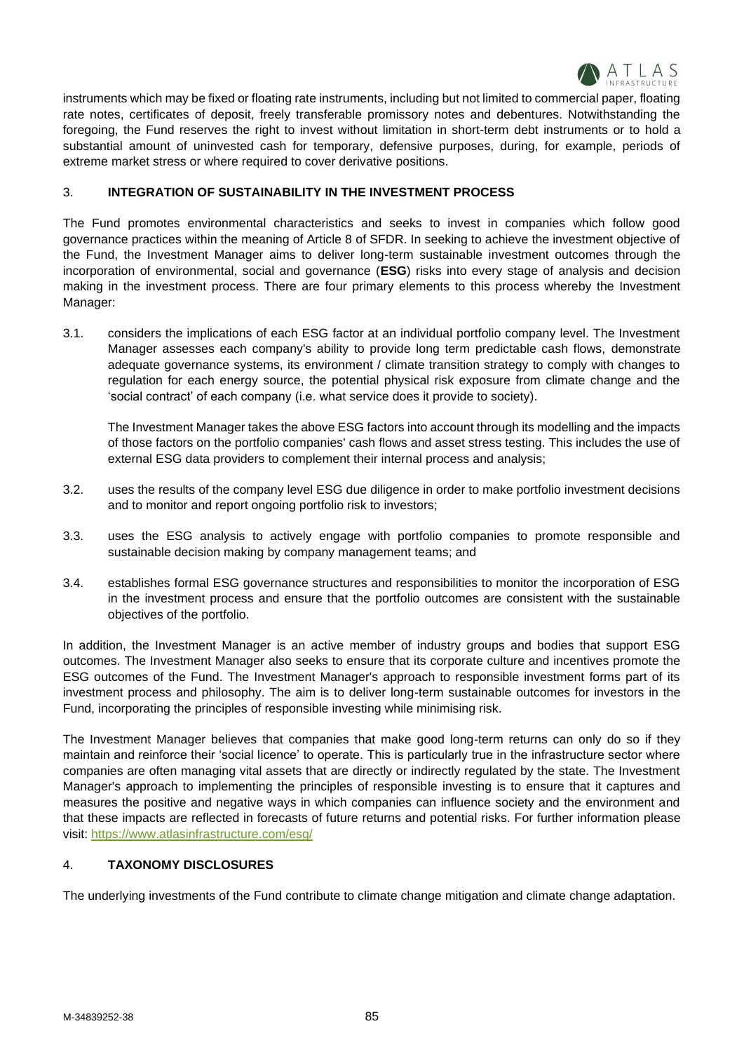

instruments which may be fixed or floating rate instruments, including but not limited to commercial paper, floating rate notes, certificates of deposit, freely transferable promissory notes and debentures. Notwithstanding the foregoing, the Fund reserves the right to invest without limitation in short-term debt instruments or to hold a substantial amount of uninvested cash for temporary, defensive purposes, during, for example, periods of extreme market stress or where required to cover derivative positions.

### <span id="page-85-0"></span>3. **INTEGRATION OF SUSTAINABILITY IN THE INVESTMENT PROCESS**

The Fund promotes environmental characteristics and seeks to invest in companies which follow good governance practices within the meaning of Article 8 of SFDR. In seeking to achieve the investment objective of the Fund, the Investment Manager aims to deliver long-term sustainable investment outcomes through the incorporation of environmental, social and governance (**ESG**) risks into every stage of analysis and decision making in the investment process. There are four primary elements to this process whereby the Investment Manager:

3.1. considers the implications of each ESG factor at an individual portfolio company level. The Investment Manager assesses each company's ability to provide long term predictable cash flows, demonstrate adequate governance systems, its environment / climate transition strategy to comply with changes to regulation for each energy source, the potential physical risk exposure from climate change and the 'social contract' of each company (i.e. what service does it provide to society).

The Investment Manager takes the above ESG factors into account through its modelling and the impacts of those factors on the portfolio companies' cash flows and asset stress testing. This includes the use of external ESG data providers to complement their internal process and analysis;

- 3.2. uses the results of the company level ESG due diligence in order to make portfolio investment decisions and to monitor and report ongoing portfolio risk to investors;
- 3.3. uses the ESG analysis to actively engage with portfolio companies to promote responsible and sustainable decision making by company management teams; and
- 3.4. establishes formal ESG governance structures and responsibilities to monitor the incorporation of ESG in the investment process and ensure that the portfolio outcomes are consistent with the sustainable objectives of the portfolio.

In addition, the Investment Manager is an active member of industry groups and bodies that support ESG outcomes. The Investment Manager also seeks to ensure that its corporate culture and incentives promote the ESG outcomes of the Fund. The Investment Manager's approach to responsible investment forms part of its investment process and philosophy. The aim is to deliver long-term sustainable outcomes for investors in the Fund, incorporating the principles of responsible investing while minimising risk.

The Investment Manager believes that companies that make good long-term returns can only do so if they maintain and reinforce their 'social licence' to operate. This is particularly true in the infrastructure sector where companies are often managing vital assets that are directly or indirectly regulated by the state. The Investment Manager's approach to implementing the principles of responsible investing is to ensure that it captures and measures the positive and negative ways in which companies can influence society and the environment and that these impacts are reflected in forecasts of future returns and potential risks. For further information please visit:<https://www.atlasinfrastructure.com/esg/>

## <span id="page-85-1"></span>4. **TAXONOMY DISCLOSURES**

The underlying investments of the Fund contribute to climate change mitigation and climate change adaptation.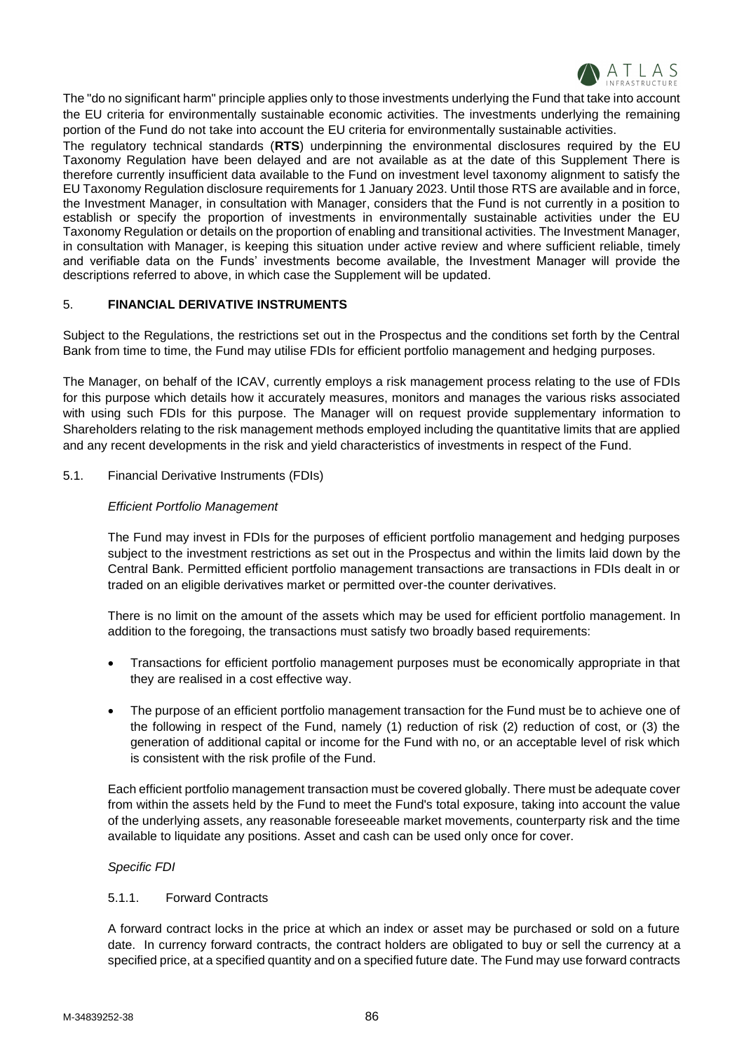

The "do no significant harm" principle applies only to those investments underlying the Fund that take into account the EU criteria for environmentally sustainable economic activities. The investments underlying the remaining portion of the Fund do not take into account the EU criteria for environmentally sustainable activities. The regulatory technical standards (**RTS**) underpinning the environmental disclosures required by the EU Taxonomy Regulation have been delayed and are not available as at the date of this Supplement There is therefore currently insufficient data available to the Fund on investment level taxonomy alignment to satisfy the EU Taxonomy Regulation disclosure requirements for 1 January 2023. Until those RTS are available and in force, the Investment Manager, in consultation with Manager, considers that the Fund is not currently in a position to establish or specify the proportion of investments in environmentally sustainable activities under the EU Taxonomy Regulation or details on the proportion of enabling and transitional activities. The Investment Manager, in consultation with Manager, is keeping this situation under active review and where sufficient reliable, timely and verifiable data on the Funds' investments become available, the Investment Manager will provide the descriptions referred to above, in which case the Supplement will be updated.

## <span id="page-86-0"></span>5. **FINANCIAL DERIVATIVE INSTRUMENTS**

Subject to the Regulations, the restrictions set out in the Prospectus and the conditions set forth by the Central Bank from time to time, the Fund may utilise FDIs for efficient portfolio management and hedging purposes.

The Manager, on behalf of the ICAV, currently employs a risk management process relating to the use of FDIs for this purpose which details how it accurately measures, monitors and manages the various risks associated with using such FDIs for this purpose. The Manager will on request provide supplementary information to Shareholders relating to the risk management methods employed including the quantitative limits that are applied and any recent developments in the risk and yield characteristics of investments in respect of the Fund.

### 5.1. Financial Derivative Instruments (FDIs)

### *Efficient Portfolio Management*

The Fund may invest in FDIs for the purposes of efficient portfolio management and hedging purposes subject to the investment restrictions as set out in the Prospectus and within the limits laid down by the Central Bank. Permitted efficient portfolio management transactions are transactions in FDIs dealt in or traded on an eligible derivatives market or permitted over-the counter derivatives.

There is no limit on the amount of the assets which may be used for efficient portfolio management. In addition to the foregoing, the transactions must satisfy two broadly based requirements:

- Transactions for efficient portfolio management purposes must be economically appropriate in that they are realised in a cost effective way.
- The purpose of an efficient portfolio management transaction for the Fund must be to achieve one of the following in respect of the Fund, namely (1) reduction of risk (2) reduction of cost, or (3) the generation of additional capital or income for the Fund with no, or an acceptable level of risk which is consistent with the risk profile of the Fund.

Each efficient portfolio management transaction must be covered globally. There must be adequate cover from within the assets held by the Fund to meet the Fund's total exposure, taking into account the value of the underlying assets, any reasonable foreseeable market movements, counterparty risk and the time available to liquidate any positions. Asset and cash can be used only once for cover.

#### *Specific FDI*

#### 5.1.1. Forward Contracts

A forward contract locks in the price at which an index or asset may be purchased or sold on a future date. In currency forward contracts, the contract holders are obligated to buy or sell the currency at a specified price, at a specified quantity and on a specified future date. The Fund may use forward contracts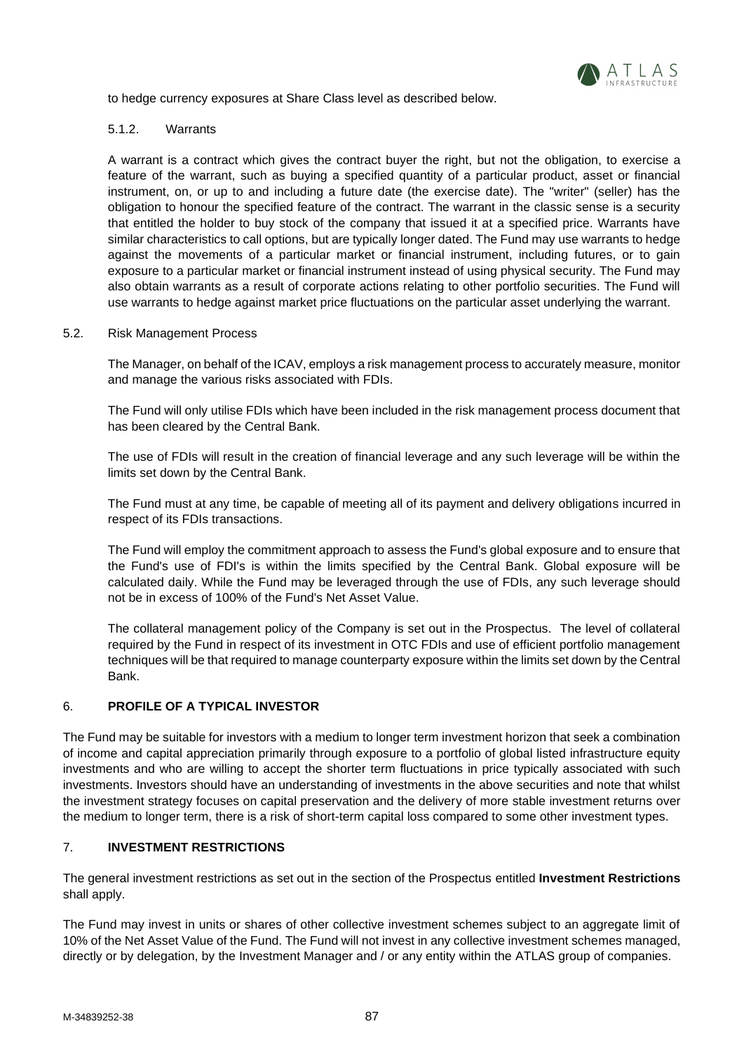

to hedge currency exposures at Share Class level as described below.

### 5.1.2. Warrants

A warrant is a contract which gives the contract buyer the right, but not the obligation, to exercise a feature of the warrant, such as buying a specified quantity of a particular product, asset or financial instrument, on, or up to and including a future date (the exercise date). The "writer" (seller) has the obligation to honour the specified feature of the contract. The warrant in the classic sense is a security that entitled the holder to buy stock of the company that issued it at a specified price. Warrants have similar characteristics to call options, but are typically longer dated. The Fund may use warrants to hedge against the movements of a particular market or financial instrument, including futures, or to gain exposure to a particular market or financial instrument instead of using physical security. The Fund may also obtain warrants as a result of corporate actions relating to other portfolio securities. The Fund will use warrants to hedge against market price fluctuations on the particular asset underlying the warrant.

### 5.2. Risk Management Process

The Manager, on behalf of the ICAV, employs a risk management process to accurately measure, monitor and manage the various risks associated with FDIs.

The Fund will only utilise FDIs which have been included in the risk management process document that has been cleared by the Central Bank.

The use of FDIs will result in the creation of financial leverage and any such leverage will be within the limits set down by the Central Bank.

The Fund must at any time, be capable of meeting all of its payment and delivery obligations incurred in respect of its FDIs transactions.

The Fund will employ the commitment approach to assess the Fund's global exposure and to ensure that the Fund's use of FDI's is within the limits specified by the Central Bank. Global exposure will be calculated daily. While the Fund may be leveraged through the use of FDIs, any such leverage should not be in excess of 100% of the Fund's Net Asset Value.

The collateral management policy of the Company is set out in the Prospectus. The level of collateral required by the Fund in respect of its investment in OTC FDIs and use of efficient portfolio management techniques will be that required to manage counterparty exposure within the limits set down by the Central Bank.

## <span id="page-87-0"></span>6. **PROFILE OF A TYPICAL INVESTOR**

The Fund may be suitable for investors with a medium to longer term investment horizon that seek a combination of income and capital appreciation primarily through exposure to a portfolio of global listed infrastructure equity investments and who are willing to accept the shorter term fluctuations in price typically associated with such investments. Investors should have an understanding of investments in the above securities and note that whilst the investment strategy focuses on capital preservation and the delivery of more stable investment returns over the medium to longer term, there is a risk of short-term capital loss compared to some other investment types.

# <span id="page-87-1"></span>7. **INVESTMENT RESTRICTIONS**

The general investment restrictions as set out in the section of the Prospectus entitled **Investment Restrictions** shall apply.

The Fund may invest in units or shares of other collective investment schemes subject to an aggregate limit of 10% of the Net Asset Value of the Fund. The Fund will not invest in any collective investment schemes managed, directly or by delegation, by the Investment Manager and / or any entity within the ATLAS group of companies.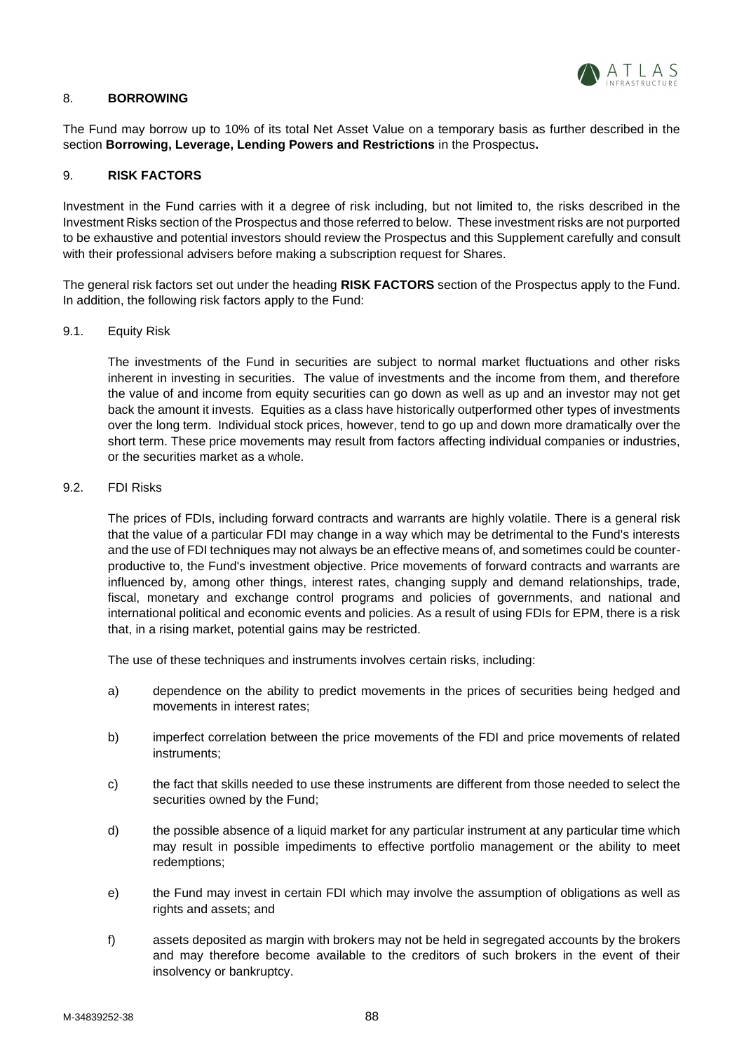

### <span id="page-88-0"></span>8. **BORROWING**

The Fund may borrow up to 10% of its total Net Asset Value on a temporary basis as further described in the section **Borrowing, Leverage, Lending Powers and Restrictions** in the Prospectus**.**

### <span id="page-88-1"></span>9. **RISK FACTORS**

Investment in the Fund carries with it a degree of risk including, but not limited to, the risks described in the Investment Risks section of the Prospectus and those referred to below. These investment risks are not purported to be exhaustive and potential investors should review the Prospectus and this Supplement carefully and consult with their professional advisers before making a subscription request for Shares.

The general risk factors set out under the heading **RISK FACTORS** section of the Prospectus apply to the Fund. In addition, the following risk factors apply to the Fund:

#### 9.1. Equity Risk

The investments of the Fund in securities are subject to normal market fluctuations and other risks inherent in investing in securities. The value of investments and the income from them, and therefore the value of and income from equity securities can go down as well as up and an investor may not get back the amount it invests. Equities as a class have historically outperformed other types of investments over the long term. Individual stock prices, however, tend to go up and down more dramatically over the short term. These price movements may result from factors affecting individual companies or industries, or the securities market as a whole.

### 9.2. FDI Risks

The prices of FDIs, including forward contracts and warrants are highly volatile. There is a general risk that the value of a particular FDI may change in a way which may be detrimental to the Fund's interests and the use of FDI techniques may not always be an effective means of, and sometimes could be counterproductive to, the Fund's investment objective. Price movements of forward contracts and warrants are influenced by, among other things, interest rates, changing supply and demand relationships, trade, fiscal, monetary and exchange control programs and policies of governments, and national and international political and economic events and policies. As a result of using FDIs for EPM, there is a risk that, in a rising market, potential gains may be restricted.

The use of these techniques and instruments involves certain risks, including:

- a) dependence on the ability to predict movements in the prices of securities being hedged and movements in interest rates;
- b) imperfect correlation between the price movements of the FDI and price movements of related instruments;
- c) the fact that skills needed to use these instruments are different from those needed to select the securities owned by the Fund;
- d) the possible absence of a liquid market for any particular instrument at any particular time which may result in possible impediments to effective portfolio management or the ability to meet redemptions;
- e) the Fund may invest in certain FDI which may involve the assumption of obligations as well as rights and assets; and
- f) assets deposited as margin with brokers may not be held in segregated accounts by the brokers and may therefore become available to the creditors of such brokers in the event of their insolvency or bankruptcy.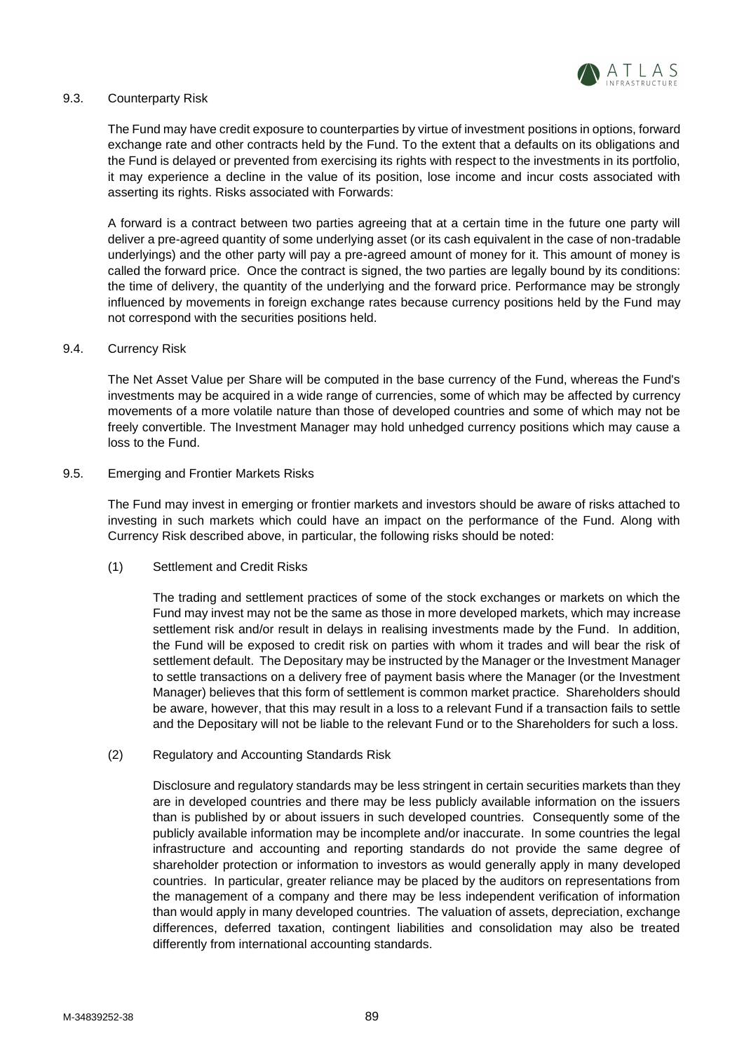

#### 9.3. Counterparty Risk

The Fund may have credit exposure to counterparties by virtue of investment positions in options, forward exchange rate and other contracts held by the Fund. To the extent that a defaults on its obligations and the Fund is delayed or prevented from exercising its rights with respect to the investments in its portfolio, it may experience a decline in the value of its position, lose income and incur costs associated with asserting its rights. Risks associated with Forwards:

A forward is a contract between two parties agreeing that at a certain time in the future one party will deliver a pre-agreed quantity of some underlying asset (or its cash equivalent in the case of non-tradable underlyings) and the other party will pay a pre-agreed amount of money for it. This amount of money is called the forward price. Once the contract is signed, the two parties are legally bound by its conditions: the time of delivery, the quantity of the underlying and the forward price. Performance may be strongly influenced by movements in foreign exchange rates because currency positions held by the Fund may not correspond with the securities positions held.

#### 9.4. Currency Risk

The Net Asset Value per Share will be computed in the base currency of the Fund, whereas the Fund's investments may be acquired in a wide range of currencies, some of which may be affected by currency movements of a more volatile nature than those of developed countries and some of which may not be freely convertible. The Investment Manager may hold unhedged currency positions which may cause a loss to the Fund.

#### 9.5. Emerging and Frontier Markets Risks

The Fund may invest in emerging or frontier markets and investors should be aware of risks attached to investing in such markets which could have an impact on the performance of the Fund. Along with Currency Risk described above, in particular, the following risks should be noted:

(1) Settlement and Credit Risks

The trading and settlement practices of some of the stock exchanges or markets on which the Fund may invest may not be the same as those in more developed markets, which may increase settlement risk and/or result in delays in realising investments made by the Fund. In addition, the Fund will be exposed to credit risk on parties with whom it trades and will bear the risk of settlement default. The Depositary may be instructed by the Manager or the Investment Manager to settle transactions on a delivery free of payment basis where the Manager (or the Investment Manager) believes that this form of settlement is common market practice. Shareholders should be aware, however, that this may result in a loss to a relevant Fund if a transaction fails to settle and the Depositary will not be liable to the relevant Fund or to the Shareholders for such a loss.

(2) Regulatory and Accounting Standards Risk

Disclosure and regulatory standards may be less stringent in certain securities markets than they are in developed countries and there may be less publicly available information on the issuers than is published by or about issuers in such developed countries. Consequently some of the publicly available information may be incomplete and/or inaccurate. In some countries the legal infrastructure and accounting and reporting standards do not provide the same degree of shareholder protection or information to investors as would generally apply in many developed countries. In particular, greater reliance may be placed by the auditors on representations from the management of a company and there may be less independent verification of information than would apply in many developed countries. The valuation of assets, depreciation, exchange differences, deferred taxation, contingent liabilities and consolidation may also be treated differently from international accounting standards.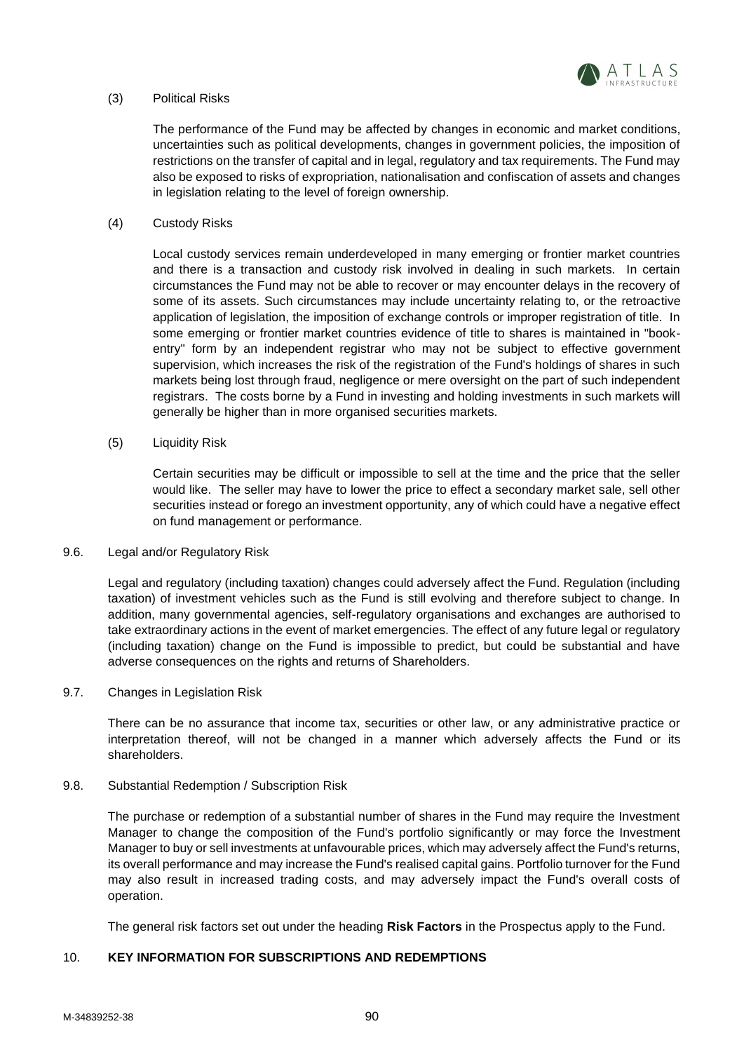

#### (3) Political Risks

The performance of the Fund may be affected by changes in economic and market conditions, uncertainties such as political developments, changes in government policies, the imposition of restrictions on the transfer of capital and in legal, regulatory and tax requirements. The Fund may also be exposed to risks of expropriation, nationalisation and confiscation of assets and changes in legislation relating to the level of foreign ownership.

(4) Custody Risks

Local custody services remain underdeveloped in many emerging or frontier market countries and there is a transaction and custody risk involved in dealing in such markets. In certain circumstances the Fund may not be able to recover or may encounter delays in the recovery of some of its assets. Such circumstances may include uncertainty relating to, or the retroactive application of legislation, the imposition of exchange controls or improper registration of title. In some emerging or frontier market countries evidence of title to shares is maintained in "bookentry" form by an independent registrar who may not be subject to effective government supervision, which increases the risk of the registration of the Fund's holdings of shares in such markets being lost through fraud, negligence or mere oversight on the part of such independent registrars. The costs borne by a Fund in investing and holding investments in such markets will generally be higher than in more organised securities markets.

(5) Liquidity Risk

Certain securities may be difficult or impossible to sell at the time and the price that the seller would like. The seller may have to lower the price to effect a secondary market sale, sell other securities instead or forego an investment opportunity, any of which could have a negative effect on fund management or performance.

9.6. Legal and/or Regulatory Risk

Legal and regulatory (including taxation) changes could adversely affect the Fund. Regulation (including taxation) of investment vehicles such as the Fund is still evolving and therefore subject to change. In addition, many governmental agencies, self-regulatory organisations and exchanges are authorised to take extraordinary actions in the event of market emergencies. The effect of any future legal or regulatory (including taxation) change on the Fund is impossible to predict, but could be substantial and have adverse consequences on the rights and returns of Shareholders.

9.7. Changes in Legislation Risk

There can be no assurance that income tax, securities or other law, or any administrative practice or interpretation thereof, will not be changed in a manner which adversely affects the Fund or its shareholders.

9.8. Substantial Redemption / Subscription Risk

The purchase or redemption of a substantial number of shares in the Fund may require the Investment Manager to change the composition of the Fund's portfolio significantly or may force the Investment Manager to buy or sell investments at unfavourable prices, which may adversely affect the Fund's returns, its overall performance and may increase the Fund's realised capital gains. Portfolio turnover for the Fund may also result in increased trading costs, and may adversely impact the Fund's overall costs of operation.

The general risk factors set out under the heading **Risk Factors** in the Prospectus apply to the Fund.

## <span id="page-90-0"></span>10. **KEY INFORMATION FOR SUBSCRIPTIONS AND REDEMPTIONS**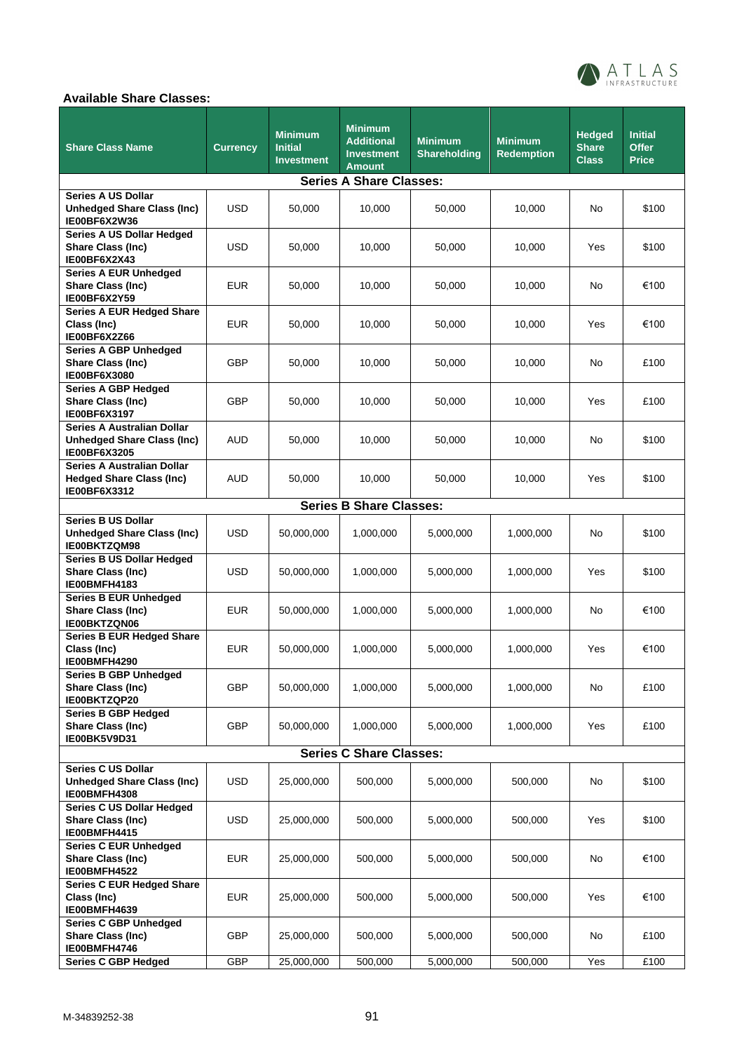

## **Available Share Classes:**

| <b>Share Class Name</b>                                                                | <b>Currency</b> | <b>Minimum</b><br><b>Initial</b><br><b>Investment</b> | <b>Minimum</b><br><b>Additional</b><br><b>Investment</b><br><b>Amount</b> | <b>Minimum</b><br><b>Shareholding</b> | <b>Minimum</b><br><b>Redemption</b> | <b>Hedged</b><br><b>Share</b><br><b>Class</b> | <b>Initial</b><br><b>Offer</b><br><b>Price</b> |
|----------------------------------------------------------------------------------------|-----------------|-------------------------------------------------------|---------------------------------------------------------------------------|---------------------------------------|-------------------------------------|-----------------------------------------------|------------------------------------------------|
|                                                                                        |                 |                                                       | <b>Series A Share Classes:</b>                                            |                                       |                                     |                                               |                                                |
| <b>Series A US Dollar</b><br><b>Unhedged Share Class (Inc)</b><br>IE00BF6X2W36         | <b>USD</b>      | 50,000                                                | 10,000                                                                    | 50,000                                | 10,000                              | No                                            | \$100                                          |
| <b>Series A US Dollar Hedged</b><br><b>Share Class (Inc)</b><br>IE00BF6X2X43           | <b>USD</b>      | 50,000                                                | 10,000                                                                    | 50,000                                | 10.000                              | Yes                                           | \$100                                          |
| <b>Series A EUR Unhedged</b><br>Share Class (Inc)<br>IE00BF6X2Y59                      | <b>EUR</b>      | 50,000                                                | 10,000                                                                    | 50,000                                | 10,000                              | No                                            | €100                                           |
| <b>Series A EUR Hedged Share</b><br>Class (Inc)<br>IE00BF6X2Z66                        | <b>EUR</b>      | 50,000                                                | 10,000                                                                    | 50,000                                | 10,000                              | Yes                                           | €100                                           |
| <b>Series A GBP Unhedged</b><br>Share Class (Inc)<br><b>IE00BF6X3080</b>               | <b>GBP</b>      | 50,000                                                | 10,000                                                                    | 50,000                                | 10,000                              | No                                            | £100                                           |
| <b>Series A GBP Hedged</b><br>Share Class (Inc)<br>IE00BF6X3197                        | GBP             | 50,000                                                | 10,000                                                                    | 50,000                                | 10,000                              | Yes                                           | £100                                           |
| <b>Series A Australian Dollar</b><br><b>Unhedged Share Class (Inc)</b><br>IE00BF6X3205 | <b>AUD</b>      | 50,000                                                | 10,000                                                                    | 50,000                                | 10,000                              | No                                            | \$100                                          |
| <b>Series A Australian Dollar</b><br><b>Hedged Share Class (Inc)</b><br>IE00BF6X3312   | <b>AUD</b>      | 50,000                                                | 10,000                                                                    | 50,000                                | 10,000                              | Yes                                           | \$100                                          |
|                                                                                        |                 |                                                       | <b>Series B Share Classes:</b>                                            |                                       |                                     |                                               |                                                |
| <b>Series B US Dollar</b><br><b>Unhedged Share Class (Inc)</b><br>IE00BKTZQM98         | <b>USD</b>      | 50,000,000                                            | 1,000,000                                                                 | 5,000,000                             | 1,000,000                           | No                                            | \$100                                          |
| <b>Series B US Dollar Hedged</b><br>Share Class (Inc)<br>IE00BMFH4183                  | USD.            | 50,000,000                                            | 1,000,000                                                                 | 5,000,000                             | 1,000,000                           | Yes                                           | \$100                                          |
| <b>Series B EUR Unhedged</b><br>Share Class (Inc)<br>IE00BKTZQN06                      | <b>EUR</b>      | 50.000.000                                            | 1,000,000                                                                 | 5,000,000                             | 1,000,000                           | No                                            | €100                                           |
| <b>Series B EUR Hedged Share</b><br>Class (Inc)<br>IE00BMFH4290                        | <b>EUR</b>      | 50,000,000                                            | 1,000,000                                                                 | 5,000,000                             | 1,000,000                           | Yes                                           | €100                                           |
| <b>Series B GBP Unhedged</b><br>Share Class (Inc)<br>IE00BKTZQP20                      | GBP             | 50,000,000                                            | 1,000,000                                                                 | 5,000,000                             | 1.000.000                           | No                                            | £100                                           |
| <b>Series B GBP Hedged</b><br><b>Share Class (Inc)</b><br>IE00BK5V9D31                 | <b>GBP</b>      | 50,000,000                                            | 1,000,000                                                                 | 5,000,000                             | 1.000.000                           | Yes                                           | £100                                           |
|                                                                                        |                 |                                                       | <b>Series C Share Classes:</b>                                            |                                       |                                     |                                               |                                                |
| <b>Series C US Dollar</b><br><b>Unhedged Share Class (Inc)</b><br>IE00BMFH4308         | <b>USD</b>      | 25,000,000                                            | 500,000                                                                   | 5,000,000                             | 500,000                             | No                                            | \$100                                          |
| Series C US Dollar Hedged<br><b>Share Class (Inc)</b><br>IE00BMFH4415                  | USD.            | 25,000,000                                            | 500,000                                                                   | 5,000,000                             | 500,000                             | Yes                                           | \$100                                          |
| <b>Series C EUR Unhedged</b><br><b>Share Class (Inc)</b><br>IE00BMFH4522               | EUR             | 25,000,000                                            | 500,000                                                                   | 5,000,000                             | 500,000                             | No                                            | €100                                           |
| <b>Series C EUR Hedged Share</b><br>Class (Inc)<br>IE00BMFH4639                        | <b>EUR</b>      | 25,000,000                                            | 500,000                                                                   | 5,000,000                             | 500,000                             | Yes                                           | €100                                           |
| <b>Series C GBP Unhedged</b><br><b>Share Class (Inc)</b><br>IE00BMFH4746               | GBP             | 25,000,000                                            | 500,000                                                                   | 5,000,000                             | 500,000                             | No                                            | £100                                           |
| <b>Series C GBP Hedged</b>                                                             | GBP             | 25,000,000                                            | 500,000                                                                   | 5,000,000                             | 500,000                             | Yes                                           | £100                                           |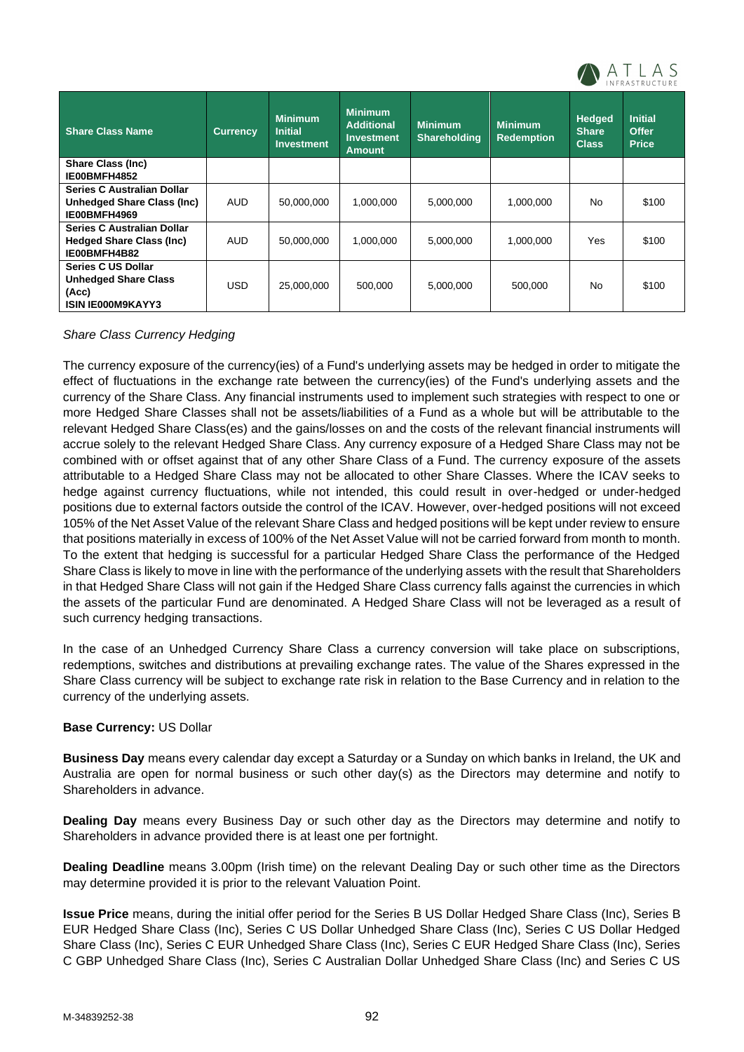

| <b>Share Class Name</b>                                                                | <b>Currency</b> | <b>Minimum</b><br><b>Initial</b><br><b>Investment</b> | <b>Minimum</b><br><b>Additional</b><br><b>Investment</b><br><b>Amount</b> | <b>Minimum</b><br><b>Shareholding</b> | <b>Minimum</b><br><b>Redemption</b> | <b>Hedged</b><br><b>Share</b><br><b>Class</b> | <b>Initial</b><br><b>Offer</b><br><b>Price</b> |
|----------------------------------------------------------------------------------------|-----------------|-------------------------------------------------------|---------------------------------------------------------------------------|---------------------------------------|-------------------------------------|-----------------------------------------------|------------------------------------------------|
| <b>Share Class (Inc)</b><br>IE00BMFH4852                                               |                 |                                                       |                                                                           |                                       |                                     |                                               |                                                |
| Series C Australian Dollar<br>Unhedged Share Class (Inc)<br>IE00BMFH4969               | AUD             | 50,000,000                                            | 1,000,000                                                                 | 5,000,000                             | 1,000,000                           | <b>No</b>                                     | \$100                                          |
| <b>Series C Australian Dollar</b><br><b>Hedged Share Class (Inc)</b><br>IE00BMFH4B82   | <b>AUD</b>      | 50.000.000                                            | 1.000.000                                                                 | 5,000,000                             | 1,000,000                           | Yes                                           | \$100                                          |
| Series C US Dollar<br><b>Unhedged Share Class</b><br>(Acc)<br><b>ISIN IE000M9KAYY3</b> | <b>USD</b>      | 25,000,000                                            | 500.000                                                                   | 5,000,000                             | 500,000                             | <b>No</b>                                     | \$100                                          |

## *Share Class Currency Hedging*

The currency exposure of the currency(ies) of a Fund's underlying assets may be hedged in order to mitigate the effect of fluctuations in the exchange rate between the currency(ies) of the Fund's underlying assets and the currency of the Share Class. Any financial instruments used to implement such strategies with respect to one or more Hedged Share Classes shall not be assets/liabilities of a Fund as a whole but will be attributable to the relevant Hedged Share Class(es) and the gains/losses on and the costs of the relevant financial instruments will accrue solely to the relevant Hedged Share Class. Any currency exposure of a Hedged Share Class may not be combined with or offset against that of any other Share Class of a Fund. The currency exposure of the assets attributable to a Hedged Share Class may not be allocated to other Share Classes. Where the ICAV seeks to hedge against currency fluctuations, while not intended, this could result in over-hedged or under-hedged positions due to external factors outside the control of the ICAV. However, over-hedged positions will not exceed 105% of the Net Asset Value of the relevant Share Class and hedged positions will be kept under review to ensure that positions materially in excess of 100% of the Net Asset Value will not be carried forward from month to month. To the extent that hedging is successful for a particular Hedged Share Class the performance of the Hedged Share Class is likely to move in line with the performance of the underlying assets with the result that Shareholders in that Hedged Share Class will not gain if the Hedged Share Class currency falls against the currencies in which the assets of the particular Fund are denominated. A Hedged Share Class will not be leveraged as a result of such currency hedging transactions.

In the case of an Unhedged Currency Share Class a currency conversion will take place on subscriptions, redemptions, switches and distributions at prevailing exchange rates. The value of the Shares expressed in the Share Class currency will be subject to exchange rate risk in relation to the Base Currency and in relation to the currency of the underlying assets.

#### **Base Currency:** US Dollar

**Business Day** means every calendar day except a Saturday or a Sunday on which banks in Ireland, the UK and Australia are open for normal business or such other day(s) as the Directors may determine and notify to Shareholders in advance.

**Dealing Day** means every Business Day or such other day as the Directors may determine and notify to Shareholders in advance provided there is at least one per fortnight.

**Dealing Deadline** means 3.00pm (Irish time) on the relevant Dealing Day or such other time as the Directors may determine provided it is prior to the relevant Valuation Point.

**Issue Price** means, during the initial offer period for the Series B US Dollar Hedged Share Class (Inc), Series B EUR Hedged Share Class (Inc), Series C US Dollar Unhedged Share Class (Inc), Series C US Dollar Hedged Share Class (Inc), Series C EUR Unhedged Share Class (Inc), Series C EUR Hedged Share Class (Inc), Series C GBP Unhedged Share Class (Inc), Series C Australian Dollar Unhedged Share Class (Inc) and Series C US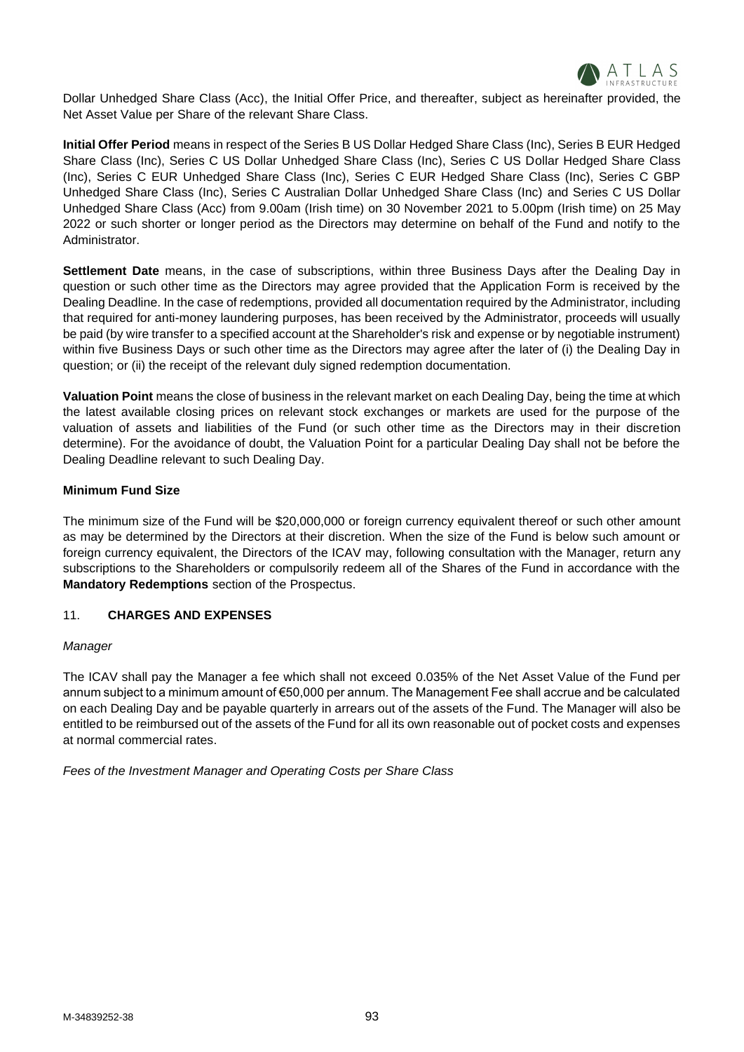

Dollar Unhedged Share Class (Acc), the Initial Offer Price, and thereafter, subject as hereinafter provided, the Net Asset Value per Share of the relevant Share Class.

**Initial Offer Period** means in respect of the Series B US Dollar Hedged Share Class (Inc), Series B EUR Hedged Share Class (Inc), Series C US Dollar Unhedged Share Class (Inc), Series C US Dollar Hedged Share Class (Inc), Series C EUR Unhedged Share Class (Inc), Series C EUR Hedged Share Class (Inc), Series C GBP Unhedged Share Class (Inc), Series C Australian Dollar Unhedged Share Class (Inc) and Series C US Dollar Unhedged Share Class (Acc) from 9.00am (Irish time) on 30 November 2021 to 5.00pm (Irish time) on 25 May 2022 or such shorter or longer period as the Directors may determine on behalf of the Fund and notify to the Administrator.

**Settlement Date** means, in the case of subscriptions, within three Business Days after the Dealing Day in question or such other time as the Directors may agree provided that the Application Form is received by the Dealing Deadline. In the case of redemptions, provided all documentation required by the Administrator, including that required for anti-money laundering purposes, has been received by the Administrator, proceeds will usually be paid (by wire transfer to a specified account at the Shareholder's risk and expense or by negotiable instrument) within five Business Days or such other time as the Directors may agree after the later of (i) the Dealing Day in question; or (ii) the receipt of the relevant duly signed redemption documentation.

**Valuation Point** means the close of business in the relevant market on each Dealing Day, being the time at which the latest available closing prices on relevant stock exchanges or markets are used for the purpose of the valuation of assets and liabilities of the Fund (or such other time as the Directors may in their discretion determine). For the avoidance of doubt, the Valuation Point for a particular Dealing Day shall not be before the Dealing Deadline relevant to such Dealing Day.

### **Minimum Fund Size**

The minimum size of the Fund will be \$20,000,000 or foreign currency equivalent thereof or such other amount as may be determined by the Directors at their discretion. When the size of the Fund is below such amount or foreign currency equivalent, the Directors of the ICAV may, following consultation with the Manager, return any subscriptions to the Shareholders or compulsorily redeem all of the Shares of the Fund in accordance with the **Mandatory Redemptions** section of the Prospectus.

## <span id="page-93-0"></span>11. **CHARGES AND EXPENSES**

#### *Manager*

The ICAV shall pay the Manager a fee which shall not exceed 0.035% of the Net Asset Value of the Fund per annum subject to a minimum amount of €50,000 per annum. The Management Fee shall accrue and be calculated on each Dealing Day and be payable quarterly in arrears out of the assets of the Fund. The Manager will also be entitled to be reimbursed out of the assets of the Fund for all its own reasonable out of pocket costs and expenses at normal commercial rates.

*Fees of the Investment Manager and Operating Costs per Share Class*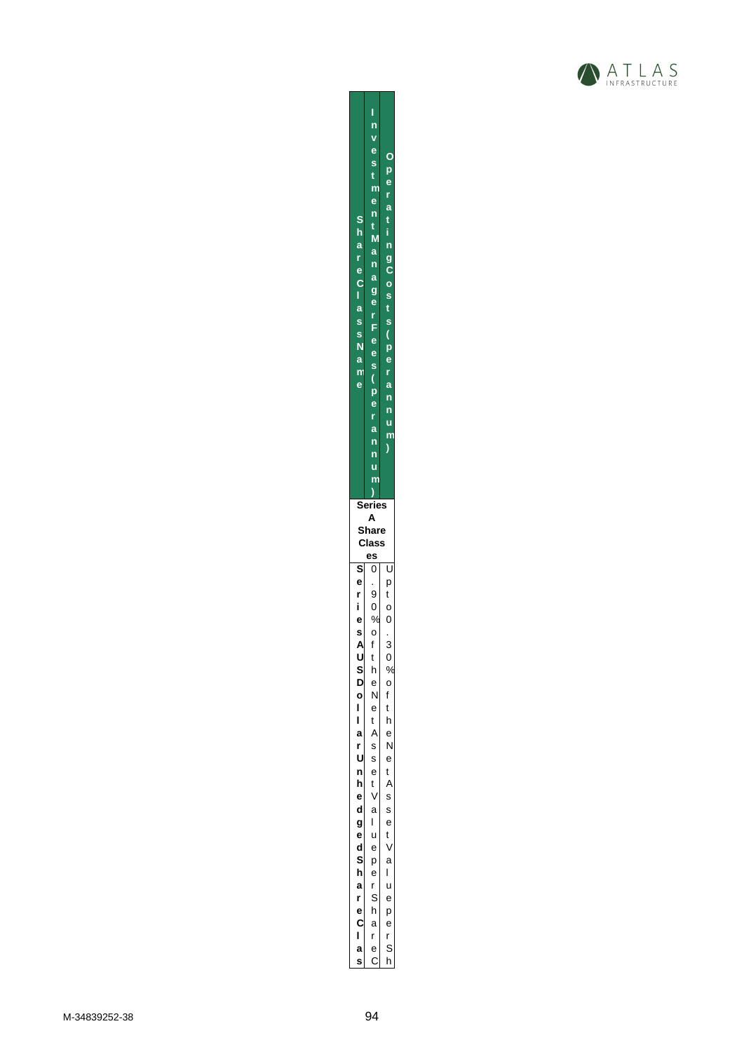

|       | S<br>h<br>a<br>r<br>e<br>$\mathbf c$<br>I,<br>a<br>S<br>s<br>N<br>a<br>m<br>e                                                                                                          | I<br>n<br>V<br>e<br>s<br>t<br>m<br>e<br>n<br>t<br>M<br>a<br>n<br>a<br>g<br>e<br>r<br>F<br>e<br>e<br>s<br>$\overline{\mathcal{L}}$<br>p<br>e<br>r<br>a<br>n<br>'n<br>ū<br>m<br>)<br><b>Series</b><br>A                                                              | $\circ$<br>p<br>e<br>r<br>a<br>t<br>i<br>n<br>g<br>$\bar{\mathbf{c}}$<br>$\bullet$<br>s<br>t<br>s<br>(<br>p<br>e<br>r<br>a<br>n<br>n<br>ū<br>m<br>)                                                                 |  |
|-------|----------------------------------------------------------------------------------------------------------------------------------------------------------------------------------------|--------------------------------------------------------------------------------------------------------------------------------------------------------------------------------------------------------------------------------------------------------------------|---------------------------------------------------------------------------------------------------------------------------------------------------------------------------------------------------------------------|--|
|       |                                                                                                                                                                                        | <b>Share</b>                                                                                                                                                                                                                                                       |                                                                                                                                                                                                                     |  |
|       |                                                                                                                                                                                        | <b>Class</b><br>es                                                                                                                                                                                                                                                 |                                                                                                                                                                                                                     |  |
|       | S<br>е<br>r<br>i<br>е<br>s<br>A<br>Ū<br>S<br>D<br>$\bullet$<br>$\mathsf{I}$<br>I<br>a<br>r<br>U<br>n<br>h<br>e<br>d<br>g<br>e<br>$\frac{d}{s}$<br>h<br>a<br>r<br>C<br>C<br>L<br>a<br>s | 0<br>9<br>0<br>$\frac{1}{6}$<br>0<br>f<br>t<br>h<br>e<br>N<br>e<br>t<br>$\overline{\mathsf{A}}$<br>s<br>s<br>$\mathbf{e}$<br>$\frac{t}{V}$<br>a<br>$\mathbf{I}$<br>$\mathsf{u}$<br>$\mathsf{e}$<br>p<br>$\mathsf{e}$<br>r<br>S<br>h<br>a<br>r<br>e<br>$\mathsf{C}$ | U<br>р<br>t<br>o<br>0<br>3<br>$\mathbf 0$<br>%<br>$\circ$<br>f<br>t<br>h<br>e<br>N<br>e<br>t<br>$\mathsf{A}$<br>s<br>s<br>e<br>t<br>V<br>$\mathsf{a}$<br>$\mathsf{I}$<br>$\mathsf{u}$<br>e<br>p<br>e<br>r<br>S<br>h |  |
| $-38$ |                                                                                                                                                                                        | 94                                                                                                                                                                                                                                                                 |                                                                                                                                                                                                                     |  |

**The Common State**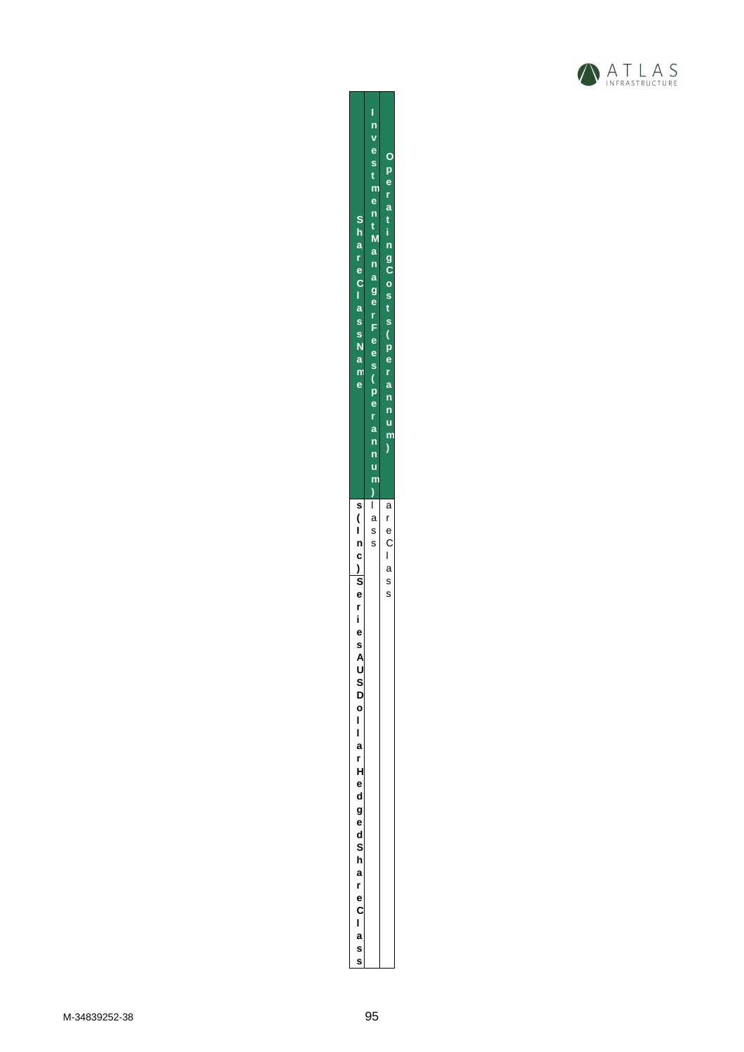

| S h a r e C l a s s N a m e                                       | L n v e s t m e n t M a n a g e r F e e s ( p e r a n n u m )   a s s |                              |
|-------------------------------------------------------------------|-----------------------------------------------------------------------|------------------------------|
| s<br>(Inc)Serie<br>s<br>A<br>l<br>ı<br>a<br>ŀ<br>Ċ<br>g<br>d<br>h |                                                                       | $\frac{1}{a}$<br>reC   a s s |

t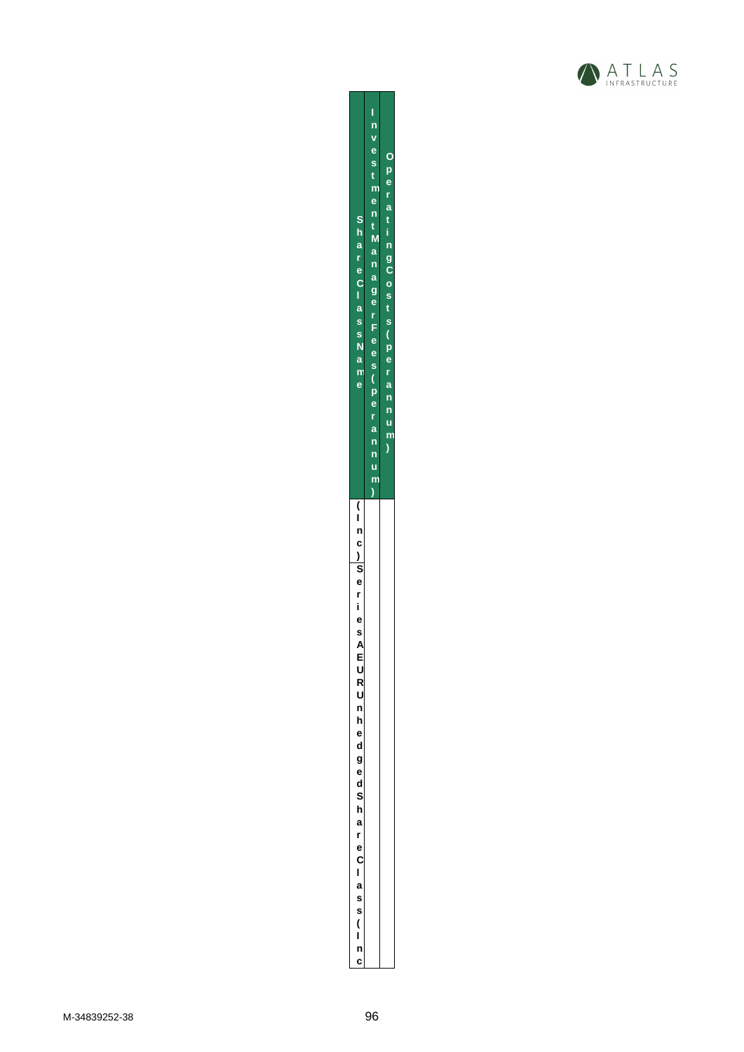

|       | S<br>h<br>a<br>r<br>$\overline{c}$<br>ľ<br>a<br>s<br>N<br>N<br>a<br>m<br>e                                             | I<br>$\mathsf{n}$<br>V<br>e<br>s<br>t<br>m<br>e<br>n<br>t<br>M<br>a<br>n<br>a<br>g<br>e<br>$\frac{r}{F}$<br>e<br>e<br>s<br>(p<br>e<br>r<br>a<br>n<br>n<br>u<br>m<br>$\overline{\phantom{a}}$ | O p e r a t i n g C o s t s ( p e r<br>a<br>n<br>n<br>u<br>m<br>) |
|-------|------------------------------------------------------------------------------------------------------------------------|----------------------------------------------------------------------------------------------------------------------------------------------------------------------------------------------|-------------------------------------------------------------------|
|       | )<br>ا<br>n<br>$\frac{c}{)}$<br>S<br>e<br>r<br>i<br>e<br>s<br>A<br>E<br>U<br>R<br>U<br>n<br>h<br>e<br>d<br>g<br>e<br>d |                                                                                                                                                                                              |                                                                   |
| $-38$ | S<br>h<br>a<br>r<br>e<br>C<br>I<br>a<br>s<br>s<br>$\overline{\mathcal{L}}$<br>I<br>n<br>c                              | 96                                                                                                                                                                                           |                                                                   |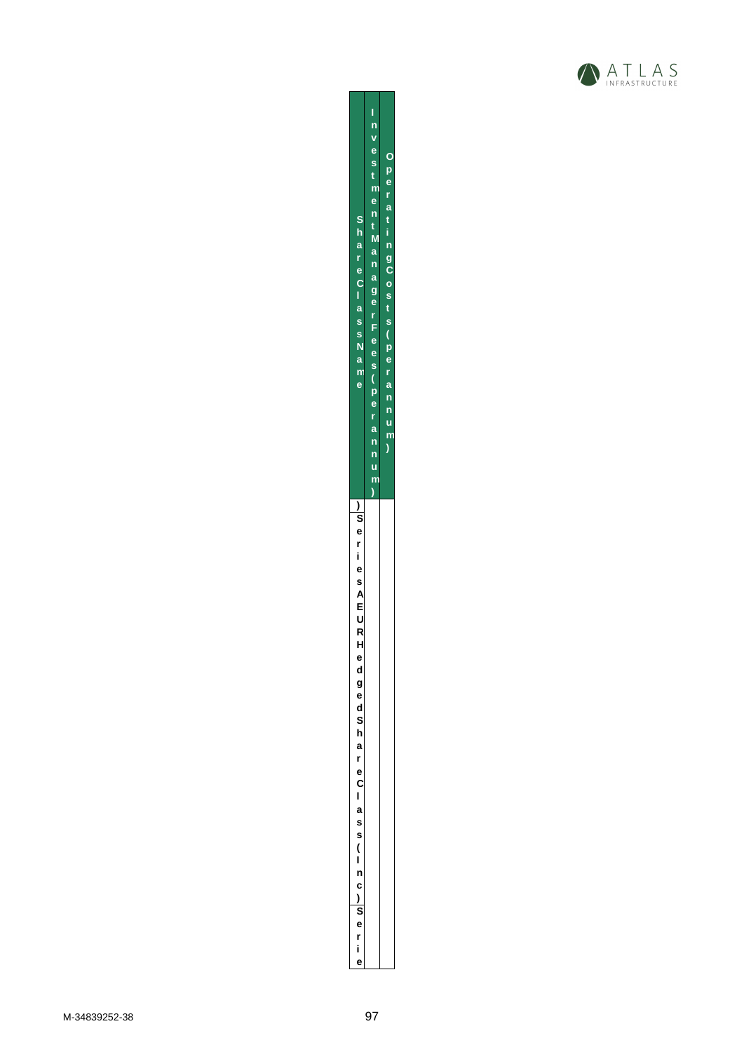

| l<br>n<br>v e s t m e n t M a n a g e r F e e s ( p e r a n n u m ) |                                                                                                     |
|---------------------------------------------------------------------|-----------------------------------------------------------------------------------------------------|
| ShareClassName                                                      | )<br>ł<br>r<br>i<br>s A E U R H<br>Ć<br>d<br>h<br>a<br>I<br>a<br>$\overline{\mathcal{L}}$<br>ı<br>١ |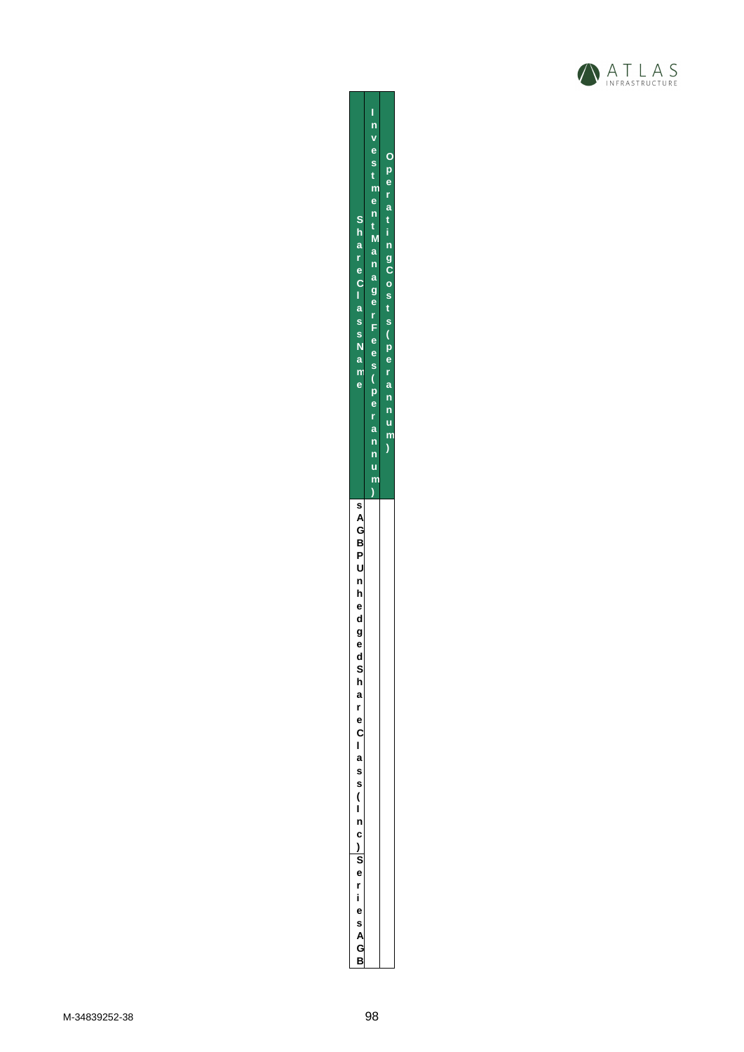

|       | $\frac{1}{2}$<br>a<br>r<br>$\overline{c}$<br>í<br>a<br>s<br>s<br>N<br>a<br>m<br>e                                                                                                                                                    | Ī<br>$\mathsf{n}$<br>v<br>$\frac{e}{t}$<br>m<br>e<br>n<br>t<br>M<br>a<br>n<br>a<br>g<br>e<br>r<br> F<br>e<br>$rac{e}{\sqrt{2}}$<br>p<br>e<br>r<br>a<br>n<br>n<br>u<br>m<br>$\overline{\phantom{a}}$ | O P e r a t i n g C o s t s ( P<br>e<br>r<br>a<br>n<br>n<br>u<br>m<br>) |
|-------|--------------------------------------------------------------------------------------------------------------------------------------------------------------------------------------------------------------------------------------|-----------------------------------------------------------------------------------------------------------------------------------------------------------------------------------------------------|-------------------------------------------------------------------------|
|       | S<br>A G B P<br>U<br>n<br>h<br>e<br>d<br>g<br>$rac{e}{d}$<br>S<br>h<br>a<br>r<br>e<br>C<br>I<br>a<br>s<br>s<br>$\overline{\mathbf{r}}$<br>I<br>n<br>c<br><u>)</u><br>$\overline{\mathbf{s}}$<br>e<br>r<br>i<br>e<br>s<br>A<br>G<br>B |                                                                                                                                                                                                     |                                                                         |
| $-38$ |                                                                                                                                                                                                                                      | 98                                                                                                                                                                                                  |                                                                         |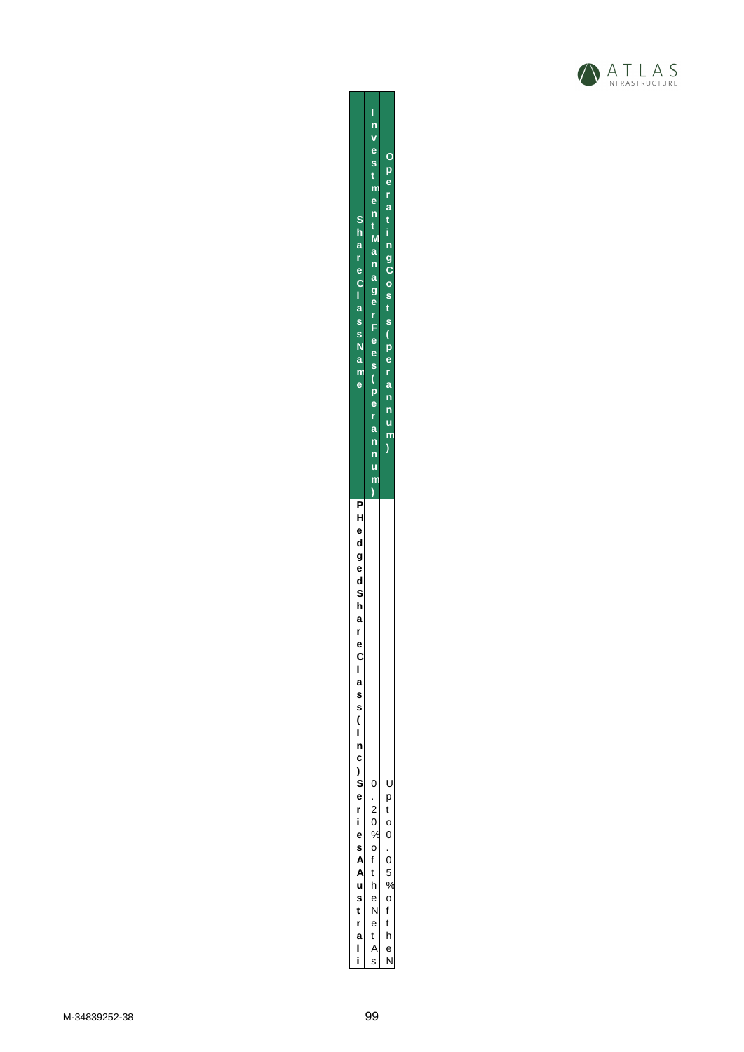

| ShareClassName<br>P                                                                                             | I n v e s t m e n t M a n a g e r F e e s ( p e r a n n u m <u>)</u> |                                                                                  |
|-----------------------------------------------------------------------------------------------------------------|----------------------------------------------------------------------|----------------------------------------------------------------------------------|
| . H e d g e d S h a r e<br>ı<br>a<br>s<br>s<br>(<br>l<br>c<br>j<br>ries<br>í<br>์<br>น<br>s<br>t<br>r<br>a<br>I | (<br>0<br>f<br>t<br>he<br>Ne<br>t                                    | Ū<br>ŗ<br>t<br>$\circ$<br>$\overline{0}$<br>0<br>5<br>%<br>o<br>f<br>t<br>h<br>ľ |

**The Common State**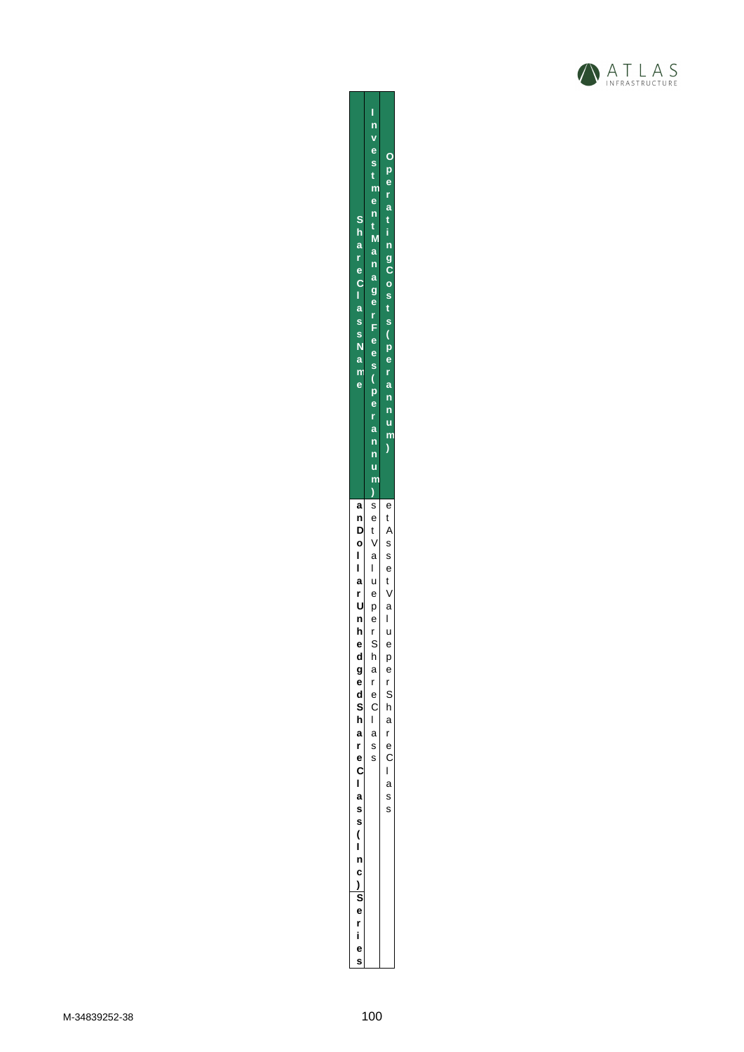

|       | S<br>h<br>a<br>r<br>$\frac{e}{1}$<br>a<br>B<br>A<br>N<br>A<br>N<br>$\ddot{\textbf{e}}$                                                                                                                                                   | I<br>n<br>v<br>$e$<br>$s$<br>m<br>e<br>n<br>M<br>a n a g e r F e e s ( p e r<br>a<br>n<br>n<br>u<br>m<br>)                                                                                                 | O p e r a t i _n g C o s t s ( _p e r<br>a<br>n<br>n<br>u<br>m<br>)                                                                                              |
|-------|------------------------------------------------------------------------------------------------------------------------------------------------------------------------------------------------------------------------------------------|------------------------------------------------------------------------------------------------------------------------------------------------------------------------------------------------------------|------------------------------------------------------------------------------------------------------------------------------------------------------------------|
|       | a<br>n<br>D<br>$\circ$<br>I<br>I<br>a<br>r<br>U<br>n<br>h<br>e<br>d<br>g<br>e<br>d<br>S<br>h<br>a<br>r<br>е<br>C<br>I<br>a<br>S<br>s<br>$\overline{\mathcal{L}}$<br>L<br>n<br>C<br>$\overline{\mathbf{)}}$<br>s<br>e<br>r<br>i<br>е<br>s | s<br>$\mathbf{e}$<br>t<br>$\vee$<br>a<br>$\mathbf{I}$<br>u<br>$\mathbf{e}$<br>p<br>e<br>r<br>S<br>h<br>a<br>r<br>$\mathsf{e}% _{t}\left( t\right)$<br>$\mathsf{C}$<br>$\mathsf I$<br>a<br>s<br>$\mathbf s$ | e<br>t<br>A<br>s<br>s<br>$\mathbf{e}$<br>t<br>$\vee$<br>a<br>$\overline{\phantom{a}}$<br>u<br>e<br>p<br>e<br>r<br>S<br>h<br>a<br>r<br>e<br>C<br>L<br>a<br>s<br>s |
| $-38$ |                                                                                                                                                                                                                                          | 100                                                                                                                                                                                                        |                                                                                                                                                                  |

m.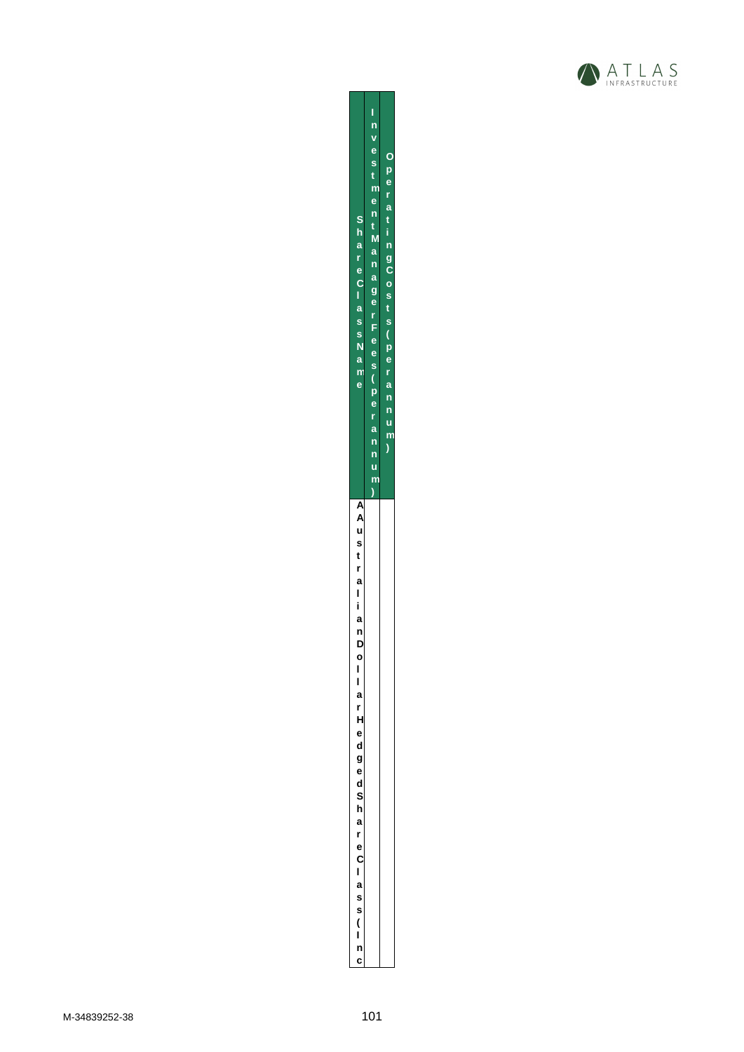

| ShareClassName                                                               | l n v e s t m e n t M a n a g e r F e e s ( p e r a n n u m ) |  |
|------------------------------------------------------------------------------|---------------------------------------------------------------|--|
| A<br>ustralianD.<br>C<br>I<br>ı<br>e<br>d<br>h<br>a<br>ė<br>ı<br>a<br>Ś<br>ĺ |                                                               |  |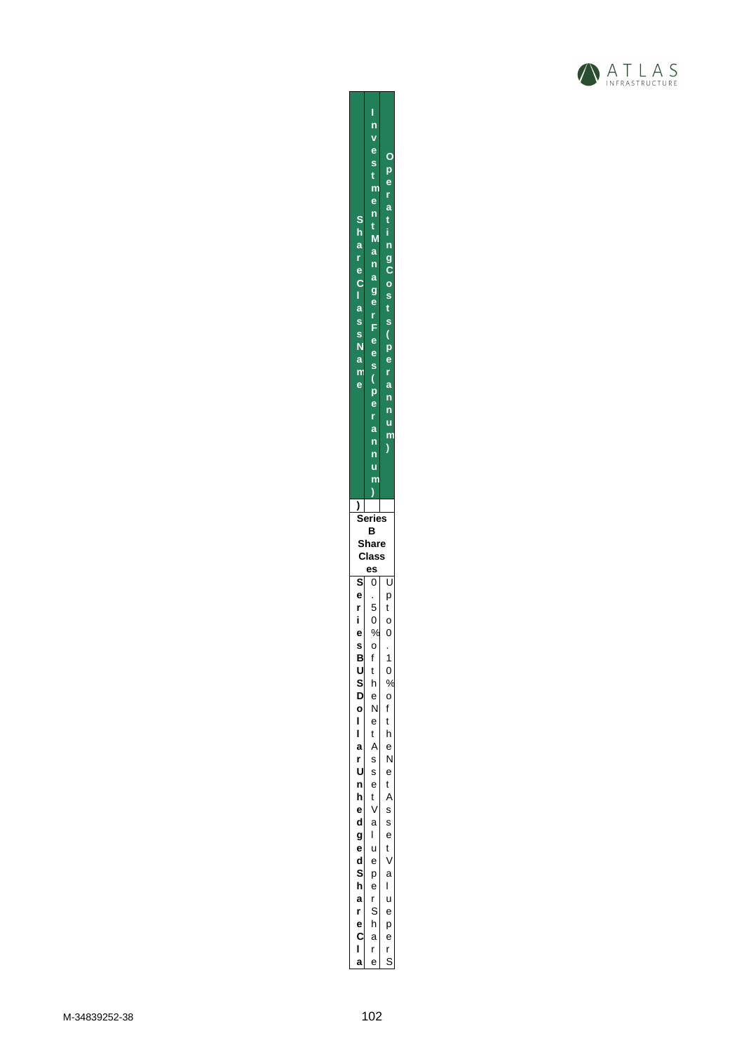

|       | S<br>h<br>a<br>r<br>e<br>c<br>I<br>a<br>s<br>s<br>N<br>a<br>m<br>e<br>) | I<br>n<br>V<br>e<br>s<br>t<br>m<br>e<br>n<br>t<br>M<br>a<br>n<br>a<br>g<br>e<br>r<br>F<br>e<br>e<br>s<br>$\overline{\mathcal{L}}$<br>p<br>e<br>r<br>a<br>n<br>n<br>ū<br>m<br>١<br><b>Series</b> | O<br>p<br>e<br>r<br>a<br>t<br>i<br>n<br>g<br>C<br>$\bullet$<br>s<br>t<br>s<br>$\overline{\mathcal{L}}$<br>p<br>e<br>r<br>a<br>n<br>n<br>u<br>m<br>) |
|-------|-------------------------------------------------------------------------|-------------------------------------------------------------------------------------------------------------------------------------------------------------------------------------------------|-----------------------------------------------------------------------------------------------------------------------------------------------------|
|       |                                                                         | B<br><b>Share</b>                                                                                                                                                                               |                                                                                                                                                     |
|       |                                                                         | <b>Class</b><br>es                                                                                                                                                                              |                                                                                                                                                     |
|       | s<br>е                                                                  | 0<br>$\blacksquare$                                                                                                                                                                             | U<br>р                                                                                                                                              |
|       | r<br>i.                                                                 | 5<br>0                                                                                                                                                                                          | t<br>o                                                                                                                                              |
|       | е<br>s                                                                  | $\frac{1}{6}$<br>o                                                                                                                                                                              | 0                                                                                                                                                   |
|       | B                                                                       | f<br>$\mathfrak{t}$                                                                                                                                                                             | $\frac{1}{1}$<br>$\mathbf{0}$                                                                                                                       |
|       | U<br>D<br>D                                                             | h<br>e                                                                                                                                                                                          | %                                                                                                                                                   |
|       | $\bullet$<br>ľ                                                          | N                                                                                                                                                                                               | o<br>f<br>t                                                                                                                                         |
|       | I                                                                       | e<br>$\mathfrak{t}$                                                                                                                                                                             | h                                                                                                                                                   |
|       | a<br>r                                                                  | A<br>s                                                                                                                                                                                          | e<br>N                                                                                                                                              |
|       | U<br>n                                                                  | s<br>$\mathbf{e}$                                                                                                                                                                               | e<br>t                                                                                                                                              |
|       | h<br>e                                                                  | t<br>V                                                                                                                                                                                          | A<br>s                                                                                                                                              |
|       | d<br>g                                                                  | $\mathsf{a}$<br>$\mathbf{I}$                                                                                                                                                                    | s<br>e                                                                                                                                              |
|       | e<br>d<br>S                                                             | u<br>$\mathsf{e}$                                                                                                                                                                               | t<br>$\vee$                                                                                                                                         |
|       | h                                                                       | p<br>$\mathbf{e}$                                                                                                                                                                               | a<br>$\overline{\phantom{a}}$                                                                                                                       |
|       | a<br>r                                                                  | r<br>S                                                                                                                                                                                          | u<br>e                                                                                                                                              |
|       | e<br>C                                                                  | h<br>$\mathsf{a}$                                                                                                                                                                               | p<br>e                                                                                                                                              |
|       | L<br>a                                                                  | r<br>e                                                                                                                                                                                          | $\frac{r}{S}$                                                                                                                                       |
|       |                                                                         |                                                                                                                                                                                                 |                                                                                                                                                     |
| $-38$ |                                                                         | 102                                                                                                                                                                                             |                                                                                                                                                     |

ł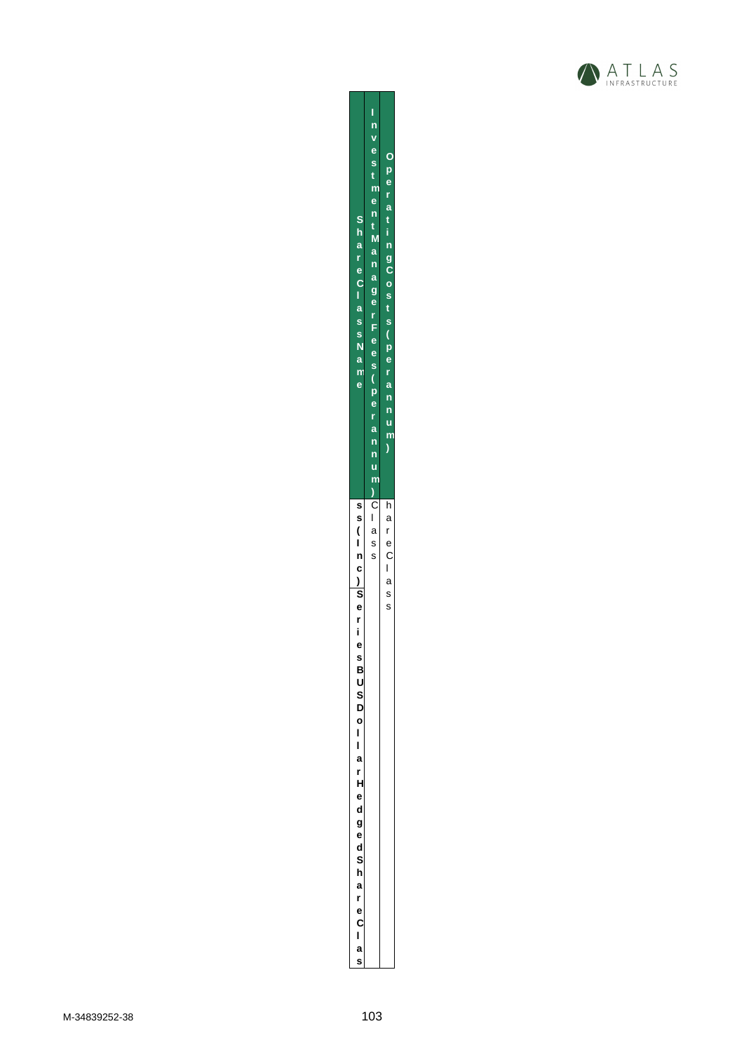

|       |                                                                                                                                                                         | $\mathbf{I}$<br>n<br>v<br>$\overline{\mathsf{B}}$ | O <code>peratingCosts(perannum)</code>                                                                        |
|-------|-------------------------------------------------------------------------------------------------------------------------------------------------------------------------|---------------------------------------------------|---------------------------------------------------------------------------------------------------------------|
|       | S<br>s<br>(<br> <br>n<br>c <u>)</u><br>Seri<br>e<br>s<br>BUSD<br>$\circ$<br>I<br>I<br>a<br>r<br>H<br>е<br>d<br>g<br>e<br>d<br>S<br>h<br>a<br>r<br>е<br>C<br>ı<br>a<br>S | $\mathbf{I}$<br>$\mathsf{a}$<br>s<br>s            | $\overline{h}$<br>$\mathsf{a}$<br>$\mathsf{r}$<br>e<br>$\mathbf C$<br>$\overline{\phantom{a}}$<br>a<br>s<br>s |
| $-38$ |                                                                                                                                                                         | 103                                               |                                                                                                               |

**The Common**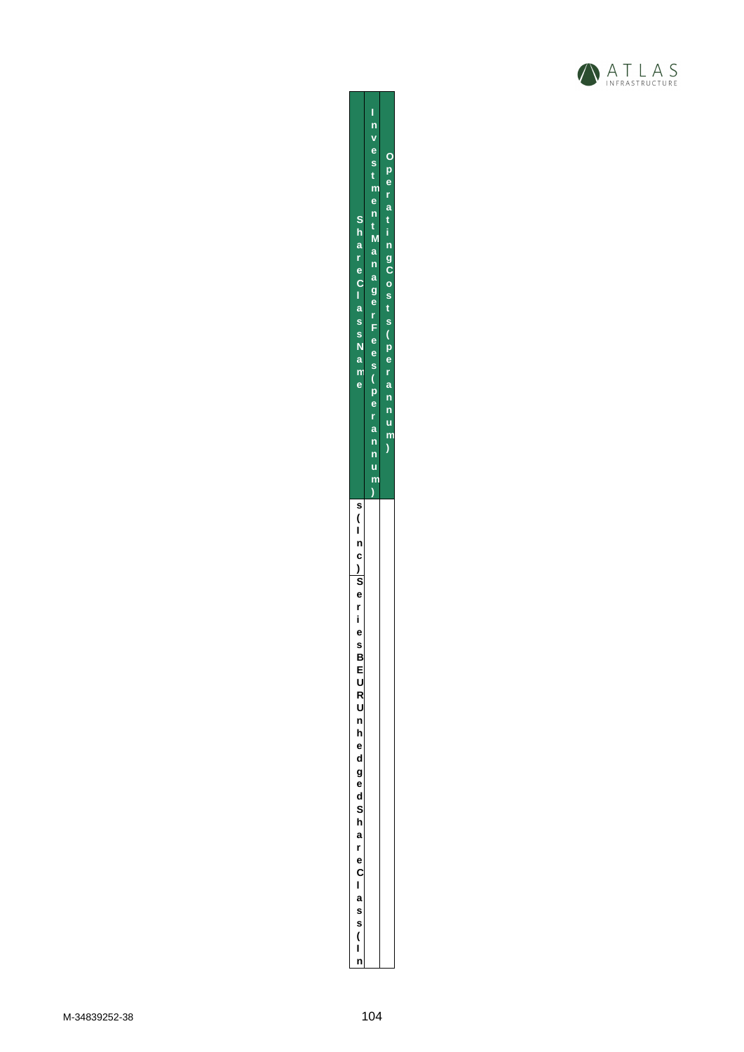

| O p e r a t i n g C o s t s ( p e r a n n u m )                |                                                |
|----------------------------------------------------------------|------------------------------------------------|
| -I n v e s t m e n t M a n a g e r F e e s ( p e r a n n u m ) |                                                |
| S h a r e C l a s s N a m e                                    | E<br>n<br>h<br>g<br>e<br>d<br>h<br>l<br>ı<br>a |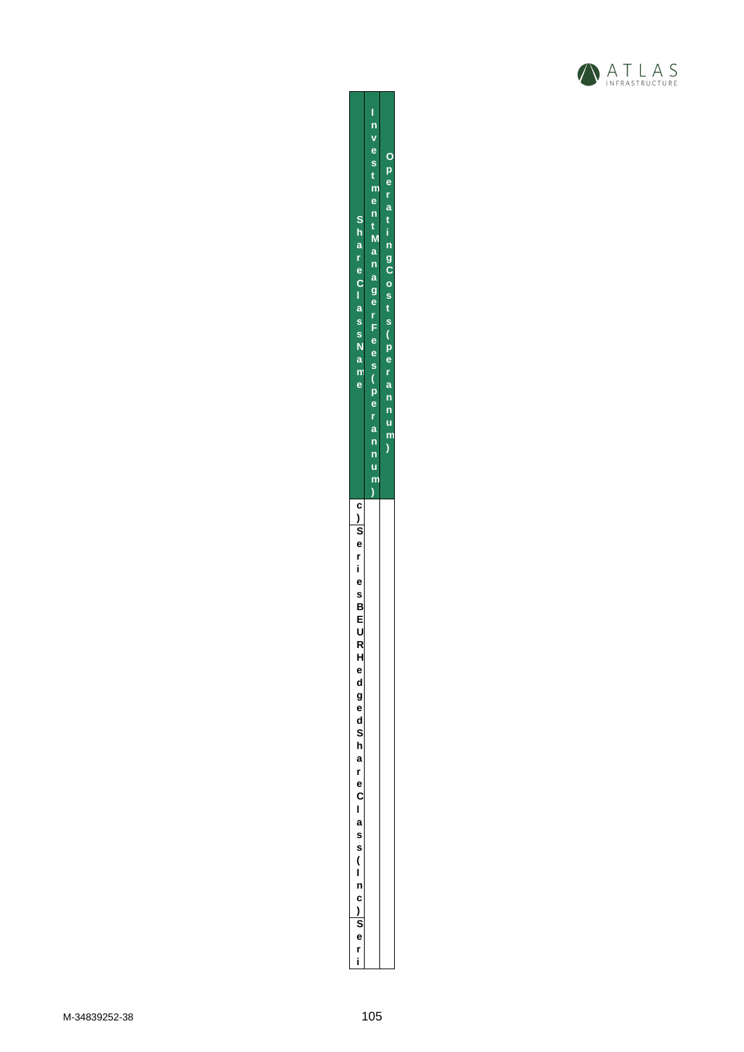

|       | $\frac{1}{2}$<br>a<br>r<br>$\overline{c}$<br>í<br>a<br>s<br>s<br>N<br>a<br>m<br>e                                                                                                                      | I<br>$\mathsf{n}$<br>v<br>$\frac{e}{t}$<br>m<br>e<br>n<br>t<br>M<br>a<br>n<br>agerF<br>e<br>e<br>S<br>(p<br>e<br>r<br>a<br>n<br>n<br>u<br>m<br>$\overline{\phantom{a}}$ | O P e r a t i n g C o s t s ( P<br>e<br>r<br>a<br>n<br>n<br>u<br>m<br>) |
|-------|--------------------------------------------------------------------------------------------------------------------------------------------------------------------------------------------------------|-------------------------------------------------------------------------------------------------------------------------------------------------------------------------|-------------------------------------------------------------------------|
|       | C<br>)<br>S<br>e<br>r<br>i<br>e<br><b>HACHBS</b><br>e<br>d<br>g<br>e<br>d<br>S<br>h<br>a<br>r<br>e<br>C<br>L<br>a<br>s<br>s<br>$\overline{\mathcal{L}}$<br>I<br>n<br>C<br>$\frac{1}{s}$<br>e<br>r<br>i |                                                                                                                                                                         |                                                                         |
| $-38$ |                                                                                                                                                                                                        | 105                                                                                                                                                                     |                                                                         |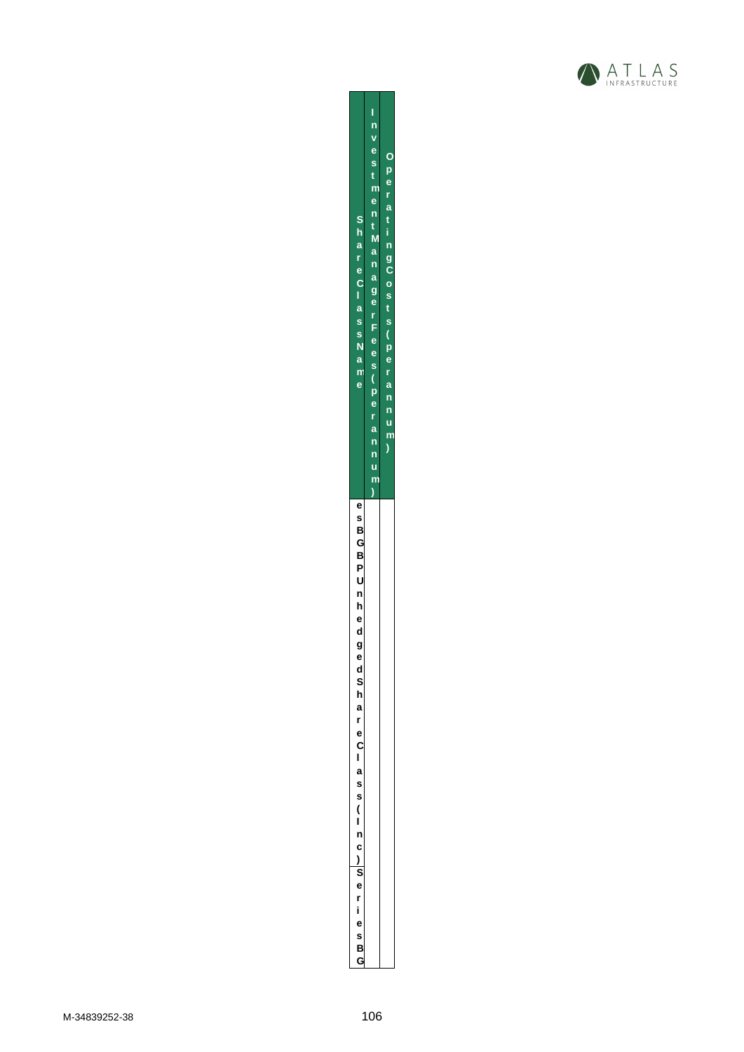

|       | $\frac{1}{2}$<br>a<br>r<br>$\overline{c}$<br>í<br>a<br>s<br>s<br>N<br>a<br>m<br>e                                                                                                                          | Ī<br>$\mathsf{n}$<br>v<br>$\frac{e}{t}$<br>m<br>e<br>n<br>t<br>M<br>a<br>n<br>a<br>g<br>e<br>r<br> F<br>e<br>$rac{e}{\sqrt{2}}$<br>p<br>e<br>r<br>a<br>n<br>n<br>u<br>m<br>$\overline{\phantom{a}}$ | O p e r a t i n g C o s t s ( p<br>e<br>r<br>a<br>n<br>n<br>u<br>m<br>) |
|-------|------------------------------------------------------------------------------------------------------------------------------------------------------------------------------------------------------------|-----------------------------------------------------------------------------------------------------------------------------------------------------------------------------------------------------|-------------------------------------------------------------------------|
|       | e<br><b>DDGD%</b><br>U<br>n<br>h<br>e<br>d<br>g<br>e<br>d<br>S<br>h<br>a<br>r<br>e<br>C<br>I<br>a<br>S<br>s<br>$\overline{\mathcal{L}}$<br>I<br>n<br>C<br>$\frac{1}{s}$<br>e<br>r<br>i<br>e<br>s<br>B<br>G |                                                                                                                                                                                                     |                                                                         |
| $-38$ |                                                                                                                                                                                                            | 106                                                                                                                                                                                                 |                                                                         |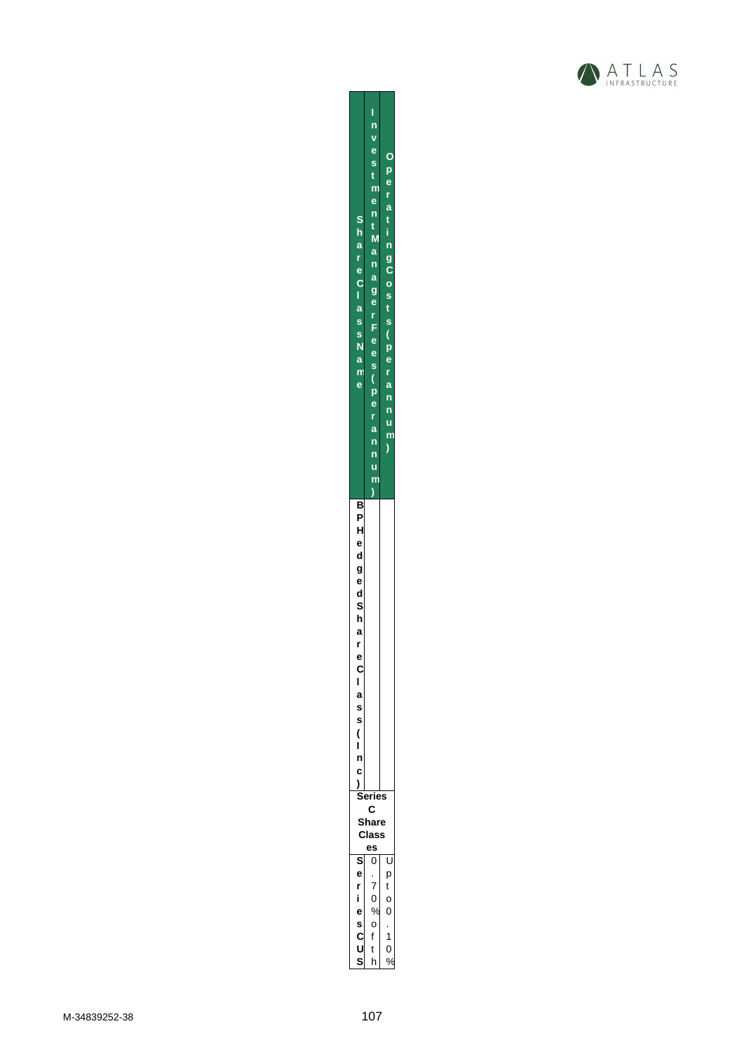

| ShareClassName                                                                         | l<br>n<br>v<br>v e s t m e n t M a n a g e r F e e s ( p e r a n n u m ) |                                       |
|----------------------------------------------------------------------------------------|--------------------------------------------------------------------------|---------------------------------------|
| ▲BPHedgedShar<br>É<br>C<br>а<br>s<br>s<br>$\overline{\mathcal{L}}$<br>ı<br>n<br>Ċ<br>١ |                                                                          |                                       |
| ieries<br>C<br>Shar∈<br>la:<br>ì,<br>ì                                                 |                                                                          |                                       |
| e<br>I<br>ż                                                                            | 0<br>$\overline{\phantom{a}}$<br>0<br>$\frac{1}{2}$<br>о<br>f<br>t<br>h  | U<br>р<br>t<br>$\circ$<br>0<br>1<br>0 |

**The Common State**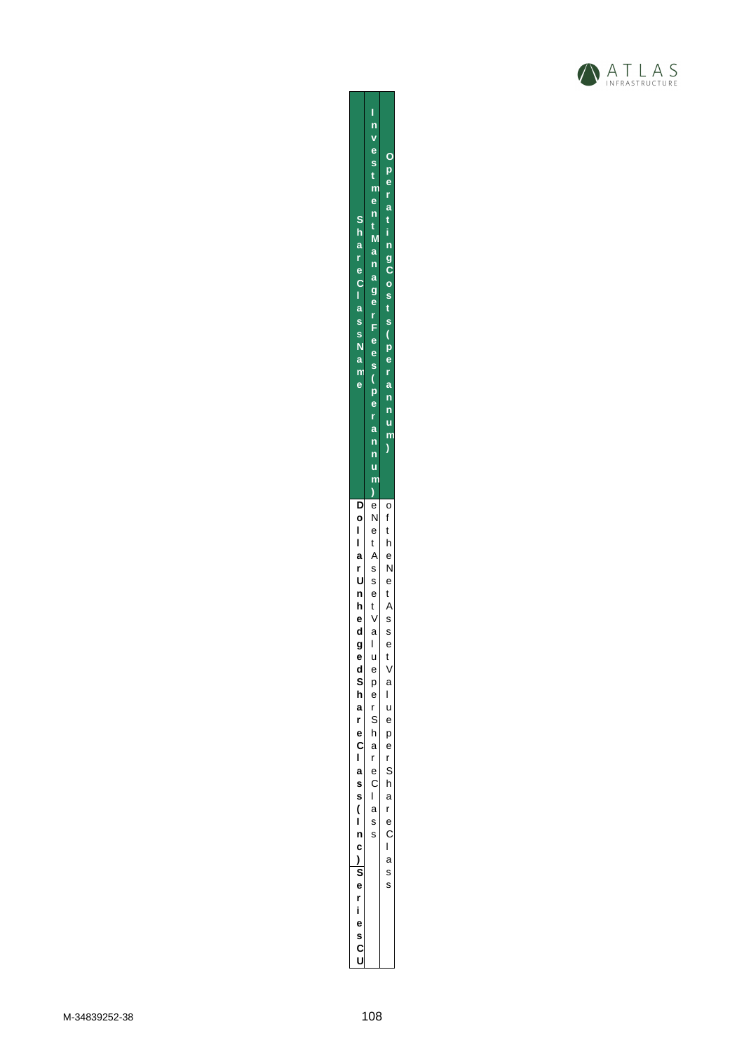

|       | S<br>h<br>a<br>r<br>$\frac{e}{1}$<br>a<br>B<br>A<br>N<br>A<br>N<br>$\ddot{\textbf{e}}$                                                                                                                                       | I<br>n<br>v<br>$e$<br>$s$<br>m<br>e<br>n<br>M<br>a n a g e r F e e s ( p e r<br>a<br>n<br>n<br>u<br>m<br>)                                                                                      | O p e r a t i _n g C o s t s ( _p e r<br>a<br>n<br>n<br>u<br>m<br>)                                                                                                                                   |
|-------|------------------------------------------------------------------------------------------------------------------------------------------------------------------------------------------------------------------------------|-------------------------------------------------------------------------------------------------------------------------------------------------------------------------------------------------|-------------------------------------------------------------------------------------------------------------------------------------------------------------------------------------------------------|
|       | D<br>$\circ$<br>I<br>$\mathbf{I}$<br>a<br>r<br>U<br>n<br>h<br>e<br>d<br>g<br>e<br>d<br>S<br>h<br>a<br>r<br>e<br>C<br>L<br>a<br>S<br>S<br>(<br>L<br>n<br>c<br>)<br>$\overline{\mathbf{s}}$<br>e<br>r<br>i<br>е<br>s<br>C<br>Ū | e<br>N<br>$\epsilon$<br>$\mathfrak{t}$<br>A<br>s<br>s<br>e<br>t<br>$\vee$<br>a<br>$\overline{\phantom{a}}$<br>u<br>e<br>p<br>e<br>r<br>S<br>h<br>a<br>r<br>e<br>C<br>$\mathsf I$<br>a<br>s<br>s | o<br>f<br>t<br>h<br>e<br>N<br>e<br>$\mathfrak{t}$<br>$\overline{A}$<br>s<br>s<br>$\mathbf{e}$<br>t<br>V<br>a<br>L<br>U<br>$\epsilon$<br>p<br>e<br>r<br>S<br>h<br>a<br>r<br>e<br>C<br>L<br>a<br>s<br>s |
| $-38$ |                                                                                                                                                                                                                              | 108                                                                                                                                                                                             |                                                                                                                                                                                                       |

m.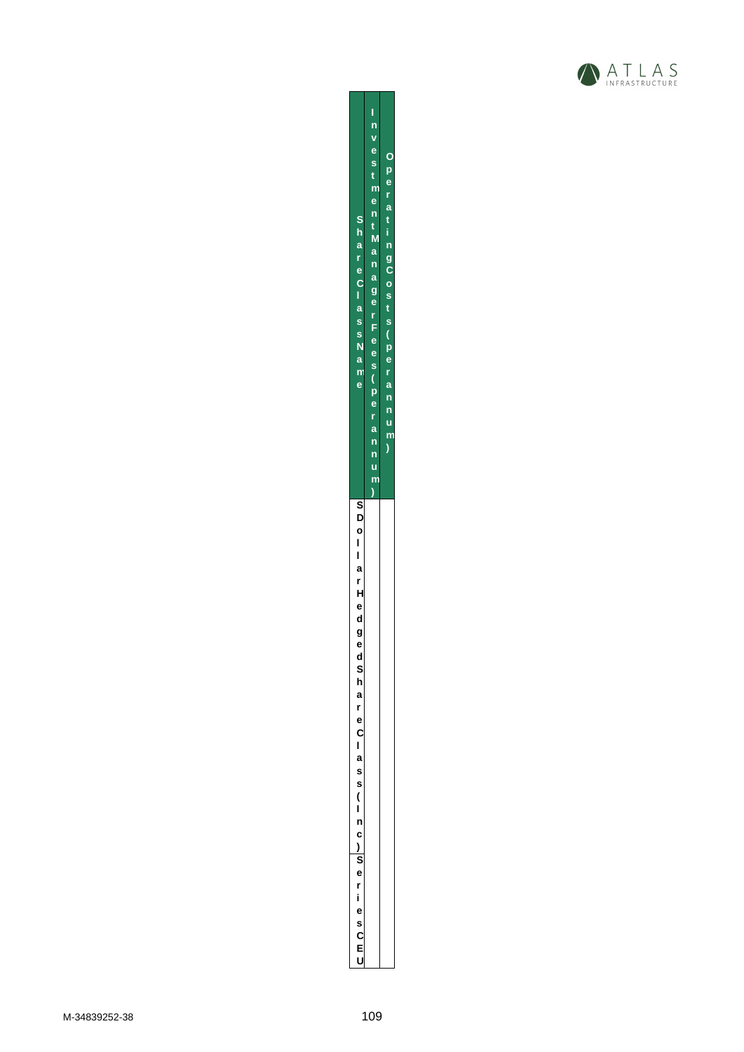

| l n v e s t m e n t M a n a g e r F e e s ( p e r a n n u m ) |                                                        |
|---------------------------------------------------------------|--------------------------------------------------------|
| ShareClassName                                                | Dollar Hed ged<br>h<br>a<br>a<br>s<br>(<br>ı<br>n<br>١ |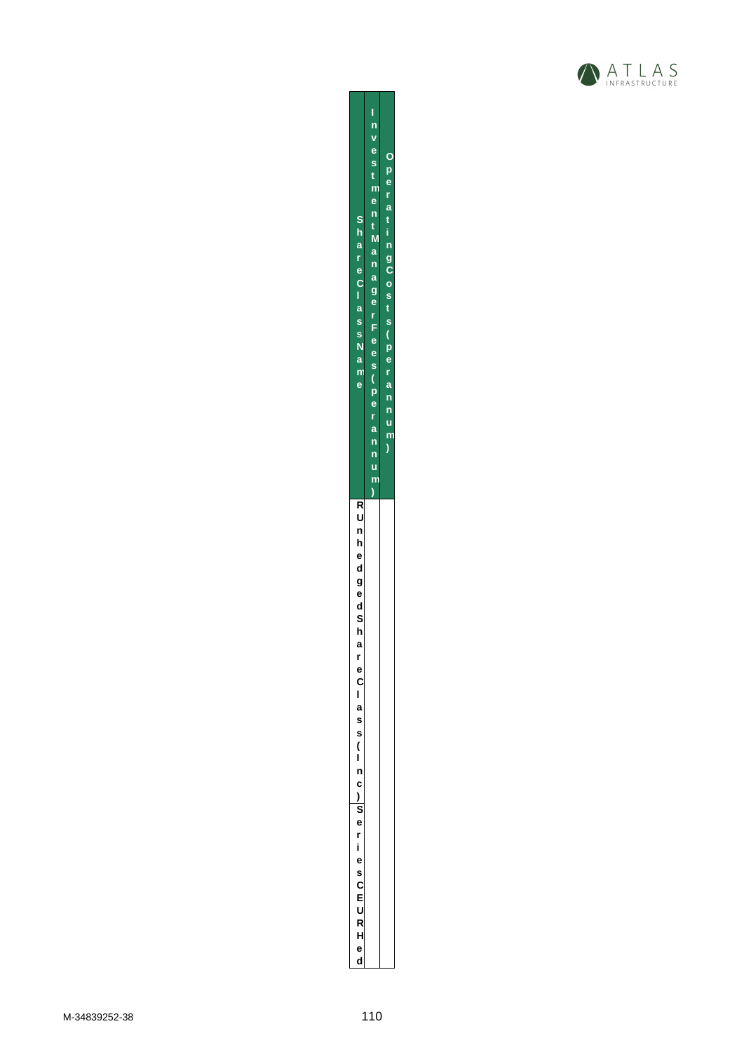

| -I n v e s t m e n t M a n a g e r F e e s ( p e r a n n u m ) |                                           |
|----------------------------------------------------------------|-------------------------------------------|
| .S hareClassNane                                               | <b>⊾R UnhedgedSha</b><br>ľ<br>a<br>(<br>ı |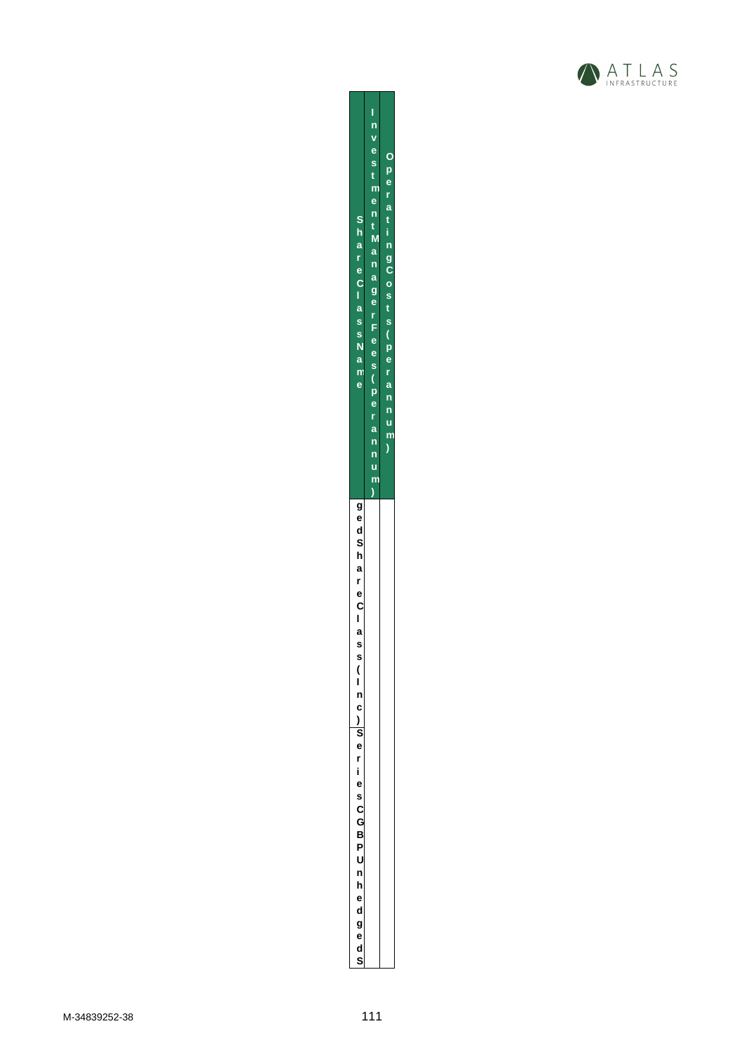

| С<br>p<br>-e r a t i n gC o s t s ( p e r a n n u n )           |                        |
|-----------------------------------------------------------------|------------------------|
| – I n v e s t m e n t M a n a g e r F e e s ( p e r a n n u m ) |                        |
| ShareClassName                                                  | ged ShareCla<br>ş<br>( |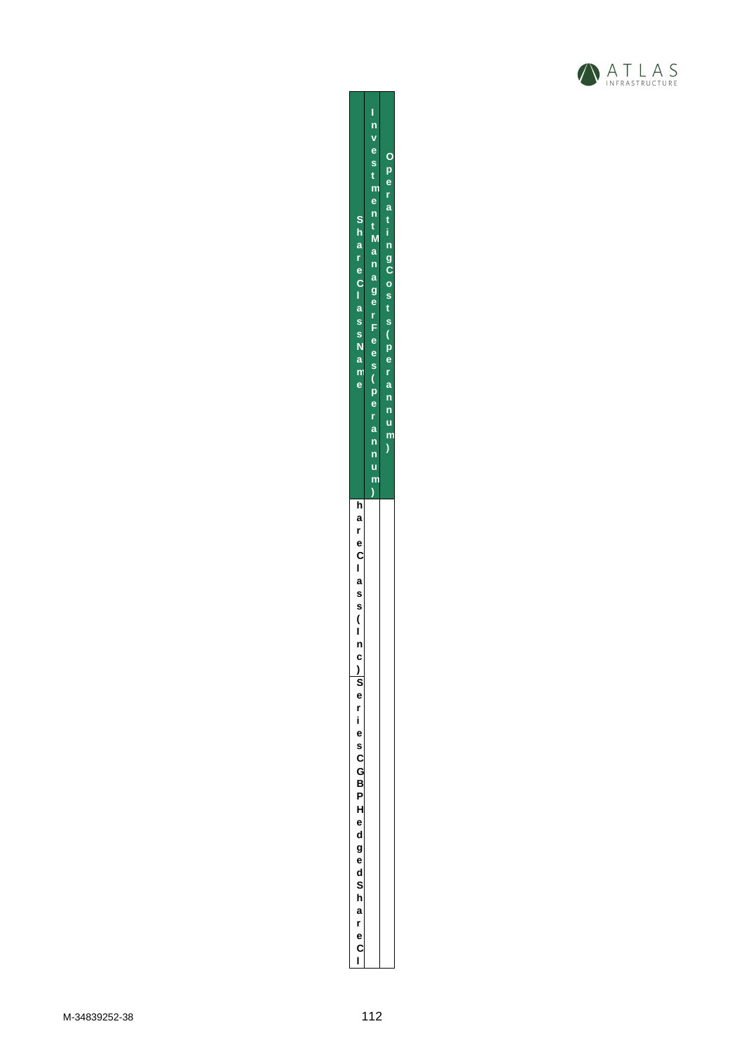

|       | S<br>h<br>a<br>r<br>$\overline{c}$<br>ľ<br>a<br>s<br>N<br>N<br>a<br>m<br>e                                                                                                                                    | I<br>$\mathsf{n}$<br>V<br>e<br>s<br>t<br>m<br>e<br>n<br>t<br>M<br>a<br>n<br>a<br>g<br>e<br>$\frac{r}{F}$<br>e<br>e<br>s<br>(p<br>e<br>r<br>a<br>n<br>n<br>u<br>m<br>$\overline{\phantom{a}}$ | O p e r a t i n g C o s t s ( p e r<br>a<br>n<br>n<br>u<br>m<br>) |
|-------|---------------------------------------------------------------------------------------------------------------------------------------------------------------------------------------------------------------|----------------------------------------------------------------------------------------------------------------------------------------------------------------------------------------------|-------------------------------------------------------------------|
|       | h<br>a<br>r<br>e<br>C<br>I<br>a<br>s<br>s<br>( <br>n<br>c<br>$\frac{1}{s}$<br>e<br>r<br>i<br>$\ddot{\textbf{e}}$<br>s<br>C<br><b>ึก</b><br>ค<br>H<br>e<br>d<br>g<br>e<br>d<br>s<br>h<br>a<br>r<br>e<br>C<br>I |                                                                                                                                                                                              |                                                                   |
| $-38$ |                                                                                                                                                                                                               | 112                                                                                                                                                                                          |                                                                   |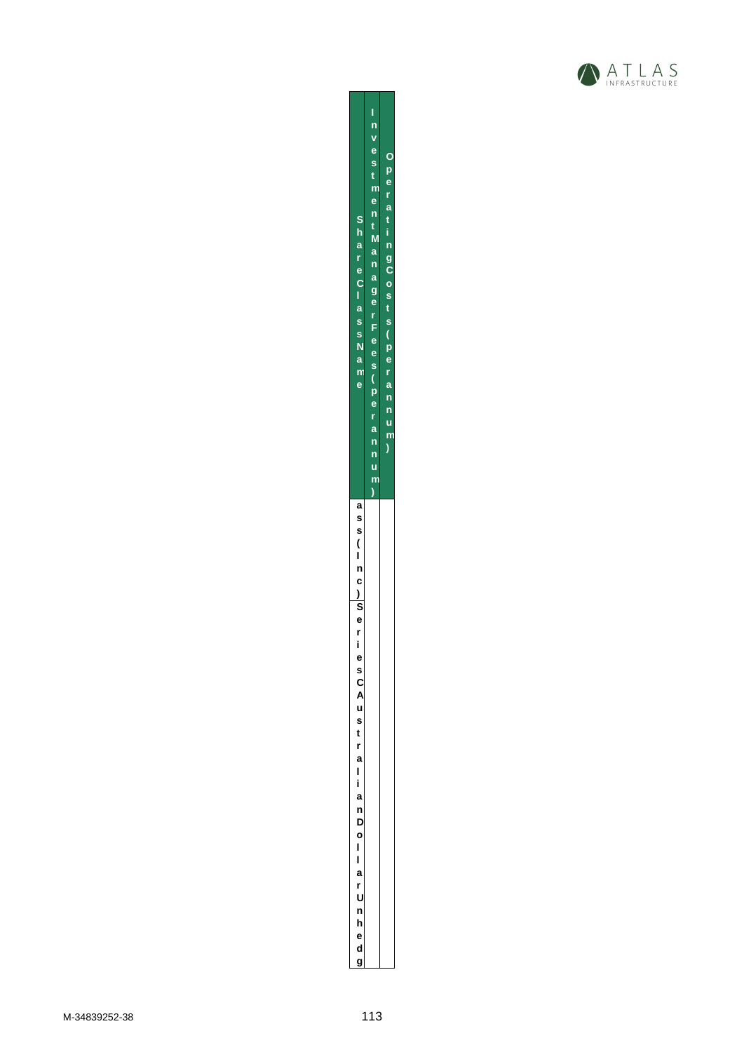

| l n v e s t m e n t M a n a g e r F e e s ( p e r a n n u m ) |                                                                                   |
|---------------------------------------------------------------|-----------------------------------------------------------------------------------|
| S h a r e C l a s s N a m e                                   | 1a s s( l m c)  S eri<br>é<br>ū<br>t<br>a<br>ı<br>a<br>n<br>I<br>ı<br>ı<br>a<br>U |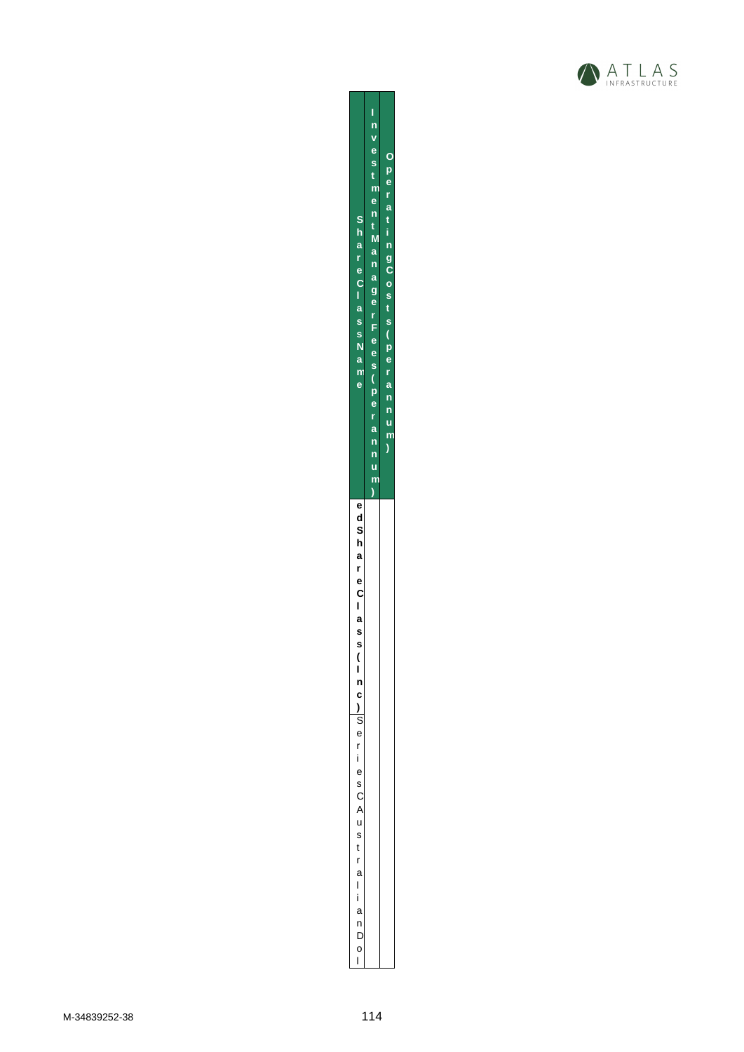

| S h a r e C l a s s N a m e                                          | l<br>n<br>v<br>v e s t m e n t M a n a g e r F e e s ( p e r a n n u m ) | O<br>p<br>PeratingCosts(perannum) |
|----------------------------------------------------------------------|--------------------------------------------------------------------------|-----------------------------------|
| d S h a r e C l a s s (<br>Ľ<br>Į<br>t<br>ľ<br>а<br>I<br>i<br>а<br>١ |                                                                          |                                   |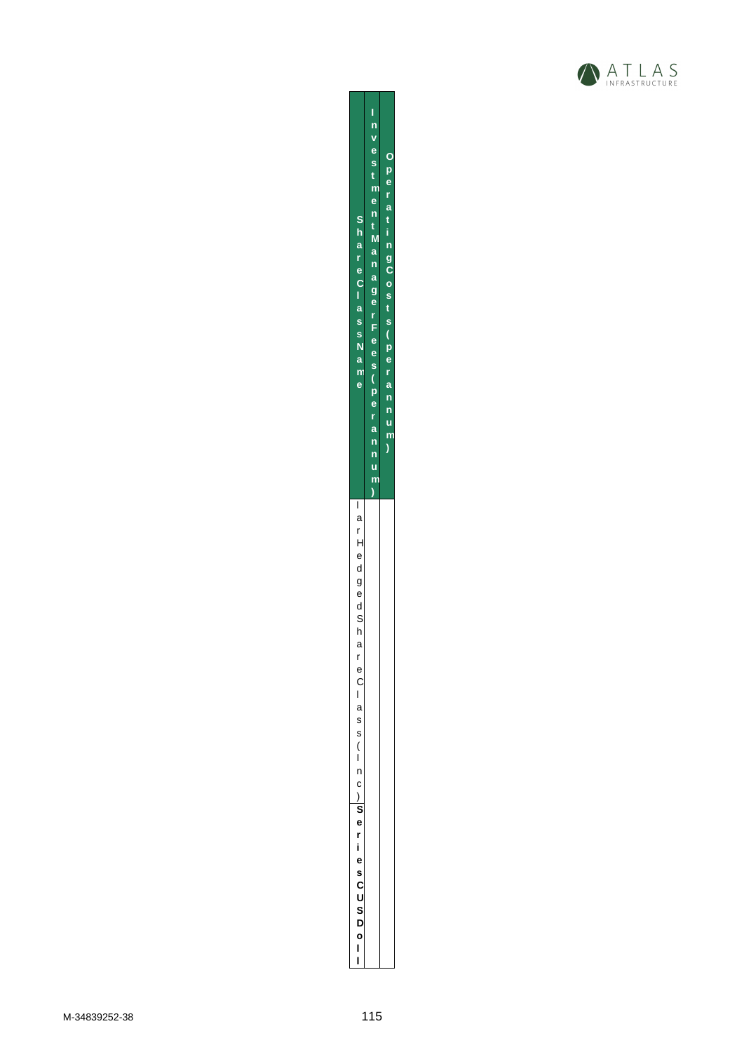

| l n v e s t m e n t M a n a g e r F e e s ( p e r a n n u m ) |                                                                 |
|---------------------------------------------------------------|-----------------------------------------------------------------|
| S h a r e C    a s s N a n e                                  | $\overline{a}$<br>ar H e d g e d S h a<br>ľ<br>I<br>а<br>(<br>Ì |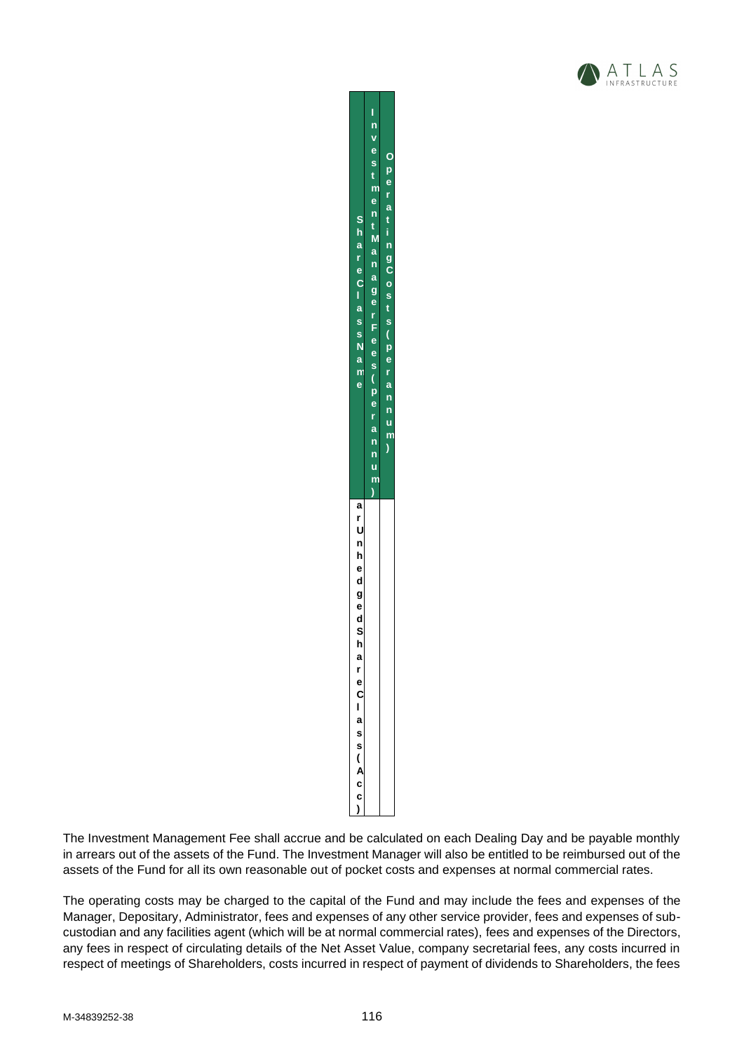

| ShareClassName                  | l<br>n<br>v<br>vest ment Manager Fees (per annum) | O p e r a t i _n g C o s t s ( _p e r a n n u m ) |  |
|---------------------------------|---------------------------------------------------|---------------------------------------------------|--|
| a<br>r U n h e d g e d S h<br>a |                                                   |                                                   |  |

The Investment Management Fee shall accrue and be calculated on each Dealing Day and be payable monthly in arrears out of the assets of the Fund. The Investment Manager will also be entitled to be reimbursed out of the assets of the Fund for all its own reasonable out of pocket costs and expenses at normal commercial rates.

The operating costs may be charged to the capital of the Fund and may include the fees and expenses of the Manager, Depositary, Administrator, fees and expenses of any other service provider, fees and expenses of subcustodian and any facilities agent (which will be at normal commercial rates), fees and expenses of the Directors, any fees in respect of circulating details of the Net Asset Value, company secretarial fees, any costs incurred in respect of meetings of Shareholders, costs incurred in respect of payment of dividends to Shareholders, the fees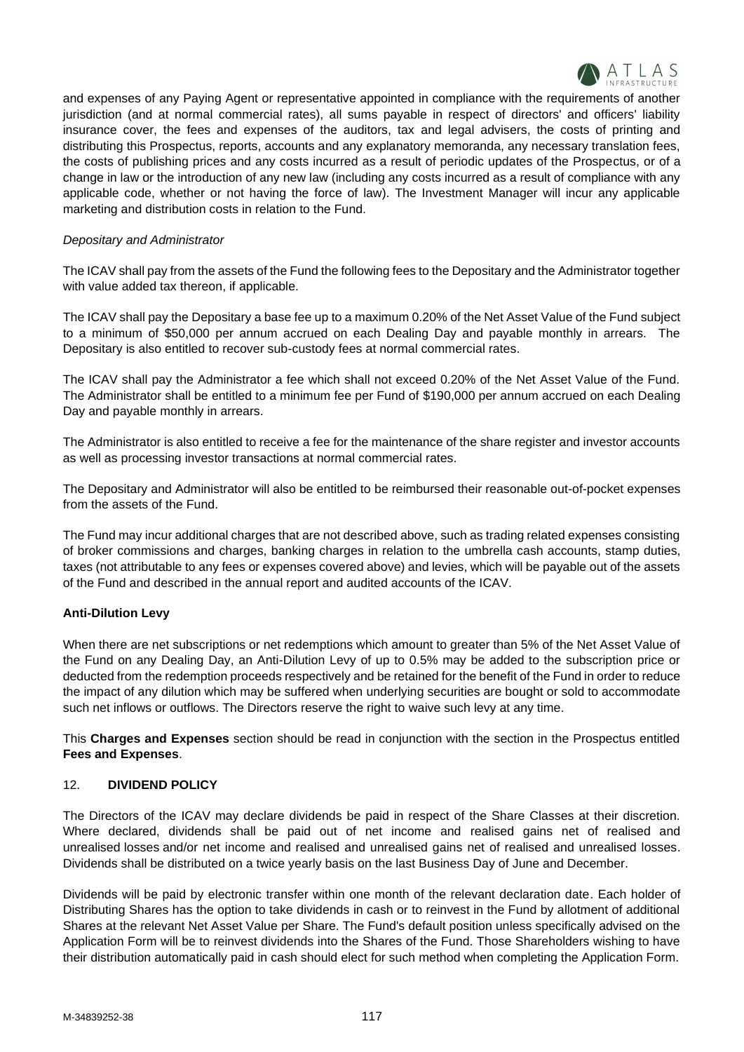

and expenses of any Paying Agent or representative appointed in compliance with the requirements of another jurisdiction (and at normal commercial rates), all sums payable in respect of directors' and officers' liability insurance cover, the fees and expenses of the auditors, tax and legal advisers, the costs of printing and distributing this Prospectus, reports, accounts and any explanatory memoranda, any necessary translation fees, the costs of publishing prices and any costs incurred as a result of periodic updates of the Prospectus, or of a change in law or the introduction of any new law (including any costs incurred as a result of compliance with any applicable code, whether or not having the force of law). The Investment Manager will incur any applicable marketing and distribution costs in relation to the Fund.

### *Depositary and Administrator*

The ICAV shall pay from the assets of the Fund the following fees to the Depositary and the Administrator together with value added tax thereon, if applicable.

The ICAV shall pay the Depositary a base fee up to a maximum 0.20% of the Net Asset Value of the Fund subject to a minimum of \$50,000 per annum accrued on each Dealing Day and payable monthly in arrears. The Depositary is also entitled to recover sub-custody fees at normal commercial rates.

The ICAV shall pay the Administrator a fee which shall not exceed 0.20% of the Net Asset Value of the Fund. The Administrator shall be entitled to a minimum fee per Fund of \$190,000 per annum accrued on each Dealing Day and payable monthly in arrears.

The Administrator is also entitled to receive a fee for the maintenance of the share register and investor accounts as well as processing investor transactions at normal commercial rates.

The Depositary and Administrator will also be entitled to be reimbursed their reasonable out-of-pocket expenses from the assets of the Fund.

The Fund may incur additional charges that are not described above, such as trading related expenses consisting of broker commissions and charges, banking charges in relation to the umbrella cash accounts, stamp duties, taxes (not attributable to any fees or expenses covered above) and levies, which will be payable out of the assets of the Fund and described in the annual report and audited accounts of the ICAV.

## **Anti-Dilution Levy**

When there are net subscriptions or net redemptions which amount to greater than 5% of the Net Asset Value of the Fund on any Dealing Day, an Anti-Dilution Levy of up to 0.5% may be added to the subscription price or deducted from the redemption proceeds respectively and be retained for the benefit of the Fund in order to reduce the impact of any dilution which may be suffered when underlying securities are bought or sold to accommodate such net inflows or outflows. The Directors reserve the right to waive such levy at any time.

This **Charges and Expenses** section should be read in conjunction with the section in the Prospectus entitled **Fees and Expenses**.

## 12. **DIVIDEND POLICY**

The Directors of the ICAV may declare dividends be paid in respect of the Share Classes at their discretion. Where declared, dividends shall be paid out of net income and realised gains net of realised and unrealised losses and/or net income and realised and unrealised gains net of realised and unrealised losses. Dividends shall be distributed on a twice yearly basis on the last Business Day of June and December.

Dividends will be paid by electronic transfer within one month of the relevant declaration date. Each holder of Distributing Shares has the option to take dividends in cash or to reinvest in the Fund by allotment of additional Shares at the relevant Net Asset Value per Share. The Fund's default position unless specifically advised on the Application Form will be to reinvest dividends into the Shares of the Fund. Those Shareholders wishing to have their distribution automatically paid in cash should elect for such method when completing the Application Form.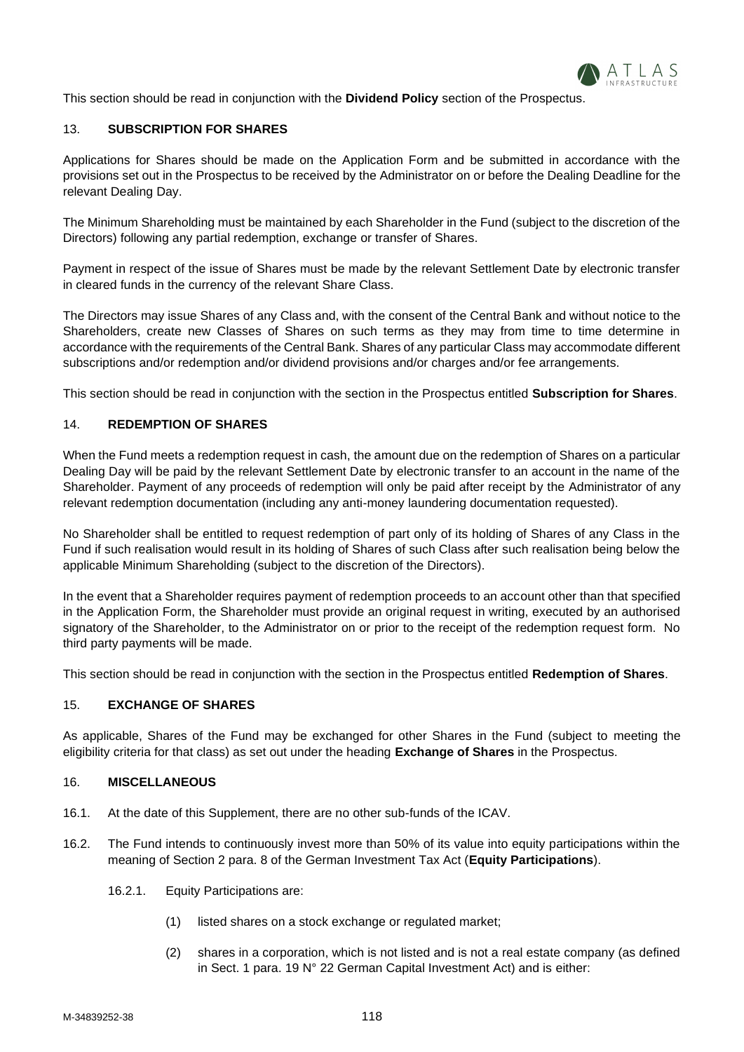

This section should be read in conjunction with the **Dividend Policy** section of the Prospectus.

### 13. **SUBSCRIPTION FOR SHARES**

Applications for Shares should be made on the Application Form and be submitted in accordance with the provisions set out in the Prospectus to be received by the Administrator on or before the Dealing Deadline for the relevant Dealing Day.

The Minimum Shareholding must be maintained by each Shareholder in the Fund (subject to the discretion of the Directors) following any partial redemption, exchange or transfer of Shares.

Payment in respect of the issue of Shares must be made by the relevant Settlement Date by electronic transfer in cleared funds in the currency of the relevant Share Class.

The Directors may issue Shares of any Class and, with the consent of the Central Bank and without notice to the Shareholders, create new Classes of Shares on such terms as they may from time to time determine in accordance with the requirements of the Central Bank. Shares of any particular Class may accommodate different subscriptions and/or redemption and/or dividend provisions and/or charges and/or fee arrangements.

This section should be read in conjunction with the section in the Prospectus entitled **Subscription for Shares**.

### 14. **REDEMPTION OF SHARES**

When the Fund meets a redemption request in cash, the amount due on the redemption of Shares on a particular Dealing Day will be paid by the relevant Settlement Date by electronic transfer to an account in the name of the Shareholder. Payment of any proceeds of redemption will only be paid after receipt by the Administrator of any relevant redemption documentation (including any anti-money laundering documentation requested).

No Shareholder shall be entitled to request redemption of part only of its holding of Shares of any Class in the Fund if such realisation would result in its holding of Shares of such Class after such realisation being below the applicable Minimum Shareholding (subject to the discretion of the Directors).

In the event that a Shareholder requires payment of redemption proceeds to an account other than that specified in the Application Form, the Shareholder must provide an original request in writing, executed by an authorised signatory of the Shareholder, to the Administrator on or prior to the receipt of the redemption request form. No third party payments will be made.

This section should be read in conjunction with the section in the Prospectus entitled **Redemption of Shares**.

## 15. **EXCHANGE OF SHARES**

As applicable, Shares of the Fund may be exchanged for other Shares in the Fund (subject to meeting the eligibility criteria for that class) as set out under the heading **Exchange of Shares** in the Prospectus.

#### 16. **MISCELLANEOUS**

- 16.1. At the date of this Supplement, there are no other sub-funds of the ICAV.
- 16.2. The Fund intends to continuously invest more than 50% of its value into equity participations within the meaning of Section 2 para. 8 of the German Investment Tax Act (**Equity Participations**).
	- 16.2.1. Equity Participations are:
		- (1) listed shares on a stock exchange or regulated market;
		- (2) shares in a corporation, which is not listed and is not a real estate company (as defined in Sect. 1 para. 19 N° 22 German Capital Investment Act) and is either: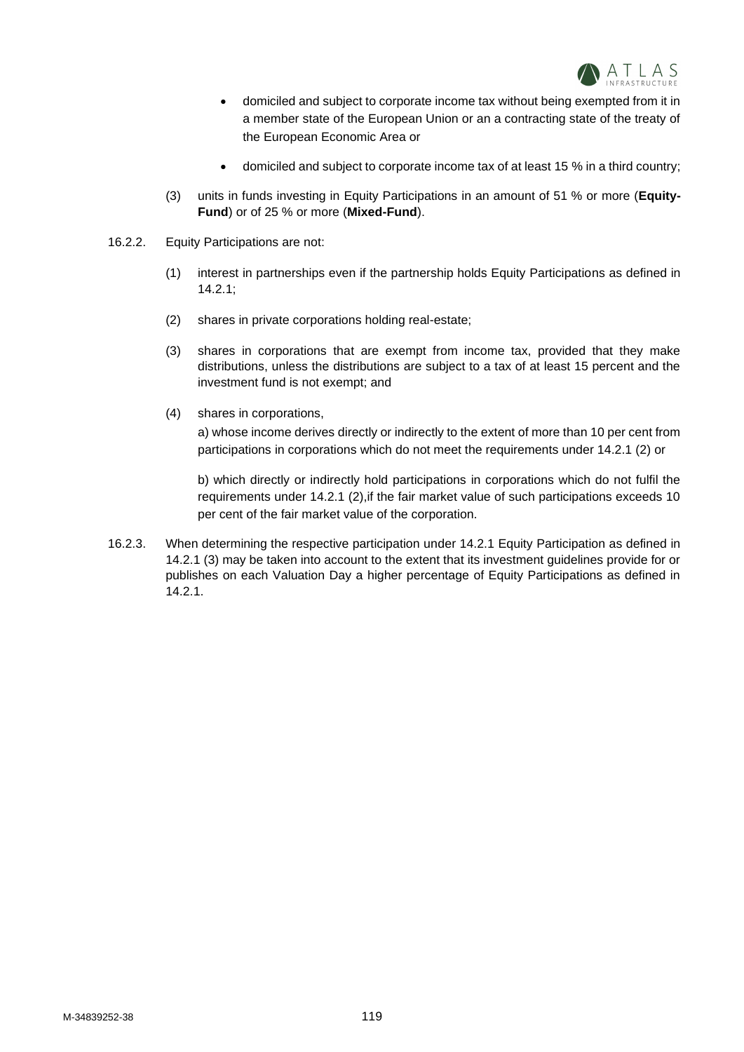

- domiciled and subject to corporate income tax without being exempted from it in a member state of the European Union or an a contracting state of the treaty of the European Economic Area or
- domiciled and subject to corporate income tax of at least 15 % in a third country;
- (3) units in funds investing in Equity Participations in an amount of 51 % or more (**Equity-Fund**) or of 25 % or more (**Mixed-Fund**).
- 16.2.2. Equity Participations are not:
	- (1) interest in partnerships even if the partnership holds Equity Participations as defined in 14.2.1;
	- (2) shares in private corporations holding real-estate;
	- (3) shares in corporations that are exempt from income tax, provided that they make distributions, unless the distributions are subject to a tax of at least 15 percent and the investment fund is not exempt; and
	- (4) shares in corporations,

a) whose income derives directly or indirectly to the extent of more than 10 per cent from participations in corporations which do not meet the requirements under 14.2.1 (2) or

b) which directly or indirectly hold participations in corporations which do not fulfil the requirements under 14.2.1 (2),if the fair market value of such participations exceeds 10 per cent of the fair market value of the corporation.

16.2.3. When determining the respective participation under 14.2.1 Equity Participation as defined in 14.2.1 (3) may be taken into account to the extent that its investment guidelines provide for or publishes on each Valuation Day a higher percentage of Equity Participations as defined in 14.2.1.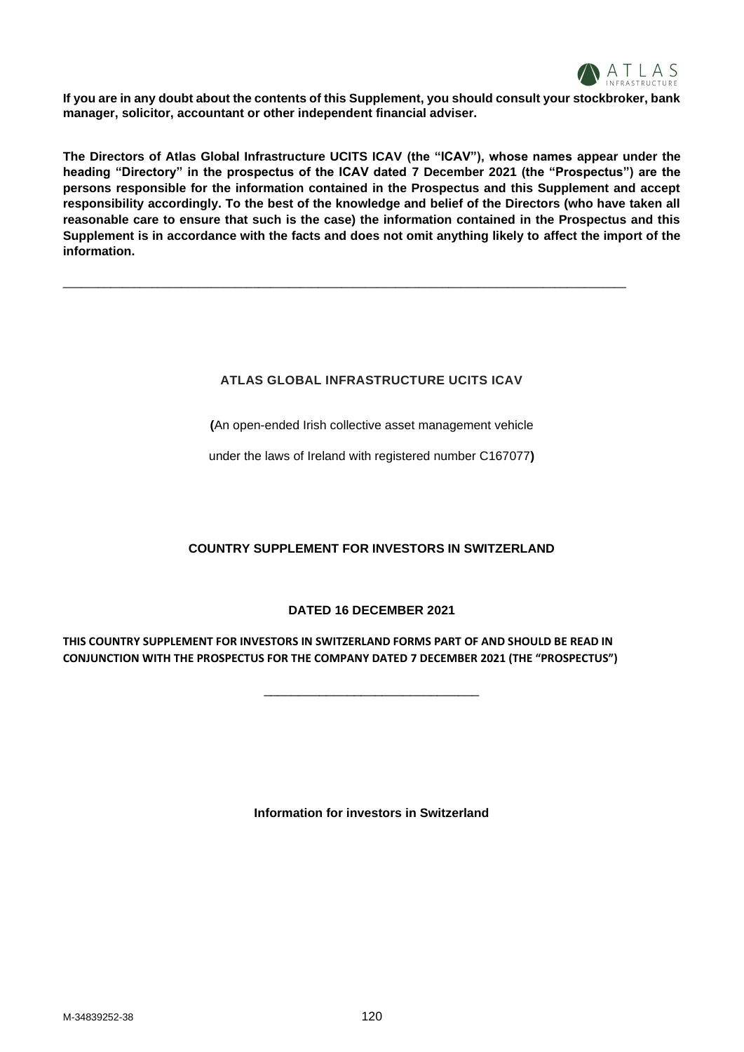

**If you are in any doubt about the contents of this Supplement, you should consult your stockbroker, bank manager, solicitor, accountant or other independent financial adviser.**

**The Directors of Atlas Global Infrastructure UCITS ICAV (the "ICAV"), whose names appear under the heading "Directory" in the prospectus of the ICAV dated 7 December 2021 (the "Prospectus") are the persons responsible for the information contained in the Prospectus and this Supplement and accept responsibility accordingly. To the best of the knowledge and belief of the Directors (who have taken all reasonable care to ensure that such is the case) the information contained in the Prospectus and this Supplement is in accordance with the facts and does not omit anything likely to affect the import of the information.** 

 $\mathcal{L}_\mathcal{L} = \mathcal{L}_\mathcal{L} = \mathcal{L}_\mathcal{L} = \mathcal{L}_\mathcal{L} = \mathcal{L}_\mathcal{L} = \mathcal{L}_\mathcal{L} = \mathcal{L}_\mathcal{L} = \mathcal{L}_\mathcal{L} = \mathcal{L}_\mathcal{L} = \mathcal{L}_\mathcal{L} = \mathcal{L}_\mathcal{L} = \mathcal{L}_\mathcal{L} = \mathcal{L}_\mathcal{L} = \mathcal{L}_\mathcal{L} = \mathcal{L}_\mathcal{L} = \mathcal{L}_\mathcal{L} = \mathcal{L}_\mathcal{L}$ 

## **ATLAS GLOBAL INFRASTRUCTURE UCITS ICAV**

**(**An open-ended Irish collective asset management vehicle

under the laws of Ireland with registered number C167077**)**

# **COUNTRY SUPPLEMENT FOR INVESTORS IN SWITZERLAND**

# **DATED 16 DECEMBER 2021**

\_\_\_\_\_\_\_\_\_\_\_\_\_\_\_\_\_\_\_\_\_\_\_\_\_\_\_\_\_\_\_

**THIS COUNTRY SUPPLEMENT FOR INVESTORS IN SWITZERLAND FORMS PART OF AND SHOULD BE READ IN CONJUNCTION WITH THE PROSPECTUS FOR THE COMPANY DATED 7 DECEMBER 2021 (THE "PROSPECTUS")**

**Information for investors in Switzerland**